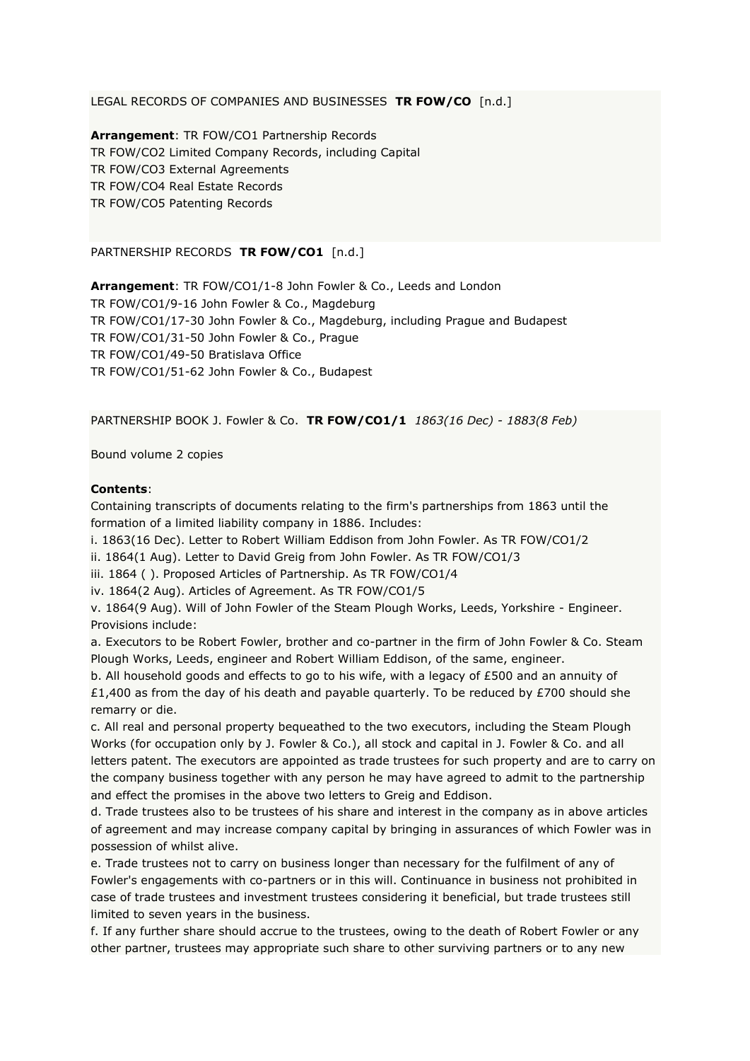LEGAL RECORDS OF COMPANIES AND BUSINESSES **TR FOW/CO** [n.d.]

**Arrangement**: TR FOW/CO1 Partnership Records TR FOW/CO2 Limited Company Records, including Capital TR FOW/CO3 External Agreements TR FOW/CO4 Real Estate Records TR FOW/CO5 Patenting Records

PARTNERSHIP RECORDS **TR FOW/CO1** [n.d.]

**Arrangement**: TR FOW/CO1/1-8 John Fowler & Co., Leeds and London TR FOW/CO1/9-16 John Fowler & Co., Magdeburg TR FOW/CO1/17-30 John Fowler & Co., Magdeburg, including Prague and Budapest TR FOW/CO1/31-50 John Fowler & Co., Prague TR FOW/CO1/49-50 Bratislava Office TR FOW/CO1/51-62 John Fowler & Co., Budapest

PARTNERSHIP BOOK J. Fowler & Co. **TR FOW/CO1/1** *1863(16 Dec) - 1883(8 Feb)*

Bound volume 2 copies

## **Contents**:

Containing transcripts of documents relating to the firm's partnerships from 1863 until the formation of a limited liability company in 1886. Includes:

i. 1863(16 Dec). Letter to Robert William Eddison from John Fowler. As TR FOW/CO1/2

ii. 1864(1 Aug). Letter to David Greig from John Fowler. As TR FOW/CO1/3

iii. 1864 ( ). Proposed Articles of Partnership. As TR FOW/CO1/4

iv. 1864(2 Aug). Articles of Agreement. As TR FOW/CO1/5

v. 1864(9 Aug). Will of John Fowler of the Steam Plough Works, Leeds, Yorkshire - Engineer. Provisions include:

a. Executors to be Robert Fowler, brother and co-partner in the firm of John Fowler & Co. Steam Plough Works, Leeds, engineer and Robert William Eddison, of the same, engineer.

b. All household goods and effects to go to his wife, with a legacy of £500 and an annuity of £1,400 as from the day of his death and payable quarterly. To be reduced by £700 should she remarry or die.

c. All real and personal property bequeathed to the two executors, including the Steam Plough Works (for occupation only by J. Fowler & Co.), all stock and capital in J. Fowler & Co. and all letters patent. The executors are appointed as trade trustees for such property and are to carry on the company business together with any person he may have agreed to admit to the partnership and effect the promises in the above two letters to Greig and Eddison.

d. Trade trustees also to be trustees of his share and interest in the company as in above articles of agreement and may increase company capital by bringing in assurances of which Fowler was in possession of whilst alive.

e. Trade trustees not to carry on business longer than necessary for the fulfilment of any of Fowler's engagements with co-partners or in this will. Continuance in business not prohibited in case of trade trustees and investment trustees considering it beneficial, but trade trustees still limited to seven years in the business.

f. If any further share should accrue to the trustees, owing to the death of Robert Fowler or any other partner, trustees may appropriate such share to other surviving partners or to any new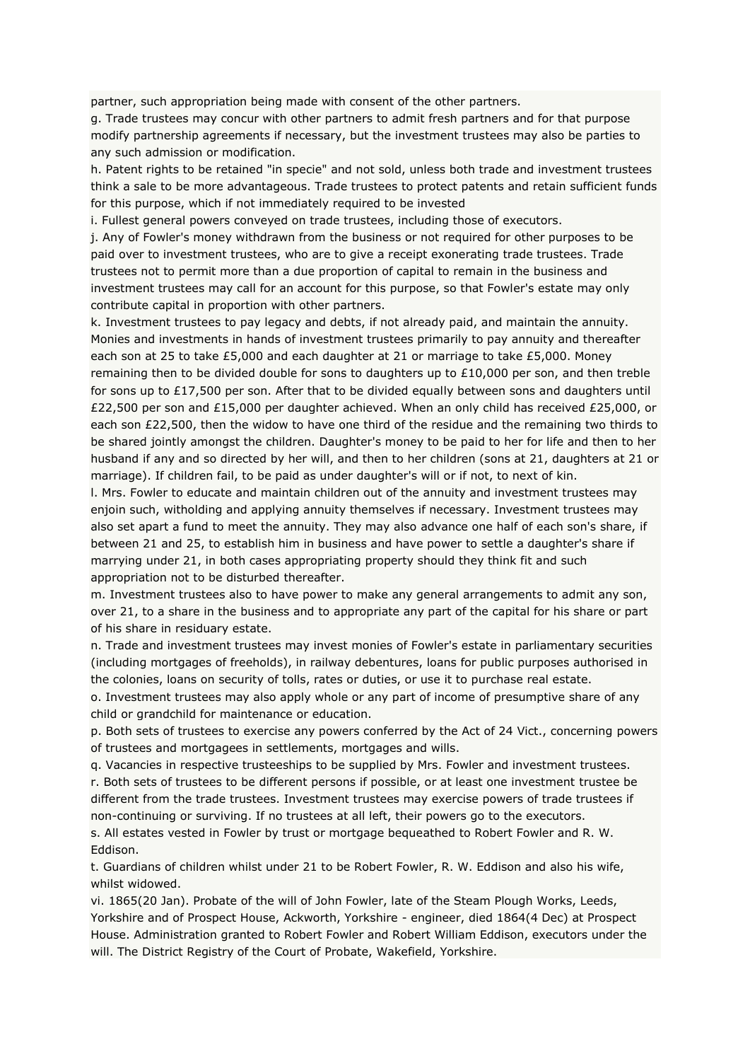partner, such appropriation being made with consent of the other partners.

g. Trade trustees may concur with other partners to admit fresh partners and for that purpose modify partnership agreements if necessary, but the investment trustees may also be parties to any such admission or modification.

h. Patent rights to be retained "in specie" and not sold, unless both trade and investment trustees think a sale to be more advantageous. Trade trustees to protect patents and retain sufficient funds for this purpose, which if not immediately required to be invested

i. Fullest general powers conveyed on trade trustees, including those of executors.

j. Any of Fowler's money withdrawn from the business or not required for other purposes to be paid over to investment trustees, who are to give a receipt exonerating trade trustees. Trade trustees not to permit more than a due proportion of capital to remain in the business and investment trustees may call for an account for this purpose, so that Fowler's estate may only contribute capital in proportion with other partners.

k. Investment trustees to pay legacy and debts, if not already paid, and maintain the annuity. Monies and investments in hands of investment trustees primarily to pay annuity and thereafter each son at 25 to take £5,000 and each daughter at 21 or marriage to take £5,000. Money remaining then to be divided double for sons to daughters up to £10,000 per son, and then treble for sons up to £17,500 per son. After that to be divided equally between sons and daughters until £22,500 per son and £15,000 per daughter achieved. When an only child has received £25,000, or each son £22,500, then the widow to have one third of the residue and the remaining two thirds to be shared jointly amongst the children. Daughter's money to be paid to her for life and then to her husband if any and so directed by her will, and then to her children (sons at 21, daughters at 21 or marriage). If children fail, to be paid as under daughter's will or if not, to next of kin.

l. Mrs. Fowler to educate and maintain children out of the annuity and investment trustees may enjoin such, witholding and applying annuity themselves if necessary. Investment trustees may also set apart a fund to meet the annuity. They may also advance one half of each son's share, if between 21 and 25, to establish him in business and have power to settle a daughter's share if marrying under 21, in both cases appropriating property should they think fit and such appropriation not to be disturbed thereafter.

m. Investment trustees also to have power to make any general arrangements to admit any son, over 21, to a share in the business and to appropriate any part of the capital for his share or part of his share in residuary estate.

n. Trade and investment trustees may invest monies of Fowler's estate in parliamentary securities (including mortgages of freeholds), in railway debentures, loans for public purposes authorised in the colonies, loans on security of tolls, rates or duties, or use it to purchase real estate.

o. Investment trustees may also apply whole or any part of income of presumptive share of any child or grandchild for maintenance or education.

p. Both sets of trustees to exercise any powers conferred by the Act of 24 Vict., concerning powers of trustees and mortgagees in settlements, mortgages and wills.

q. Vacancies in respective trusteeships to be supplied by Mrs. Fowler and investment trustees.

r. Both sets of trustees to be different persons if possible, or at least one investment trustee be different from the trade trustees. Investment trustees may exercise powers of trade trustees if non-continuing or surviving. If no trustees at all left, their powers go to the executors.

s. All estates vested in Fowler by trust or mortgage bequeathed to Robert Fowler and R. W. Eddison.

t. Guardians of children whilst under 21 to be Robert Fowler, R. W. Eddison and also his wife, whilst widowed.

vi. 1865(20 Jan). Probate of the will of John Fowler, late of the Steam Plough Works, Leeds, Yorkshire and of Prospect House, Ackworth, Yorkshire - engineer, died 1864(4 Dec) at Prospect House. Administration granted to Robert Fowler and Robert William Eddison, executors under the will. The District Registry of the Court of Probate, Wakefield, Yorkshire.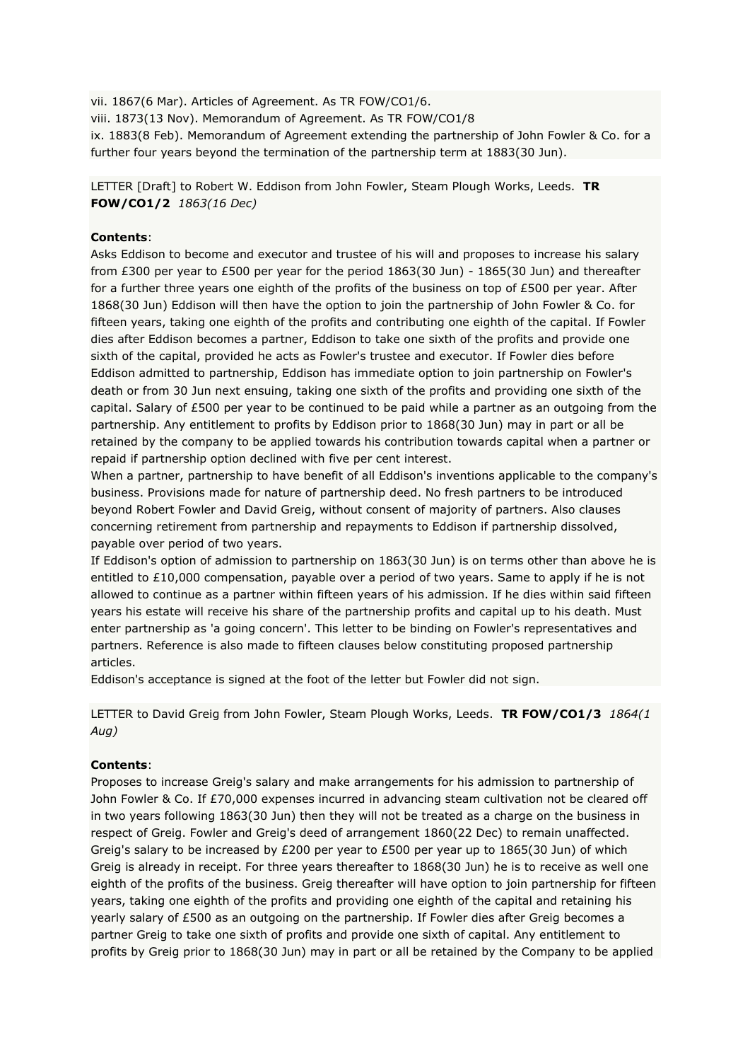vii. 1867(6 Mar). Articles of Agreement. As TR FOW/CO1/6. viii. 1873(13 Nov). Memorandum of Agreement. As TR FOW/CO1/8 ix. 1883(8 Feb). Memorandum of Agreement extending the partnership of John Fowler & Co. for a further four years beyond the termination of the partnership term at 1883(30 Jun).

LETTER [Draft] to Robert W. Eddison from John Fowler, Steam Plough Works, Leeds. **TR FOW/CO1/2** *1863(16 Dec)*

## **Contents**:

Asks Eddison to become and executor and trustee of his will and proposes to increase his salary from £300 per year to £500 per year for the period 1863(30 Jun) - 1865(30 Jun) and thereafter for a further three years one eighth of the profits of the business on top of £500 per year. After 1868(30 Jun) Eddison will then have the option to join the partnership of John Fowler & Co. for fifteen years, taking one eighth of the profits and contributing one eighth of the capital. If Fowler dies after Eddison becomes a partner, Eddison to take one sixth of the profits and provide one sixth of the capital, provided he acts as Fowler's trustee and executor. If Fowler dies before Eddison admitted to partnership, Eddison has immediate option to join partnership on Fowler's death or from 30 Jun next ensuing, taking one sixth of the profits and providing one sixth of the capital. Salary of £500 per year to be continued to be paid while a partner as an outgoing from the partnership. Any entitlement to profits by Eddison prior to 1868(30 Jun) may in part or all be retained by the company to be applied towards his contribution towards capital when a partner or repaid if partnership option declined with five per cent interest.

When a partner, partnership to have benefit of all Eddison's inventions applicable to the company's business. Provisions made for nature of partnership deed. No fresh partners to be introduced beyond Robert Fowler and David Greig, without consent of majority of partners. Also clauses concerning retirement from partnership and repayments to Eddison if partnership dissolved, payable over period of two years.

If Eddison's option of admission to partnership on 1863(30 Jun) is on terms other than above he is entitled to £10,000 compensation, payable over a period of two years. Same to apply if he is not allowed to continue as a partner within fifteen years of his admission. If he dies within said fifteen years his estate will receive his share of the partnership profits and capital up to his death. Must enter partnership as 'a going concern'. This letter to be binding on Fowler's representatives and partners. Reference is also made to fifteen clauses below constituting proposed partnership articles.

Eddison's acceptance is signed at the foot of the letter but Fowler did not sign.

LETTER to David Greig from John Fowler, Steam Plough Works, Leeds. **TR FOW/CO1/3** *1864(1 Aug)*

## **Contents**:

Proposes to increase Greig's salary and make arrangements for his admission to partnership of John Fowler & Co. If £70,000 expenses incurred in advancing steam cultivation not be cleared off in two years following 1863(30 Jun) then they will not be treated as a charge on the business in respect of Greig. Fowler and Greig's deed of arrangement 1860(22 Dec) to remain unaffected. Greig's salary to be increased by £200 per year to £500 per year up to 1865(30 Jun) of which Greig is already in receipt. For three years thereafter to 1868(30 Jun) he is to receive as well one eighth of the profits of the business. Greig thereafter will have option to join partnership for fifteen years, taking one eighth of the profits and providing one eighth of the capital and retaining his yearly salary of £500 as an outgoing on the partnership. If Fowler dies after Greig becomes a partner Greig to take one sixth of profits and provide one sixth of capital. Any entitlement to profits by Greig prior to 1868(30 Jun) may in part or all be retained by the Company to be applied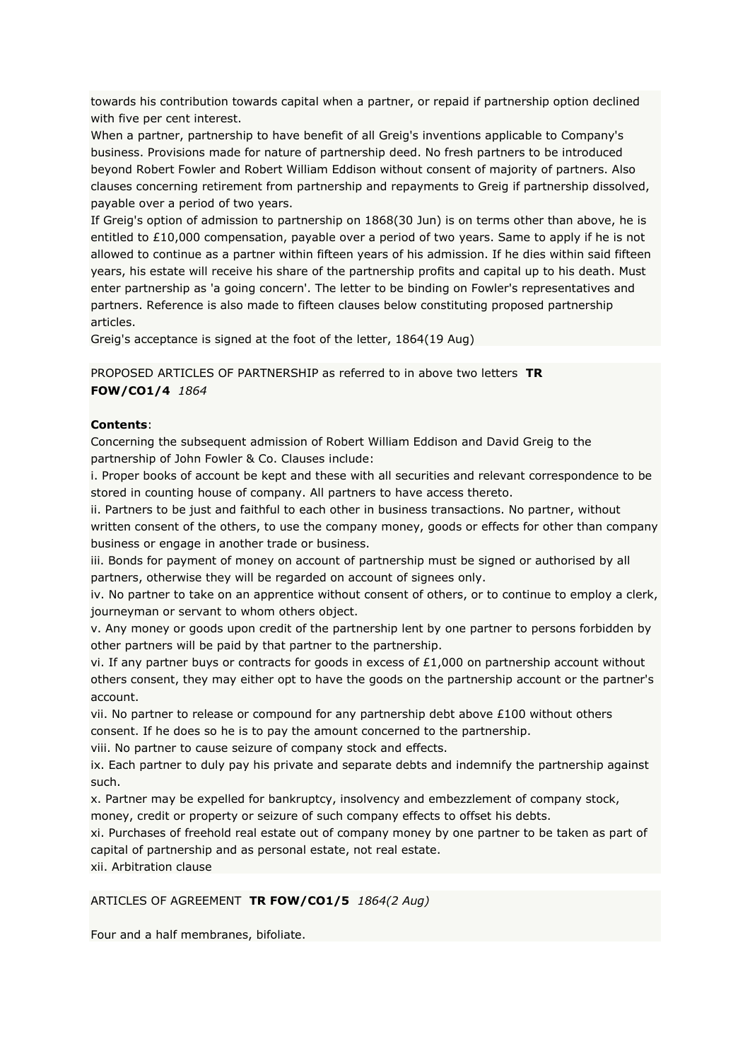towards his contribution towards capital when a partner, or repaid if partnership option declined with five per cent interest.

When a partner, partnership to have benefit of all Greig's inventions applicable to Company's business. Provisions made for nature of partnership deed. No fresh partners to be introduced beyond Robert Fowler and Robert William Eddison without consent of majority of partners. Also clauses concerning retirement from partnership and repayments to Greig if partnership dissolved, payable over a period of two years.

If Greig's option of admission to partnership on 1868(30 Jun) is on terms other than above, he is entitled to £10,000 compensation, payable over a period of two years. Same to apply if he is not allowed to continue as a partner within fifteen years of his admission. If he dies within said fifteen years, his estate will receive his share of the partnership profits and capital up to his death. Must enter partnership as 'a going concern'. The letter to be binding on Fowler's representatives and partners. Reference is also made to fifteen clauses below constituting proposed partnership articles.

Greig's acceptance is signed at the foot of the letter, 1864(19 Aug)

PROPOSED ARTICLES OF PARTNERSHIP as referred to in above two letters **TR FOW/CO1/4** *1864*

## **Contents**:

Concerning the subsequent admission of Robert William Eddison and David Greig to the partnership of John Fowler & Co. Clauses include:

i. Proper books of account be kept and these with all securities and relevant correspondence to be stored in counting house of company. All partners to have access thereto.

ii. Partners to be just and faithful to each other in business transactions. No partner, without written consent of the others, to use the company money, goods or effects for other than company business or engage in another trade or business.

iii. Bonds for payment of money on account of partnership must be signed or authorised by all partners, otherwise they will be regarded on account of signees only.

iv. No partner to take on an apprentice without consent of others, or to continue to employ a clerk, journeyman or servant to whom others object.

v. Any money or goods upon credit of the partnership lent by one partner to persons forbidden by other partners will be paid by that partner to the partnership.

vi. If any partner buys or contracts for goods in excess of  $£1,000$  on partnership account without others consent, they may either opt to have the goods on the partnership account or the partner's account.

vii. No partner to release or compound for any partnership debt above £100 without others consent. If he does so he is to pay the amount concerned to the partnership.

viii. No partner to cause seizure of company stock and effects.

ix. Each partner to duly pay his private and separate debts and indemnify the partnership against such.

x. Partner may be expelled for bankruptcy, insolvency and embezzlement of company stock, money, credit or property or seizure of such company effects to offset his debts.

xi. Purchases of freehold real estate out of company money by one partner to be taken as part of capital of partnership and as personal estate, not real estate.

xii. Arbitration clause

## ARTICLES OF AGREEMENT **TR FOW/CO1/5** *1864(2 Aug)*

Four and a half membranes, bifoliate.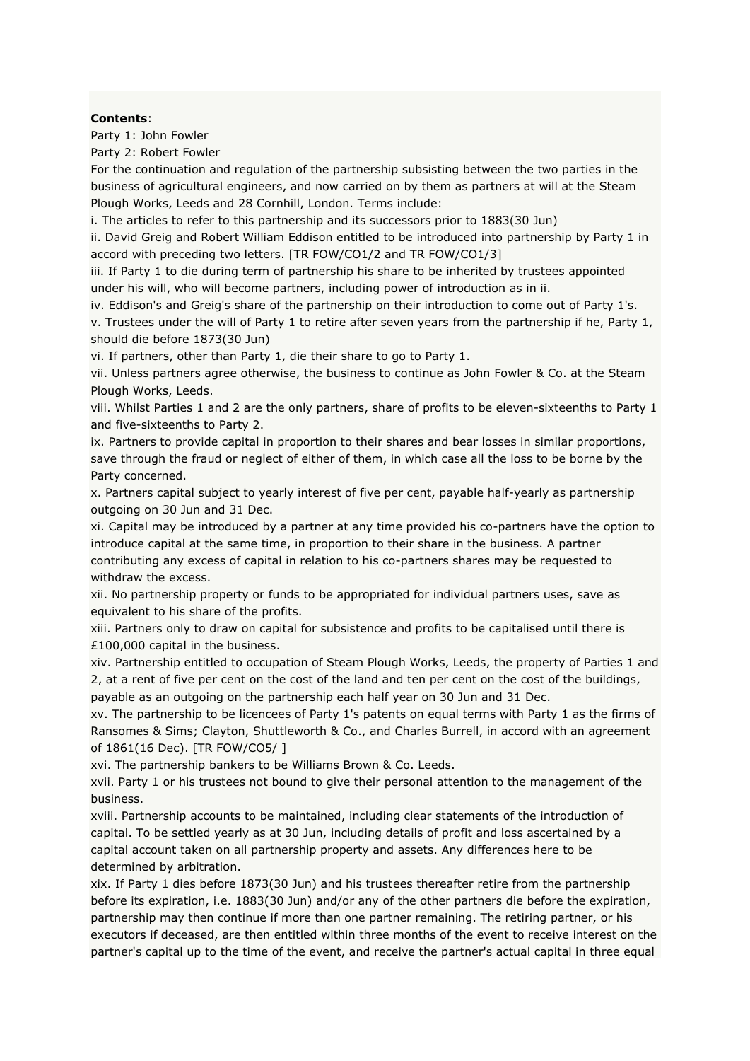### **Contents**:

Party 1: John Fowler

Party 2: Robert Fowler

For the continuation and regulation of the partnership subsisting between the two parties in the business of agricultural engineers, and now carried on by them as partners at will at the Steam Plough Works, Leeds and 28 Cornhill, London. Terms include:

i. The articles to refer to this partnership and its successors prior to 1883(30 Jun)

ii. David Greig and Robert William Eddison entitled to be introduced into partnership by Party 1 in accord with preceding two letters. [TR FOW/CO1/2 and TR FOW/CO1/3]

iii. If Party 1 to die during term of partnership his share to be inherited by trustees appointed under his will, who will become partners, including power of introduction as in ii.

iv. Eddison's and Greig's share of the partnership on their introduction to come out of Party 1's. v. Trustees under the will of Party 1 to retire after seven years from the partnership if he, Party 1, should die before 1873(30 Jun)

vi. If partners, other than Party 1, die their share to go to Party 1.

vii. Unless partners agree otherwise, the business to continue as John Fowler & Co. at the Steam Plough Works, Leeds.

viii. Whilst Parties 1 and 2 are the only partners, share of profits to be eleven-sixteenths to Party 1 and five-sixteenths to Party 2.

ix. Partners to provide capital in proportion to their shares and bear losses in similar proportions, save through the fraud or neglect of either of them, in which case all the loss to be borne by the Party concerned.

x. Partners capital subject to yearly interest of five per cent, payable half-yearly as partnership outgoing on 30 Jun and 31 Dec.

xi. Capital may be introduced by a partner at any time provided his co-partners have the option to introduce capital at the same time, in proportion to their share in the business. A partner contributing any excess of capital in relation to his co-partners shares may be requested to withdraw the excess.

xii. No partnership property or funds to be appropriated for individual partners uses, save as equivalent to his share of the profits.

xiii. Partners only to draw on capital for subsistence and profits to be capitalised until there is £100,000 capital in the business.

xiv. Partnership entitled to occupation of Steam Plough Works, Leeds, the property of Parties 1 and 2, at a rent of five per cent on the cost of the land and ten per cent on the cost of the buildings, payable as an outgoing on the partnership each half year on 30 Jun and 31 Dec.

xv. The partnership to be licencees of Party 1's patents on equal terms with Party 1 as the firms of Ransomes & Sims; Clayton, Shuttleworth & Co., and Charles Burrell, in accord with an agreement of 1861(16 Dec). [TR FOW/CO5/ ]

xvi. The partnership bankers to be Williams Brown & Co. Leeds.

xvii. Party 1 or his trustees not bound to give their personal attention to the management of the business.

xviii. Partnership accounts to be maintained, including clear statements of the introduction of capital. To be settled yearly as at 30 Jun, including details of profit and loss ascertained by a capital account taken on all partnership property and assets. Any differences here to be determined by arbitration.

xix. If Party 1 dies before 1873(30 Jun) and his trustees thereafter retire from the partnership before its expiration, i.e. 1883(30 Jun) and/or any of the other partners die before the expiration, partnership may then continue if more than one partner remaining. The retiring partner, or his executors if deceased, are then entitled within three months of the event to receive interest on the partner's capital up to the time of the event, and receive the partner's actual capital in three equal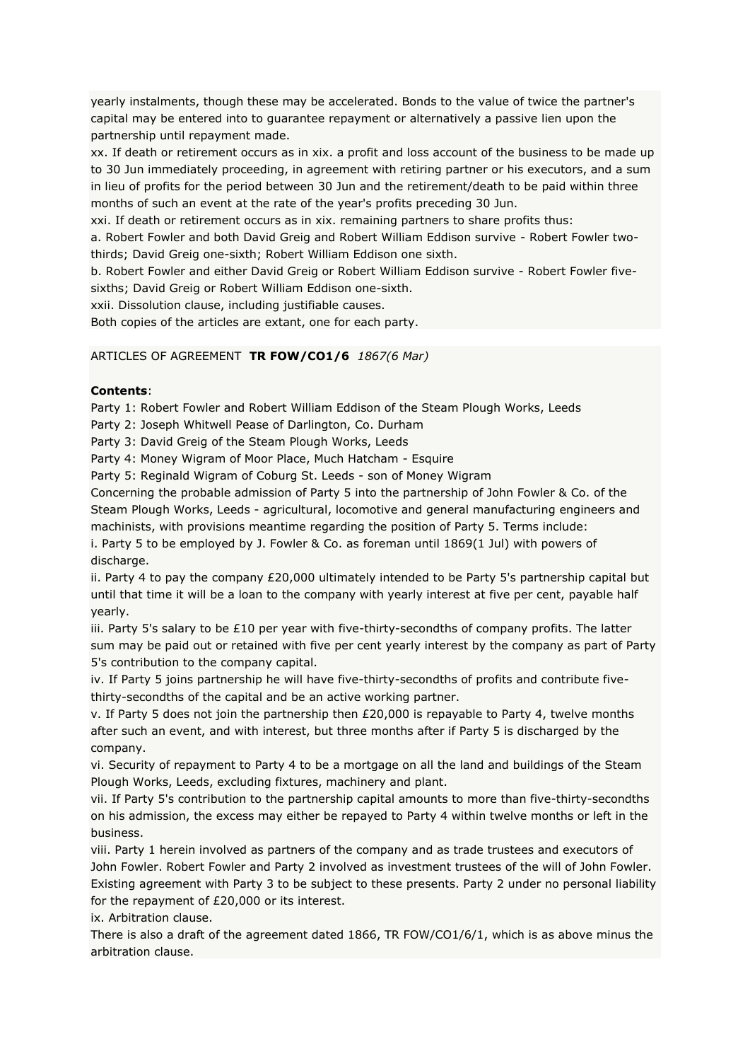yearly instalments, though these may be accelerated. Bonds to the value of twice the partner's capital may be entered into to guarantee repayment or alternatively a passive lien upon the partnership until repayment made.

xx. If death or retirement occurs as in xix. a profit and loss account of the business to be made up to 30 Jun immediately proceeding, in agreement with retiring partner or his executors, and a sum in lieu of profits for the period between 30 Jun and the retirement/death to be paid within three months of such an event at the rate of the year's profits preceding 30 Jun.

xxi. If death or retirement occurs as in xix. remaining partners to share profits thus:

a. Robert Fowler and both David Greig and Robert William Eddison survive - Robert Fowler twothirds; David Greig one-sixth; Robert William Eddison one sixth.

b. Robert Fowler and either David Greig or Robert William Eddison survive - Robert Fowler fivesixths; David Greig or Robert William Eddison one-sixth.

xxii. Dissolution clause, including justifiable causes.

Both copies of the articles are extant, one for each party.

## ARTICLES OF AGREEMENT **TR FOW/CO1/6** *1867(6 Mar)*

## **Contents**:

Party 1: Robert Fowler and Robert William Eddison of the Steam Plough Works, Leeds

Party 2: Joseph Whitwell Pease of Darlington, Co. Durham

Party 3: David Greig of the Steam Plough Works, Leeds

Party 4: Money Wigram of Moor Place, Much Hatcham - Esquire

Party 5: Reginald Wigram of Coburg St. Leeds - son of Money Wigram

Concerning the probable admission of Party 5 into the partnership of John Fowler & Co. of the Steam Plough Works, Leeds - agricultural, locomotive and general manufacturing engineers and machinists, with provisions meantime regarding the position of Party 5. Terms include:

i. Party 5 to be employed by J. Fowler & Co. as foreman until 1869(1 Jul) with powers of discharge.

ii. Party 4 to pay the company £20,000 ultimately intended to be Party 5's partnership capital but until that time it will be a loan to the company with yearly interest at five per cent, payable half yearly.

iii. Party 5's salary to be  $£10$  per year with five-thirty-secondths of company profits. The latter sum may be paid out or retained with five per cent yearly interest by the company as part of Party 5's contribution to the company capital.

iv. If Party 5 joins partnership he will have five-thirty-secondths of profits and contribute fivethirty-secondths of the capital and be an active working partner.

v. If Party 5 does not join the partnership then £20,000 is repayable to Party 4, twelve months after such an event, and with interest, but three months after if Party 5 is discharged by the company.

vi. Security of repayment to Party 4 to be a mortgage on all the land and buildings of the Steam Plough Works, Leeds, excluding fixtures, machinery and plant.

vii. If Party 5's contribution to the partnership capital amounts to more than five-thirty-secondths on his admission, the excess may either be repayed to Party 4 within twelve months or left in the business.

viii. Party 1 herein involved as partners of the company and as trade trustees and executors of John Fowler. Robert Fowler and Party 2 involved as investment trustees of the will of John Fowler. Existing agreement with Party 3 to be subject to these presents. Party 2 under no personal liability for the repayment of £20,000 or its interest.

ix. Arbitration clause.

There is also a draft of the agreement dated 1866, TR FOW/CO1/6/1, which is as above minus the arbitration clause.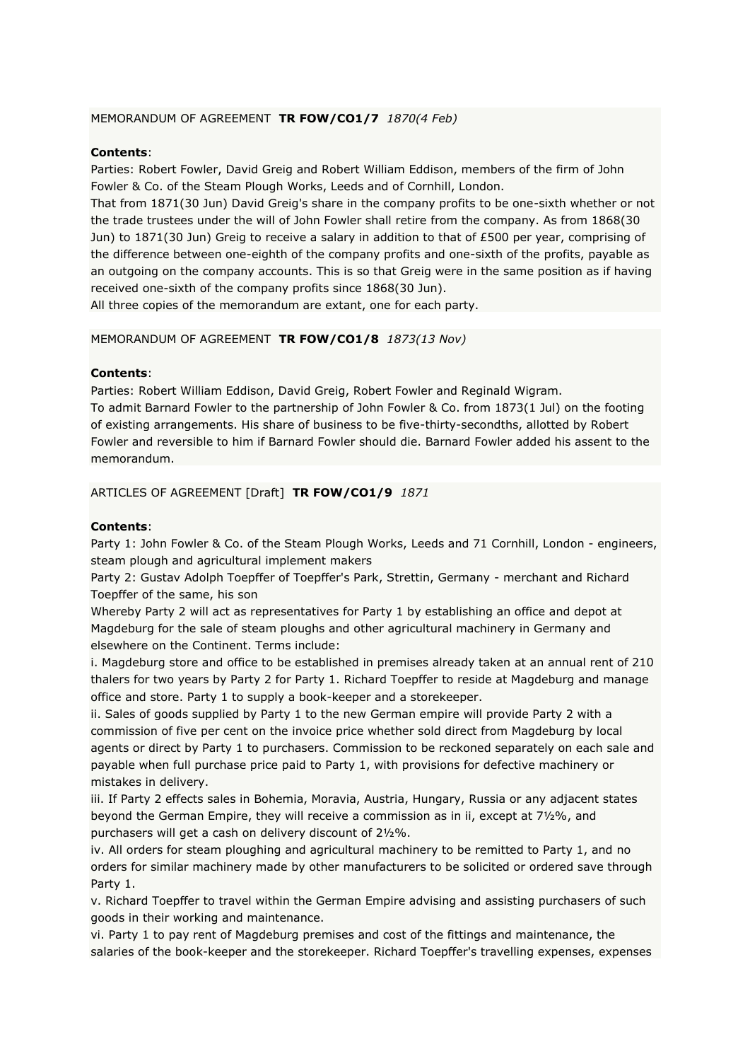## MEMORANDUM OF AGREEMENT **TR FOW/CO1/7** *1870(4 Feb)*

## **Contents**:

Parties: Robert Fowler, David Greig and Robert William Eddison, members of the firm of John Fowler & Co. of the Steam Plough Works, Leeds and of Cornhill, London.

That from 1871(30 Jun) David Greig's share in the company profits to be one-sixth whether or not the trade trustees under the will of John Fowler shall retire from the company. As from 1868(30 Jun) to 1871(30 Jun) Greig to receive a salary in addition to that of £500 per year, comprising of the difference between one-eighth of the company profits and one-sixth of the profits, payable as an outgoing on the company accounts. This is so that Greig were in the same position as if having received one-sixth of the company profits since 1868(30 Jun).

All three copies of the memorandum are extant, one for each party.

### MEMORANDUM OF AGREEMENT **TR FOW/CO1/8** *1873(13 Nov)*

## **Contents**:

Parties: Robert William Eddison, David Greig, Robert Fowler and Reginald Wigram. To admit Barnard Fowler to the partnership of John Fowler & Co. from 1873(1 Jul) on the footing of existing arrangements. His share of business to be five-thirty-secondths, allotted by Robert Fowler and reversible to him if Barnard Fowler should die. Barnard Fowler added his assent to the memorandum.

## ARTICLES OF AGREEMENT [Draft] **TR FOW/CO1/9** *1871*

### **Contents**:

Party 1: John Fowler & Co. of the Steam Plough Works, Leeds and 71 Cornhill, London - engineers, steam plough and agricultural implement makers

Party 2: Gustav Adolph Toepffer of Toepffer's Park, Strettin, Germany - merchant and Richard Toepffer of the same, his son

Whereby Party 2 will act as representatives for Party 1 by establishing an office and depot at Magdeburg for the sale of steam ploughs and other agricultural machinery in Germany and elsewhere on the Continent. Terms include:

i. Magdeburg store and office to be established in premises already taken at an annual rent of 210 thalers for two years by Party 2 for Party 1. Richard Toepffer to reside at Magdeburg and manage office and store. Party 1 to supply a book-keeper and a storekeeper.

ii. Sales of goods supplied by Party 1 to the new German empire will provide Party 2 with a commission of five per cent on the invoice price whether sold direct from Magdeburg by local agents or direct by Party 1 to purchasers. Commission to be reckoned separately on each sale and payable when full purchase price paid to Party 1, with provisions for defective machinery or mistakes in delivery.

iii. If Party 2 effects sales in Bohemia, Moravia, Austria, Hungary, Russia or any adjacent states beyond the German Empire, they will receive a commission as in ii, except at 7½%, and purchasers will get a cash on delivery discount of 2½%.

iv. All orders for steam ploughing and agricultural machinery to be remitted to Party 1, and no orders for similar machinery made by other manufacturers to be solicited or ordered save through Party 1.

v. Richard Toepffer to travel within the German Empire advising and assisting purchasers of such goods in their working and maintenance.

vi. Party 1 to pay rent of Magdeburg premises and cost of the fittings and maintenance, the salaries of the book-keeper and the storekeeper. Richard Toepffer's travelling expenses, expenses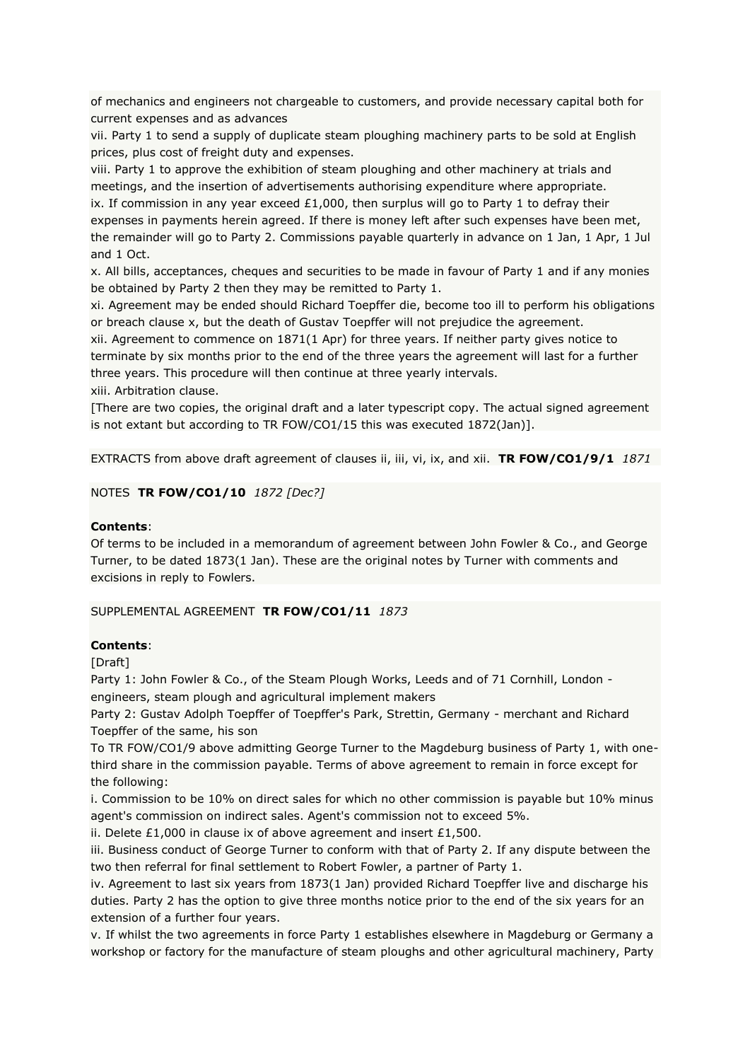of mechanics and engineers not chargeable to customers, and provide necessary capital both for current expenses and as advances

vii. Party 1 to send a supply of duplicate steam ploughing machinery parts to be sold at English prices, plus cost of freight duty and expenses.

viii. Party 1 to approve the exhibition of steam ploughing and other machinery at trials and meetings, and the insertion of advertisements authorising expenditure where appropriate. ix. If commission in any year exceed  $£1,000$ , then surplus will go to Party 1 to defray their expenses in payments herein agreed. If there is money left after such expenses have been met, the remainder will go to Party 2. Commissions payable quarterly in advance on 1 Jan, 1 Apr, 1 Jul and 1 Oct.

x. All bills, acceptances, cheques and securities to be made in favour of Party 1 and if any monies be obtained by Party 2 then they may be remitted to Party 1.

xi. Agreement may be ended should Richard Toepffer die, become too ill to perform his obligations or breach clause x, but the death of Gustav Toepffer will not prejudice the agreement.

xii. Agreement to commence on 1871(1 Apr) for three years. If neither party gives notice to terminate by six months prior to the end of the three years the agreement will last for a further three years. This procedure will then continue at three yearly intervals.

xiii. Arbitration clause.

[There are two copies, the original draft and a later typescript copy. The actual signed agreement is not extant but according to TR FOW/CO1/15 this was executed 1872(Jan)].

EXTRACTS from above draft agreement of clauses ii, iii, vi, ix, and xii. **TR FOW/CO1/9/1** *1871*

## NOTES **TR FOW/CO1/10** *1872 [Dec?]*

## **Contents**:

Of terms to be included in a memorandum of agreement between John Fowler & Co., and George Turner, to be dated 1873(1 Jan). These are the original notes by Turner with comments and excisions in reply to Fowlers.

SUPPLEMENTAL AGREEMENT **TR FOW/CO1/11** *1873*

## **Contents**:

[Draft]

Party 1: John Fowler & Co., of the Steam Plough Works, Leeds and of 71 Cornhill, London engineers, steam plough and agricultural implement makers

Party 2: Gustav Adolph Toepffer of Toepffer's Park, Strettin, Germany - merchant and Richard Toepffer of the same, his son

To TR FOW/CO1/9 above admitting George Turner to the Magdeburg business of Party 1, with onethird share in the commission payable. Terms of above agreement to remain in force except for the following:

i. Commission to be 10% on direct sales for which no other commission is payable but 10% minus agent's commission on indirect sales. Agent's commission not to exceed 5%.

ii. Delete £1,000 in clause ix of above agreement and insert £1,500.

iii. Business conduct of George Turner to conform with that of Party 2. If any dispute between the two then referral for final settlement to Robert Fowler, a partner of Party 1.

iv. Agreement to last six years from 1873(1 Jan) provided Richard Toepffer live and discharge his duties. Party 2 has the option to give three months notice prior to the end of the six years for an extension of a further four years.

v. If whilst the two agreements in force Party 1 establishes elsewhere in Magdeburg or Germany a workshop or factory for the manufacture of steam ploughs and other agricultural machinery, Party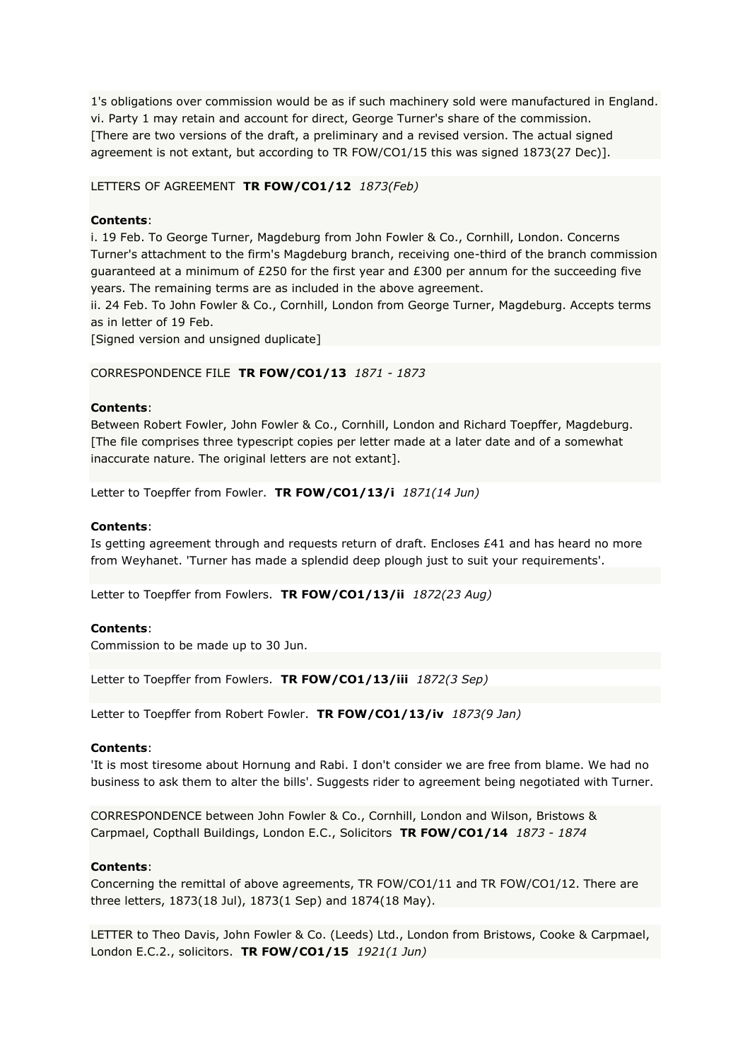1's obligations over commission would be as if such machinery sold were manufactured in England. vi. Party 1 may retain and account for direct, George Turner's share of the commission. [There are two versions of the draft, a preliminary and a revised version. The actual signed agreement is not extant, but according to TR FOW/CO1/15 this was signed 1873(27 Dec)].

## LETTERS OF AGREEMENT **TR FOW/CO1/12** *1873(Feb)*

## **Contents**:

i. 19 Feb. To George Turner, Magdeburg from John Fowler & Co., Cornhill, London. Concerns Turner's attachment to the firm's Magdeburg branch, receiving one-third of the branch commission quaranteed at a minimum of £250 for the first year and £300 per annum for the succeeding five years. The remaining terms are as included in the above agreement.

ii. 24 Feb. To John Fowler & Co., Cornhill, London from George Turner, Magdeburg. Accepts terms as in letter of 19 Feb.

[Signed version and unsigned duplicate]

CORRESPONDENCE FILE **TR FOW/CO1/13** *1871 - 1873*

## **Contents**:

Between Robert Fowler, John Fowler & Co., Cornhill, London and Richard Toepffer, Magdeburg. [The file comprises three typescript copies per letter made at a later date and of a somewhat inaccurate nature. The original letters are not extant].

Letter to Toepffer from Fowler. **TR FOW/CO1/13/i** *1871(14 Jun)*

#### **Contents**:

Is getting agreement through and requests return of draft. Encloses  $E41$  and has heard no more from Weyhanet. 'Turner has made a splendid deep plough just to suit your requirements'.

Letter to Toepffer from Fowlers. **TR FOW/CO1/13/ii** *1872(23 Aug)*

#### **Contents**:

Commission to be made up to 30 Jun.

Letter to Toepffer from Fowlers. **TR FOW/CO1/13/iii** *1872(3 Sep)*

Letter to Toepffer from Robert Fowler. **TR FOW/CO1/13/iv** *1873(9 Jan)*

#### **Contents**:

'It is most tiresome about Hornung and Rabi. I don't consider we are free from blame. We had no business to ask them to alter the bills'. Suggests rider to agreement being negotiated with Turner.

CORRESPONDENCE between John Fowler & Co., Cornhill, London and Wilson, Bristows & Carpmael, Copthall Buildings, London E.C., Solicitors **TR FOW/CO1/14** *1873 - 1874*

#### **Contents**:

Concerning the remittal of above agreements, TR FOW/CO1/11 and TR FOW/CO1/12. There are three letters, 1873(18 Jul), 1873(1 Sep) and 1874(18 May).

LETTER to Theo Davis, John Fowler & Co. (Leeds) Ltd., London from Bristows, Cooke & Carpmael, London E.C.2., solicitors. **TR FOW/CO1/15** *1921(1 Jun)*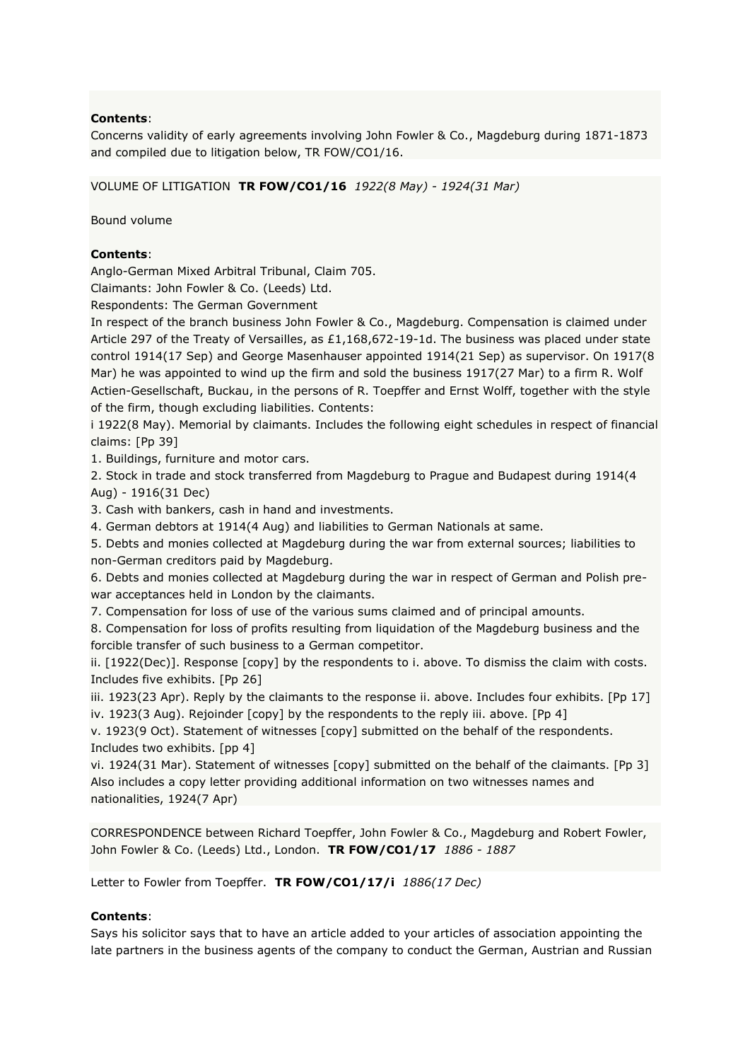## **Contents**:

Concerns validity of early agreements involving John Fowler & Co., Magdeburg during 1871-1873 and compiled due to litigation below, TR FOW/CO1/16.

VOLUME OF LITIGATION **TR FOW/CO1/16** *1922(8 May) - 1924(31 Mar)*

Bound volume

## **Contents**:

Anglo-German Mixed Arbitral Tribunal, Claim 705.

Claimants: John Fowler & Co. (Leeds) Ltd.

Respondents: The German Government

In respect of the branch business John Fowler & Co., Magdeburg. Compensation is claimed under Article 297 of the Treaty of Versailles, as £1,168,672-19-1d. The business was placed under state control 1914(17 Sep) and George Masenhauser appointed 1914(21 Sep) as supervisor. On 1917(8 Mar) he was appointed to wind up the firm and sold the business 1917(27 Mar) to a firm R. Wolf Actien-Gesellschaft, Buckau, in the persons of R. Toepffer and Ernst Wolff, together with the style of the firm, though excluding liabilities. Contents:

i 1922(8 May). Memorial by claimants. Includes the following eight schedules in respect of financial claims: [Pp 39]

1. Buildings, furniture and motor cars.

2. Stock in trade and stock transferred from Magdeburg to Prague and Budapest during 1914(4 Aug) - 1916(31 Dec)

3. Cash with bankers, cash in hand and investments.

4. German debtors at 1914(4 Aug) and liabilities to German Nationals at same.

5. Debts and monies collected at Magdeburg during the war from external sources; liabilities to non-German creditors paid by Magdeburg.

6. Debts and monies collected at Magdeburg during the war in respect of German and Polish prewar acceptances held in London by the claimants.

7. Compensation for loss of use of the various sums claimed and of principal amounts.

8. Compensation for loss of profits resulting from liquidation of the Magdeburg business and the forcible transfer of such business to a German competitor.

ii. [1922(Dec)]. Response [copy] by the respondents to i. above. To dismiss the claim with costs. Includes five exhibits. [Pp 26]

iii. 1923(23 Apr). Reply by the claimants to the response ii. above. Includes four exhibits. [Pp 17] iv. 1923(3 Aug). Rejoinder [copy] by the respondents to the reply iii. above. [Pp 4]

v. 1923(9 Oct). Statement of witnesses [copy] submitted on the behalf of the respondents. Includes two exhibits. [pp 4]

vi. 1924(31 Mar). Statement of witnesses [copy] submitted on the behalf of the claimants. [Pp 3] Also includes a copy letter providing additional information on two witnesses names and nationalities, 1924(7 Apr)

CORRESPONDENCE between Richard Toepffer, John Fowler & Co., Magdeburg and Robert Fowler, John Fowler & Co. (Leeds) Ltd., London. **TR FOW/CO1/17** *1886 - 1887*

Letter to Fowler from Toepffer. **TR FOW/CO1/17/i** *1886(17 Dec)*

## **Contents**:

Says his solicitor says that to have an article added to your articles of association appointing the late partners in the business agents of the company to conduct the German, Austrian and Russian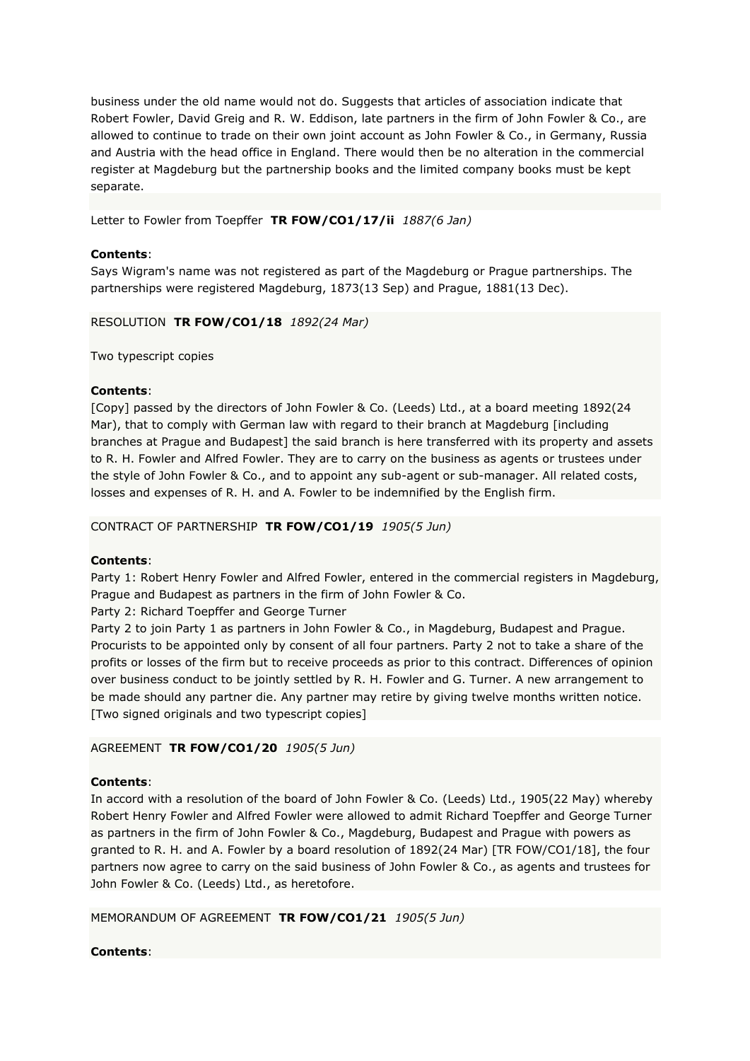business under the old name would not do. Suggests that articles of association indicate that Robert Fowler, David Greig and R. W. Eddison, late partners in the firm of John Fowler & Co., are allowed to continue to trade on their own joint account as John Fowler & Co., in Germany, Russia and Austria with the head office in England. There would then be no alteration in the commercial register at Magdeburg but the partnership books and the limited company books must be kept separate.

Letter to Fowler from Toepffer **TR FOW/CO1/17/ii** *1887(6 Jan)*

## **Contents**:

Says Wigram's name was not registered as part of the Magdeburg or Prague partnerships. The partnerships were registered Magdeburg, 1873(13 Sep) and Prague, 1881(13 Dec).

RESOLUTION **TR FOW/CO1/18** *1892(24 Mar)*

Two typescript copies

## **Contents**:

[Copy] passed by the directors of John Fowler & Co. (Leeds) Ltd., at a board meeting 1892(24 Mar), that to comply with German law with regard to their branch at Magdeburg [including branches at Prague and Budapest] the said branch is here transferred with its property and assets to R. H. Fowler and Alfred Fowler. They are to carry on the business as agents or trustees under the style of John Fowler & Co., and to appoint any sub-agent or sub-manager. All related costs, losses and expenses of R. H. and A. Fowler to be indemnified by the English firm.

CONTRACT OF PARTNERSHIP **TR FOW/CO1/19** *1905(5 Jun)*

## **Contents**:

Party 1: Robert Henry Fowler and Alfred Fowler, entered in the commercial registers in Magdeburg, Prague and Budapest as partners in the firm of John Fowler & Co.

Party 2: Richard Toepffer and George Turner

Party 2 to join Party 1 as partners in John Fowler & Co., in Magdeburg, Budapest and Prague. Procurists to be appointed only by consent of all four partners. Party 2 not to take a share of the profits or losses of the firm but to receive proceeds as prior to this contract. Differences of opinion over business conduct to be jointly settled by R. H. Fowler and G. Turner. A new arrangement to be made should any partner die. Any partner may retire by giving twelve months written notice. [Two signed originals and two typescript copies]

AGREEMENT **TR FOW/CO1/20** *1905(5 Jun)*

## **Contents**:

In accord with a resolution of the board of John Fowler & Co. (Leeds) Ltd., 1905(22 May) whereby Robert Henry Fowler and Alfred Fowler were allowed to admit Richard Toepffer and George Turner as partners in the firm of John Fowler & Co., Magdeburg, Budapest and Prague with powers as granted to R. H. and A. Fowler by a board resolution of 1892(24 Mar) [TR FOW/CO1/18], the four partners now agree to carry on the said business of John Fowler & Co., as agents and trustees for John Fowler & Co. (Leeds) Ltd., as heretofore.

MEMORANDUM OF AGREEMENT **TR FOW/CO1/21** *1905(5 Jun)*

## **Contents**: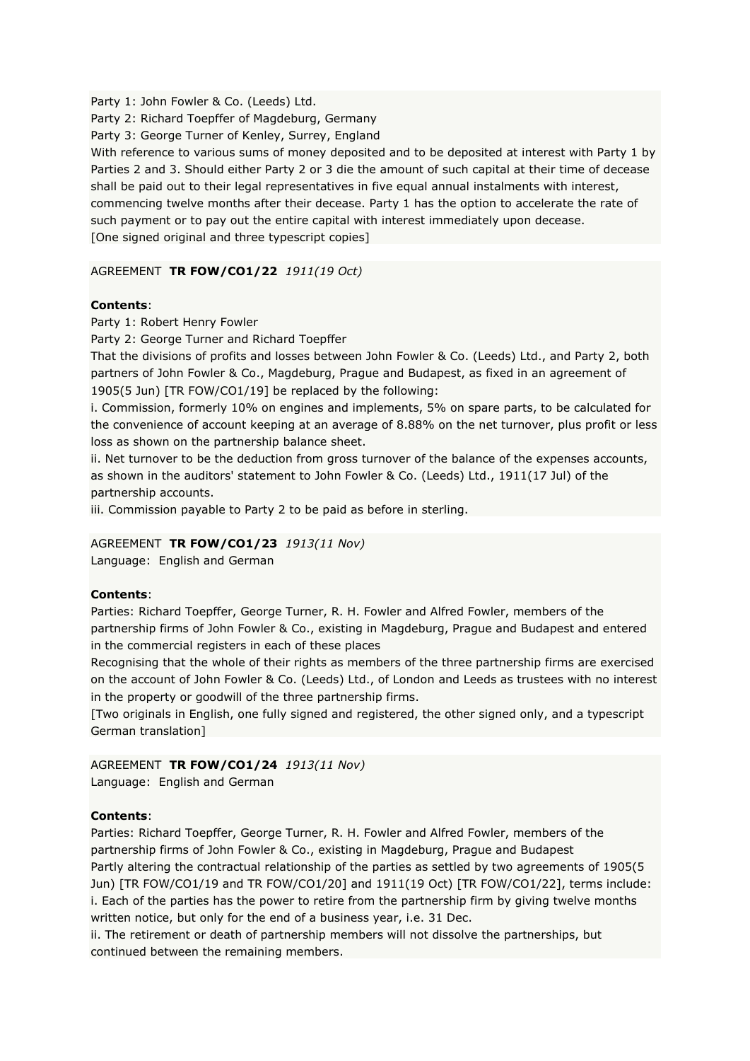Party 1: John Fowler & Co. (Leeds) Ltd.

Party 2: Richard Toepffer of Magdeburg, Germany

Party 3: George Turner of Kenley, Surrey, England

With reference to various sums of money deposited and to be deposited at interest with Party 1 by Parties 2 and 3. Should either Party 2 or 3 die the amount of such capital at their time of decease shall be paid out to their legal representatives in five equal annual instalments with interest, commencing twelve months after their decease. Party 1 has the option to accelerate the rate of such payment or to pay out the entire capital with interest immediately upon decease. [One signed original and three typescript copies]

AGREEMENT **TR FOW/CO1/22** *1911(19 Oct)*

## **Contents**:

Party 1: Robert Henry Fowler

Party 2: George Turner and Richard Toepffer

That the divisions of profits and losses between John Fowler & Co. (Leeds) Ltd., and Party 2, both partners of John Fowler & Co., Magdeburg, Prague and Budapest, as fixed in an agreement of 1905(5 Jun) [TR FOW/CO1/19] be replaced by the following:

i. Commission, formerly 10% on engines and implements, 5% on spare parts, to be calculated for the convenience of account keeping at an average of 8.88% on the net turnover, plus profit or less loss as shown on the partnership balance sheet.

ii. Net turnover to be the deduction from gross turnover of the balance of the expenses accounts, as shown in the auditors' statement to John Fowler & Co. (Leeds) Ltd., 1911(17 Jul) of the partnership accounts.

iii. Commission payable to Party 2 to be paid as before in sterling.

AGREEMENT **TR FOW/CO1/23** *1913(11 Nov)*

Language: English and German

## **Contents**:

Parties: Richard Toepffer, George Turner, R. H. Fowler and Alfred Fowler, members of the partnership firms of John Fowler & Co., existing in Magdeburg, Prague and Budapest and entered in the commercial registers in each of these places

Recognising that the whole of their rights as members of the three partnership firms are exercised on the account of John Fowler & Co. (Leeds) Ltd., of London and Leeds as trustees with no interest in the property or goodwill of the three partnership firms.

[Two originals in English, one fully signed and registered, the other signed only, and a typescript German translation]

AGREEMENT **TR FOW/CO1/24** *1913(11 Nov)* Language: English and German

## **Contents**:

Parties: Richard Toepffer, George Turner, R. H. Fowler and Alfred Fowler, members of the partnership firms of John Fowler & Co., existing in Magdeburg, Prague and Budapest Partly altering the contractual relationship of the parties as settled by two agreements of 1905(5 Jun) [TR FOW/CO1/19 and TR FOW/CO1/20] and 1911(19 Oct) [TR FOW/CO1/22], terms include: i. Each of the parties has the power to retire from the partnership firm by giving twelve months written notice, but only for the end of a business year, i.e. 31 Dec.

ii. The retirement or death of partnership members will not dissolve the partnerships, but continued between the remaining members.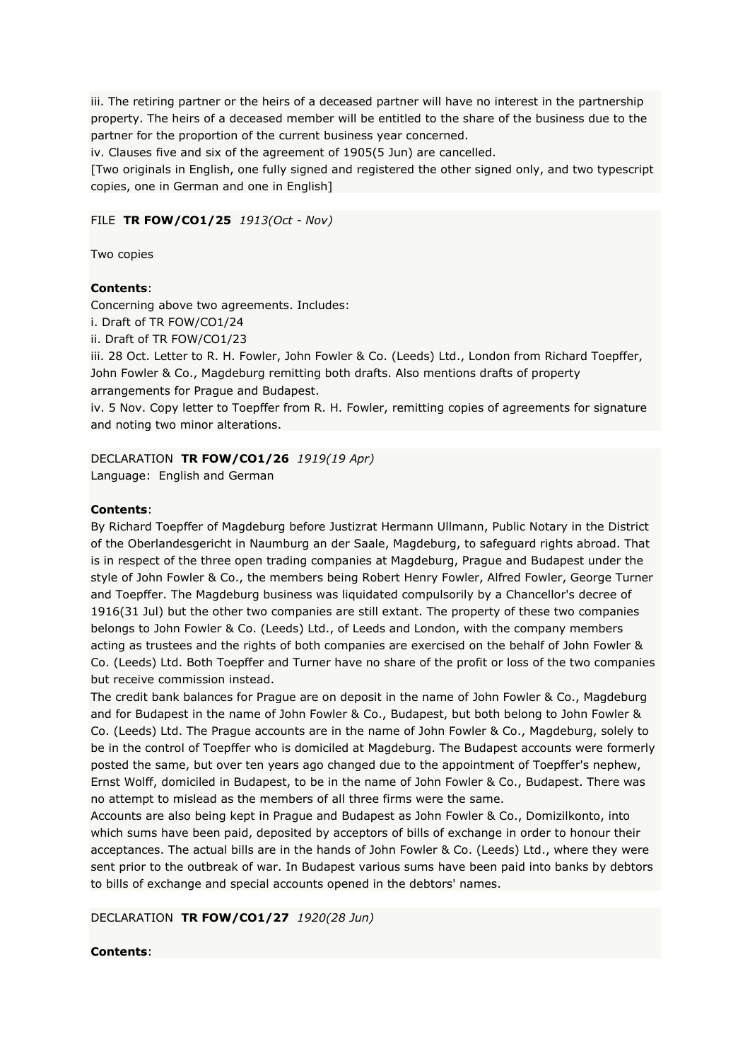iii. The retiring partner or the heirs of a deceased partner will have no interest in the partnership property. The heirs of a deceased member will be entitled to the share of the business due to the partner for the proportion of the current business year concerned.

iv. Clauses five and six of the agreement of 1905(5 Jun) are cancelled.

[Two originals in English, one fully signed and registered the other signed only, and two typescript copies, one in German and one in English]

## FILE **TR FOW/CO1/25** *1913(Oct - Nov)*

Two copies

## **Contents**:

Concerning above two agreements. Includes:

i. Draft of TR FOW/CO1/24

ii. Draft of TR FOW/CO1/23

iii. 28 Oct. Letter to R. H. Fowler, John Fowler & Co. (Leeds) Ltd., London from Richard Toepffer, John Fowler & Co., Magdeburg remitting both drafts. Also mentions drafts of property arrangements for Prague and Budapest.

iv. 5 Nov. Copy letter to Toepffer from R. H. Fowler, remitting copies of agreements for signature and noting two minor alterations.

## DECLARATION **TR FOW/CO1/26** *1919(19 Apr)*

Language: English and German

## **Contents**:

By Richard Toepffer of Magdeburg before Justizrat Hermann Ullmann, Public Notary in the District of the Oberlandesgericht in Naumburg an der Saale, Magdeburg, to safeguard rights abroad. That is in respect of the three open trading companies at Magdeburg, Prague and Budapest under the style of John Fowler & Co., the members being Robert Henry Fowler, Alfred Fowler, George Turner and Toepffer. The Magdeburg business was liquidated compulsorily by a Chancellor's decree of 1916(31 Jul) but the other two companies are still extant. The property of these two companies belongs to John Fowler & Co. (Leeds) Ltd., of Leeds and London, with the company members acting as trustees and the rights of both companies are exercised on the behalf of John Fowler & Co. (Leeds) Ltd. Both Toepffer and Turner have no share of the profit or loss of the two companies but receive commission instead.

The credit bank balances for Prague are on deposit in the name of John Fowler & Co., Magdeburg and for Budapest in the name of John Fowler & Co., Budapest, but both belong to John Fowler & Co. (Leeds) Ltd. The Prague accounts are in the name of John Fowler & Co., Magdeburg, solely to be in the control of Toepffer who is domiciled at Magdeburg. The Budapest accounts were formerly posted the same, but over ten years ago changed due to the appointment of Toepffer's nephew, Ernst Wolff, domiciled in Budapest, to be in the name of John Fowler & Co., Budapest. There was no attempt to mislead as the members of all three firms were the same.

Accounts are also being kept in Prague and Budapest as John Fowler & Co., Domizilkonto, into which sums have been paid, deposited by acceptors of bills of exchange in order to honour their acceptances. The actual bills are in the hands of John Fowler & Co. (Leeds) Ltd., where they were sent prior to the outbreak of war. In Budapest various sums have been paid into banks by debtors to bills of exchange and special accounts opened in the debtors' names.

## DECLARATION **TR FOW/CO1/27** *1920(28 Jun)*

## **Contents**: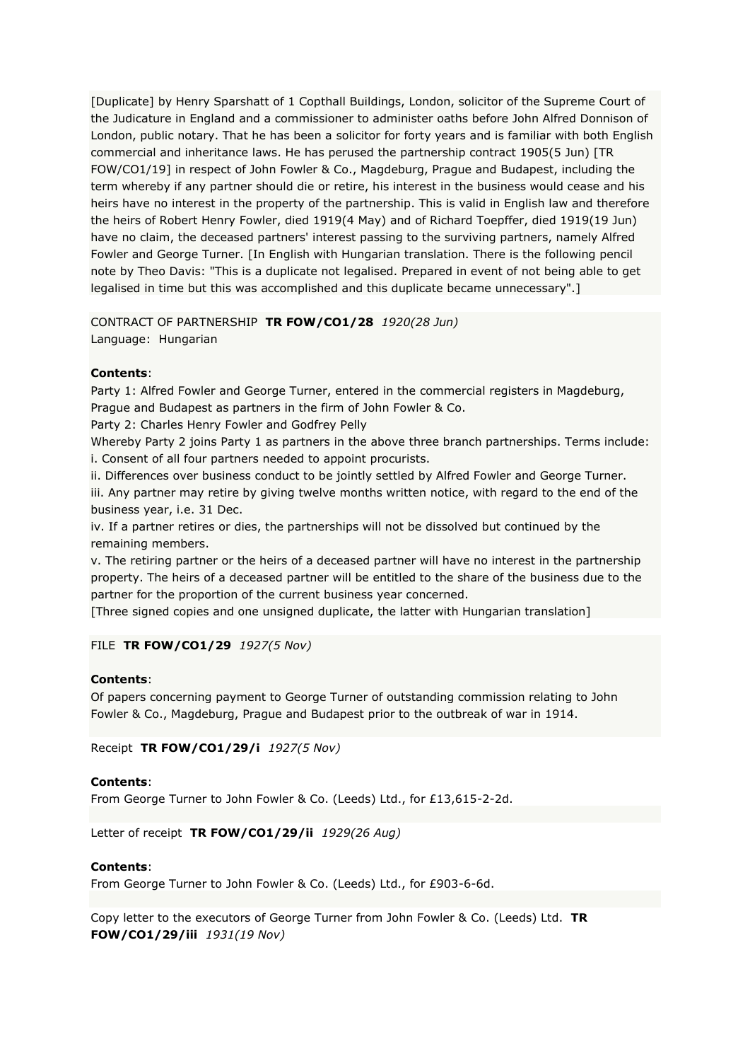[Duplicate] by Henry Sparshatt of 1 Copthall Buildings, London, solicitor of the Supreme Court of the Judicature in England and a commissioner to administer oaths before John Alfred Donnison of London, public notary. That he has been a solicitor for forty years and is familiar with both English commercial and inheritance laws. He has perused the partnership contract 1905(5 Jun) [TR FOW/CO1/19] in respect of John Fowler & Co., Magdeburg, Prague and Budapest, including the term whereby if any partner should die or retire, his interest in the business would cease and his heirs have no interest in the property of the partnership. This is valid in English law and therefore the heirs of Robert Henry Fowler, died 1919(4 May) and of Richard Toepffer, died 1919(19 Jun) have no claim, the deceased partners' interest passing to the surviving partners, namely Alfred Fowler and George Turner. [In English with Hungarian translation. There is the following pencil note by Theo Davis: "This is a duplicate not legalised. Prepared in event of not being able to get legalised in time but this was accomplished and this duplicate became unnecessary".]

## CONTRACT OF PARTNERSHIP **TR FOW/CO1/28** *1920(28 Jun)* Language: Hungarian

## **Contents**:

Party 1: Alfred Fowler and George Turner, entered in the commercial registers in Magdeburg, Prague and Budapest as partners in the firm of John Fowler & Co.

Party 2: Charles Henry Fowler and Godfrey Pelly

Whereby Party 2 joins Party 1 as partners in the above three branch partnerships. Terms include: i. Consent of all four partners needed to appoint procurists.

ii. Differences over business conduct to be jointly settled by Alfred Fowler and George Turner.

iii. Any partner may retire by giving twelve months written notice, with regard to the end of the business year, i.e. 31 Dec.

iv. If a partner retires or dies, the partnerships will not be dissolved but continued by the remaining members.

v. The retiring partner or the heirs of a deceased partner will have no interest in the partnership property. The heirs of a deceased partner will be entitled to the share of the business due to the partner for the proportion of the current business year concerned.

[Three signed copies and one unsigned duplicate, the latter with Hungarian translation]

FILE **TR FOW/CO1/29** *1927(5 Nov)*

## **Contents**:

Of papers concerning payment to George Turner of outstanding commission relating to John Fowler & Co., Magdeburg, Prague and Budapest prior to the outbreak of war in 1914.

Receipt **TR FOW/CO1/29/i** *1927(5 Nov)*

## **Contents**:

From George Turner to John Fowler & Co. (Leeds) Ltd., for £13,615-2-2d.

Letter of receipt **TR FOW/CO1/29/ii** *1929(26 Aug)*

## **Contents**:

From George Turner to John Fowler & Co. (Leeds) Ltd., for £903-6-6d.

Copy letter to the executors of George Turner from John Fowler & Co. (Leeds) Ltd. **TR FOW/CO1/29/iii** *1931(19 Nov)*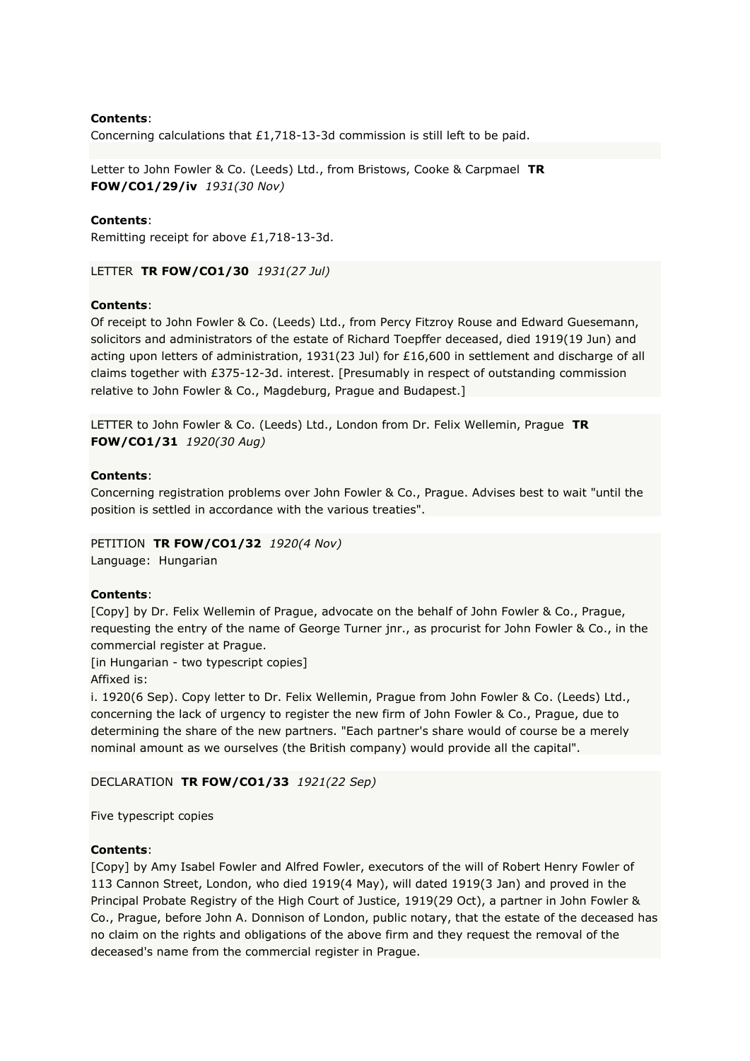## **Contents**:

Concerning calculations that £1,718-13-3d commission is still left to be paid.

Letter to John Fowler & Co. (Leeds) Ltd., from Bristows, Cooke & Carpmael **TR FOW/CO1/29/iv** *1931(30 Nov)*

## **Contents**:

Remitting receipt for above £1,718-13-3d.

LETTER **TR FOW/CO1/30** *1931(27 Jul)*

#### **Contents**:

Of receipt to John Fowler & Co. (Leeds) Ltd., from Percy Fitzroy Rouse and Edward Guesemann, solicitors and administrators of the estate of Richard Toepffer deceased, died 1919(19 Jun) and acting upon letters of administration, 1931(23 Jul) for £16,600 in settlement and discharge of all claims together with £375-12-3d. interest. [Presumably in respect of outstanding commission relative to John Fowler & Co., Magdeburg, Prague and Budapest.]

LETTER to John Fowler & Co. (Leeds) Ltd., London from Dr. Felix Wellemin, Prague **TR FOW/CO1/31** *1920(30 Aug)*

#### **Contents**:

Concerning registration problems over John Fowler & Co., Prague. Advises best to wait "until the position is settled in accordance with the various treaties".

PETITION **TR FOW/CO1/32** *1920(4 Nov)* Language: Hungarian

## **Contents**:

[Copy] by Dr. Felix Wellemin of Prague, advocate on the behalf of John Fowler & Co., Prague, requesting the entry of the name of George Turner jnr., as procurist for John Fowler & Co., in the commercial register at Prague.

[in Hungarian - two typescript copies] Affixed is:

i. 1920(6 Sep). Copy letter to Dr. Felix Wellemin, Prague from John Fowler & Co. (Leeds) Ltd., concerning the lack of urgency to register the new firm of John Fowler & Co., Prague, due to determining the share of the new partners. "Each partner's share would of course be a merely nominal amount as we ourselves (the British company) would provide all the capital".

### DECLARATION **TR FOW/CO1/33** *1921(22 Sep)*

Five typescript copies

## **Contents**:

[Copy] by Amy Isabel Fowler and Alfred Fowler, executors of the will of Robert Henry Fowler of 113 Cannon Street, London, who died 1919(4 May), will dated 1919(3 Jan) and proved in the Principal Probate Registry of the High Court of Justice, 1919(29 Oct), a partner in John Fowler & Co., Prague, before John A. Donnison of London, public notary, that the estate of the deceased has no claim on the rights and obligations of the above firm and they request the removal of the deceased's name from the commercial register in Prague.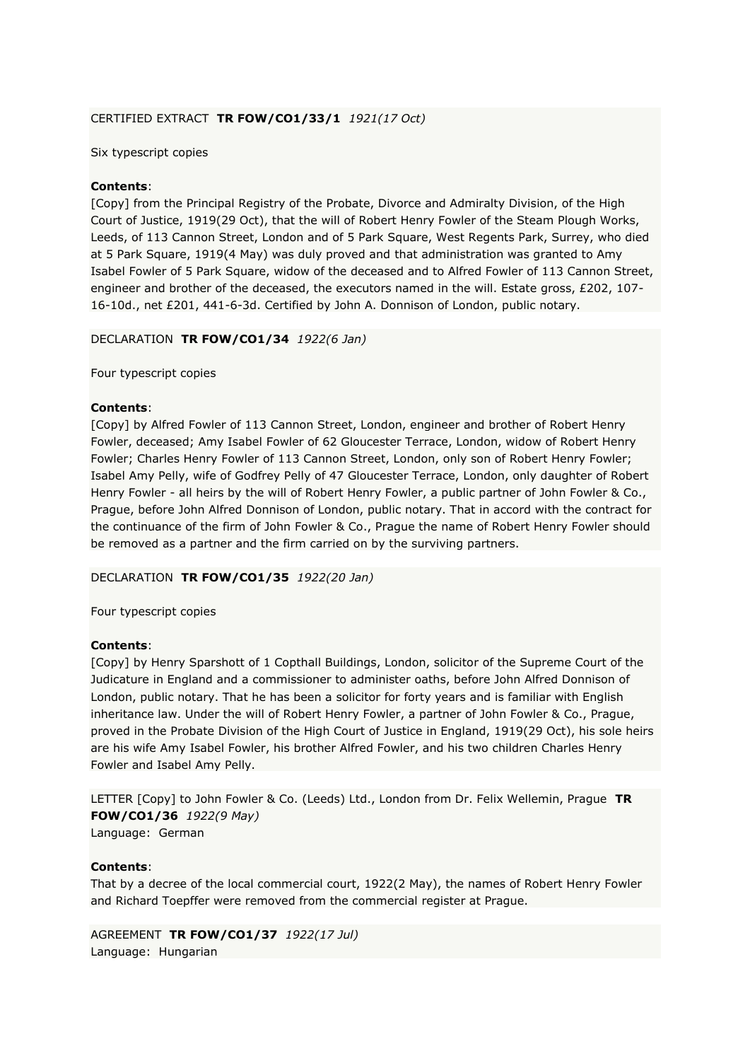## CERTIFIED EXTRACT **TR FOW/CO1/33/1** *1921(17 Oct)*

## Six typescript copies

## **Contents**:

[Copy] from the Principal Registry of the Probate, Divorce and Admiralty Division, of the High Court of Justice, 1919(29 Oct), that the will of Robert Henry Fowler of the Steam Plough Works, Leeds, of 113 Cannon Street, London and of 5 Park Square, West Regents Park, Surrey, who died at 5 Park Square, 1919(4 May) was duly proved and that administration was granted to Amy Isabel Fowler of 5 Park Square, widow of the deceased and to Alfred Fowler of 113 Cannon Street, engineer and brother of the deceased, the executors named in the will. Estate gross, £202, 107-16-10d., net £201, 441-6-3d. Certified by John A. Donnison of London, public notary.

DECLARATION **TR FOW/CO1/34** *1922(6 Jan)*

Four typescript copies

## **Contents**:

[Copy] by Alfred Fowler of 113 Cannon Street, London, engineer and brother of Robert Henry Fowler, deceased; Amy Isabel Fowler of 62 Gloucester Terrace, London, widow of Robert Henry Fowler; Charles Henry Fowler of 113 Cannon Street, London, only son of Robert Henry Fowler; Isabel Amy Pelly, wife of Godfrey Pelly of 47 Gloucester Terrace, London, only daughter of Robert Henry Fowler - all heirs by the will of Robert Henry Fowler, a public partner of John Fowler & Co., Prague, before John Alfred Donnison of London, public notary. That in accord with the contract for the continuance of the firm of John Fowler & Co., Prague the name of Robert Henry Fowler should be removed as a partner and the firm carried on by the surviving partners.

## DECLARATION **TR FOW/CO1/35** *1922(20 Jan)*

Four typescript copies

## **Contents**:

[Copy] by Henry Sparshott of 1 Copthall Buildings, London, solicitor of the Supreme Court of the Judicature in England and a commissioner to administer oaths, before John Alfred Donnison of London, public notary. That he has been a solicitor for forty years and is familiar with English inheritance law. Under the will of Robert Henry Fowler, a partner of John Fowler & Co., Prague, proved in the Probate Division of the High Court of Justice in England, 1919(29 Oct), his sole heirs are his wife Amy Isabel Fowler, his brother Alfred Fowler, and his two children Charles Henry Fowler and Isabel Amy Pelly.

LETTER [Copy] to John Fowler & Co. (Leeds) Ltd., London from Dr. Felix Wellemin, Prague **TR FOW/CO1/36** *1922(9 May)* Language: German

## **Contents**:

That by a decree of the local commercial court, 1922(2 May), the names of Robert Henry Fowler and Richard Toepffer were removed from the commercial register at Prague.

AGREEMENT **TR FOW/CO1/37** *1922(17 Jul)* Language: Hungarian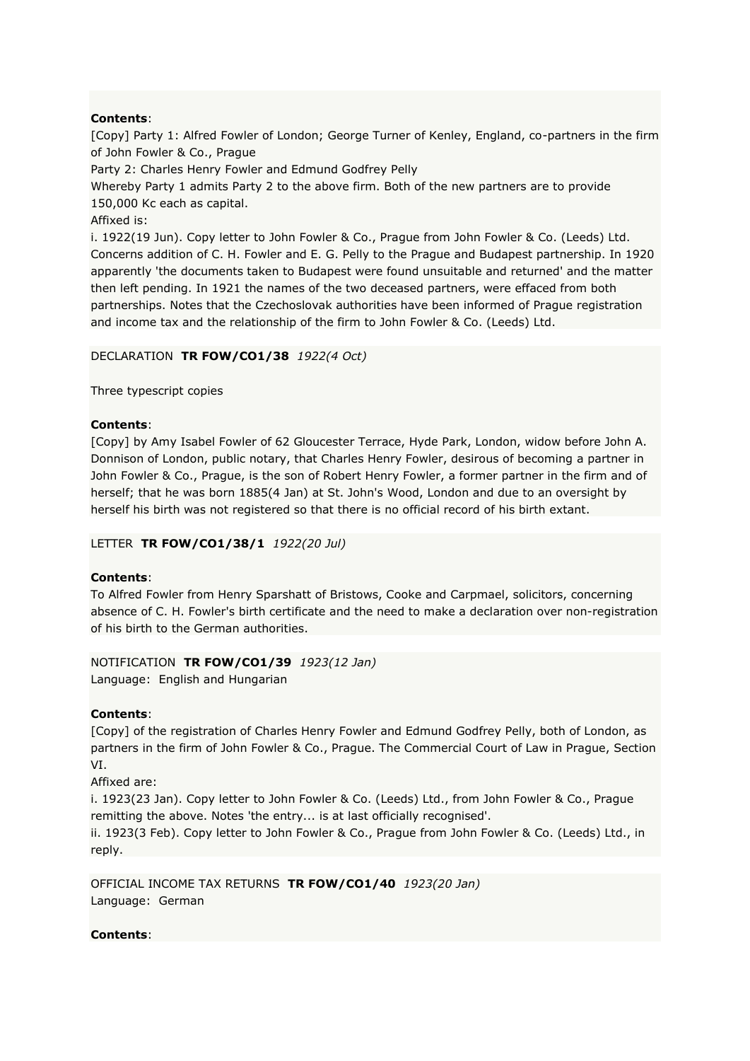## **Contents**:

[Copy] Party 1: Alfred Fowler of London; George Turner of Kenley, England, co-partners in the firm of John Fowler & Co., Prague

Party 2: Charles Henry Fowler and Edmund Godfrey Pelly

Whereby Party 1 admits Party 2 to the above firm. Both of the new partners are to provide 150,000 Kc each as capital.

Affixed is:

i. 1922(19 Jun). Copy letter to John Fowler & Co., Prague from John Fowler & Co. (Leeds) Ltd. Concerns addition of C. H. Fowler and E. G. Pelly to the Prague and Budapest partnership. In 1920 apparently 'the documents taken to Budapest were found unsuitable and returned' and the matter then left pending. In 1921 the names of the two deceased partners, were effaced from both partnerships. Notes that the Czechoslovak authorities have been informed of Prague registration and income tax and the relationship of the firm to John Fowler & Co. (Leeds) Ltd.

## DECLARATION **TR FOW/CO1/38** *1922(4 Oct)*

Three typescript copies

## **Contents**:

[Copy] by Amy Isabel Fowler of 62 Gloucester Terrace, Hyde Park, London, widow before John A. Donnison of London, public notary, that Charles Henry Fowler, desirous of becoming a partner in John Fowler & Co., Prague, is the son of Robert Henry Fowler, a former partner in the firm and of herself; that he was born 1885(4 Jan) at St. John's Wood, London and due to an oversight by herself his birth was not registered so that there is no official record of his birth extant.

## LETTER **TR FOW/CO1/38/1** *1922(20 Jul)*

## **Contents**:

To Alfred Fowler from Henry Sparshatt of Bristows, Cooke and Carpmael, solicitors, concerning absence of C. H. Fowler's birth certificate and the need to make a declaration over non-registration of his birth to the German authorities.

## NOTIFICATION **TR FOW/CO1/39** *1923(12 Jan)*

Language: English and Hungarian

## **Contents**:

[Copy] of the registration of Charles Henry Fowler and Edmund Godfrey Pelly, both of London, as partners in the firm of John Fowler & Co., Prague. The Commercial Court of Law in Prague, Section VI.

Affixed are:

i. 1923(23 Jan). Copy letter to John Fowler & Co. (Leeds) Ltd., from John Fowler & Co., Prague remitting the above. Notes 'the entry... is at last officially recognised'.

ii. 1923(3 Feb). Copy letter to John Fowler & Co., Prague from John Fowler & Co. (Leeds) Ltd., in reply.

OFFICIAL INCOME TAX RETURNS **TR FOW/CO1/40** *1923(20 Jan)* Language: German

## **Contents**: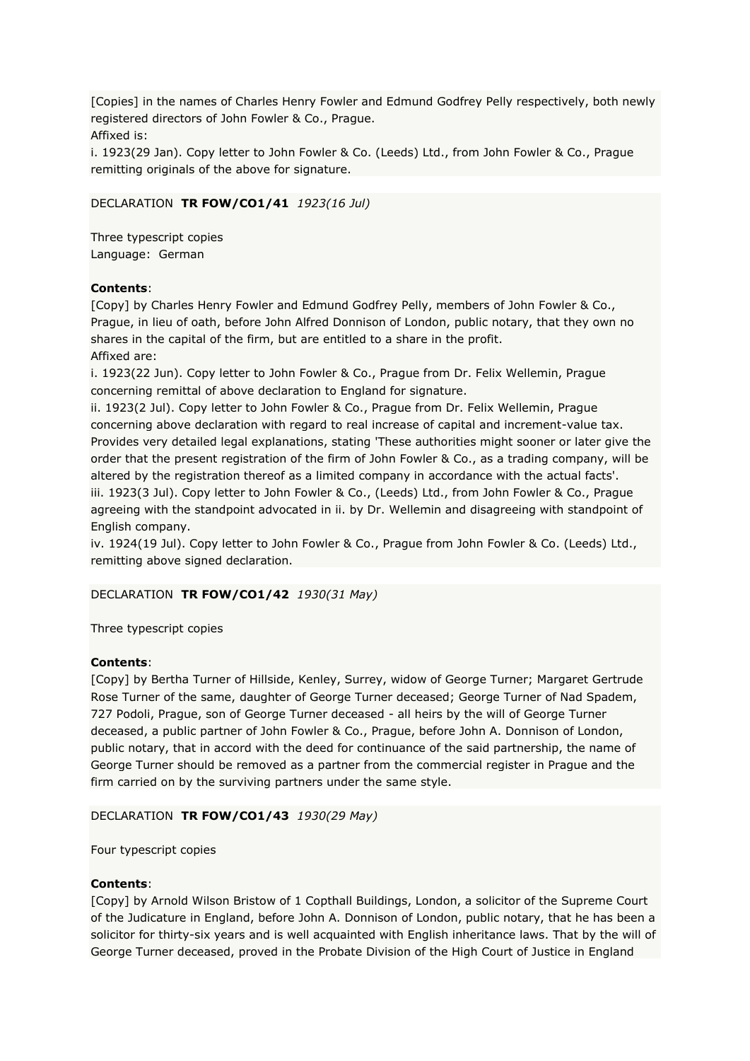[Copies] in the names of Charles Henry Fowler and Edmund Godfrey Pelly respectively, both newly registered directors of John Fowler & Co., Prague.

Affixed is:

i. 1923(29 Jan). Copy letter to John Fowler & Co. (Leeds) Ltd., from John Fowler & Co., Prague remitting originals of the above for signature.

## DECLARATION **TR FOW/CO1/41** *1923(16 Jul)*

Three typescript copies Language: German

## **Contents**:

[Copy] by Charles Henry Fowler and Edmund Godfrey Pelly, members of John Fowler & Co., Prague, in lieu of oath, before John Alfred Donnison of London, public notary, that they own no shares in the capital of the firm, but are entitled to a share in the profit. Affixed are:

i. 1923(22 Jun). Copy letter to John Fowler & Co., Prague from Dr. Felix Wellemin, Prague concerning remittal of above declaration to England for signature.

ii. 1923(2 Jul). Copy letter to John Fowler & Co., Prague from Dr. Felix Wellemin, Prague concerning above declaration with regard to real increase of capital and increment-value tax. Provides very detailed legal explanations, stating 'These authorities might sooner or later give the order that the present registration of the firm of John Fowler & Co., as a trading company, will be altered by the registration thereof as a limited company in accordance with the actual facts'. iii. 1923(3 Jul). Copy letter to John Fowler & Co., (Leeds) Ltd., from John Fowler & Co., Prague agreeing with the standpoint advocated in ii. by Dr. Wellemin and disagreeing with standpoint of English company.

iv. 1924(19 Jul). Copy letter to John Fowler & Co., Prague from John Fowler & Co. (Leeds) Ltd., remitting above signed declaration.

## DECLARATION **TR FOW/CO1/42** *1930(31 May)*

## Three typescript copies

## **Contents**:

[Copy] by Bertha Turner of Hillside, Kenley, Surrey, widow of George Turner; Margaret Gertrude Rose Turner of the same, daughter of George Turner deceased; George Turner of Nad Spadem, 727 Podoli, Prague, son of George Turner deceased - all heirs by the will of George Turner deceased, a public partner of John Fowler & Co., Prague, before John A. Donnison of London, public notary, that in accord with the deed for continuance of the said partnership, the name of George Turner should be removed as a partner from the commercial register in Prague and the firm carried on by the surviving partners under the same style.

## DECLARATION **TR FOW/CO1/43** *1930(29 May)*

Four typescript copies

## **Contents**:

[Copy] by Arnold Wilson Bristow of 1 Copthall Buildings, London, a solicitor of the Supreme Court of the Judicature in England, before John A. Donnison of London, public notary, that he has been a solicitor for thirty-six years and is well acquainted with English inheritance laws. That by the will of George Turner deceased, proved in the Probate Division of the High Court of Justice in England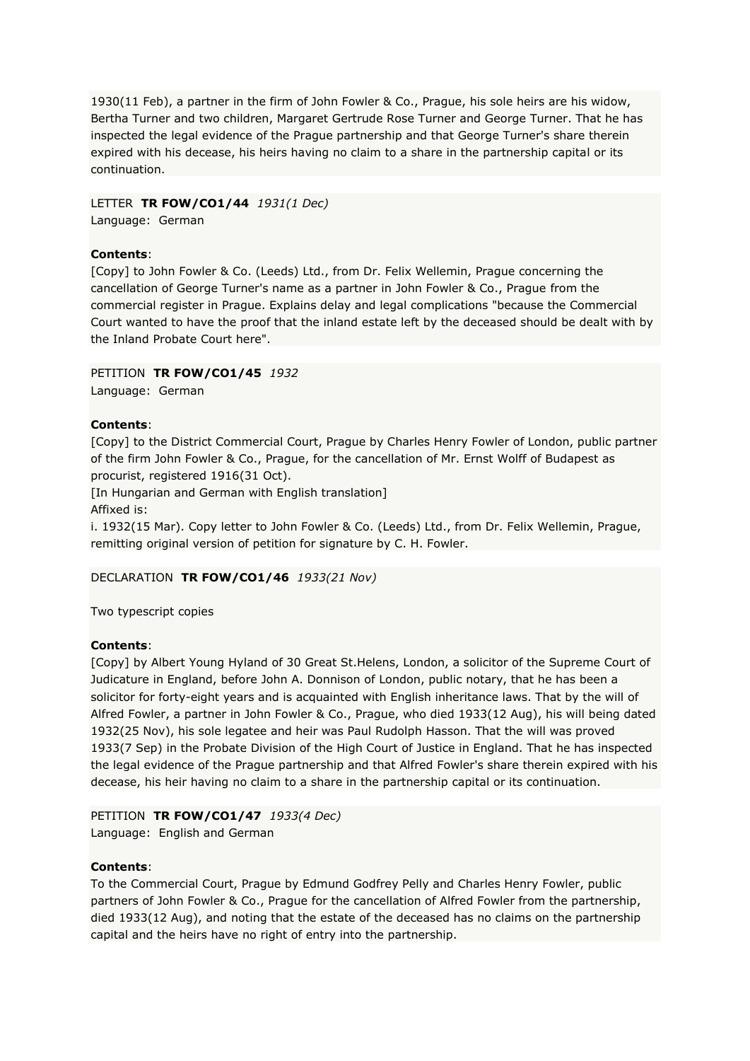1930(11 Feb), a partner in the firm of John Fowler & Co., Prague, his sole heirs are his widow, Bertha Turner and two children, Margaret Gertrude Rose Turner and George Turner. That he has inspected the legal evidence of the Prague partnership and that George Turner's share therein expired with his decease, his heirs having no claim to a share in the partnership capital or its continuation.

LETTER **TR FOW/CO1/44** *1931(1 Dec)*

Language: German

## **Contents**:

[Copy] to John Fowler & Co. (Leeds) Ltd., from Dr. Felix Wellemin, Prague concerning the cancellation of George Turner's name as a partner in John Fowler & Co., Prague from the commercial register in Prague. Explains delay and legal complications "because the Commercial Court wanted to have the proof that the inland estate left by the deceased should be dealt with by the Inland Probate Court here".

## PETITION **TR FOW/CO1/45** *1932*

Language: German

## **Contents**:

[Copy] to the District Commercial Court, Prague by Charles Henry Fowler of London, public partner of the firm John Fowler & Co., Prague, for the cancellation of Mr. Ernst Wolff of Budapest as procurist, registered 1916(31 Oct).

[In Hungarian and German with English translation] Affixed is:

i. 1932(15 Mar). Copy letter to John Fowler & Co. (Leeds) Ltd., from Dr. Felix Wellemin, Prague, remitting original version of petition for signature by C. H. Fowler.

## DECLARATION **TR FOW/CO1/46** *1933(21 Nov)*

Two typescript copies

## **Contents**:

[Copy] by Albert Young Hyland of 30 Great St.Helens, London, a solicitor of the Supreme Court of Judicature in England, before John A. Donnison of London, public notary, that he has been a solicitor for forty-eight years and is acquainted with English inheritance laws. That by the will of Alfred Fowler, a partner in John Fowler & Co., Prague, who died 1933(12 Aug), his will being dated 1932(25 Nov), his sole legatee and heir was Paul Rudolph Hasson. That the will was proved 1933(7 Sep) in the Probate Division of the High Court of Justice in England. That he has inspected the legal evidence of the Prague partnership and that Alfred Fowler's share therein expired with his decease, his heir having no claim to a share in the partnership capital or its continuation.

# PETITION **TR FOW/CO1/47** *1933(4 Dec)*

Language: English and German

## **Contents**:

To the Commercial Court, Prague by Edmund Godfrey Pelly and Charles Henry Fowler, public partners of John Fowler & Co., Prague for the cancellation of Alfred Fowler from the partnership, died 1933(12 Aug), and noting that the estate of the deceased has no claims on the partnership capital and the heirs have no right of entry into the partnership.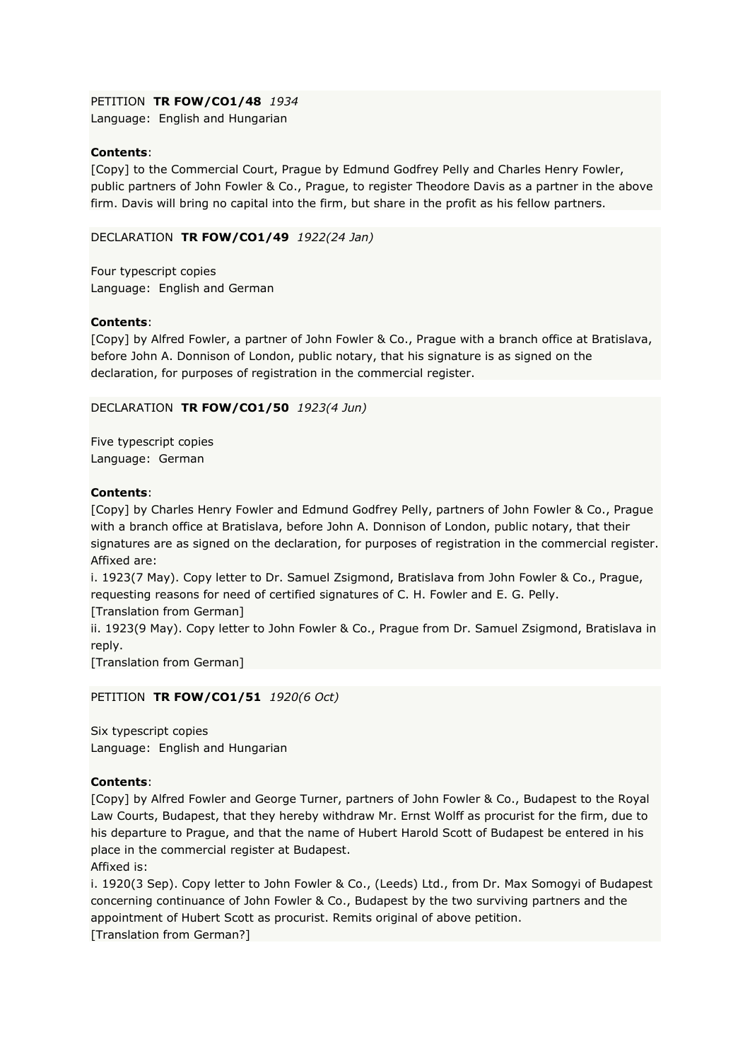## PETITION **TR FOW/CO1/48** *1934*

Language: English and Hungarian

## **Contents**:

[Copy] to the Commercial Court, Prague by Edmund Godfrey Pelly and Charles Henry Fowler, public partners of John Fowler & Co., Prague, to register Theodore Davis as a partner in the above firm. Davis will bring no capital into the firm, but share in the profit as his fellow partners.

## DECLARATION **TR FOW/CO1/49** *1922(24 Jan)*

Four typescript copies Language: English and German

## **Contents**:

[Copy] by Alfred Fowler, a partner of John Fowler & Co., Prague with a branch office at Bratislava, before John A. Donnison of London, public notary, that his signature is as signed on the declaration, for purposes of registration in the commercial register.

## DECLARATION **TR FOW/CO1/50** *1923(4 Jun)*

Five typescript copies Language: German

## **Contents**:

[Copy] by Charles Henry Fowler and Edmund Godfrey Pelly, partners of John Fowler & Co., Prague with a branch office at Bratislava, before John A. Donnison of London, public notary, that their signatures are as signed on the declaration, for purposes of registration in the commercial register. Affixed are:

i. 1923(7 May). Copy letter to Dr. Samuel Zsigmond, Bratislava from John Fowler & Co., Prague, requesting reasons for need of certified signatures of C. H. Fowler and E. G. Pelly.

[Translation from German]

ii. 1923(9 May). Copy letter to John Fowler & Co., Prague from Dr. Samuel Zsigmond, Bratislava in reply.

[Translation from German]

PETITION **TR FOW/CO1/51** *1920(6 Oct)*

Six typescript copies Language: English and Hungarian

## **Contents**:

[Copy] by Alfred Fowler and George Turner, partners of John Fowler & Co., Budapest to the Royal Law Courts, Budapest, that they hereby withdraw Mr. Ernst Wolff as procurist for the firm, due to his departure to Prague, and that the name of Hubert Harold Scott of Budapest be entered in his place in the commercial register at Budapest.

Affixed is:

i. 1920(3 Sep). Copy letter to John Fowler & Co., (Leeds) Ltd., from Dr. Max Somogyi of Budapest concerning continuance of John Fowler & Co., Budapest by the two surviving partners and the appointment of Hubert Scott as procurist. Remits original of above petition.

[Translation from German?]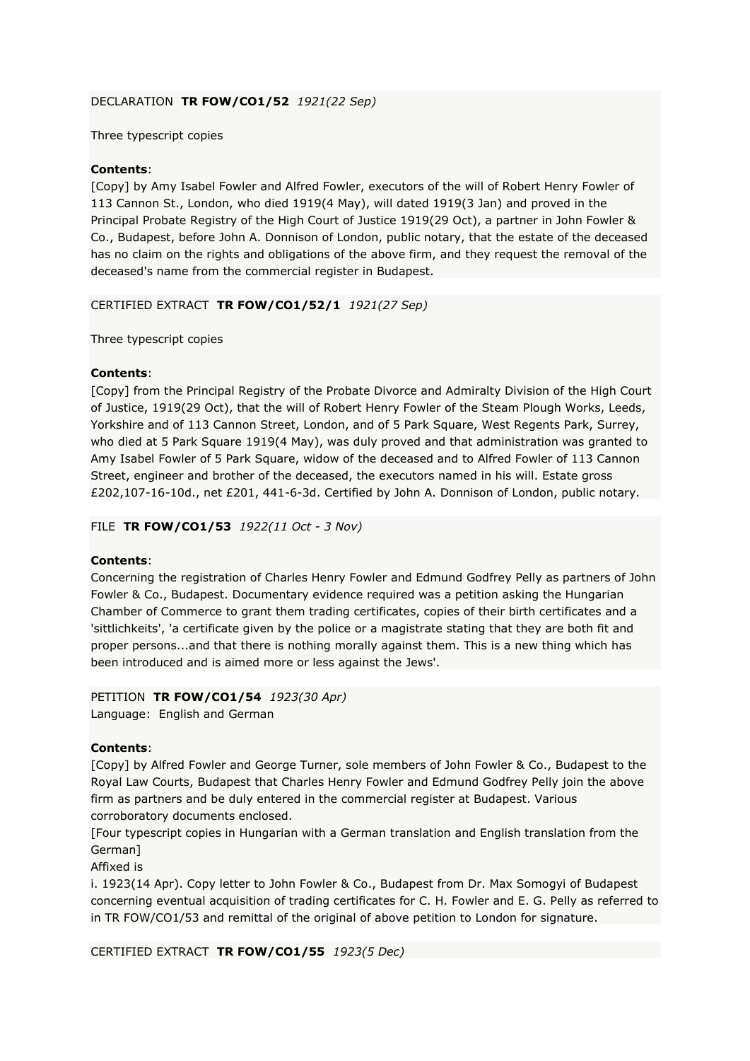## DECLARATION **TR FOW/CO1/52** *1921(22 Sep)*

Three typescript copies

## **Contents**:

[Copy] by Amy Isabel Fowler and Alfred Fowler, executors of the will of Robert Henry Fowler of 113 Cannon St., London, who died 1919(4 May), will dated 1919(3 Jan) and proved in the Principal Probate Registry of the High Court of Justice 1919(29 Oct), a partner in John Fowler & Co., Budapest, before John A. Donnison of London, public notary, that the estate of the deceased has no claim on the rights and obligations of the above firm, and they request the removal of the deceased's name from the commercial register in Budapest.

## CERTIFIED EXTRACT **TR FOW/CO1/52/1** *1921(27 Sep)*

Three typescript copies

## **Contents**:

[Copy] from the Principal Registry of the Probate Divorce and Admiralty Division of the High Court of Justice, 1919(29 Oct), that the will of Robert Henry Fowler of the Steam Plough Works, Leeds, Yorkshire and of 113 Cannon Street, London, and of 5 Park Square, West Regents Park, Surrey, who died at 5 Park Square 1919(4 May), was duly proved and that administration was granted to Amy Isabel Fowler of 5 Park Square, widow of the deceased and to Alfred Fowler of 113 Cannon Street, engineer and brother of the deceased, the executors named in his will. Estate gross £202,107-16-10d., net £201, 441-6-3d. Certified by John A. Donnison of London, public notary.

FILE **TR FOW/CO1/53** *1922(11 Oct - 3 Nov)*

## **Contents**:

Concerning the registration of Charles Henry Fowler and Edmund Godfrey Pelly as partners of John Fowler & Co., Budapest. Documentary evidence required was a petition asking the Hungarian Chamber of Commerce to grant them trading certificates, copies of their birth certificates and a 'sittlichkeits', 'a certificate given by the police or a magistrate stating that they are both fit and proper persons...and that there is nothing morally against them. This is a new thing which has been introduced and is aimed more or less against the Jews'.

## PETITION **TR FOW/CO1/54** *1923(30 Apr)* Language: English and German

## **Contents**:

[Copy] by Alfred Fowler and George Turner, sole members of John Fowler & Co., Budapest to the Royal Law Courts, Budapest that Charles Henry Fowler and Edmund Godfrey Pelly join the above firm as partners and be duly entered in the commercial register at Budapest. Various corroboratory documents enclosed.

[Four typescript copies in Hungarian with a German translation and English translation from the German]

Affixed is

i. 1923(14 Apr). Copy letter to John Fowler & Co., Budapest from Dr. Max Somogyi of Budapest concerning eventual acquisition of trading certificates for C. H. Fowler and E. G. Pelly as referred to in TR FOW/CO1/53 and remittal of the original of above petition to London for signature.

CERTIFIED EXTRACT **TR FOW/CO1/55** *1923(5 Dec)*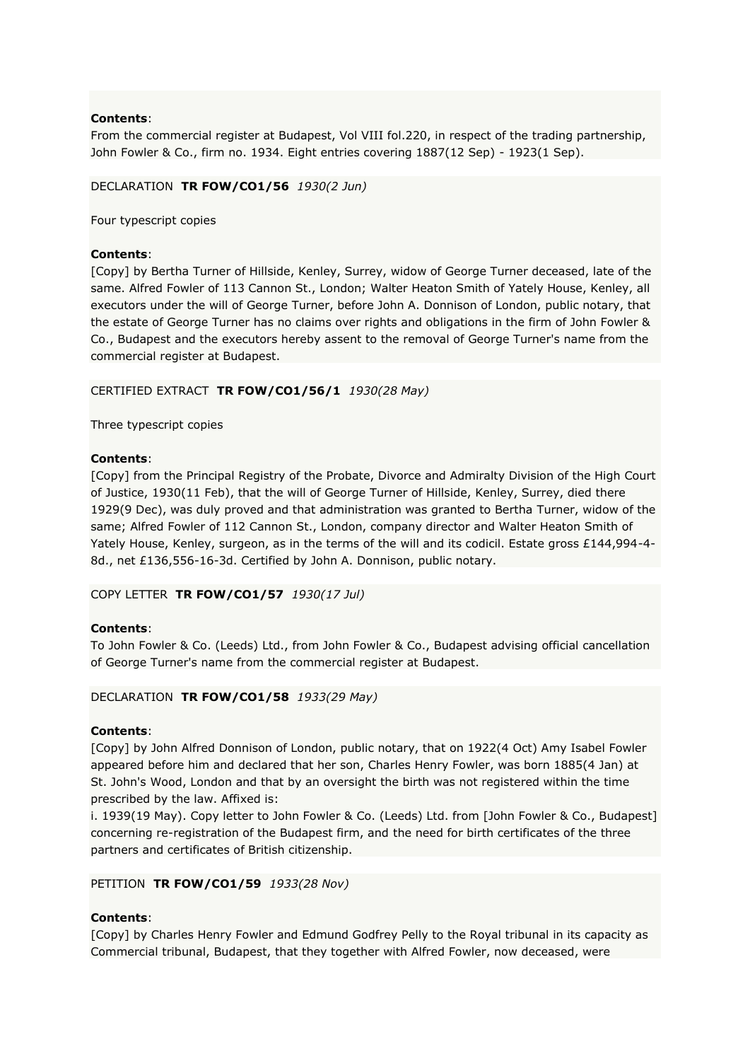## **Contents**:

From the commercial register at Budapest, Vol VIII fol.220, in respect of the trading partnership, John Fowler & Co., firm no. 1934. Eight entries covering 1887(12 Sep) - 1923(1 Sep).

## DECLARATION **TR FOW/CO1/56** *1930(2 Jun)*

Four typescript copies

## **Contents**:

[Copy] by Bertha Turner of Hillside, Kenley, Surrey, widow of George Turner deceased, late of the same. Alfred Fowler of 113 Cannon St., London; Walter Heaton Smith of Yately House, Kenley, all executors under the will of George Turner, before John A. Donnison of London, public notary, that the estate of George Turner has no claims over rights and obligations in the firm of John Fowler & Co., Budapest and the executors hereby assent to the removal of George Turner's name from the commercial register at Budapest.

## CERTIFIED EXTRACT **TR FOW/CO1/56/1** *1930(28 May)*

Three typescript copies

## **Contents**:

[Copy] from the Principal Registry of the Probate, Divorce and Admiralty Division of the High Court of Justice, 1930(11 Feb), that the will of George Turner of Hillside, Kenley, Surrey, died there 1929(9 Dec), was duly proved and that administration was granted to Bertha Turner, widow of the same; Alfred Fowler of 112 Cannon St., London, company director and Walter Heaton Smith of Yately House, Kenley, surgeon, as in the terms of the will and its codicil. Estate gross £144,994-4- 8d., net £136,556-16-3d. Certified by John A. Donnison, public notary.

COPY LETTER **TR FOW/CO1/57** *1930(17 Jul)*

## **Contents**:

To John Fowler & Co. (Leeds) Ltd., from John Fowler & Co., Budapest advising official cancellation of George Turner's name from the commercial register at Budapest.

DECLARATION **TR FOW/CO1/58** *1933(29 May)*

## **Contents**:

[Copy] by John Alfred Donnison of London, public notary, that on 1922(4 Oct) Amy Isabel Fowler appeared before him and declared that her son, Charles Henry Fowler, was born 1885(4 Jan) at St. John's Wood, London and that by an oversight the birth was not registered within the time prescribed by the law. Affixed is:

i. 1939(19 May). Copy letter to John Fowler & Co. (Leeds) Ltd. from [John Fowler & Co., Budapest] concerning re-registration of the Budapest firm, and the need for birth certificates of the three partners and certificates of British citizenship.

## PETITION **TR FOW/CO1/59** *1933(28 Nov)*

## **Contents**:

[Copy] by Charles Henry Fowler and Edmund Godfrey Pelly to the Royal tribunal in its capacity as Commercial tribunal, Budapest, that they together with Alfred Fowler, now deceased, were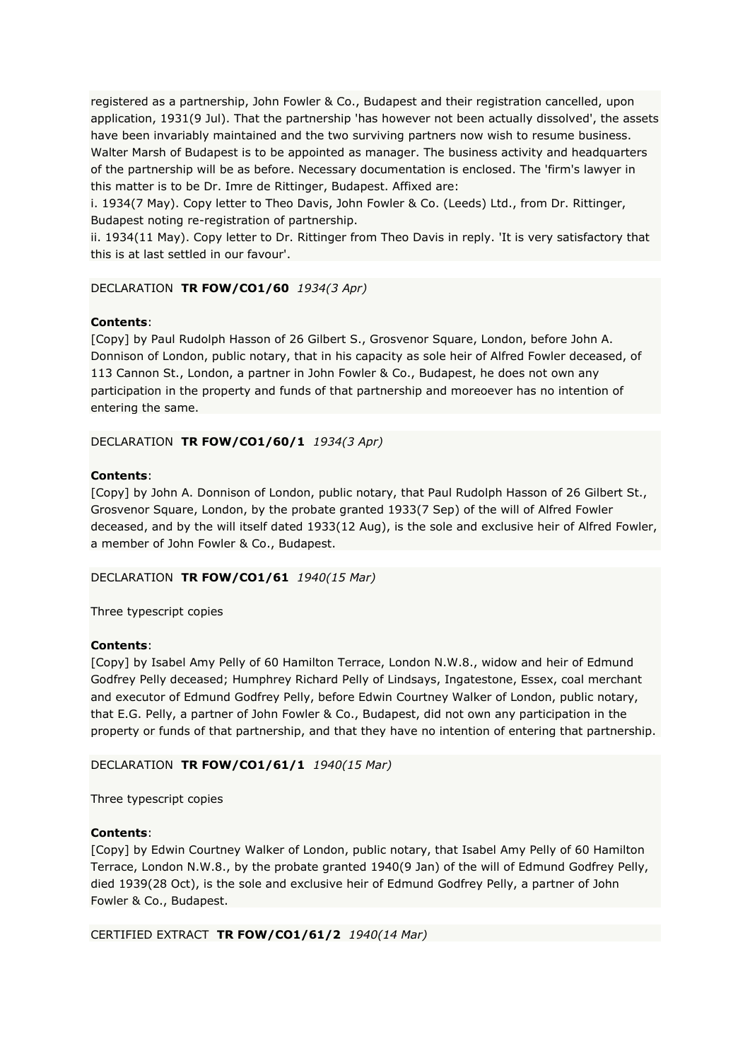registered as a partnership, John Fowler & Co., Budapest and their registration cancelled, upon application, 1931(9 Jul). That the partnership 'has however not been actually dissolved', the assets have been invariably maintained and the two surviving partners now wish to resume business. Walter Marsh of Budapest is to be appointed as manager. The business activity and headquarters of the partnership will be as before. Necessary documentation is enclosed. The 'firm's lawyer in this matter is to be Dr. Imre de Rittinger, Budapest. Affixed are:

i. 1934(7 May). Copy letter to Theo Davis, John Fowler & Co. (Leeds) Ltd., from Dr. Rittinger, Budapest noting re-registration of partnership.

ii. 1934(11 May). Copy letter to Dr. Rittinger from Theo Davis in reply. 'It is very satisfactory that this is at last settled in our favour'.

## DECLARATION **TR FOW/CO1/60** *1934(3 Apr)*

## **Contents**:

[Copy] by Paul Rudolph Hasson of 26 Gilbert S., Grosvenor Square, London, before John A. Donnison of London, public notary, that in his capacity as sole heir of Alfred Fowler deceased, of 113 Cannon St., London, a partner in John Fowler & Co., Budapest, he does not own any participation in the property and funds of that partnership and moreoever has no intention of entering the same.

DECLARATION **TR FOW/CO1/60/1** *1934(3 Apr)*

## **Contents**:

[Copy] by John A. Donnison of London, public notary, that Paul Rudolph Hasson of 26 Gilbert St., Grosvenor Square, London, by the probate granted 1933(7 Sep) of the will of Alfred Fowler deceased, and by the will itself dated 1933(12 Aug), is the sole and exclusive heir of Alfred Fowler, a member of John Fowler & Co., Budapest.

## DECLARATION **TR FOW/CO1/61** *1940(15 Mar)*

Three typescript copies

## **Contents**:

[Copy] by Isabel Amy Pelly of 60 Hamilton Terrace, London N.W.8., widow and heir of Edmund Godfrey Pelly deceased; Humphrey Richard Pelly of Lindsays, Ingatestone, Essex, coal merchant and executor of Edmund Godfrey Pelly, before Edwin Courtney Walker of London, public notary, that E.G. Pelly, a partner of John Fowler & Co., Budapest, did not own any participation in the property or funds of that partnership, and that they have no intention of entering that partnership.

## DECLARATION **TR FOW/CO1/61/1** *1940(15 Mar)*

Three typescript copies

## **Contents**:

[Copy] by Edwin Courtney Walker of London, public notary, that Isabel Amy Pelly of 60 Hamilton Terrace, London N.W.8., by the probate granted 1940(9 Jan) of the will of Edmund Godfrey Pelly, died 1939(28 Oct), is the sole and exclusive heir of Edmund Godfrey Pelly, a partner of John Fowler & Co., Budapest.

CERTIFIED EXTRACT **TR FOW/CO1/61/2** *1940(14 Mar)*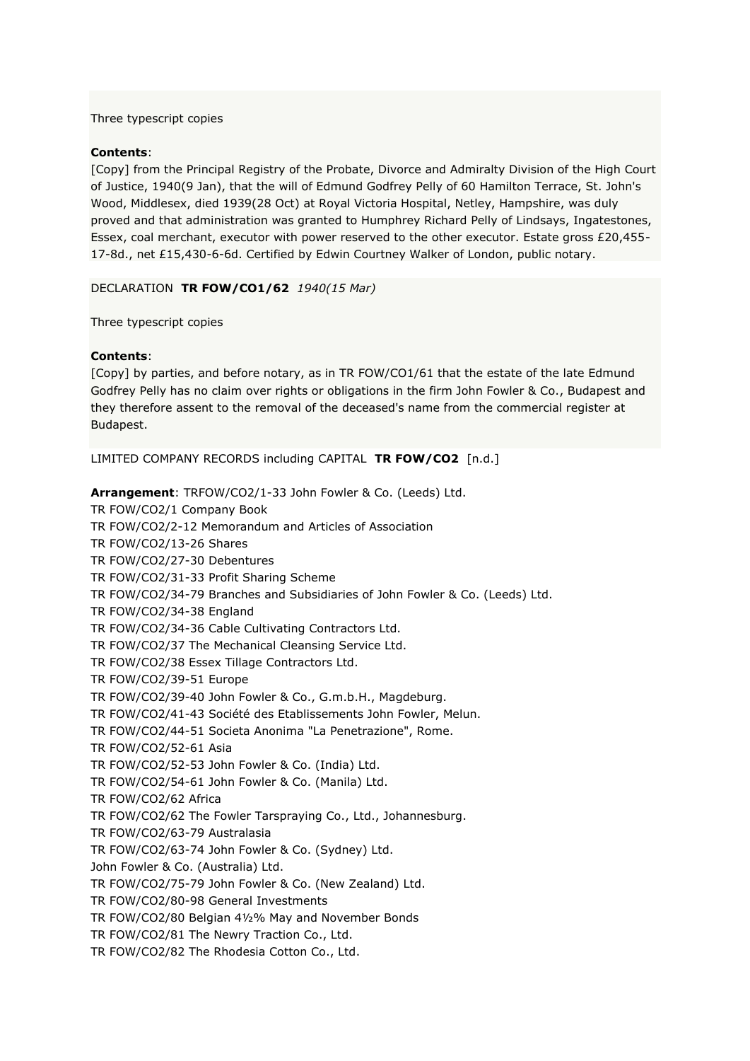### Three typescript copies

## **Contents**:

[Copy] from the Principal Registry of the Probate, Divorce and Admiralty Division of the High Court of Justice, 1940(9 Jan), that the will of Edmund Godfrey Pelly of 60 Hamilton Terrace, St. John's Wood, Middlesex, died 1939(28 Oct) at Royal Victoria Hospital, Netley, Hampshire, was duly proved and that administration was granted to Humphrey Richard Pelly of Lindsays, Ingatestones, Essex, coal merchant, executor with power reserved to the other executor. Estate gross £20,455- 17-8d., net £15,430-6-6d. Certified by Edwin Courtney Walker of London, public notary.

#### DECLARATION **TR FOW/CO1/62** *1940(15 Mar)*

Three typescript copies

#### **Contents**:

[Copy] by parties, and before notary, as in TR FOW/CO1/61 that the estate of the late Edmund Godfrey Pelly has no claim over rights or obligations in the firm John Fowler & Co., Budapest and they therefore assent to the removal of the deceased's name from the commercial register at Budapest.

LIMITED COMPANY RECORDS including CAPITAL **TR FOW/CO2** [n.d.]

**Arrangement**: TRFOW/CO2/1-33 John Fowler & Co. (Leeds) Ltd. TR FOW/CO2/1 Company Book TR FOW/CO2/2-12 Memorandum and Articles of Association TR FOW/CO2/13-26 Shares TR FOW/CO2/27-30 Debentures TR FOW/CO2/31-33 Profit Sharing Scheme TR FOW/CO2/34-79 Branches and Subsidiaries of John Fowler & Co. (Leeds) Ltd. TR FOW/CO2/34-38 England TR FOW/CO2/34-36 Cable Cultivating Contractors Ltd. TR FOW/CO2/37 The Mechanical Cleansing Service Ltd. TR FOW/CO2/38 Essex Tillage Contractors Ltd. TR FOW/CO2/39-51 Europe TR FOW/CO2/39-40 John Fowler & Co., G.m.b.H., Magdeburg. TR FOW/CO2/41-43 Société des Etablissements John Fowler, Melun. TR FOW/CO2/44-51 Societa Anonima "La Penetrazione", Rome. TR FOW/CO2/52-61 Asia TR FOW/CO2/52-53 John Fowler & Co. (India) Ltd. TR FOW/CO2/54-61 John Fowler & Co. (Manila) Ltd. TR FOW/CO2/62 Africa TR FOW/CO2/62 The Fowler Tarspraying Co., Ltd., Johannesburg. TR FOW/CO2/63-79 Australasia TR FOW/CO2/63-74 John Fowler & Co. (Sydney) Ltd. John Fowler & Co. (Australia) Ltd. TR FOW/CO2/75-79 John Fowler & Co. (New Zealand) Ltd. TR FOW/CO2/80-98 General Investments TR FOW/CO2/80 Belgian 4½% May and November Bonds TR FOW/CO2/81 The Newry Traction Co., Ltd. TR FOW/CO2/82 The Rhodesia Cotton Co., Ltd.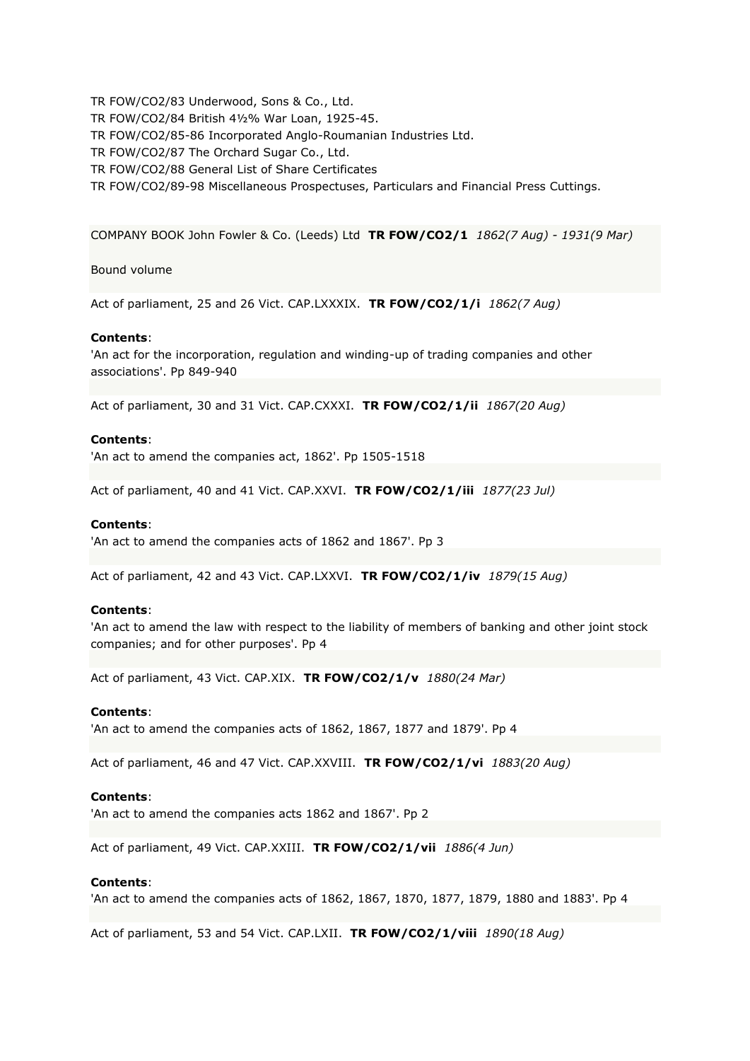TR FOW/CO2/83 Underwood, Sons & Co., Ltd. TR FOW/CO2/84 British 4½% War Loan, 1925-45. TR FOW/CO2/85-86 Incorporated Anglo-Roumanian Industries Ltd. TR FOW/CO2/87 The Orchard Sugar Co., Ltd. TR FOW/CO2/88 General List of Share Certificates TR FOW/CO2/89-98 Miscellaneous Prospectuses, Particulars and Financial Press Cuttings.

COMPANY BOOK John Fowler & Co. (Leeds) Ltd **TR FOW/CO2/1** *1862(7 Aug) - 1931(9 Mar)*

Bound volume

Act of parliament, 25 and 26 Vict. CAP.LXXXIX. **TR FOW/CO2/1/i** *1862(7 Aug)*

#### **Contents**:

'An act for the incorporation, regulation and winding-up of trading companies and other associations'. Pp 849-940

Act of parliament, 30 and 31 Vict. CAP.CXXXI. **TR FOW/CO2/1/ii** *1867(20 Aug)*

## **Contents**:

'An act to amend the companies act, 1862'. Pp 1505-1518

Act of parliament, 40 and 41 Vict. CAP.XXVI. **TR FOW/CO2/1/iii** *1877(23 Jul)*

#### **Contents**:

'An act to amend the companies acts of 1862 and 1867'. Pp 3

Act of parliament, 42 and 43 Vict. CAP.LXXVI. **TR FOW/CO2/1/iv** *1879(15 Aug)*

### **Contents**:

'An act to amend the law with respect to the liability of members of banking and other joint stock companies; and for other purposes'. Pp 4

Act of parliament, 43 Vict. CAP.XIX. **TR FOW/CO2/1/v** *1880(24 Mar)*

### **Contents**:

'An act to amend the companies acts of 1862, 1867, 1877 and 1879'. Pp 4

Act of parliament, 46 and 47 Vict. CAP.XXVIII. **TR FOW/CO2/1/vi** *1883(20 Aug)*

## **Contents**:

'An act to amend the companies acts 1862 and 1867'. Pp 2

Act of parliament, 49 Vict. CAP.XXIII. **TR FOW/CO2/1/vii** *1886(4 Jun)*

## **Contents**:

'An act to amend the companies acts of 1862, 1867, 1870, 1877, 1879, 1880 and 1883'. Pp 4

Act of parliament, 53 and 54 Vict. CAP.LXII. **TR FOW/CO2/1/viii** *1890(18 Aug)*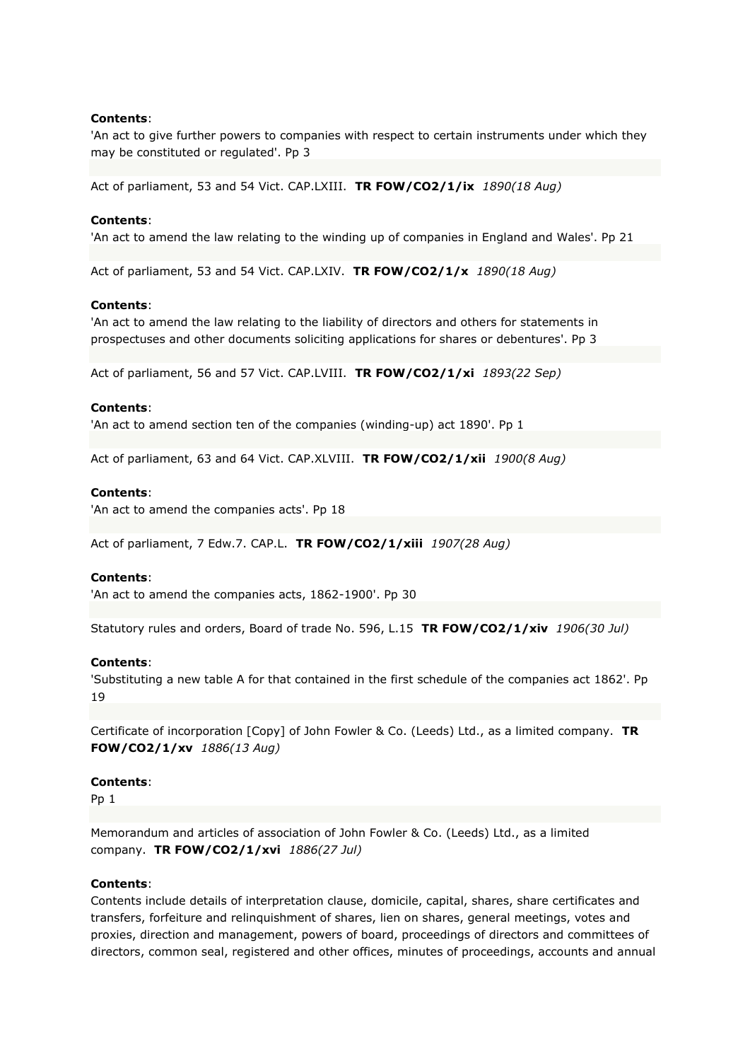## **Contents**:

'An act to give further powers to companies with respect to certain instruments under which they may be constituted or regulated'. Pp 3

Act of parliament, 53 and 54 Vict. CAP.LXIII. **TR FOW/CO2/1/ix** *1890(18 Aug)*

### **Contents**:

'An act to amend the law relating to the winding up of companies in England and Wales'. Pp 21

Act of parliament, 53 and 54 Vict. CAP.LXIV. **TR FOW/CO2/1/x** *1890(18 Aug)*

#### **Contents**:

'An act to amend the law relating to the liability of directors and others for statements in prospectuses and other documents soliciting applications for shares or debentures'. Pp 3

Act of parliament, 56 and 57 Vict. CAP.LVIII. **TR FOW/CO2/1/xi** *1893(22 Sep)*

### **Contents**:

'An act to amend section ten of the companies (winding-up) act 1890'. Pp 1

Act of parliament, 63 and 64 Vict. CAP.XLVIII. **TR FOW/CO2/1/xii** *1900(8 Aug)*

### **Contents**:

'An act to amend the companies acts'. Pp 18

Act of parliament, 7 Edw.7. CAP.L. **TR FOW/CO2/1/xiii** *1907(28 Aug)*

#### **Contents**:

'An act to amend the companies acts, 1862-1900'. Pp 30

Statutory rules and orders, Board of trade No. 596, L.15 **TR FOW/CO2/1/xiv** *1906(30 Jul)*

#### **Contents**:

'Substituting a new table A for that contained in the first schedule of the companies act 1862'. Pp 19

Certificate of incorporation [Copy] of John Fowler & Co. (Leeds) Ltd., as a limited company. **TR FOW/CO2/1/xv** *1886(13 Aug)*

### **Contents**:

Pp 1

Memorandum and articles of association of John Fowler & Co. (Leeds) Ltd., as a limited company. **TR FOW/CO2/1/xvi** *1886(27 Jul)*

#### **Contents**:

Contents include details of interpretation clause, domicile, capital, shares, share certificates and transfers, forfeiture and relinquishment of shares, lien on shares, general meetings, votes and proxies, direction and management, powers of board, proceedings of directors and committees of directors, common seal, registered and other offices, minutes of proceedings, accounts and annual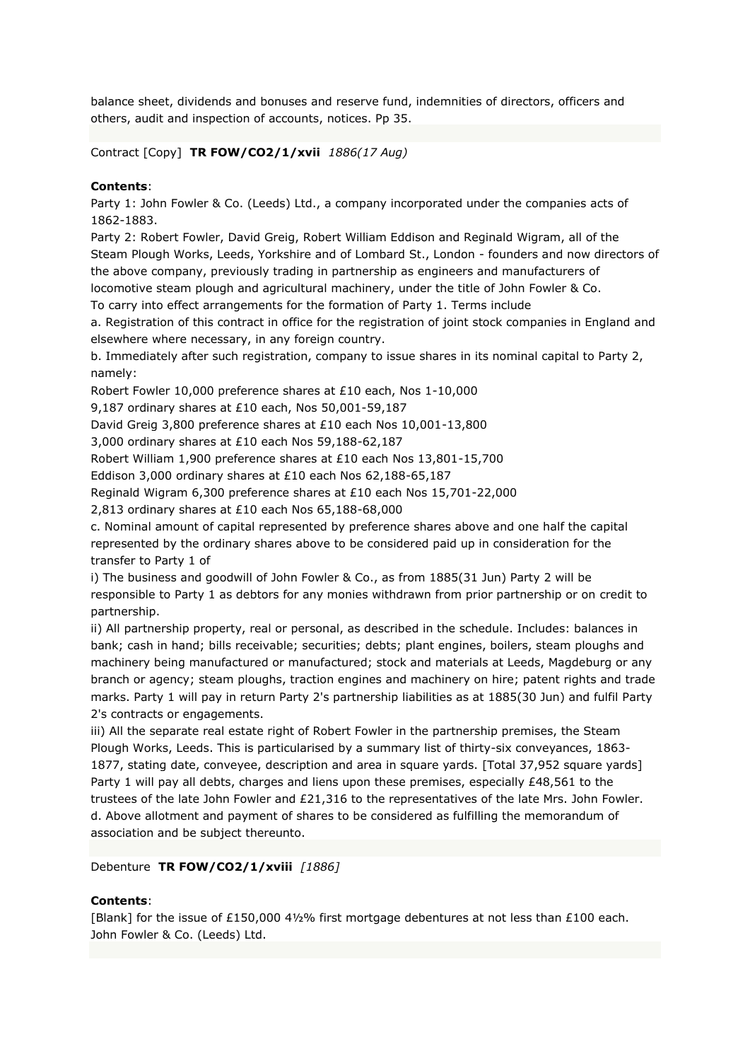balance sheet, dividends and bonuses and reserve fund, indemnities of directors, officers and others, audit and inspection of accounts, notices. Pp 35.

Contract [Copy] **TR FOW/CO2/1/xvii** *1886(17 Aug)*

## **Contents**:

Party 1: John Fowler & Co. (Leeds) Ltd., a company incorporated under the companies acts of 1862-1883.

Party 2: Robert Fowler, David Greig, Robert William Eddison and Reginald Wigram, all of the Steam Plough Works, Leeds, Yorkshire and of Lombard St., London - founders and now directors of the above company, previously trading in partnership as engineers and manufacturers of locomotive steam plough and agricultural machinery, under the title of John Fowler & Co. To carry into effect arrangements for the formation of Party 1. Terms include

a. Registration of this contract in office for the registration of joint stock companies in England and elsewhere where necessary, in any foreign country.

b. Immediately after such registration, company to issue shares in its nominal capital to Party 2, namely:

Robert Fowler 10,000 preference shares at £10 each, Nos 1-10,000

9,187 ordinary shares at £10 each, Nos 50,001-59,187

David Greig 3,800 preference shares at £10 each Nos 10,001-13,800

3,000 ordinary shares at £10 each Nos 59,188-62,187

Robert William 1,900 preference shares at £10 each Nos 13,801-15,700

Eddison 3,000 ordinary shares at £10 each Nos 62,188-65,187

Reginald Wigram 6,300 preference shares at £10 each Nos 15,701-22,000

2,813 ordinary shares at £10 each Nos 65,188-68,000

c. Nominal amount of capital represented by preference shares above and one half the capital represented by the ordinary shares above to be considered paid up in consideration for the transfer to Party 1 of

i) The business and goodwill of John Fowler & Co., as from 1885(31 Jun) Party 2 will be responsible to Party 1 as debtors for any monies withdrawn from prior partnership or on credit to partnership.

ii) All partnership property, real or personal, as described in the schedule. Includes: balances in bank; cash in hand; bills receivable; securities; debts; plant engines, boilers, steam ploughs and machinery being manufactured or manufactured; stock and materials at Leeds, Magdeburg or any branch or agency; steam ploughs, traction engines and machinery on hire; patent rights and trade marks. Party 1 will pay in return Party 2's partnership liabilities as at 1885(30 Jun) and fulfil Party 2's contracts or engagements.

iii) All the separate real estate right of Robert Fowler in the partnership premises, the Steam Plough Works, Leeds. This is particularised by a summary list of thirty-six conveyances, 1863- 1877, stating date, conveyee, description and area in square yards. [Total 37,952 square yards] Party 1 will pay all debts, charges and liens upon these premises, especially £48,561 to the trustees of the late John Fowler and £21,316 to the representatives of the late Mrs. John Fowler. d. Above allotment and payment of shares to be considered as fulfilling the memorandum of association and be subject thereunto.

Debenture **TR FOW/CO2/1/xviii** *[1886]*

## **Contents**:

[Blank] for the issue of £150,000 4½% first mortgage debentures at not less than £100 each. John Fowler & Co. (Leeds) Ltd.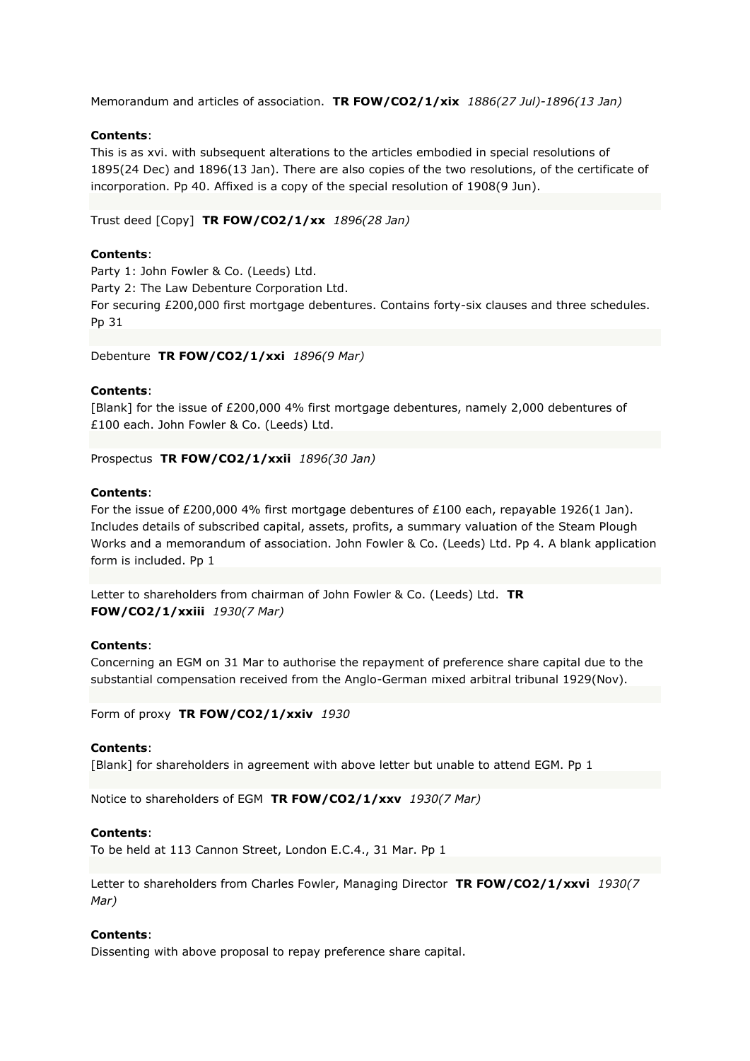Memorandum and articles of association. **TR FOW/CO2/1/xix** *1886(27 Jul)-1896(13 Jan)*

## **Contents**:

This is as xvi. with subsequent alterations to the articles embodied in special resolutions of 1895(24 Dec) and 1896(13 Jan). There are also copies of the two resolutions, of the certificate of incorporation. Pp 40. Affixed is a copy of the special resolution of 1908(9 Jun).

Trust deed [Copy] **TR FOW/CO2/1/xx** *1896(28 Jan)*

### **Contents**:

Party 1: John Fowler & Co. (Leeds) Ltd. Party 2: The Law Debenture Corporation Ltd. For securing £200,000 first mortgage debentures. Contains forty-six clauses and three schedules. Pp 31

Debenture **TR FOW/CO2/1/xxi** *1896(9 Mar)*

#### **Contents**:

[Blank] for the issue of £200,000 4% first mortgage debentures, namely 2,000 debentures of £100 each. John Fowler & Co. (Leeds) Ltd.

Prospectus **TR FOW/CO2/1/xxii** *1896(30 Jan)*

### **Contents**:

For the issue of £200,000 4% first mortgage debentures of £100 each, repayable 1926(1 Jan). Includes details of subscribed capital, assets, profits, a summary valuation of the Steam Plough Works and a memorandum of association. John Fowler & Co. (Leeds) Ltd. Pp 4. A blank application form is included. Pp 1

Letter to shareholders from chairman of John Fowler & Co. (Leeds) Ltd. **TR FOW/CO2/1/xxiii** *1930(7 Mar)*

#### **Contents**:

Concerning an EGM on 31 Mar to authorise the repayment of preference share capital due to the substantial compensation received from the Anglo-German mixed arbitral tribunal 1929(Nov).

Form of proxy **TR FOW/CO2/1/xxiv** *1930*

#### **Contents**:

[Blank] for shareholders in agreement with above letter but unable to attend EGM. Pp 1

Notice to shareholders of EGM **TR FOW/CO2/1/xxv** *1930(7 Mar)*

#### **Contents**:

To be held at 113 Cannon Street, London E.C.4., 31 Mar. Pp 1

Letter to shareholders from Charles Fowler, Managing Director **TR FOW/CO2/1/xxvi** *1930(7 Mar)*

## **Contents**:

Dissenting with above proposal to repay preference share capital.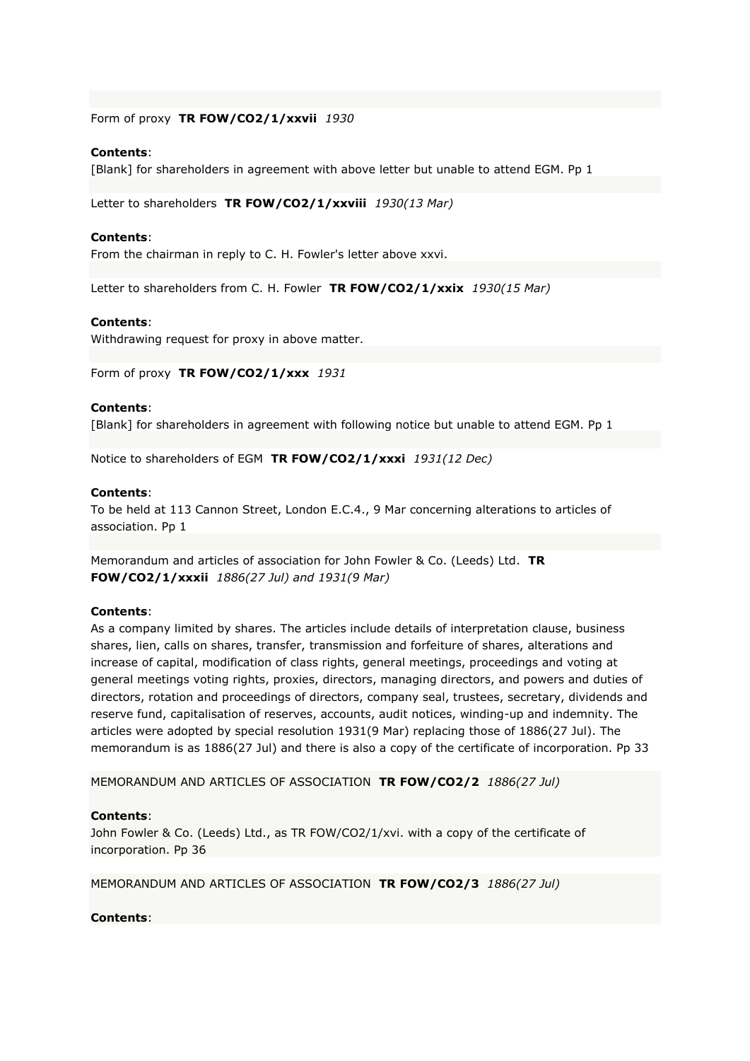Form of proxy **TR FOW/CO2/1/xxvii** *1930*

### **Contents**:

[Blank] for shareholders in agreement with above letter but unable to attend EGM. Pp 1

Letter to shareholders **TR FOW/CO2/1/xxviii** *1930(13 Mar)*

#### **Contents**:

From the chairman in reply to C. H. Fowler's letter above xxvi.

Letter to shareholders from C. H. Fowler **TR FOW/CO2/1/xxix** *1930(15 Mar)*

#### **Contents**:

Withdrawing request for proxy in above matter.

Form of proxy **TR FOW/CO2/1/xxx** *1931*

## **Contents**:

[Blank] for shareholders in agreement with following notice but unable to attend EGM. Pp 1

Notice to shareholders of EGM **TR FOW/CO2/1/xxxi** *1931(12 Dec)*

### **Contents**:

To be held at 113 Cannon Street, London E.C.4., 9 Mar concerning alterations to articles of association. Pp 1

Memorandum and articles of association for John Fowler & Co. (Leeds) Ltd. **TR FOW/CO2/1/xxxii** *1886(27 Jul) and 1931(9 Mar)*

## **Contents**:

As a company limited by shares. The articles include details of interpretation clause, business shares, lien, calls on shares, transfer, transmission and forfeiture of shares, alterations and increase of capital, modification of class rights, general meetings, proceedings and voting at general meetings voting rights, proxies, directors, managing directors, and powers and duties of directors, rotation and proceedings of directors, company seal, trustees, secretary, dividends and reserve fund, capitalisation of reserves, accounts, audit notices, winding-up and indemnity. The articles were adopted by special resolution 1931(9 Mar) replacing those of 1886(27 Jul). The memorandum is as 1886(27 Jul) and there is also a copy of the certificate of incorporation. Pp 33

MEMORANDUM AND ARTICLES OF ASSOCIATION **TR FOW/CO2/2** *1886(27 Jul)*

#### **Contents**:

John Fowler & Co. (Leeds) Ltd., as TR FOW/CO2/1/xvi. with a copy of the certificate of incorporation. Pp 36

MEMORANDUM AND ARTICLES OF ASSOCIATION **TR FOW/CO2/3** *1886(27 Jul)*

#### **Contents**: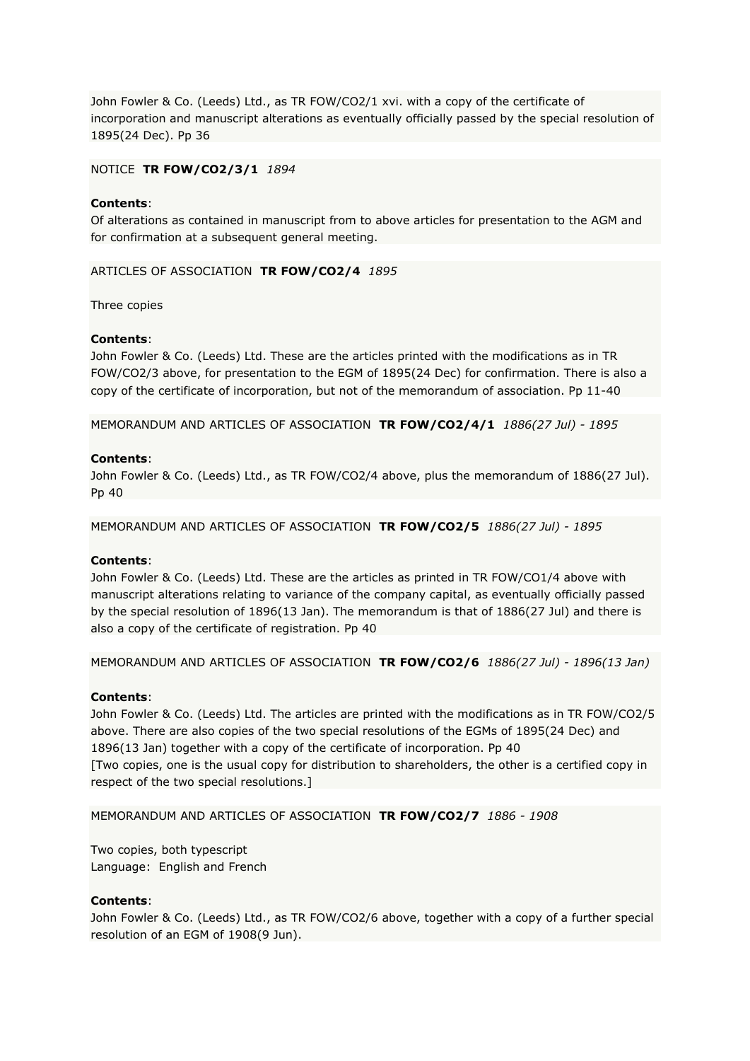John Fowler & Co. (Leeds) Ltd., as TR FOW/CO2/1 xvi. with a copy of the certificate of incorporation and manuscript alterations as eventually officially passed by the special resolution of 1895(24 Dec). Pp 36

## NOTICE **TR FOW/CO2/3/1** *1894*

## **Contents**:

Of alterations as contained in manuscript from to above articles for presentation to the AGM and for confirmation at a subsequent general meeting.

## ARTICLES OF ASSOCIATION **TR FOW/CO2/4** *1895*

Three copies

## **Contents**:

John Fowler & Co. (Leeds) Ltd. These are the articles printed with the modifications as in TR FOW/CO2/3 above, for presentation to the EGM of 1895(24 Dec) for confirmation. There is also a copy of the certificate of incorporation, but not of the memorandum of association. Pp 11-40

MEMORANDUM AND ARTICLES OF ASSOCIATION **TR FOW/CO2/4/1** *1886(27 Jul) - 1895*

## **Contents**:

John Fowler & Co. (Leeds) Ltd., as TR FOW/CO2/4 above, plus the memorandum of 1886(27 Jul). Pp 40

MEMORANDUM AND ARTICLES OF ASSOCIATION **TR FOW/CO2/5** *1886(27 Jul) - 1895*

## **Contents**:

John Fowler & Co. (Leeds) Ltd. These are the articles as printed in TR FOW/CO1/4 above with manuscript alterations relating to variance of the company capital, as eventually officially passed by the special resolution of 1896(13 Jan). The memorandum is that of 1886(27 Jul) and there is also a copy of the certificate of registration. Pp 40

MEMORANDUM AND ARTICLES OF ASSOCIATION **TR FOW/CO2/6** *1886(27 Jul) - 1896(13 Jan)*

## **Contents**:

John Fowler & Co. (Leeds) Ltd. The articles are printed with the modifications as in TR FOW/CO2/5 above. There are also copies of the two special resolutions of the EGMs of 1895(24 Dec) and 1896(13 Jan) together with a copy of the certificate of incorporation. Pp 40 [Two copies, one is the usual copy for distribution to shareholders, the other is a certified copy in respect of the two special resolutions.]

MEMORANDUM AND ARTICLES OF ASSOCIATION **TR FOW/CO2/7** *1886 - 1908*

Two copies, both typescript Language: English and French

## **Contents**:

John Fowler & Co. (Leeds) Ltd., as TR FOW/CO2/6 above, together with a copy of a further special resolution of an EGM of 1908(9 Jun).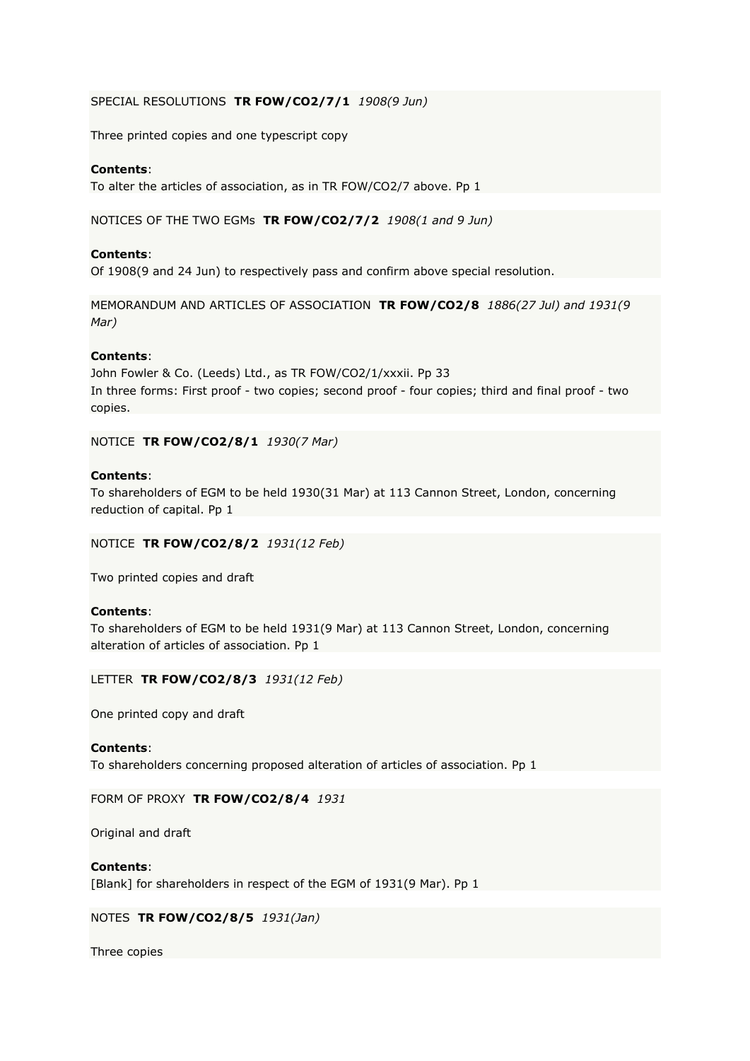## SPECIAL RESOLUTIONS **TR FOW/CO2/7/1** *1908(9 Jun)*

Three printed copies and one typescript copy

## **Contents**:

To alter the articles of association, as in TR FOW/CO2/7 above. Pp 1

NOTICES OF THE TWO EGMs **TR FOW/CO2/7/2** *1908(1 and 9 Jun)*

## **Contents**:

Of 1908(9 and 24 Jun) to respectively pass and confirm above special resolution.

MEMORANDUM AND ARTICLES OF ASSOCIATION **TR FOW/CO2/8** *1886(27 Jul) and 1931(9 Mar)*

## **Contents**:

John Fowler & Co. (Leeds) Ltd., as TR FOW/CO2/1/xxxii. Pp 33 In three forms: First proof - two copies; second proof - four copies; third and final proof - two copies.

NOTICE **TR FOW/CO2/8/1** *1930(7 Mar)*

## **Contents**:

To shareholders of EGM to be held 1930(31 Mar) at 113 Cannon Street, London, concerning reduction of capital. Pp 1

NOTICE **TR FOW/CO2/8/2** *1931(12 Feb)*

Two printed copies and draft

## **Contents**:

To shareholders of EGM to be held 1931(9 Mar) at 113 Cannon Street, London, concerning alteration of articles of association. Pp 1

## LETTER **TR FOW/CO2/8/3** *1931(12 Feb)*

One printed copy and draft

## **Contents**:

To shareholders concerning proposed alteration of articles of association. Pp 1

## FORM OF PROXY **TR FOW/CO2/8/4** *1931*

Original and draft

#### **Contents**:

[Blank] for shareholders in respect of the EGM of 1931(9 Mar). Pp 1

## NOTES **TR FOW/CO2/8/5** *1931(Jan)*

Three copies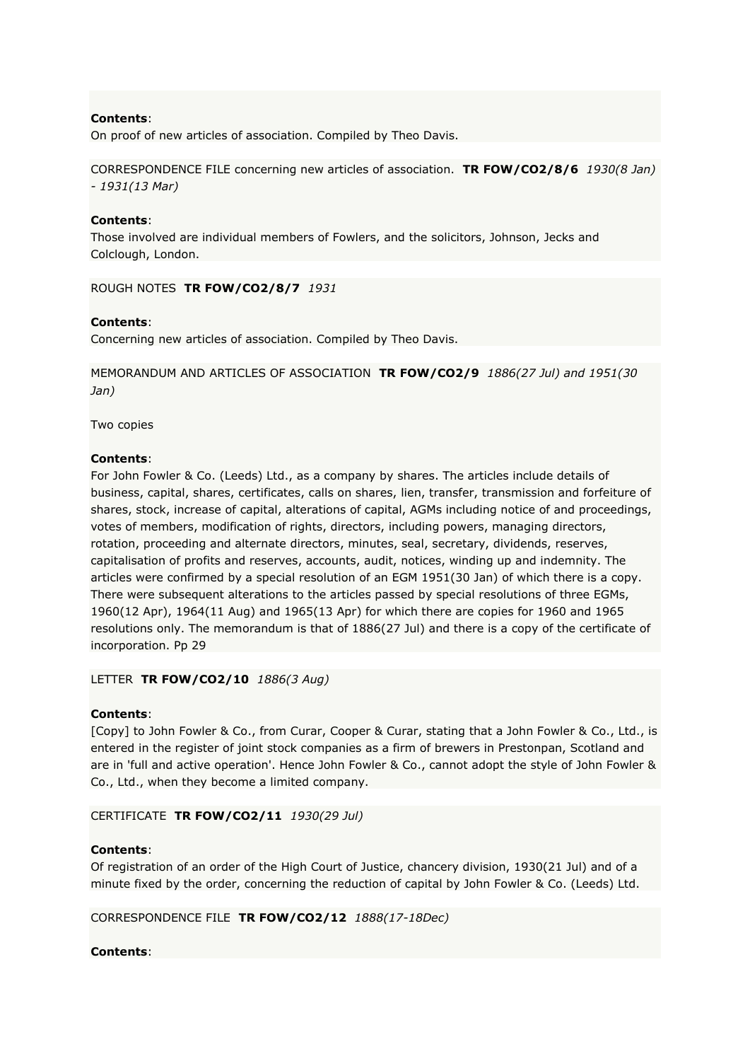## **Contents**:

On proof of new articles of association. Compiled by Theo Davis.

CORRESPONDENCE FILE concerning new articles of association. **TR FOW/CO2/8/6** *1930(8 Jan) - 1931(13 Mar)*

## **Contents**:

Those involved are individual members of Fowlers, and the solicitors, Johnson, Jecks and Colclough, London.

ROUGH NOTES **TR FOW/CO2/8/7** *1931*

## **Contents**:

Concerning new articles of association. Compiled by Theo Davis.

MEMORANDUM AND ARTICLES OF ASSOCIATION **TR FOW/CO2/9** *1886(27 Jul) and 1951(30 Jan)*

Two copies

## **Contents**:

For John Fowler & Co. (Leeds) Ltd., as a company by shares. The articles include details of business, capital, shares, certificates, calls on shares, lien, transfer, transmission and forfeiture of shares, stock, increase of capital, alterations of capital, AGMs including notice of and proceedings, votes of members, modification of rights, directors, including powers, managing directors, rotation, proceeding and alternate directors, minutes, seal, secretary, dividends, reserves, capitalisation of profits and reserves, accounts, audit, notices, winding up and indemnity. The articles were confirmed by a special resolution of an EGM 1951(30 Jan) of which there is a copy. There were subsequent alterations to the articles passed by special resolutions of three EGMs, 1960(12 Apr), 1964(11 Aug) and 1965(13 Apr) for which there are copies for 1960 and 1965 resolutions only. The memorandum is that of 1886(27 Jul) and there is a copy of the certificate of incorporation. Pp 29

LETTER **TR FOW/CO2/10** *1886(3 Aug)*

## **Contents**:

[Copy] to John Fowler & Co., from Curar, Cooper & Curar, stating that a John Fowler & Co., Ltd., is entered in the register of joint stock companies as a firm of brewers in Prestonpan, Scotland and are in 'full and active operation'. Hence John Fowler & Co., cannot adopt the style of John Fowler & Co., Ltd., when they become a limited company.

CERTIFICATE **TR FOW/CO2/11** *1930(29 Jul)*

## **Contents**:

Of registration of an order of the High Court of Justice, chancery division, 1930(21 Jul) and of a minute fixed by the order, concerning the reduction of capital by John Fowler & Co. (Leeds) Ltd.

CORRESPONDENCE FILE **TR FOW/CO2/12** *1888(17-18Dec)*

## **Contents**: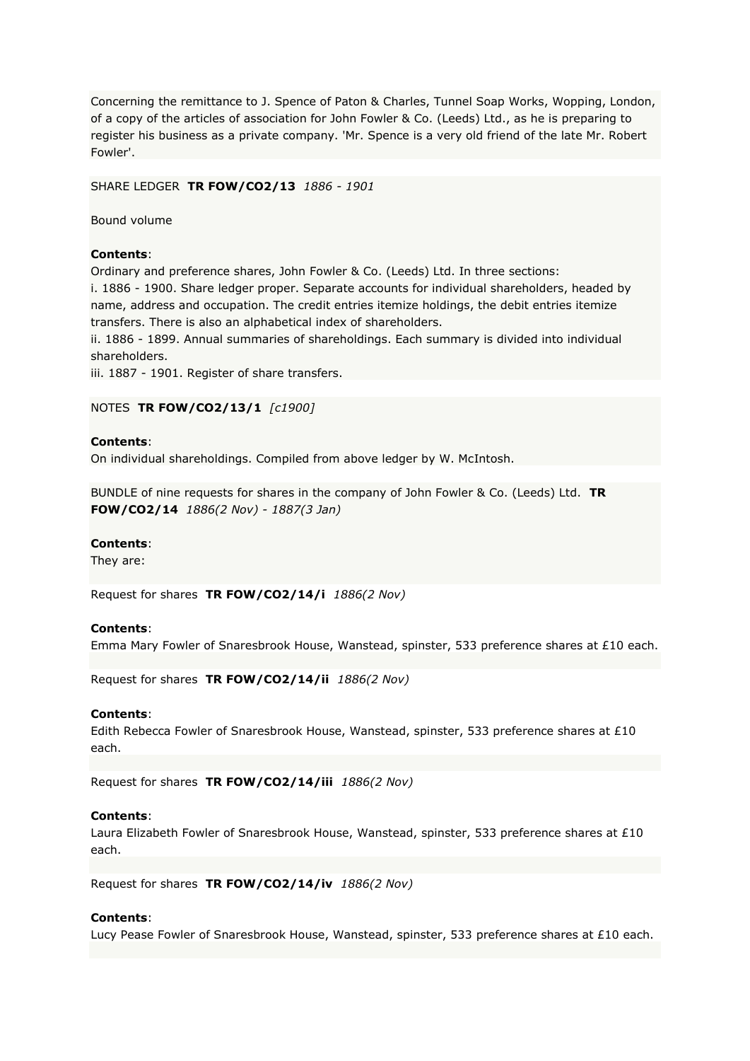Concerning the remittance to J. Spence of Paton & Charles, Tunnel Soap Works, Wopping, London, of a copy of the articles of association for John Fowler & Co. (Leeds) Ltd., as he is preparing to register his business as a private company. 'Mr. Spence is a very old friend of the late Mr. Robert Fowler'.

#### SHARE LEDGER **TR FOW/CO2/13** *1886 - 1901*

Bound volume

### **Contents**:

Ordinary and preference shares, John Fowler & Co. (Leeds) Ltd. In three sections: i. 1886 - 1900. Share ledger proper. Separate accounts for individual shareholders, headed by name, address and occupation. The credit entries itemize holdings, the debit entries itemize transfers. There is also an alphabetical index of shareholders.

ii. 1886 - 1899. Annual summaries of shareholdings. Each summary is divided into individual shareholders.

iii. 1887 - 1901. Register of share transfers.

## NOTES **TR FOW/CO2/13/1** *[c1900]*

### **Contents**:

On individual shareholdings. Compiled from above ledger by W. McIntosh.

BUNDLE of nine requests for shares in the company of John Fowler & Co. (Leeds) Ltd. **TR FOW/CO2/14** *1886(2 Nov) - 1887(3 Jan)*

#### **Contents**:

They are:

Request for shares **TR FOW/CO2/14/i** *1886(2 Nov)*

#### **Contents**:

Emma Mary Fowler of Snaresbrook House, Wanstead, spinster, 533 preference shares at £10 each.

Request for shares **TR FOW/CO2/14/ii** *1886(2 Nov)*

#### **Contents**:

Edith Rebecca Fowler of Snaresbrook House, Wanstead, spinster, 533 preference shares at £10 each.

Request for shares **TR FOW/CO2/14/iii** *1886(2 Nov)*

#### **Contents**:

Laura Elizabeth Fowler of Snaresbrook House, Wanstead, spinster, 533 preference shares at £10 each.

Request for shares **TR FOW/CO2/14/iv** *1886(2 Nov)*

## **Contents**:

Lucy Pease Fowler of Snaresbrook House, Wanstead, spinster, 533 preference shares at £10 each.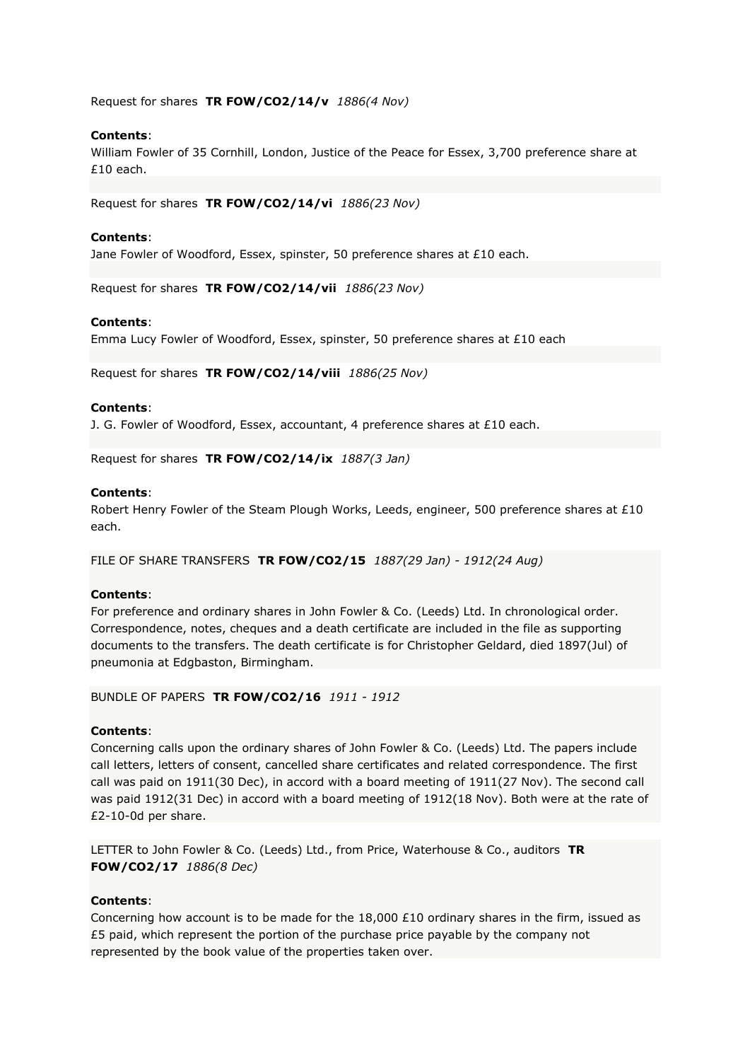Request for shares **TR FOW/CO2/14/v** *1886(4 Nov)*

## **Contents**:

William Fowler of 35 Cornhill, London, Justice of the Peace for Essex, 3,700 preference share at £10 each.

Request for shares **TR FOW/CO2/14/vi** *1886(23 Nov)*

## **Contents**:

Jane Fowler of Woodford, Essex, spinster, 50 preference shares at £10 each.

Request for shares **TR FOW/CO2/14/vii** *1886(23 Nov)*

## **Contents**:

Emma Lucy Fowler of Woodford, Essex, spinster, 50 preference shares at £10 each

Request for shares **TR FOW/CO2/14/viii** *1886(25 Nov)*

#### **Contents**:

J. G. Fowler of Woodford, Essex, accountant, 4 preference shares at  $£10$  each.

Request for shares **TR FOW/CO2/14/ix** *1887(3 Jan)*

## **Contents**:

Robert Henry Fowler of the Steam Plough Works, Leeds, engineer, 500 preference shares at £10 each.

FILE OF SHARE TRANSFERS **TR FOW/CO2/15** *1887(29 Jan) - 1912(24 Aug)*

## **Contents**:

For preference and ordinary shares in John Fowler & Co. (Leeds) Ltd. In chronological order. Correspondence, notes, cheques and a death certificate are included in the file as supporting documents to the transfers. The death certificate is for Christopher Geldard, died 1897(Jul) of pneumonia at Edgbaston, Birmingham.

### BUNDLE OF PAPERS **TR FOW/CO2/16** *1911 - 1912*

## **Contents**:

Concerning calls upon the ordinary shares of John Fowler & Co. (Leeds) Ltd. The papers include call letters, letters of consent, cancelled share certificates and related correspondence. The first call was paid on 1911(30 Dec), in accord with a board meeting of 1911(27 Nov). The second call was paid 1912(31 Dec) in accord with a board meeting of 1912(18 Nov). Both were at the rate of £2-10-0d per share.

LETTER to John Fowler & Co. (Leeds) Ltd., from Price, Waterhouse & Co., auditors **TR FOW/CO2/17** *1886(8 Dec)*

## **Contents**:

Concerning how account is to be made for the 18,000 £10 ordinary shares in the firm, issued as £5 paid, which represent the portion of the purchase price payable by the company not represented by the book value of the properties taken over.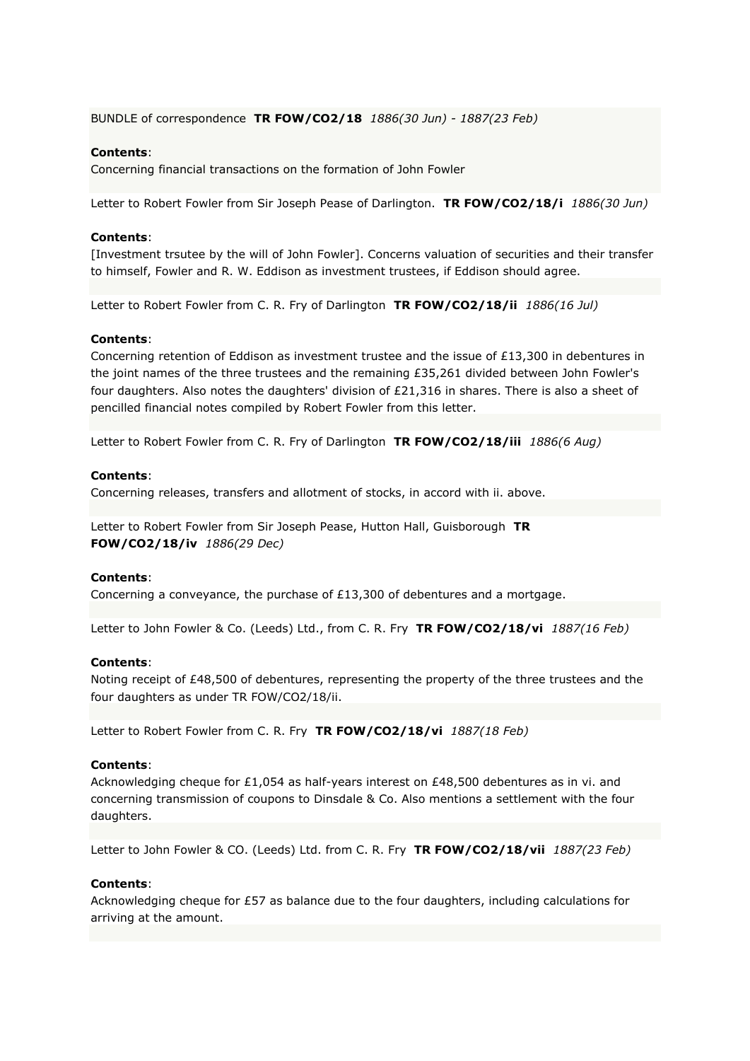BUNDLE of correspondence **TR FOW/CO2/18** *1886(30 Jun) - 1887(23 Feb)*

## **Contents**:

Concerning financial transactions on the formation of John Fowler

Letter to Robert Fowler from Sir Joseph Pease of Darlington. **TR FOW/CO2/18/i** *1886(30 Jun)*

### **Contents**:

[Investment trsutee by the will of John Fowler]. Concerns valuation of securities and their transfer to himself, Fowler and R. W. Eddison as investment trustees, if Eddison should agree.

Letter to Robert Fowler from C. R. Fry of Darlington **TR FOW/CO2/18/ii** *1886(16 Jul)*

#### **Contents**:

Concerning retention of Eddison as investment trustee and the issue of £13,300 in debentures in the joint names of the three trustees and the remaining £35,261 divided between John Fowler's four daughters. Also notes the daughters' division of £21,316 in shares. There is also a sheet of pencilled financial notes compiled by Robert Fowler from this letter.

Letter to Robert Fowler from C. R. Fry of Darlington **TR FOW/CO2/18/iii** *1886(6 Aug)*

#### **Contents**:

Concerning releases, transfers and allotment of stocks, in accord with ii. above.

Letter to Robert Fowler from Sir Joseph Pease, Hutton Hall, Guisborough **TR FOW/CO2/18/iv** *1886(29 Dec)*

## **Contents**:

Concerning a conveyance, the purchase of £13,300 of debentures and a mortgage.

Letter to John Fowler & Co. (Leeds) Ltd., from C. R. Fry **TR FOW/CO2/18/vi** *1887(16 Feb)*

#### **Contents**:

Noting receipt of £48,500 of debentures, representing the property of the three trustees and the four daughters as under TR FOW/CO2/18/ii.

Letter to Robert Fowler from C. R. Fry **TR FOW/CO2/18/vi** *1887(18 Feb)*

### **Contents**:

Acknowledging cheque for £1,054 as half-years interest on £48,500 debentures as in vi. and concerning transmission of coupons to Dinsdale & Co. Also mentions a settlement with the four daughters.

Letter to John Fowler & CO. (Leeds) Ltd. from C. R. Fry **TR FOW/CO2/18/vii** *1887(23 Feb)*

#### **Contents**:

Acknowledging cheque for £57 as balance due to the four daughters, including calculations for arriving at the amount.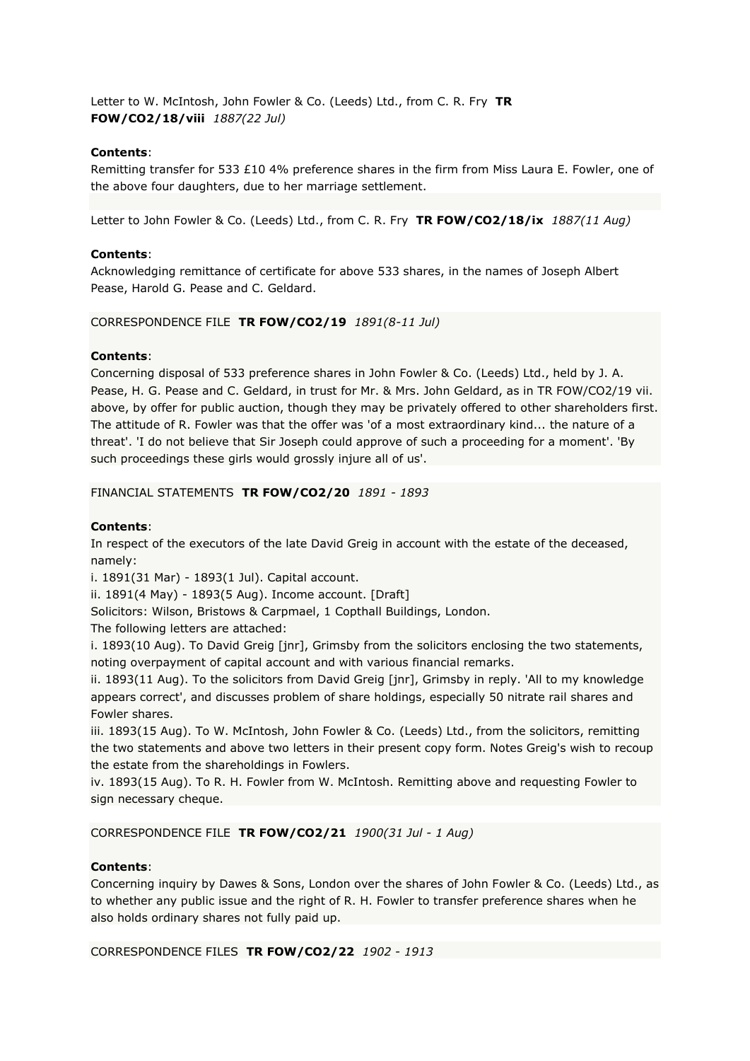Letter to W. McIntosh, John Fowler & Co. (Leeds) Ltd., from C. R. Fry **TR FOW/CO2/18/viii** *1887(22 Jul)*

## **Contents**:

Remitting transfer for 533 £10 4% preference shares in the firm from Miss Laura E. Fowler, one of the above four daughters, due to her marriage settlement.

Letter to John Fowler & Co. (Leeds) Ltd., from C. R. Fry **TR FOW/CO2/18/ix** *1887(11 Aug)*

## **Contents**:

Acknowledging remittance of certificate for above 533 shares, in the names of Joseph Albert Pease, Harold G. Pease and C. Geldard.

## CORRESPONDENCE FILE **TR FOW/CO2/19** *1891(8-11 Jul)*

## **Contents**:

Concerning disposal of 533 preference shares in John Fowler & Co. (Leeds) Ltd., held by J. A. Pease, H. G. Pease and C. Geldard, in trust for Mr. & Mrs. John Geldard, as in TR FOW/CO2/19 vii. above, by offer for public auction, though they may be privately offered to other shareholders first. The attitude of R. Fowler was that the offer was 'of a most extraordinary kind... the nature of a threat'. 'I do not believe that Sir Joseph could approve of such a proceeding for a moment'. 'By such proceedings these girls would grossly injure all of us'.

## FINANCIAL STATEMENTS **TR FOW/CO2/20** *1891 - 1893*

## **Contents**:

In respect of the executors of the late David Greig in account with the estate of the deceased, namely:

i. 1891(31 Mar) - 1893(1 Jul). Capital account.

ii. 1891(4 May) - 1893(5 Aug). Income account. [Draft]

Solicitors: Wilson, Bristows & Carpmael, 1 Copthall Buildings, London.

The following letters are attached:

i. 1893(10 Aug). To David Greig [jnr], Grimsby from the solicitors enclosing the two statements, noting overpayment of capital account and with various financial remarks.

ii. 1893(11 Aug). To the solicitors from David Greig [jnr], Grimsby in reply. 'All to my knowledge appears correct', and discusses problem of share holdings, especially 50 nitrate rail shares and Fowler shares.

iii. 1893(15 Aug). To W. McIntosh, John Fowler & Co. (Leeds) Ltd., from the solicitors, remitting the two statements and above two letters in their present copy form. Notes Greig's wish to recoup the estate from the shareholdings in Fowlers.

iv. 1893(15 Aug). To R. H. Fowler from W. McIntosh. Remitting above and requesting Fowler to sign necessary cheque.

CORRESPONDENCE FILE **TR FOW/CO2/21** *1900(31 Jul - 1 Aug)*

## **Contents**:

Concerning inquiry by Dawes & Sons, London over the shares of John Fowler & Co. (Leeds) Ltd., as to whether any public issue and the right of R. H. Fowler to transfer preference shares when he also holds ordinary shares not fully paid up.

CORRESPONDENCE FILES **TR FOW/CO2/22** *1902 - 1913*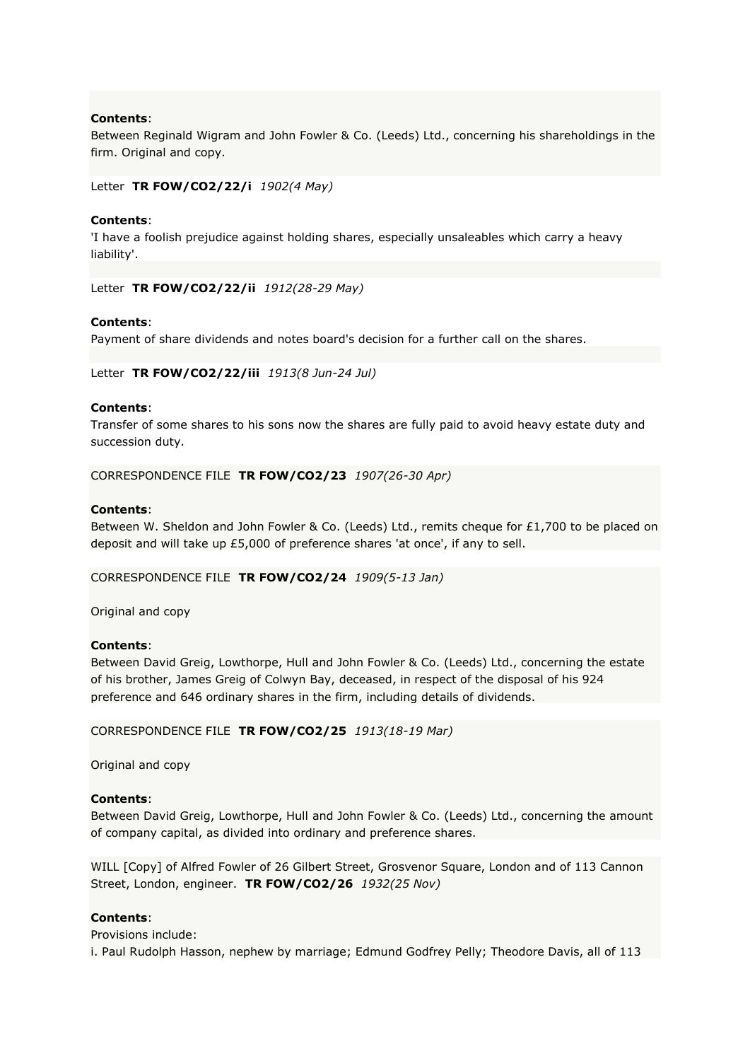Between Reginald Wigram and John Fowler & Co. (Leeds) Ltd., concerning his shareholdings in the firm. Original and copy.

Letter **TR FOW/CO2/22/i** *1902(4 May)*

## **Contents**:

'I have a foolish prejudice against holding shares, especially unsaleables which carry a heavy liability'.

Letter **TR FOW/CO2/22/ii** *1912(28-29 May)*

## **Contents**:

Payment of share dividends and notes board's decision for a further call on the shares.

Letter **TR FOW/CO2/22/iii** *1913(8 Jun-24 Jul)*

## **Contents**:

Transfer of some shares to his sons now the shares are fully paid to avoid heavy estate duty and succession duty.

CORRESPONDENCE FILE **TR FOW/CO2/23** *1907(26-30 Apr)*

## **Contents**:

Between W. Sheldon and John Fowler & Co. (Leeds) Ltd., remits cheque for £1,700 to be placed on deposit and will take up £5,000 of preference shares 'at once', if any to sell.

## CORRESPONDENCE FILE **TR FOW/CO2/24** *1909(5-13 Jan)*

Original and copy

## **Contents**:

Between David Greig, Lowthorpe, Hull and John Fowler & Co. (Leeds) Ltd., concerning the estate of his brother, James Greig of Colwyn Bay, deceased, in respect of the disposal of his 924 preference and 646 ordinary shares in the firm, including details of dividends.

#### CORRESPONDENCE FILE **TR FOW/CO2/25** *1913(18-19 Mar)*

Original and copy

#### **Contents**:

Between David Greig, Lowthorpe, Hull and John Fowler & Co. (Leeds) Ltd., concerning the amount of company capital, as divided into ordinary and preference shares.

WILL [Copy] of Alfred Fowler of 26 Gilbert Street, Grosvenor Square, London and of 113 Cannon Street, London, engineer. **TR FOW/CO2/26** *1932(25 Nov)*

## **Contents**:

Provisions include: i. Paul Rudolph Hasson, nephew by marriage; Edmund Godfrey Pelly; Theodore Davis, all of 113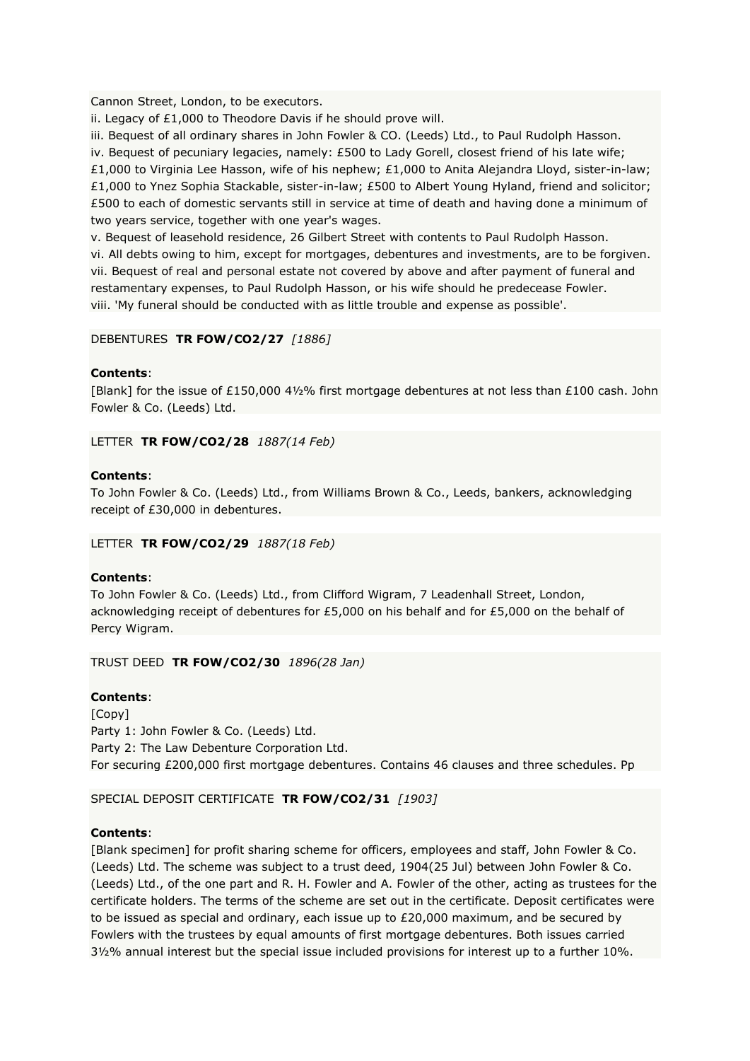Cannon Street, London, to be executors.

ii. Legacy of £1,000 to Theodore Davis if he should prove will.

iii. Bequest of all ordinary shares in John Fowler & CO. (Leeds) Ltd., to Paul Rudolph Hasson.

iv. Bequest of pecuniary legacies, namely: £500 to Lady Gorell, closest friend of his late wife; £1,000 to Virginia Lee Hasson, wife of his nephew; £1,000 to Anita Alejandra Lloyd, sister-in-law; £1,000 to Ynez Sophia Stackable, sister-in-law; £500 to Albert Young Hyland, friend and solicitor; £500 to each of domestic servants still in service at time of death and having done a minimum of two years service, together with one year's wages.

v. Bequest of leasehold residence, 26 Gilbert Street with contents to Paul Rudolph Hasson. vi. All debts owing to him, except for mortgages, debentures and investments, are to be forgiven. vii. Bequest of real and personal estate not covered by above and after payment of funeral and restamentary expenses, to Paul Rudolph Hasson, or his wife should he predecease Fowler. viii. 'My funeral should be conducted with as little trouble and expense as possible'.

# DEBENTURES **TR FOW/CO2/27** *[1886]*

# **Contents**:

[Blank] for the issue of £150,000 4½% first mortgage debentures at not less than £100 cash. John Fowler & Co. (Leeds) Ltd.

LETTER **TR FOW/CO2/28** *1887(14 Feb)*

## **Contents**:

To John Fowler & Co. (Leeds) Ltd., from Williams Brown & Co., Leeds, bankers, acknowledging receipt of £30,000 in debentures.

## LETTER **TR FOW/CO2/29** *1887(18 Feb)*

## **Contents**:

To John Fowler & Co. (Leeds) Ltd., from Clifford Wigram, 7 Leadenhall Street, London, acknowledging receipt of debentures for £5,000 on his behalf and for £5,000 on the behalf of Percy Wigram.

TRUST DEED **TR FOW/CO2/30** *1896(28 Jan)*

# **Contents**:

[Copy] Party 1: John Fowler & Co. (Leeds) Ltd. Party 2: The Law Debenture Corporation Ltd. For securing £200,000 first mortgage debentures. Contains 46 clauses and three schedules. Pp

# SPECIAL DEPOSIT CERTIFICATE **TR FOW/CO2/31** *[1903]*

# **Contents**:

[Blank specimen] for profit sharing scheme for officers, employees and staff, John Fowler & Co. (Leeds) Ltd. The scheme was subject to a trust deed, 1904(25 Jul) between John Fowler & Co. (Leeds) Ltd., of the one part and R. H. Fowler and A. Fowler of the other, acting as trustees for the certificate holders. The terms of the scheme are set out in the certificate. Deposit certificates were to be issued as special and ordinary, each issue up to £20,000 maximum, and be secured by Fowlers with the trustees by equal amounts of first mortgage debentures. Both issues carried 3½% annual interest but the special issue included provisions for interest up to a further 10%.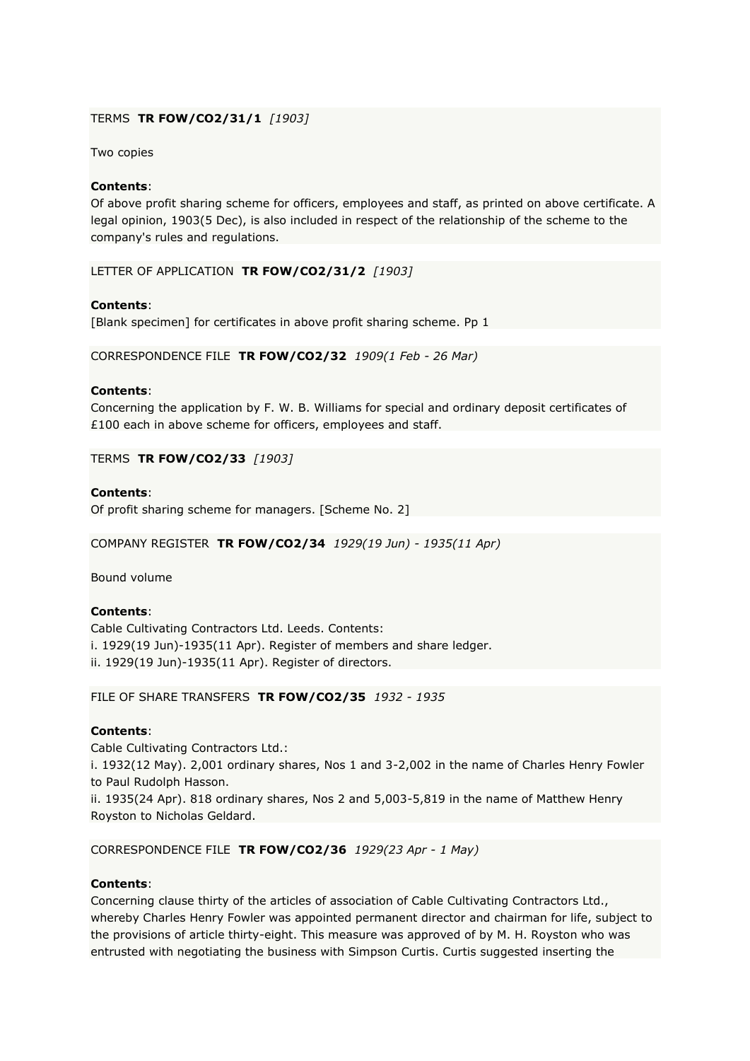## TERMS **TR FOW/CO2/31/1** *[1903]*

Two copies

## **Contents**:

Of above profit sharing scheme for officers, employees and staff, as printed on above certificate. A legal opinion, 1903(5 Dec), is also included in respect of the relationship of the scheme to the company's rules and regulations.

LETTER OF APPLICATION **TR FOW/CO2/31/2** *[1903]*

## **Contents**:

[Blank specimen] for certificates in above profit sharing scheme. Pp 1

CORRESPONDENCE FILE **TR FOW/CO2/32** *1909(1 Feb - 26 Mar)*

## **Contents**:

Concerning the application by F. W. B. Williams for special and ordinary deposit certificates of £100 each in above scheme for officers, employees and staff.

TERMS **TR FOW/CO2/33** *[1903]*

## **Contents**:

Of profit sharing scheme for managers. [Scheme No. 2]

COMPANY REGISTER **TR FOW/CO2/34** *1929(19 Jun) - 1935(11 Apr)*

Bound volume

# **Contents**:

Cable Cultivating Contractors Ltd. Leeds. Contents: i. 1929(19 Jun)-1935(11 Apr). Register of members and share ledger. ii. 1929(19 Jun)-1935(11 Apr). Register of directors.

# FILE OF SHARE TRANSFERS **TR FOW/CO2/35** *1932 - 1935*

# **Contents**:

Cable Cultivating Contractors Ltd.: i. 1932(12 May). 2,001 ordinary shares, Nos 1 and 3-2,002 in the name of Charles Henry Fowler to Paul Rudolph Hasson. ii. 1935(24 Apr). 818 ordinary shares, Nos 2 and 5,003-5,819 in the name of Matthew Henry

## CORRESPONDENCE FILE **TR FOW/CO2/36** *1929(23 Apr - 1 May)*

# **Contents**:

Royston to Nicholas Geldard.

Concerning clause thirty of the articles of association of Cable Cultivating Contractors Ltd., whereby Charles Henry Fowler was appointed permanent director and chairman for life, subject to the provisions of article thirty-eight. This measure was approved of by M. H. Royston who was entrusted with negotiating the business with Simpson Curtis. Curtis suggested inserting the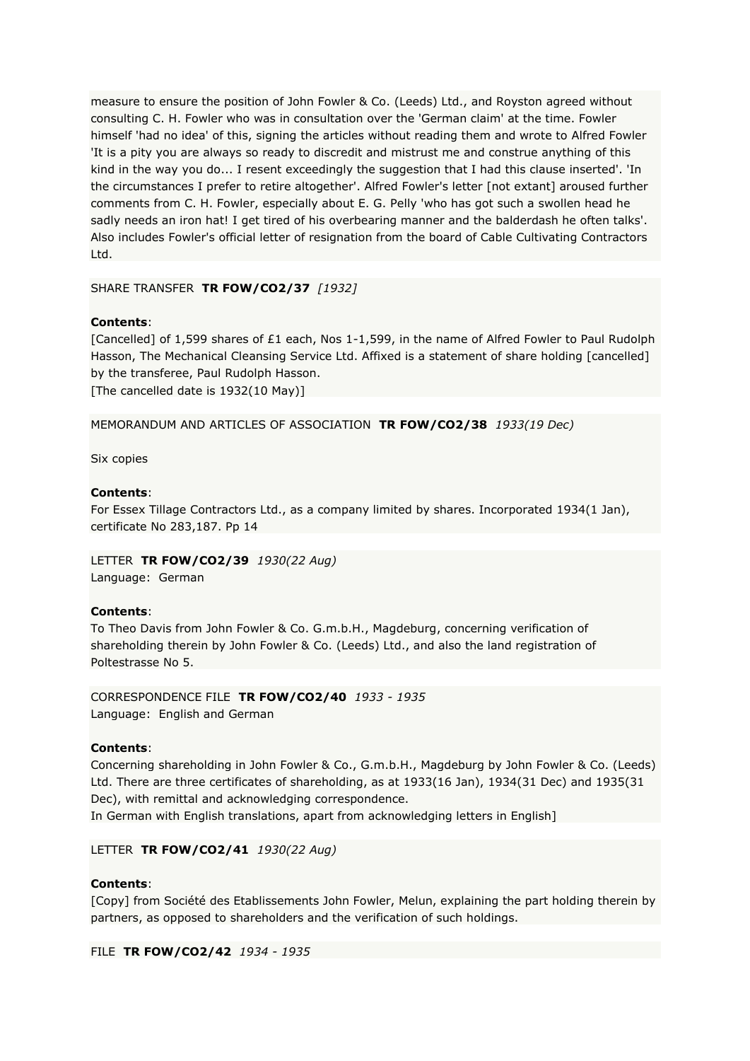measure to ensure the position of John Fowler & Co. (Leeds) Ltd., and Royston agreed without consulting C. H. Fowler who was in consultation over the 'German claim' at the time. Fowler himself 'had no idea' of this, signing the articles without reading them and wrote to Alfred Fowler 'It is a pity you are always so ready to discredit and mistrust me and construe anything of this kind in the way you do... I resent exceedingly the suggestion that I had this clause inserted'. 'In the circumstances I prefer to retire altogether'. Alfred Fowler's letter [not extant] aroused further comments from C. H. Fowler, especially about E. G. Pelly 'who has got such a swollen head he sadly needs an iron hat! I get tired of his overbearing manner and the balderdash he often talks'. Also includes Fowler's official letter of resignation from the board of Cable Cultivating Contractors Ltd.

SHARE TRANSFER **TR FOW/CO2/37** *[1932]*

## **Contents**:

[Cancelled] of 1,599 shares of £1 each, Nos 1-1,599, in the name of Alfred Fowler to Paul Rudolph Hasson, The Mechanical Cleansing Service Ltd. Affixed is a statement of share holding [cancelled] by the transferee, Paul Rudolph Hasson.

[The cancelled date is 1932(10 May)]

MEMORANDUM AND ARTICLES OF ASSOCIATION **TR FOW/CO2/38** *1933(19 Dec)*

Six copies

## **Contents**:

For Essex Tillage Contractors Ltd., as a company limited by shares. Incorporated 1934(1 Jan), certificate No 283,187. Pp 14

LETTER **TR FOW/CO2/39** *1930(22 Aug)* Language: German

## **Contents**:

To Theo Davis from John Fowler & Co. G.m.b.H., Magdeburg, concerning verification of shareholding therein by John Fowler & Co. (Leeds) Ltd., and also the land registration of Poltestrasse No 5.

CORRESPONDENCE FILE **TR FOW/CO2/40** *1933 - 1935* Language: English and German

## **Contents**:

Concerning shareholding in John Fowler & Co., G.m.b.H., Magdeburg by John Fowler & Co. (Leeds) Ltd. There are three certificates of shareholding, as at 1933(16 Jan), 1934(31 Dec) and 1935(31 Dec), with remittal and acknowledging correspondence.

In German with English translations, apart from acknowledging letters in English]

LETTER **TR FOW/CO2/41** *1930(22 Aug)*

## **Contents**:

[Copy] from Société des Etablissements John Fowler, Melun, explaining the part holding therein by partners, as opposed to shareholders and the verification of such holdings.

FILE **TR FOW/CO2/42** *1934 - 1935*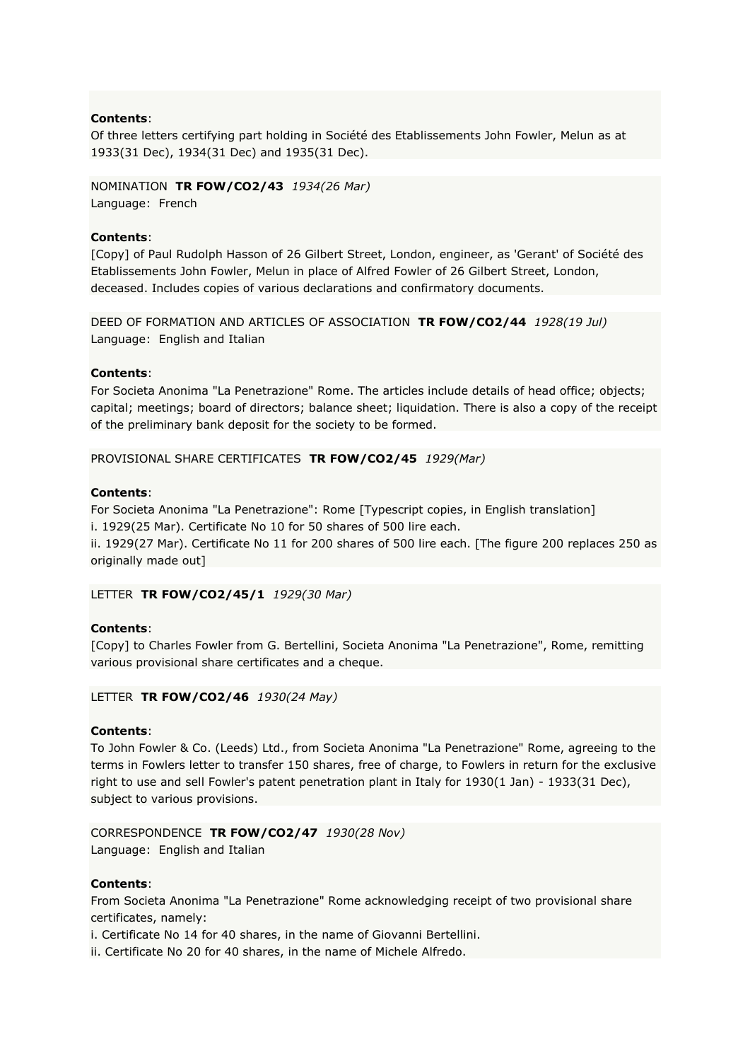Of three letters certifying part holding in Société des Etablissements John Fowler, Melun as at 1933(31 Dec), 1934(31 Dec) and 1935(31 Dec).

NOMINATION **TR FOW/CO2/43** *1934(26 Mar)* Language: French

## **Contents**:

[Copy] of Paul Rudolph Hasson of 26 Gilbert Street, London, engineer, as 'Gerant' of Société des Etablissements John Fowler, Melun in place of Alfred Fowler of 26 Gilbert Street, London, deceased. Includes copies of various declarations and confirmatory documents.

DEED OF FORMATION AND ARTICLES OF ASSOCIATION **TR FOW/CO2/44** *1928(19 Jul)* Language: English and Italian

## **Contents**:

For Societa Anonima "La Penetrazione" Rome. The articles include details of head office; objects; capital; meetings; board of directors; balance sheet; liquidation. There is also a copy of the receipt of the preliminary bank deposit for the society to be formed.

PROVISIONAL SHARE CERTIFICATES **TR FOW/CO2/45** *1929(Mar)*

## **Contents**:

For Societa Anonima "La Penetrazione": Rome [Typescript copies, in English translation]

i. 1929(25 Mar). Certificate No 10 for 50 shares of 500 lire each.

ii. 1929(27 Mar). Certificate No 11 for 200 shares of 500 lire each. [The figure 200 replaces 250 as originally made out]

LETTER **TR FOW/CO2/45/1** *1929(30 Mar)*

# **Contents**:

[Copy] to Charles Fowler from G. Bertellini, Societa Anonima "La Penetrazione", Rome, remitting various provisional share certificates and a cheque.

LETTER **TR FOW/CO2/46** *1930(24 May)*

## **Contents**:

To John Fowler & Co. (Leeds) Ltd., from Societa Anonima "La Penetrazione" Rome, agreeing to the terms in Fowlers letter to transfer 150 shares, free of charge, to Fowlers in return for the exclusive right to use and sell Fowler's patent penetration plant in Italy for 1930(1 Jan) - 1933(31 Dec), subject to various provisions.

CORRESPONDENCE **TR FOW/CO2/47** *1930(28 Nov)* Language: English and Italian

## **Contents**:

From Societa Anonima "La Penetrazione" Rome acknowledging receipt of two provisional share certificates, namely:

i. Certificate No 14 for 40 shares, in the name of Giovanni Bertellini.

ii. Certificate No 20 for 40 shares, in the name of Michele Alfredo.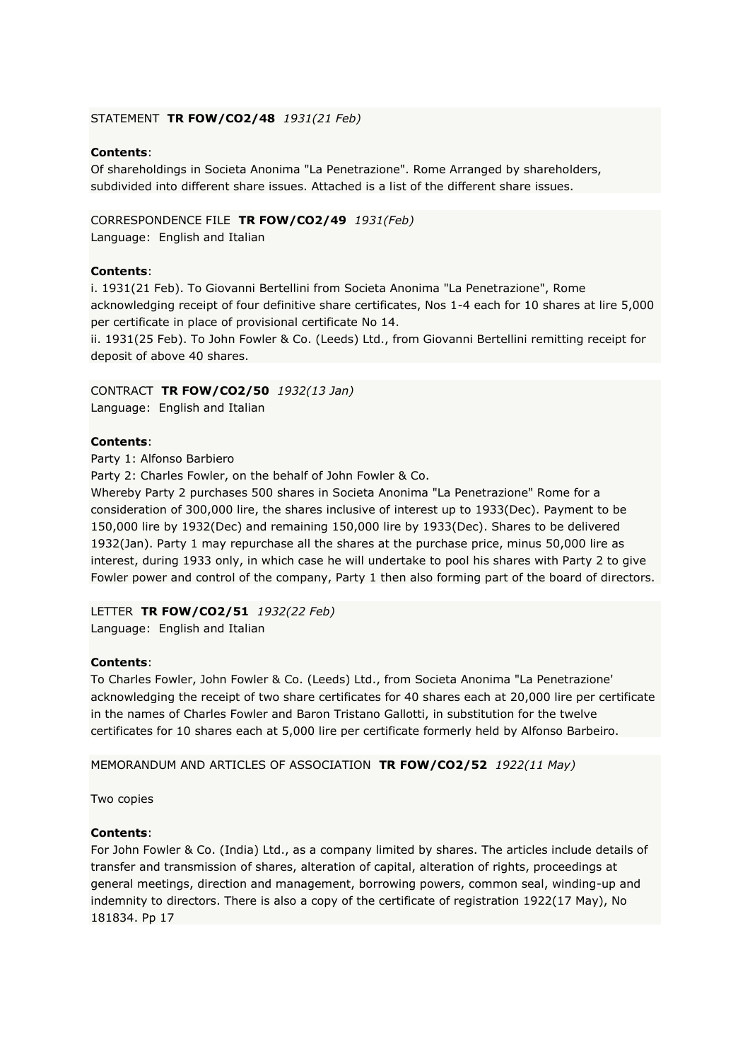## STATEMENT **TR FOW/CO2/48** *1931(21 Feb)*

## **Contents**:

Of shareholdings in Societa Anonima "La Penetrazione". Rome Arranged by shareholders, subdivided into different share issues. Attached is a list of the different share issues.

#### CORRESPONDENCE FILE **TR FOW/CO2/49** *1931(Feb)*

Language: English and Italian

#### **Contents**:

i. 1931(21 Feb). To Giovanni Bertellini from Societa Anonima "La Penetrazione", Rome acknowledging receipt of four definitive share certificates, Nos 1-4 each for 10 shares at lire 5,000 per certificate in place of provisional certificate No 14.

ii. 1931(25 Feb). To John Fowler & Co. (Leeds) Ltd., from Giovanni Bertellini remitting receipt for deposit of above 40 shares.

#### CONTRACT **TR FOW/CO2/50** *1932(13 Jan)*

Language: English and Italian

## **Contents**:

Party 1: Alfonso Barbiero

Party 2: Charles Fowler, on the behalf of John Fowler & Co.

Whereby Party 2 purchases 500 shares in Societa Anonima "La Penetrazione" Rome for a consideration of 300,000 lire, the shares inclusive of interest up to 1933(Dec). Payment to be 150,000 lire by 1932(Dec) and remaining 150,000 lire by 1933(Dec). Shares to be delivered 1932(Jan). Party 1 may repurchase all the shares at the purchase price, minus 50,000 lire as interest, during 1933 only, in which case he will undertake to pool his shares with Party 2 to give Fowler power and control of the company, Party 1 then also forming part of the board of directors.

#### LETTER **TR FOW/CO2/51** *1932(22 Feb)*

Language: English and Italian

## **Contents**:

To Charles Fowler, John Fowler & Co. (Leeds) Ltd., from Societa Anonima "La Penetrazione' acknowledging the receipt of two share certificates for 40 shares each at 20,000 lire per certificate in the names of Charles Fowler and Baron Tristano Gallotti, in substitution for the twelve certificates for 10 shares each at 5,000 lire per certificate formerly held by Alfonso Barbeiro.

MEMORANDUM AND ARTICLES OF ASSOCIATION **TR FOW/CO2/52** *1922(11 May)*

Two copies

## **Contents**:

For John Fowler & Co. (India) Ltd., as a company limited by shares. The articles include details of transfer and transmission of shares, alteration of capital, alteration of rights, proceedings at general meetings, direction and management, borrowing powers, common seal, winding-up and indemnity to directors. There is also a copy of the certificate of registration 1922(17 May), No 181834. Pp 17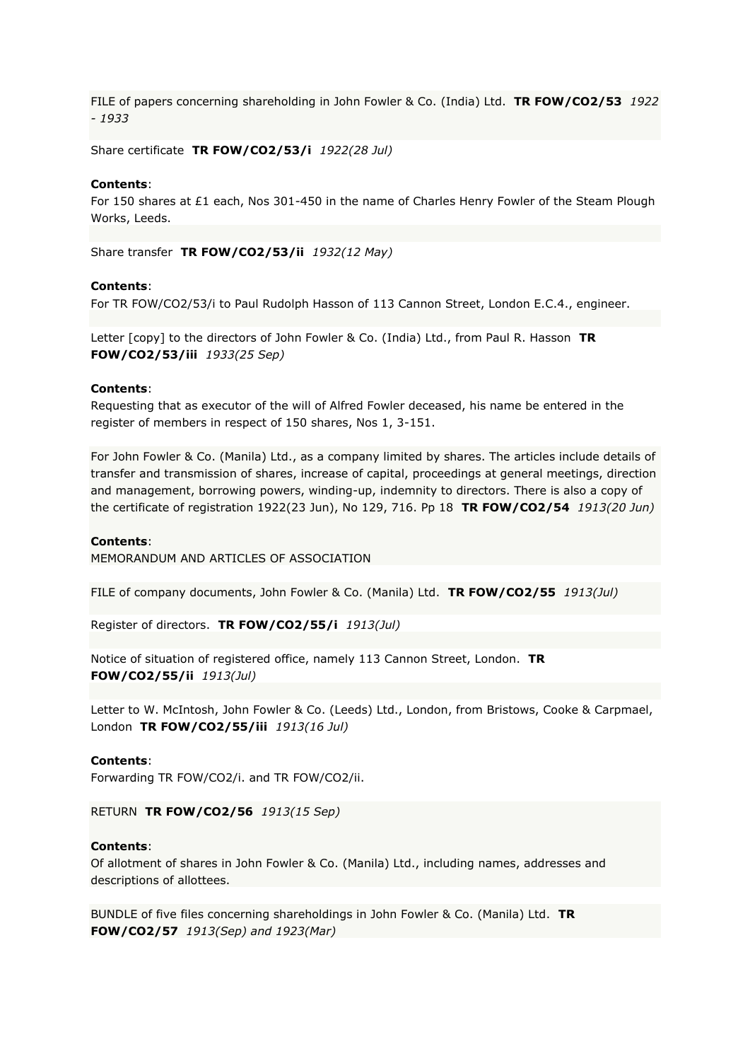FILE of papers concerning shareholding in John Fowler & Co. (India) Ltd. **TR FOW/CO2/53** *1922 - 1933*

Share certificate **TR FOW/CO2/53/i** *1922(28 Jul)*

#### **Contents**:

For 150 shares at £1 each, Nos 301-450 in the name of Charles Henry Fowler of the Steam Plough Works, Leeds.

Share transfer **TR FOW/CO2/53/ii** *1932(12 May)*

#### **Contents**:

For TR FOW/CO2/53/i to Paul Rudolph Hasson of 113 Cannon Street, London E.C.4., engineer.

Letter [copy] to the directors of John Fowler & Co. (India) Ltd., from Paul R. Hasson **TR FOW/CO2/53/iii** *1933(25 Sep)*

#### **Contents**:

Requesting that as executor of the will of Alfred Fowler deceased, his name be entered in the register of members in respect of 150 shares, Nos 1, 3-151.

For John Fowler & Co. (Manila) Ltd., as a company limited by shares. The articles include details of transfer and transmission of shares, increase of capital, proceedings at general meetings, direction and management, borrowing powers, winding-up, indemnity to directors. There is also a copy of the certificate of registration 1922(23 Jun), No 129, 716. Pp 18 **TR FOW/CO2/54** *1913(20 Jun)*

#### **Contents**:

MEMORANDUM AND ARTICLES OF ASSOCIATION

FILE of company documents, John Fowler & Co. (Manila) Ltd. **TR FOW/CO2/55** *1913(Jul)*

Register of directors. **TR FOW/CO2/55/i** *1913(Jul)*

Notice of situation of registered office, namely 113 Cannon Street, London. **TR FOW/CO2/55/ii** *1913(Jul)*

Letter to W. McIntosh, John Fowler & Co. (Leeds) Ltd., London, from Bristows, Cooke & Carpmael, London **TR FOW/CO2/55/iii** *1913(16 Jul)*

#### **Contents**:

Forwarding TR FOW/CO2/i. and TR FOW/CO2/ii.

RETURN **TR FOW/CO2/56** *1913(15 Sep)*

#### **Contents**:

Of allotment of shares in John Fowler & Co. (Manila) Ltd., including names, addresses and descriptions of allottees.

BUNDLE of five files concerning shareholdings in John Fowler & Co. (Manila) Ltd. **TR FOW/CO2/57** *1913(Sep) and 1923(Mar)*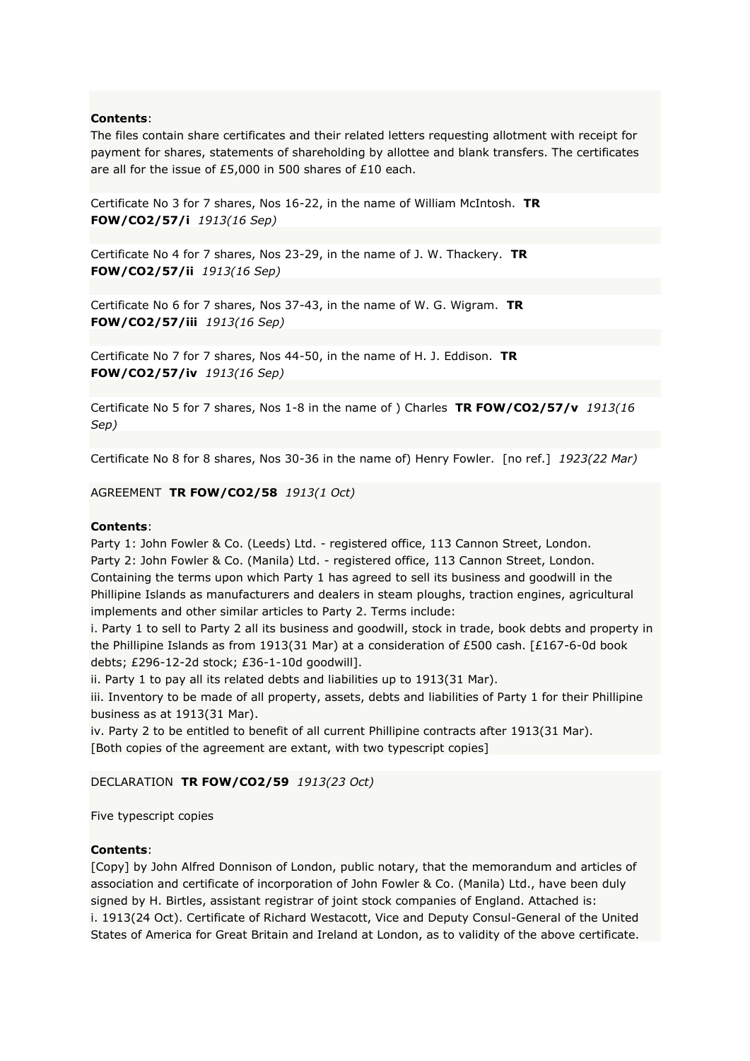The files contain share certificates and their related letters requesting allotment with receipt for payment for shares, statements of shareholding by allottee and blank transfers. The certificates are all for the issue of £5,000 in 500 shares of £10 each.

Certificate No 3 for 7 shares, Nos 16-22, in the name of William McIntosh. **TR FOW/CO2/57/i** *1913(16 Sep)*

Certificate No 4 for 7 shares, Nos 23-29, in the name of J. W. Thackery. **TR FOW/CO2/57/ii** *1913(16 Sep)*

Certificate No 6 for 7 shares, Nos 37-43, in the name of W. G. Wigram. **TR FOW/CO2/57/iii** *1913(16 Sep)*

Certificate No 7 for 7 shares, Nos 44-50, in the name of H. J. Eddison. **TR FOW/CO2/57/iv** *1913(16 Sep)*

Certificate No 5 for 7 shares, Nos 1-8 in the name of ) Charles **TR FOW/CO2/57/v** *1913(16 Sep)*

Certificate No 8 for 8 shares, Nos 30-36 in the name of) Henry Fowler. [no ref.] *1923(22 Mar)*

AGREEMENT **TR FOW/CO2/58** *1913(1 Oct)*

## **Contents**:

Party 1: John Fowler & Co. (Leeds) Ltd. - registered office, 113 Cannon Street, London. Party 2: John Fowler & Co. (Manila) Ltd. - registered office, 113 Cannon Street, London. Containing the terms upon which Party 1 has agreed to sell its business and goodwill in the Phillipine Islands as manufacturers and dealers in steam ploughs, traction engines, agricultural implements and other similar articles to Party 2. Terms include:

i. Party 1 to sell to Party 2 all its business and goodwill, stock in trade, book debts and property in the Phillipine Islands as from 1913(31 Mar) at a consideration of £500 cash. [£167-6-0d book debts; £296-12-2d stock; £36-1-10d goodwill].

ii. Party 1 to pay all its related debts and liabilities up to 1913(31 Mar).

iii. Inventory to be made of all property, assets, debts and liabilities of Party 1 for their Phillipine business as at 1913(31 Mar).

iv. Party 2 to be entitled to benefit of all current Phillipine contracts after 1913(31 Mar). [Both copies of the agreement are extant, with two typescript copies]

## DECLARATION **TR FOW/CO2/59** *1913(23 Oct)*

Five typescript copies

## **Contents**:

[Copy] by John Alfred Donnison of London, public notary, that the memorandum and articles of association and certificate of incorporation of John Fowler & Co. (Manila) Ltd., have been duly signed by H. Birtles, assistant registrar of joint stock companies of England. Attached is: i. 1913(24 Oct). Certificate of Richard Westacott, Vice and Deputy Consul-General of the United States of America for Great Britain and Ireland at London, as to validity of the above certificate.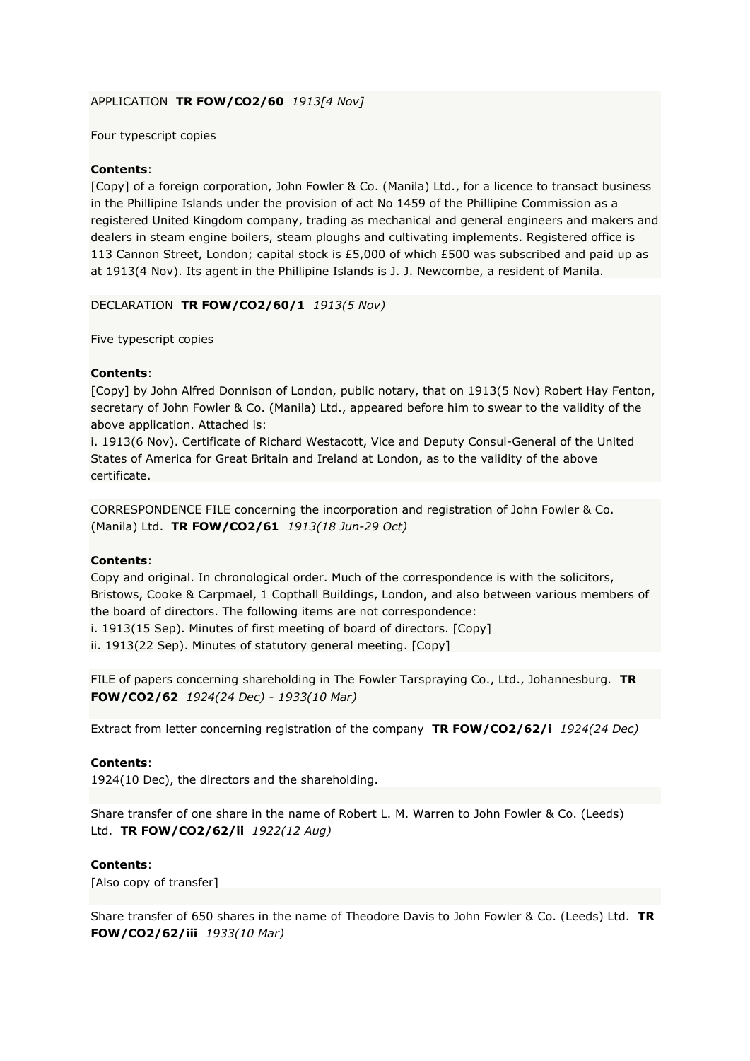# APPLICATION **TR FOW/CO2/60** *1913[4 Nov]*

## Four typescript copies

## **Contents**:

[Copy] of a foreign corporation, John Fowler & Co. (Manila) Ltd., for a licence to transact business in the Phillipine Islands under the provision of act No 1459 of the Phillipine Commission as a registered United Kingdom company, trading as mechanical and general engineers and makers and dealers in steam engine boilers, steam ploughs and cultivating implements. Registered office is 113 Cannon Street, London; capital stock is £5,000 of which £500 was subscribed and paid up as at 1913(4 Nov). Its agent in the Phillipine Islands is J. J. Newcombe, a resident of Manila.

## DECLARATION **TR FOW/CO2/60/1** *1913(5 Nov)*

Five typescript copies

# **Contents**:

[Copy] by John Alfred Donnison of London, public notary, that on 1913(5 Nov) Robert Hay Fenton, secretary of John Fowler & Co. (Manila) Ltd., appeared before him to swear to the validity of the above application. Attached is:

i. 1913(6 Nov). Certificate of Richard Westacott, Vice and Deputy Consul-General of the United States of America for Great Britain and Ireland at London, as to the validity of the above certificate.

CORRESPONDENCE FILE concerning the incorporation and registration of John Fowler & Co. (Manila) Ltd. **TR FOW/CO2/61** *1913(18 Jun-29 Oct)*

## **Contents**:

Copy and original. In chronological order. Much of the correspondence is with the solicitors, Bristows, Cooke & Carpmael, 1 Copthall Buildings, London, and also between various members of the board of directors. The following items are not correspondence:

i. 1913(15 Sep). Minutes of first meeting of board of directors. [Copy]

ii. 1913(22 Sep). Minutes of statutory general meeting. [Copy]

FILE of papers concerning shareholding in The Fowler Tarspraying Co., Ltd., Johannesburg. **TR FOW/CO2/62** *1924(24 Dec) - 1933(10 Mar)*

Extract from letter concerning registration of the company **TR FOW/CO2/62/i** *1924(24 Dec)*

## **Contents**:

1924(10 Dec), the directors and the shareholding.

Share transfer of one share in the name of Robert L. M. Warren to John Fowler & Co. (Leeds) Ltd. **TR FOW/CO2/62/ii** *1922(12 Aug)*

## **Contents**:

[Also copy of transfer]

Share transfer of 650 shares in the name of Theodore Davis to John Fowler & Co. (Leeds) Ltd. **TR FOW/CO2/62/iii** *1933(10 Mar)*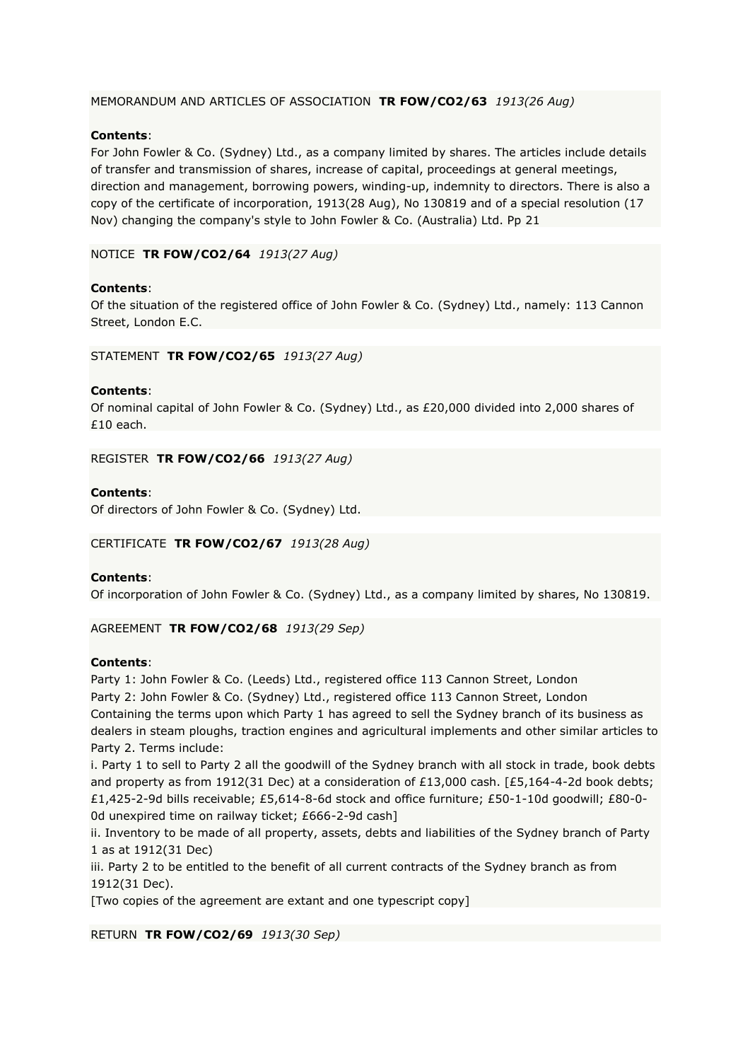# MEMORANDUM AND ARTICLES OF ASSOCIATION **TR FOW/CO2/63** *1913(26 Aug)*

# **Contents**:

For John Fowler & Co. (Sydney) Ltd., as a company limited by shares. The articles include details of transfer and transmission of shares, increase of capital, proceedings at general meetings, direction and management, borrowing powers, winding-up, indemnity to directors. There is also a copy of the certificate of incorporation, 1913(28 Aug), No 130819 and of a special resolution (17 Nov) changing the company's style to John Fowler & Co. (Australia) Ltd. Pp 21

## NOTICE **TR FOW/CO2/64** *1913(27 Aug)*

## **Contents**:

Of the situation of the registered office of John Fowler & Co. (Sydney) Ltd., namely: 113 Cannon Street, London E.C.

## STATEMENT **TR FOW/CO2/65** *1913(27 Aug)*

## **Contents**:

Of nominal capital of John Fowler & Co. (Sydney) Ltd., as £20,000 divided into 2,000 shares of £10 each.

REGISTER **TR FOW/CO2/66** *1913(27 Aug)*

## **Contents**:

Of directors of John Fowler & Co. (Sydney) Ltd.

## CERTIFICATE **TR FOW/CO2/67** *1913(28 Aug)*

## **Contents**:

Of incorporation of John Fowler & Co. (Sydney) Ltd., as a company limited by shares, No 130819.

## AGREEMENT **TR FOW/CO2/68** *1913(29 Sep)*

## **Contents**:

Party 1: John Fowler & Co. (Leeds) Ltd., registered office 113 Cannon Street, London Party 2: John Fowler & Co. (Sydney) Ltd., registered office 113 Cannon Street, London Containing the terms upon which Party 1 has agreed to sell the Sydney branch of its business as dealers in steam ploughs, traction engines and agricultural implements and other similar articles to Party 2. Terms include:

i. Party 1 to sell to Party 2 all the goodwill of the Sydney branch with all stock in trade, book debts and property as from 1912(31 Dec) at a consideration of £13,000 cash. [£5,164-4-2d book debts; £1,425-2-9d bills receivable; £5,614-8-6d stock and office furniture; £50-1-10d goodwill; £80-0- 0d unexpired time on railway ticket; £666-2-9d cash]

ii. Inventory to be made of all property, assets, debts and liabilities of the Sydney branch of Party 1 as at 1912(31 Dec)

iii. Party 2 to be entitled to the benefit of all current contracts of the Sydney branch as from 1912(31 Dec).

[Two copies of the agreement are extant and one typescript copy]

RETURN **TR FOW/CO2/69** *1913(30 Sep)*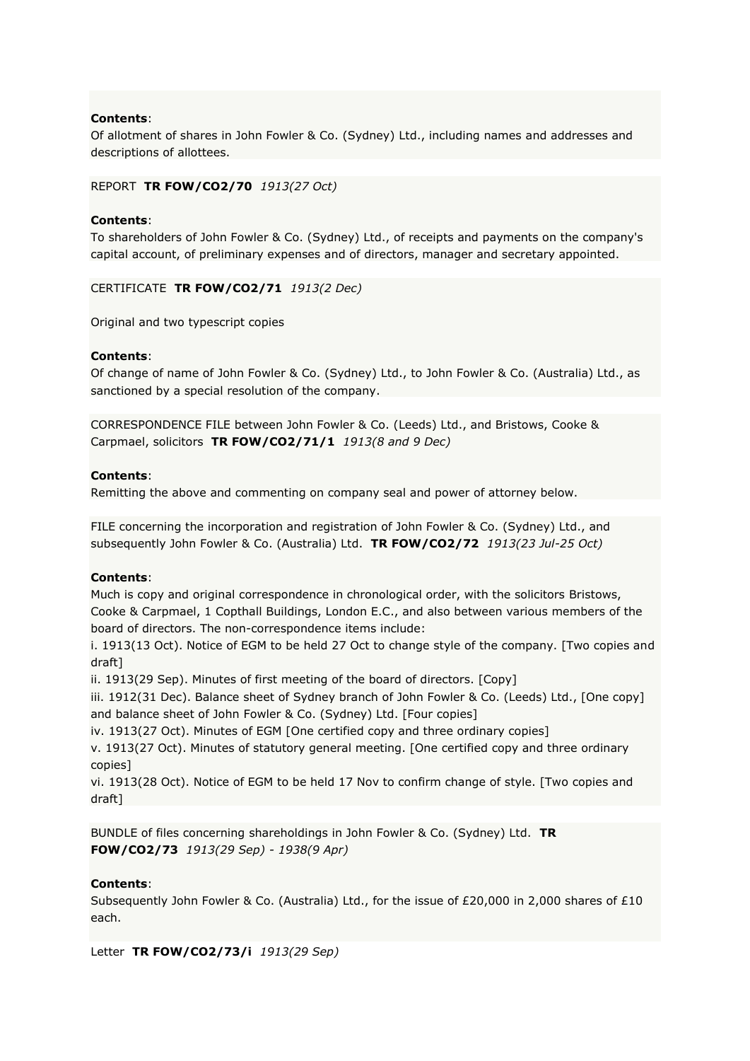Of allotment of shares in John Fowler & Co. (Sydney) Ltd., including names and addresses and descriptions of allottees.

## REPORT **TR FOW/CO2/70** *1913(27 Oct)*

## **Contents**:

To shareholders of John Fowler & Co. (Sydney) Ltd., of receipts and payments on the company's capital account, of preliminary expenses and of directors, manager and secretary appointed.

CERTIFICATE **TR FOW/CO2/71** *1913(2 Dec)*

Original and two typescript copies

## **Contents**:

Of change of name of John Fowler & Co. (Sydney) Ltd., to John Fowler & Co. (Australia) Ltd., as sanctioned by a special resolution of the company.

CORRESPONDENCE FILE between John Fowler & Co. (Leeds) Ltd., and Bristows, Cooke & Carpmael, solicitors **TR FOW/CO2/71/1** *1913(8 and 9 Dec)*

## **Contents**:

Remitting the above and commenting on company seal and power of attorney below.

FILE concerning the incorporation and registration of John Fowler & Co. (Sydney) Ltd., and subsequently John Fowler & Co. (Australia) Ltd. **TR FOW/CO2/72** *1913(23 Jul-25 Oct)*

# **Contents**:

Much is copy and original correspondence in chronological order, with the solicitors Bristows, Cooke & Carpmael, 1 Copthall Buildings, London E.C., and also between various members of the board of directors. The non-correspondence items include:

i. 1913(13 Oct). Notice of EGM to be held 27 Oct to change style of the company. [Two copies and draft]

ii. 1913(29 Sep). Minutes of first meeting of the board of directors. [Copy]

iii. 1912(31 Dec). Balance sheet of Sydney branch of John Fowler & Co. (Leeds) Ltd., [One copy] and balance sheet of John Fowler & Co. (Sydney) Ltd. [Four copies]

iv. 1913(27 Oct). Minutes of EGM [One certified copy and three ordinary copies]

v. 1913(27 Oct). Minutes of statutory general meeting. [One certified copy and three ordinary copies]

vi. 1913(28 Oct). Notice of EGM to be held 17 Nov to confirm change of style. [Two copies and draft]

BUNDLE of files concerning shareholdings in John Fowler & Co. (Sydney) Ltd. **TR FOW/CO2/73** *1913(29 Sep) - 1938(9 Apr)*

# **Contents**:

Subsequently John Fowler & Co. (Australia) Ltd., for the issue of £20,000 in 2,000 shares of £10 each.

Letter **TR FOW/CO2/73/i** *1913(29 Sep)*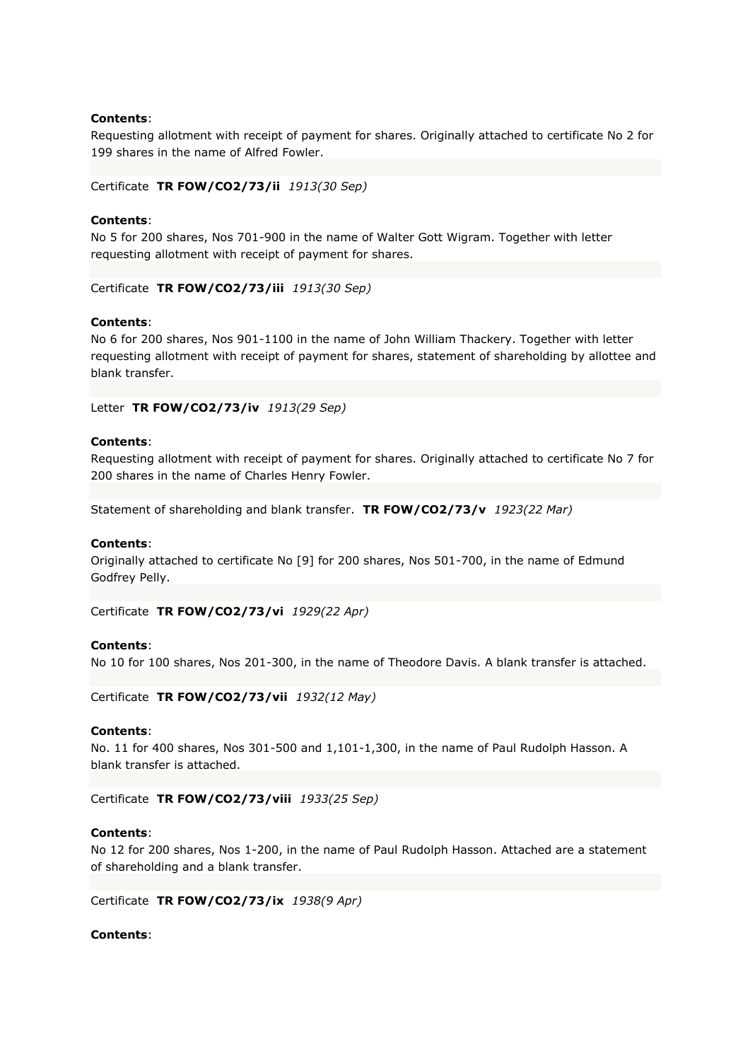Requesting allotment with receipt of payment for shares. Originally attached to certificate No 2 for 199 shares in the name of Alfred Fowler.

Certificate **TR FOW/CO2/73/ii** *1913(30 Sep)*

## **Contents**:

No 5 for 200 shares, Nos 701-900 in the name of Walter Gott Wigram. Together with letter requesting allotment with receipt of payment for shares.

Certificate **TR FOW/CO2/73/iii** *1913(30 Sep)*

#### **Contents**:

No 6 for 200 shares, Nos 901-1100 in the name of John William Thackery. Together with letter requesting allotment with receipt of payment for shares, statement of shareholding by allottee and blank transfer.

Letter **TR FOW/CO2/73/iv** *1913(29 Sep)*

#### **Contents**:

Requesting allotment with receipt of payment for shares. Originally attached to certificate No 7 for 200 shares in the name of Charles Henry Fowler.

Statement of shareholding and blank transfer. **TR FOW/CO2/73/v** *1923(22 Mar)*

#### **Contents**:

Originally attached to certificate No [9] for 200 shares, Nos 501-700, in the name of Edmund Godfrey Pelly.

Certificate **TR FOW/CO2/73/vi** *1929(22 Apr)*

#### **Contents**:

No 10 for 100 shares, Nos 201-300, in the name of Theodore Davis. A blank transfer is attached.

Certificate **TR FOW/CO2/73/vii** *1932(12 May)*

#### **Contents**:

No. 11 for 400 shares, Nos 301-500 and 1,101-1,300, in the name of Paul Rudolph Hasson. A blank transfer is attached.

Certificate **TR FOW/CO2/73/viii** *1933(25 Sep)*

## **Contents**:

No 12 for 200 shares, Nos 1-200, in the name of Paul Rudolph Hasson. Attached are a statement of shareholding and a blank transfer.

Certificate **TR FOW/CO2/73/ix** *1938(9 Apr)*

#### **Contents**: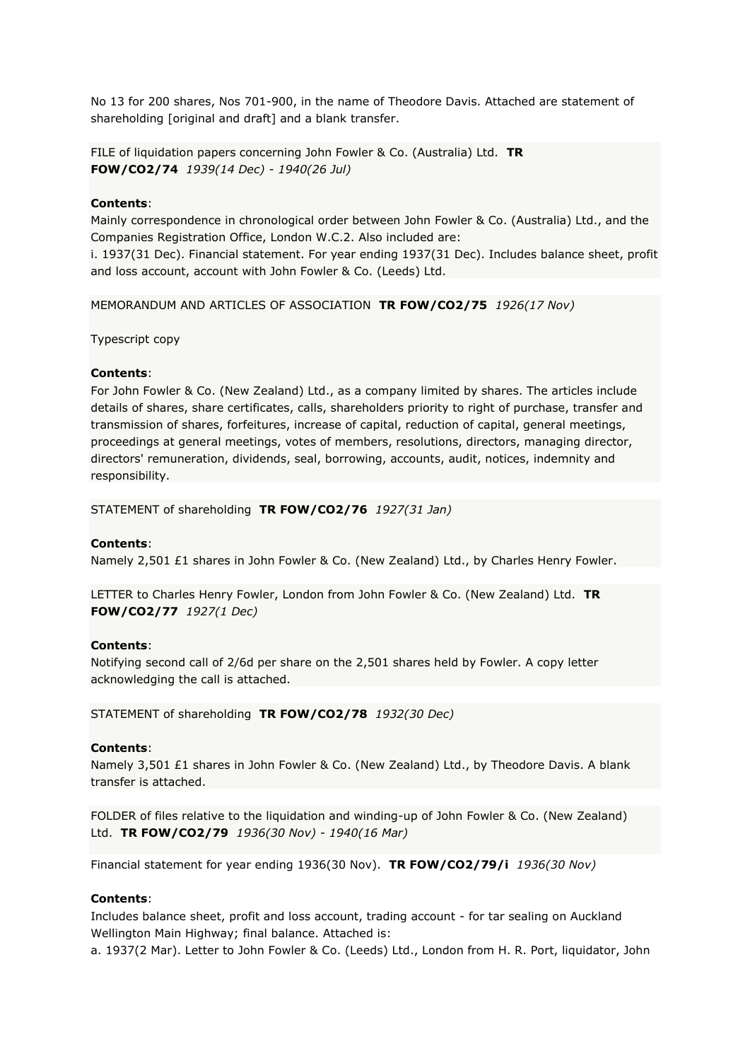No 13 for 200 shares, Nos 701-900, in the name of Theodore Davis. Attached are statement of shareholding [original and draft] and a blank transfer.

FILE of liquidation papers concerning John Fowler & Co. (Australia) Ltd. **TR FOW/CO2/74** *1939(14 Dec) - 1940(26 Jul)*

## **Contents**:

Mainly correspondence in chronological order between John Fowler & Co. (Australia) Ltd., and the Companies Registration Office, London W.C.2. Also included are:

i. 1937(31 Dec). Financial statement. For year ending 1937(31 Dec). Includes balance sheet, profit and loss account, account with John Fowler & Co. (Leeds) Ltd.

MEMORANDUM AND ARTICLES OF ASSOCIATION **TR FOW/CO2/75** *1926(17 Nov)*

Typescript copy

## **Contents**:

For John Fowler & Co. (New Zealand) Ltd., as a company limited by shares. The articles include details of shares, share certificates, calls, shareholders priority to right of purchase, transfer and transmission of shares, forfeitures, increase of capital, reduction of capital, general meetings, proceedings at general meetings, votes of members, resolutions, directors, managing director, directors' remuneration, dividends, seal, borrowing, accounts, audit, notices, indemnity and responsibility.

STATEMENT of shareholding **TR FOW/CO2/76** *1927(31 Jan)*

## **Contents**:

Namely 2,501 £1 shares in John Fowler & Co. (New Zealand) Ltd., by Charles Henry Fowler.

LETTER to Charles Henry Fowler, London from John Fowler & Co. (New Zealand) Ltd. **TR FOW/CO2/77** *1927(1 Dec)*

## **Contents**:

Notifying second call of 2/6d per share on the 2,501 shares held by Fowler. A copy letter acknowledging the call is attached.

STATEMENT of shareholding **TR FOW/CO2/78** *1932(30 Dec)*

## **Contents**:

Namely 3,501 £1 shares in John Fowler & Co. (New Zealand) Ltd., by Theodore Davis. A blank transfer is attached.

FOLDER of files relative to the liquidation and winding-up of John Fowler & Co. (New Zealand) Ltd. **TR FOW/CO2/79** *1936(30 Nov) - 1940(16 Mar)*

Financial statement for year ending 1936(30 Nov). **TR FOW/CO2/79/i** *1936(30 Nov)*

## **Contents**:

Includes balance sheet, profit and loss account, trading account - for tar sealing on Auckland Wellington Main Highway; final balance. Attached is:

a. 1937(2 Mar). Letter to John Fowler & Co. (Leeds) Ltd., London from H. R. Port, liquidator, John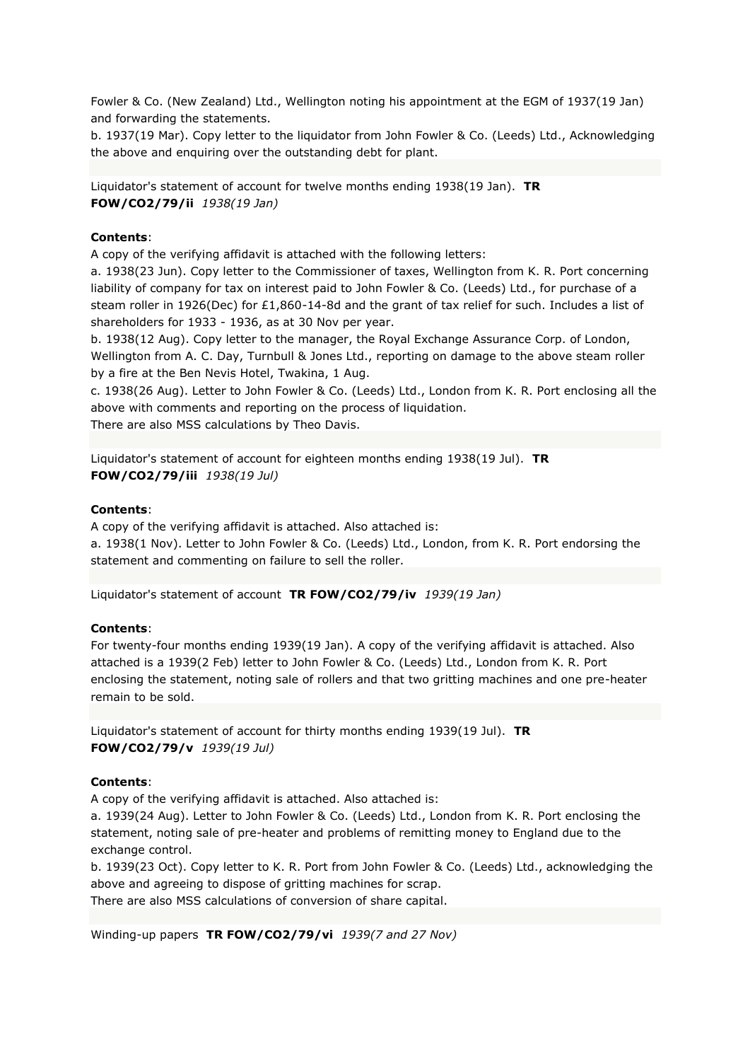Fowler & Co. (New Zealand) Ltd., Wellington noting his appointment at the EGM of 1937(19 Jan) and forwarding the statements.

b. 1937(19 Mar). Copy letter to the liquidator from John Fowler & Co. (Leeds) Ltd., Acknowledging the above and enquiring over the outstanding debt for plant.

Liquidator's statement of account for twelve months ending 1938(19 Jan). **TR FOW/CO2/79/ii** *1938(19 Jan)*

## **Contents**:

A copy of the verifying affidavit is attached with the following letters:

a. 1938(23 Jun). Copy letter to the Commissioner of taxes, Wellington from K. R. Port concerning liability of company for tax on interest paid to John Fowler & Co. (Leeds) Ltd., for purchase of a steam roller in 1926(Dec) for £1,860-14-8d and the grant of tax relief for such. Includes a list of shareholders for 1933 - 1936, as at 30 Nov per year.

b. 1938(12 Aug). Copy letter to the manager, the Royal Exchange Assurance Corp. of London, Wellington from A. C. Day, Turnbull & Jones Ltd., reporting on damage to the above steam roller by a fire at the Ben Nevis Hotel, Twakina, 1 Aug.

c. 1938(26 Aug). Letter to John Fowler & Co. (Leeds) Ltd., London from K. R. Port enclosing all the above with comments and reporting on the process of liquidation.

There are also MSS calculations by Theo Davis.

Liquidator's statement of account for eighteen months ending 1938(19 Jul). **TR FOW/CO2/79/iii** *1938(19 Jul)*

## **Contents**:

A copy of the verifying affidavit is attached. Also attached is: a. 1938(1 Nov). Letter to John Fowler & Co. (Leeds) Ltd., London, from K. R. Port endorsing the statement and commenting on failure to sell the roller.

Liquidator's statement of account **TR FOW/CO2/79/iv** *1939(19 Jan)*

## **Contents**:

For twenty-four months ending 1939(19 Jan). A copy of the verifying affidavit is attached. Also attached is a 1939(2 Feb) letter to John Fowler & Co. (Leeds) Ltd., London from K. R. Port enclosing the statement, noting sale of rollers and that two gritting machines and one pre-heater remain to be sold.

Liquidator's statement of account for thirty months ending 1939(19 Jul). **TR FOW/CO2/79/v** *1939(19 Jul)*

#### **Contents**:

A copy of the verifying affidavit is attached. Also attached is:

a. 1939(24 Aug). Letter to John Fowler & Co. (Leeds) Ltd., London from K. R. Port enclosing the statement, noting sale of pre-heater and problems of remitting money to England due to the exchange control.

b. 1939(23 Oct). Copy letter to K. R. Port from John Fowler & Co. (Leeds) Ltd., acknowledging the above and agreeing to dispose of gritting machines for scrap.

There are also MSS calculations of conversion of share capital.

Winding-up papers **TR FOW/CO2/79/vi** *1939(7 and 27 Nov)*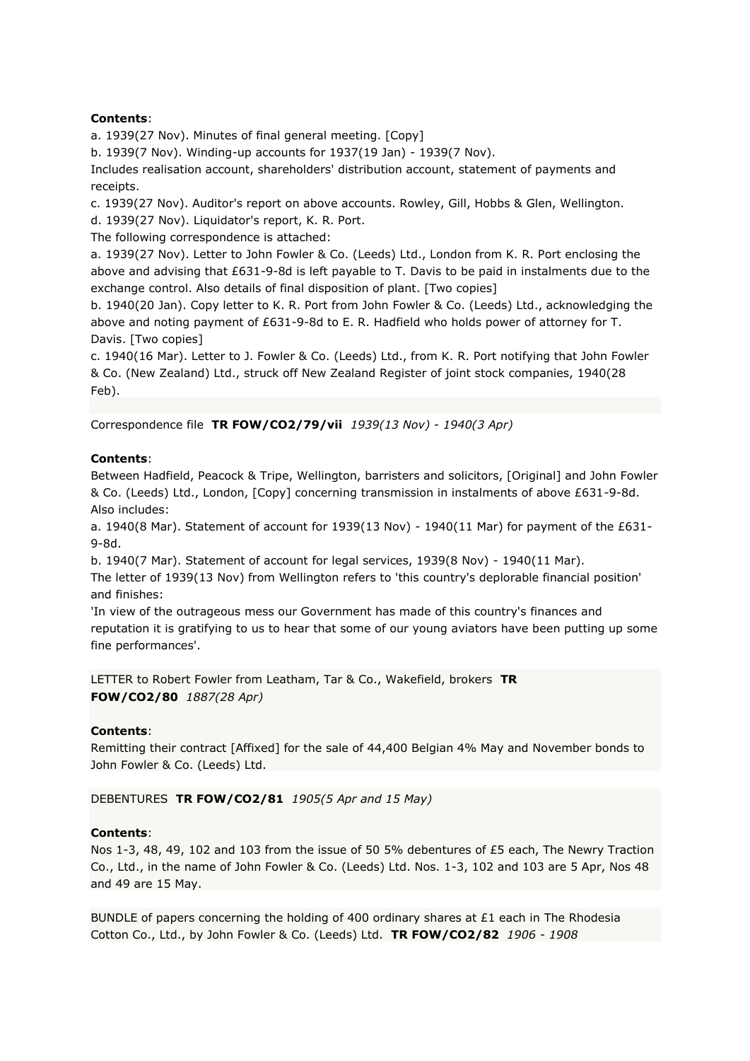a. 1939(27 Nov). Minutes of final general meeting. [Copy]

b. 1939(7 Nov). Winding-up accounts for 1937(19 Jan) - 1939(7 Nov).

Includes realisation account, shareholders' distribution account, statement of payments and receipts.

c. 1939(27 Nov). Auditor's report on above accounts. Rowley, Gill, Hobbs & Glen, Wellington. d. 1939(27 Nov). Liquidator's report, K. R. Port.

The following correspondence is attached:

a. 1939(27 Nov). Letter to John Fowler & Co. (Leeds) Ltd., London from K. R. Port enclosing the above and advising that £631-9-8d is left payable to T. Davis to be paid in instalments due to the exchange control. Also details of final disposition of plant. [Two copies]

b. 1940(20 Jan). Copy letter to K. R. Port from John Fowler & Co. (Leeds) Ltd., acknowledging the above and noting payment of £631-9-8d to E. R. Hadfield who holds power of attorney for T. Davis. [Two copies]

c. 1940(16 Mar). Letter to J. Fowler & Co. (Leeds) Ltd., from K. R. Port notifying that John Fowler & Co. (New Zealand) Ltd., struck off New Zealand Register of joint stock companies, 1940(28 Feb).

Correspondence file **TR FOW/CO2/79/vii** *1939(13 Nov) - 1940(3 Apr)*

## **Contents**:

Between Hadfield, Peacock & Tripe, Wellington, barristers and solicitors, [Original] and John Fowler & Co. (Leeds) Ltd., London, [Copy] concerning transmission in instalments of above £631-9-8d. Also includes:

a. 1940(8 Mar). Statement of account for 1939(13 Nov) - 1940(11 Mar) for payment of the  $E631$ -9-8d.

b. 1940(7 Mar). Statement of account for legal services, 1939(8 Nov) - 1940(11 Mar). The letter of 1939(13 Nov) from Wellington refers to 'this country's deplorable financial position' and finishes:

'In view of the outrageous mess our Government has made of this country's finances and reputation it is gratifying to us to hear that some of our young aviators have been putting up some fine performances'.

LETTER to Robert Fowler from Leatham, Tar & Co., Wakefield, brokers **TR FOW/CO2/80** *1887(28 Apr)*

## **Contents**:

Remitting their contract [Affixed] for the sale of 44,400 Belgian 4% May and November bonds to John Fowler & Co. (Leeds) Ltd.

DEBENTURES **TR FOW/CO2/81** *1905(5 Apr and 15 May)*

## **Contents**:

Nos 1-3, 48, 49, 102 and 103 from the issue of 50 5% debentures of £5 each, The Newry Traction Co., Ltd., in the name of John Fowler & Co. (Leeds) Ltd. Nos. 1-3, 102 and 103 are 5 Apr, Nos 48 and 49 are 15 May.

BUNDLE of papers concerning the holding of 400 ordinary shares at  $£1$  each in The Rhodesia Cotton Co., Ltd., by John Fowler & Co. (Leeds) Ltd. **TR FOW/CO2/82** *1906 - 1908*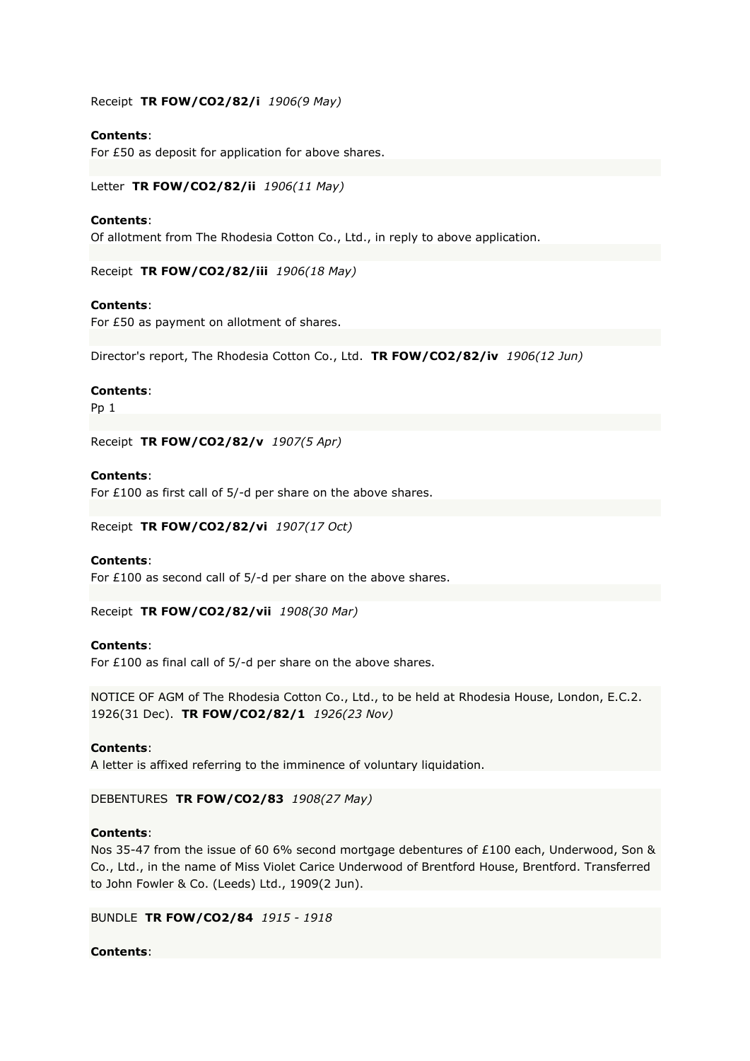Receipt **TR FOW/CO2/82/i** *1906(9 May)*

## **Contents**:

For £50 as deposit for application for above shares.

Letter **TR FOW/CO2/82/ii** *1906(11 May)*

## **Contents**:

Of allotment from The Rhodesia Cotton Co., Ltd., in reply to above application.

Receipt **TR FOW/CO2/82/iii** *1906(18 May)*

## **Contents**:

For £50 as payment on allotment of shares.

Director's report, The Rhodesia Cotton Co., Ltd. **TR FOW/CO2/82/iv** *1906(12 Jun)*

#### **Contents**:

Pp 1

Receipt **TR FOW/CO2/82/v** *1907(5 Apr)*

## **Contents**:

For £100 as first call of 5/-d per share on the above shares.

Receipt **TR FOW/CO2/82/vi** *1907(17 Oct)*

#### **Contents**:

For £100 as second call of 5/-d per share on the above shares.

Receipt **TR FOW/CO2/82/vii** *1908(30 Mar)*

## **Contents**:

For £100 as final call of 5/-d per share on the above shares.

NOTICE OF AGM of The Rhodesia Cotton Co., Ltd., to be held at Rhodesia House, London, E.C.2. 1926(31 Dec). **TR FOW/CO2/82/1** *1926(23 Nov)*

## **Contents**:

A letter is affixed referring to the imminence of voluntary liquidation.

## DEBENTURES **TR FOW/CO2/83** *1908(27 May)*

## **Contents**:

Nos 35-47 from the issue of 60 6% second mortgage debentures of £100 each, Underwood, Son & Co., Ltd., in the name of Miss Violet Carice Underwood of Brentford House, Brentford. Transferred to John Fowler & Co. (Leeds) Ltd., 1909(2 Jun).

BUNDLE **TR FOW/CO2/84** *1915 - 1918*

## **Contents**: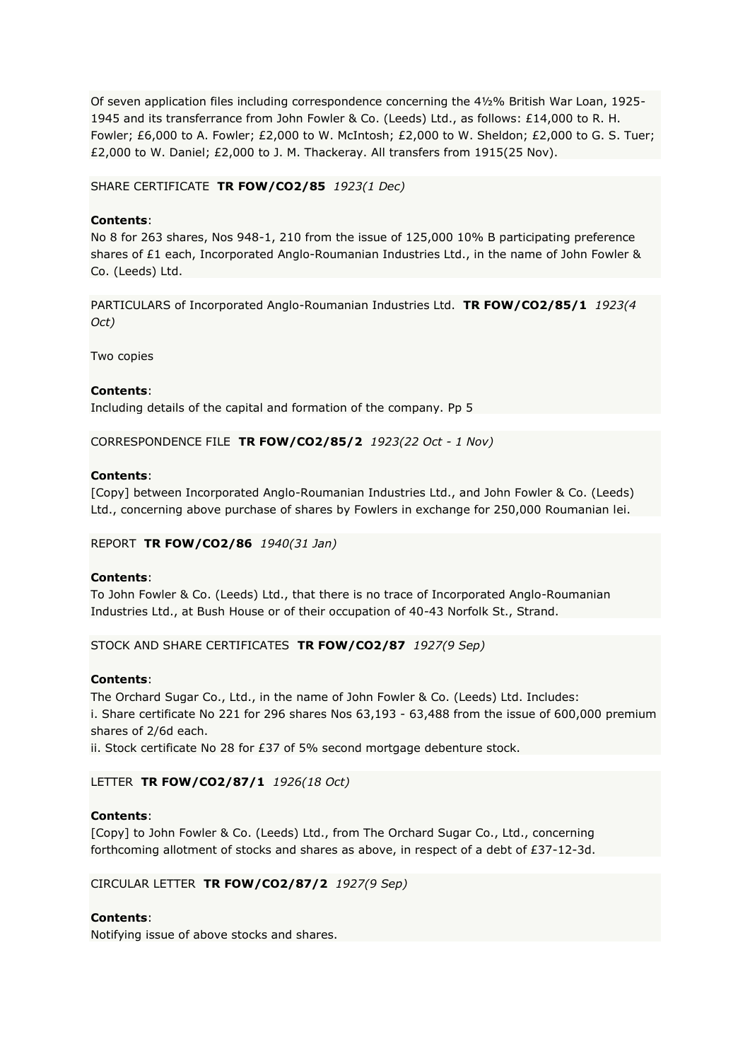Of seven application files including correspondence concerning the 4½% British War Loan, 1925- 1945 and its transferrance from John Fowler & Co. (Leeds) Ltd., as follows: £14,000 to R. H. Fowler; £6,000 to A. Fowler; £2,000 to W. McIntosh; £2,000 to W. Sheldon; £2,000 to G. S. Tuer; £2,000 to W. Daniel; £2,000 to J. M. Thackeray. All transfers from 1915(25 Nov).

## SHARE CERTIFICATE **TR FOW/CO2/85** *1923(1 Dec)*

## **Contents**:

No 8 for 263 shares, Nos 948-1, 210 from the issue of 125,000 10% B participating preference shares of £1 each, Incorporated Anglo-Roumanian Industries Ltd., in the name of John Fowler & Co. (Leeds) Ltd.

PARTICULARS of Incorporated Anglo-Roumanian Industries Ltd. **TR FOW/CO2/85/1** *1923(4 Oct)*

Two copies

## **Contents**:

Including details of the capital and formation of the company. Pp 5

CORRESPONDENCE FILE **TR FOW/CO2/85/2** *1923(22 Oct - 1 Nov)*

## **Contents**:

[Copy] between Incorporated Anglo-Roumanian Industries Ltd., and John Fowler & Co. (Leeds) Ltd., concerning above purchase of shares by Fowlers in exchange for 250,000 Roumanian lei.

REPORT **TR FOW/CO2/86** *1940(31 Jan)*

## **Contents**:

To John Fowler & Co. (Leeds) Ltd., that there is no trace of Incorporated Anglo-Roumanian Industries Ltd., at Bush House or of their occupation of 40-43 Norfolk St., Strand.

STOCK AND SHARE CERTIFICATES **TR FOW/CO2/87** *1927(9 Sep)*

# **Contents**:

The Orchard Sugar Co., Ltd., in the name of John Fowler & Co. (Leeds) Ltd. Includes: i. Share certificate No 221 for 296 shares Nos 63,193 - 63,488 from the issue of 600,000 premium shares of 2/6d each.

ii. Stock certificate No 28 for £37 of 5% second mortgage debenture stock.

# LETTER **TR FOW/CO2/87/1** *1926(18 Oct)*

# **Contents**:

[Copy] to John Fowler & Co. (Leeds) Ltd., from The Orchard Sugar Co., Ltd., concerning forthcoming allotment of stocks and shares as above, in respect of a debt of £37-12-3d.

## CIRCULAR LETTER **TR FOW/CO2/87/2** *1927(9 Sep)*

# **Contents**:

Notifying issue of above stocks and shares.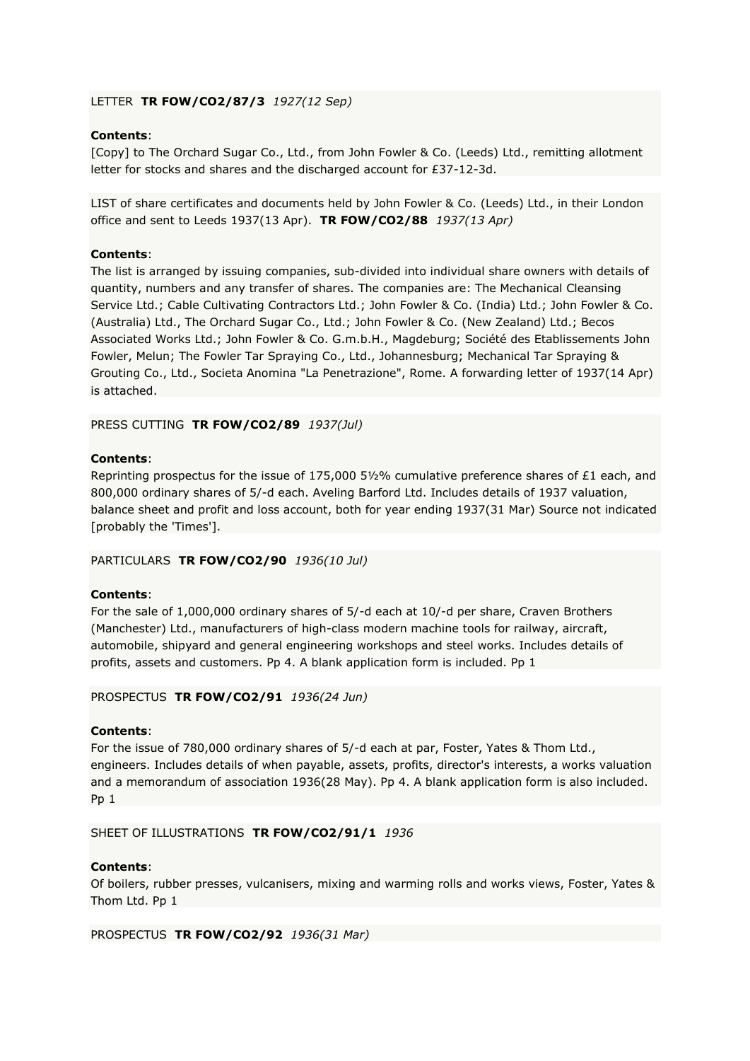# LETTER **TR FOW/CO2/87/3** *1927(12 Sep)*

# **Contents**:

[Copy] to The Orchard Sugar Co., Ltd., from John Fowler & Co. (Leeds) Ltd., remitting allotment letter for stocks and shares and the discharged account for £37-12-3d.

LIST of share certificates and documents held by John Fowler & Co. (Leeds) Ltd., in their London office and sent to Leeds 1937(13 Apr). **TR FOW/CO2/88** *1937(13 Apr)*

# **Contents**:

The list is arranged by issuing companies, sub-divided into individual share owners with details of quantity, numbers and any transfer of shares. The companies are: The Mechanical Cleansing Service Ltd.; Cable Cultivating Contractors Ltd.; John Fowler & Co. (India) Ltd.; John Fowler & Co. (Australia) Ltd., The Orchard Sugar Co., Ltd.; John Fowler & Co. (New Zealand) Ltd.; Becos Associated Works Ltd.; John Fowler & Co. G.m.b.H., Magdeburg; Société des Etablissements John Fowler, Melun; The Fowler Tar Spraying Co., Ltd., Johannesburg; Mechanical Tar Spraying & Grouting Co., Ltd., Societa Anomina "La Penetrazione", Rome. A forwarding letter of 1937(14 Apr) is attached.

# PRESS CUTTING **TR FOW/CO2/89** *1937(Jul)*

# **Contents**:

Reprinting prospectus for the issue of 175,000 5½% cumulative preference shares of £1 each, and 800,000 ordinary shares of 5/-d each. Aveling Barford Ltd. Includes details of 1937 valuation, balance sheet and profit and loss account, both for year ending 1937(31 Mar) Source not indicated [probably the 'Times'].

# PARTICULARS **TR FOW/CO2/90** *1936(10 Jul)*

# **Contents**:

For the sale of 1,000,000 ordinary shares of 5/-d each at 10/-d per share, Craven Brothers (Manchester) Ltd., manufacturers of high-class modern machine tools for railway, aircraft, automobile, shipyard and general engineering workshops and steel works. Includes details of profits, assets and customers. Pp 4. A blank application form is included. Pp 1

## PROSPECTUS **TR FOW/CO2/91** *1936(24 Jun)*

# **Contents**:

For the issue of 780,000 ordinary shares of 5/-d each at par, Foster, Yates & Thom Ltd., engineers. Includes details of when payable, assets, profits, director's interests, a works valuation and a memorandum of association 1936(28 May). Pp 4. A blank application form is also included. Pp 1

## SHEET OF ILLUSTRATIONS **TR FOW/CO2/91/1** *1936*

## **Contents**:

Of boilers, rubber presses, vulcanisers, mixing and warming rolls and works views, Foster, Yates & Thom Ltd. Pp 1

PROSPECTUS **TR FOW/CO2/92** *1936(31 Mar)*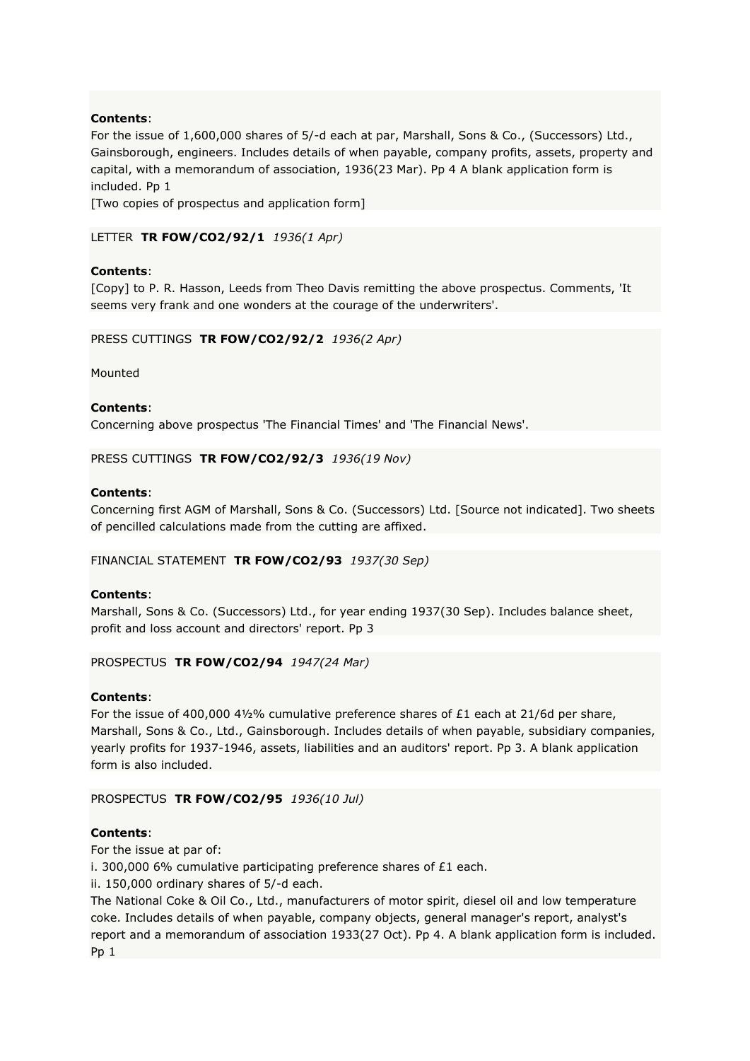For the issue of 1,600,000 shares of 5/-d each at par, Marshall, Sons & Co., (Successors) Ltd., Gainsborough, engineers. Includes details of when payable, company profits, assets, property and capital, with a memorandum of association, 1936(23 Mar). Pp 4 A blank application form is included. Pp 1

[Two copies of prospectus and application form]

LETTER **TR FOW/CO2/92/1** *1936(1 Apr)*

# **Contents**:

[Copy] to P. R. Hasson, Leeds from Theo Davis remitting the above prospectus. Comments, 'It seems very frank and one wonders at the courage of the underwriters'.

PRESS CUTTINGS **TR FOW/CO2/92/2** *1936(2 Apr)*

Mounted

## **Contents**:

Concerning above prospectus 'The Financial Times' and 'The Financial News'.

PRESS CUTTINGS **TR FOW/CO2/92/3** *1936(19 Nov)*

## **Contents**:

Concerning first AGM of Marshall, Sons & Co. (Successors) Ltd. [Source not indicated]. Two sheets of pencilled calculations made from the cutting are affixed.

FINANCIAL STATEMENT **TR FOW/CO2/93** *1937(30 Sep)*

# **Contents**:

Marshall, Sons & Co. (Successors) Ltd., for year ending 1937(30 Sep). Includes balance sheet, profit and loss account and directors' report. Pp 3

## PROSPECTUS **TR FOW/CO2/94** *1947(24 Mar)*

## **Contents**:

For the issue of 400,000 4½% cumulative preference shares of £1 each at 21/6d per share, Marshall, Sons & Co., Ltd., Gainsborough. Includes details of when payable, subsidiary companies, yearly profits for 1937-1946, assets, liabilities and an auditors' report. Pp 3. A blank application form is also included.

## PROSPECTUS **TR FOW/CO2/95** *1936(10 Jul)*

# **Contents**:

For the issue at par of:

i. 300,000 6% cumulative participating preference shares of £1 each.

ii. 150,000 ordinary shares of 5/-d each.

The National Coke & Oil Co., Ltd., manufacturers of motor spirit, diesel oil and low temperature coke. Includes details of when payable, company objects, general manager's report, analyst's report and a memorandum of association 1933(27 Oct). Pp 4. A blank application form is included. Pp 1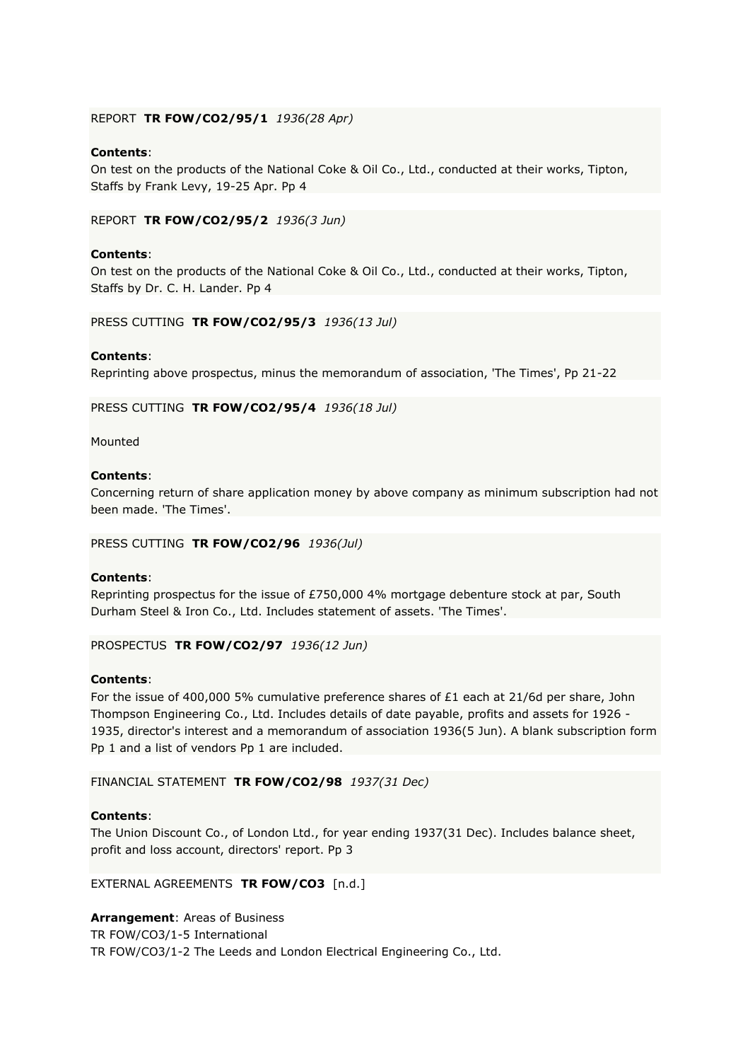#### REPORT **TR FOW/CO2/95/1** *1936(28 Apr)*

## **Contents**:

On test on the products of the National Coke & Oil Co., Ltd., conducted at their works, Tipton, Staffs by Frank Levy, 19-25 Apr. Pp 4

REPORT **TR FOW/CO2/95/2** *1936(3 Jun)*

## **Contents**:

On test on the products of the National Coke & Oil Co., Ltd., conducted at their works, Tipton, Staffs by Dr. C. H. Lander. Pp 4

PRESS CUTTING **TR FOW/CO2/95/3** *1936(13 Jul)*

#### **Contents**:

Reprinting above prospectus, minus the memorandum of association, 'The Times', Pp 21-22

PRESS CUTTING **TR FOW/CO2/95/4** *1936(18 Jul)*

Mounted

# **Contents**:

Concerning return of share application money by above company as minimum subscription had not been made. 'The Times'.

PRESS CUTTING **TR FOW/CO2/96** *1936(Jul)*

#### **Contents**:

Reprinting prospectus for the issue of £750,000 4% mortgage debenture stock at par, South Durham Steel & Iron Co., Ltd. Includes statement of assets. 'The Times'.

PROSPECTUS **TR FOW/CO2/97** *1936(12 Jun)*

## **Contents**:

For the issue of 400,000 5% cumulative preference shares of £1 each at 21/6d per share, John Thompson Engineering Co., Ltd. Includes details of date payable, profits and assets for 1926 - 1935, director's interest and a memorandum of association 1936(5 Jun). A blank subscription form Pp 1 and a list of vendors Pp 1 are included.

FINANCIAL STATEMENT **TR FOW/CO2/98** *1937(31 Dec)*

## **Contents**:

The Union Discount Co., of London Ltd., for year ending 1937(31 Dec). Includes balance sheet, profit and loss account, directors' report. Pp 3

EXTERNAL AGREEMENTS **TR FOW/CO3** [n.d.]

**Arrangement**: Areas of Business

TR FOW/CO3/1-5 International

TR FOW/CO3/1-2 The Leeds and London Electrical Engineering Co., Ltd.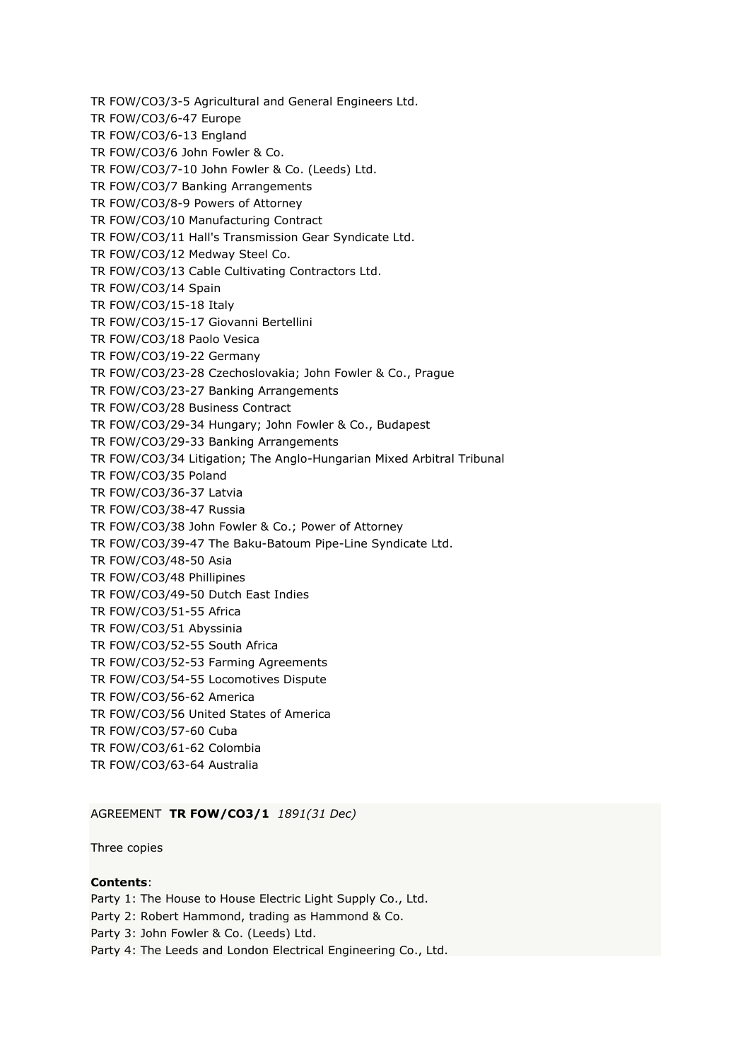TR FOW/CO3/3-5 Agricultural and General Engineers Ltd. TR FOW/CO3/6-47 Europe TR FOW/CO3/6-13 England TR FOW/CO3/6 John Fowler & Co. TR FOW/CO3/7-10 John Fowler & Co. (Leeds) Ltd. TR FOW/CO3/7 Banking Arrangements TR FOW/CO3/8-9 Powers of Attorney TR FOW/CO3/10 Manufacturing Contract TR FOW/CO3/11 Hall's Transmission Gear Syndicate Ltd. TR FOW/CO3/12 Medway Steel Co. TR FOW/CO3/13 Cable Cultivating Contractors Ltd. TR FOW/CO3/14 Spain TR FOW/CO3/15-18 Italy TR FOW/CO3/15-17 Giovanni Bertellini TR FOW/CO3/18 Paolo Vesica TR FOW/CO3/19-22 Germany TR FOW/CO3/23-28 Czechoslovakia; John Fowler & Co., Prague TR FOW/CO3/23-27 Banking Arrangements TR FOW/CO3/28 Business Contract TR FOW/CO3/29-34 Hungary; John Fowler & Co., Budapest TR FOW/CO3/29-33 Banking Arrangements TR FOW/CO3/34 Litigation; The Anglo-Hungarian Mixed Arbitral Tribunal TR FOW/CO3/35 Poland TR FOW/CO3/36-37 Latvia TR FOW/CO3/38-47 Russia TR FOW/CO3/38 John Fowler & Co.; Power of Attorney TR FOW/CO3/39-47 The Baku-Batoum Pipe-Line Syndicate Ltd. TR FOW/CO3/48-50 Asia TR FOW/CO3/48 Phillipines TR FOW/CO3/49-50 Dutch East Indies TR FOW/CO3/51-55 Africa TR FOW/CO3/51 Abyssinia TR FOW/CO3/52-55 South Africa TR FOW/CO3/52-53 Farming Agreements TR FOW/CO3/54-55 Locomotives Dispute TR FOW/CO3/56-62 America TR FOW/CO3/56 United States of America TR FOW/CO3/57-60 Cuba TR FOW/CO3/61-62 Colombia TR FOW/CO3/63-64 Australia

AGREEMENT **TR FOW/CO3/1** *1891(31 Dec)*

Three copies

# **Contents**:

Party 1: The House to House Electric Light Supply Co., Ltd. Party 2: Robert Hammond, trading as Hammond & Co. Party 3: John Fowler & Co. (Leeds) Ltd. Party 4: The Leeds and London Electrical Engineering Co., Ltd.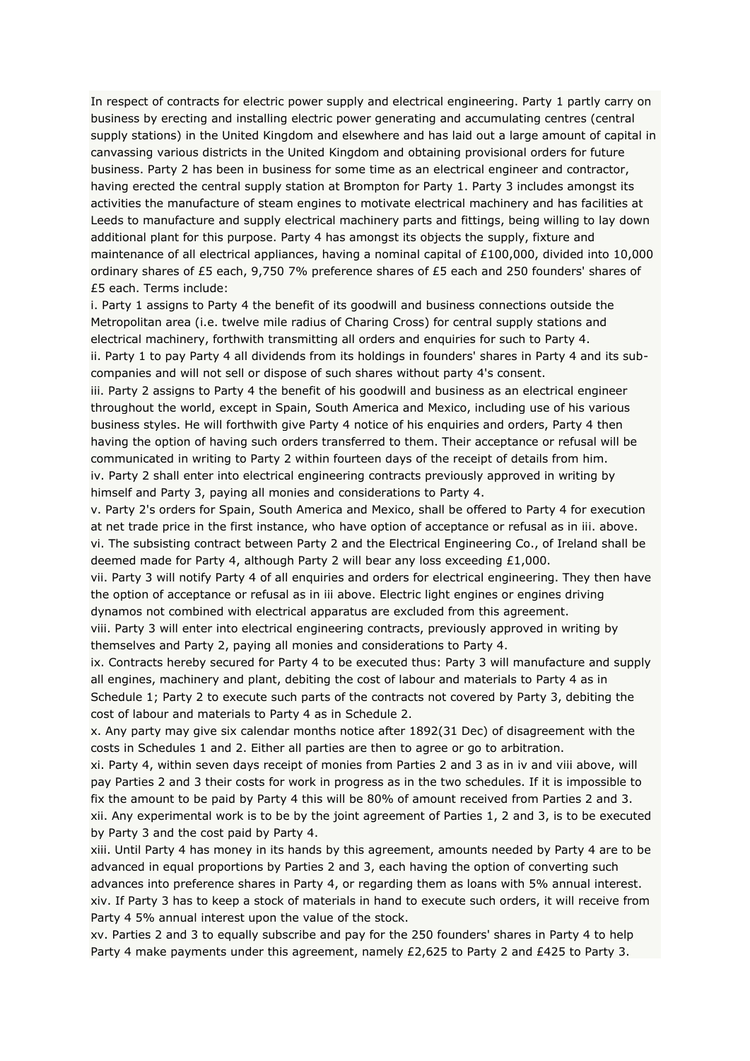In respect of contracts for electric power supply and electrical engineering. Party 1 partly carry on business by erecting and installing electric power generating and accumulating centres (central supply stations) in the United Kingdom and elsewhere and has laid out a large amount of capital in canvassing various districts in the United Kingdom and obtaining provisional orders for future business. Party 2 has been in business for some time as an electrical engineer and contractor, having erected the central supply station at Brompton for Party 1. Party 3 includes amongst its activities the manufacture of steam engines to motivate electrical machinery and has facilities at Leeds to manufacture and supply electrical machinery parts and fittings, being willing to lay down additional plant for this purpose. Party 4 has amongst its objects the supply, fixture and maintenance of all electrical appliances, having a nominal capital of £100,000, divided into 10,000 ordinary shares of £5 each, 9,750 7% preference shares of £5 each and 250 founders' shares of £5 each. Terms include:

i. Party 1 assigns to Party 4 the benefit of its goodwill and business connections outside the Metropolitan area (i.e. twelve mile radius of Charing Cross) for central supply stations and electrical machinery, forthwith transmitting all orders and enquiries for such to Party 4. ii. Party 1 to pay Party 4 all dividends from its holdings in founders' shares in Party 4 and its subcompanies and will not sell or dispose of such shares without party 4's consent.

iii. Party 2 assigns to Party 4 the benefit of his goodwill and business as an electrical engineer throughout the world, except in Spain, South America and Mexico, including use of his various business styles. He will forthwith give Party 4 notice of his enquiries and orders, Party 4 then having the option of having such orders transferred to them. Their acceptance or refusal will be communicated in writing to Party 2 within fourteen days of the receipt of details from him. iv. Party 2 shall enter into electrical engineering contracts previously approved in writing by himself and Party 3, paying all monies and considerations to Party 4.

v. Party 2's orders for Spain, South America and Mexico, shall be offered to Party 4 for execution at net trade price in the first instance, who have option of acceptance or refusal as in iii. above. vi. The subsisting contract between Party 2 and the Electrical Engineering Co., of Ireland shall be deemed made for Party 4, although Party 2 will bear any loss exceeding £1,000.

vii. Party 3 will notify Party 4 of all enquiries and orders for electrical engineering. They then have the option of acceptance or refusal as in iii above. Electric light engines or engines driving dynamos not combined with electrical apparatus are excluded from this agreement.

viii. Party 3 will enter into electrical engineering contracts, previously approved in writing by themselves and Party 2, paying all monies and considerations to Party 4.

ix. Contracts hereby secured for Party 4 to be executed thus: Party 3 will manufacture and supply all engines, machinery and plant, debiting the cost of labour and materials to Party 4 as in Schedule 1; Party 2 to execute such parts of the contracts not covered by Party 3, debiting the cost of labour and materials to Party 4 as in Schedule 2.

x. Any party may give six calendar months notice after 1892(31 Dec) of disagreement with the costs in Schedules 1 and 2. Either all parties are then to agree or go to arbitration.

xi. Party 4, within seven days receipt of monies from Parties 2 and 3 as in iv and viii above, will pay Parties 2 and 3 their costs for work in progress as in the two schedules. If it is impossible to fix the amount to be paid by Party 4 this will be 80% of amount received from Parties 2 and 3. xii. Any experimental work is to be by the joint agreement of Parties 1, 2 and 3, is to be executed by Party 3 and the cost paid by Party 4.

xiii. Until Party 4 has money in its hands by this agreement, amounts needed by Party 4 are to be advanced in equal proportions by Parties 2 and 3, each having the option of converting such advances into preference shares in Party 4, or regarding them as loans with 5% annual interest. xiv. If Party 3 has to keep a stock of materials in hand to execute such orders, it will receive from Party 4 5% annual interest upon the value of the stock.

xv. Parties 2 and 3 to equally subscribe and pay for the 250 founders' shares in Party 4 to help Party 4 make payments under this agreement, namely £2,625 to Party 2 and £425 to Party 3.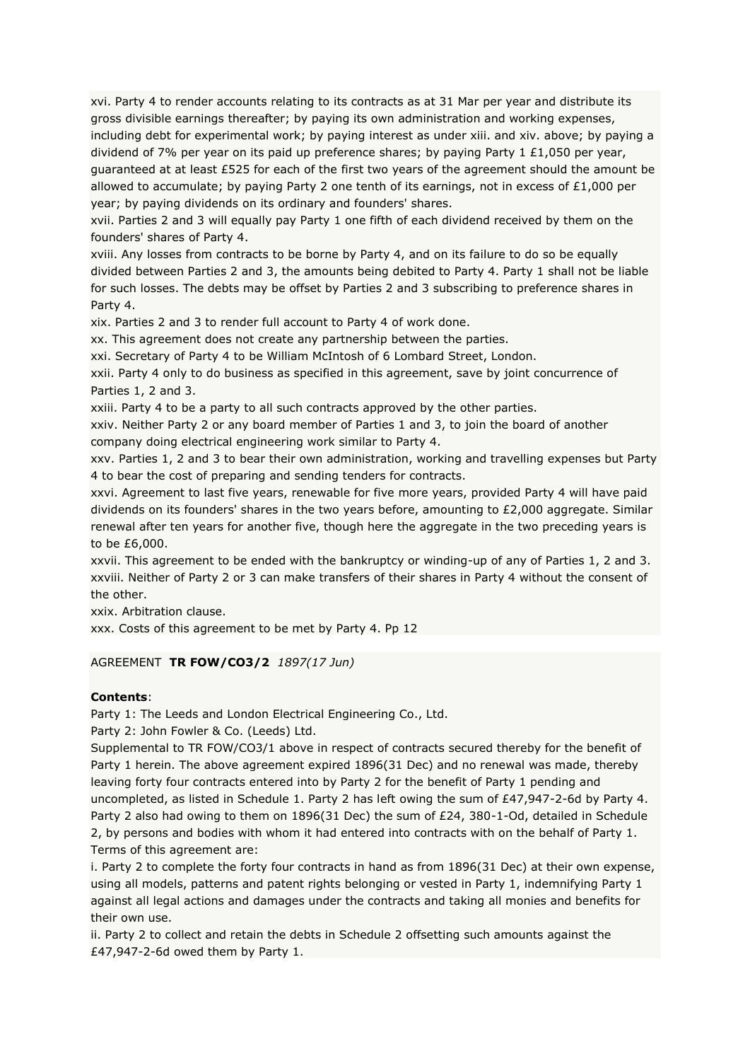xvi. Party 4 to render accounts relating to its contracts as at 31 Mar per year and distribute its gross divisible earnings thereafter; by paying its own administration and working expenses, including debt for experimental work; by paying interest as under xiii. and xiv. above; by paying a dividend of 7% per year on its paid up preference shares; by paying Party 1  $£1,050$  per year, guaranteed at at least £525 for each of the first two years of the agreement should the amount be allowed to accumulate; by paying Party 2 one tenth of its earnings, not in excess of  $£1,000$  per year; by paying dividends on its ordinary and founders' shares.

xvii. Parties 2 and 3 will equally pay Party 1 one fifth of each dividend received by them on the founders' shares of Party 4.

xviii. Any losses from contracts to be borne by Party 4, and on its failure to do so be equally divided between Parties 2 and 3, the amounts being debited to Party 4. Party 1 shall not be liable for such losses. The debts may be offset by Parties 2 and 3 subscribing to preference shares in Party 4.

xix. Parties 2 and 3 to render full account to Party 4 of work done.

xx. This agreement does not create any partnership between the parties.

xxi. Secretary of Party 4 to be William McIntosh of 6 Lombard Street, London.

xxii. Party 4 only to do business as specified in this agreement, save by joint concurrence of Parties 1, 2 and 3.

xxiii. Party 4 to be a party to all such contracts approved by the other parties.

xxiv. Neither Party 2 or any board member of Parties 1 and 3, to join the board of another company doing electrical engineering work similar to Party 4.

xxv. Parties 1, 2 and 3 to bear their own administration, working and travelling expenses but Party 4 to bear the cost of preparing and sending tenders for contracts.

xxvi. Agreement to last five years, renewable for five more years, provided Party 4 will have paid dividends on its founders' shares in the two years before, amounting to £2,000 aggregate. Similar renewal after ten years for another five, though here the aggregate in the two preceding years is to be £6,000.

xxvii. This agreement to be ended with the bankruptcy or winding-up of any of Parties 1, 2 and 3. xxviii. Neither of Party 2 or 3 can make transfers of their shares in Party 4 without the consent of the other.

xxix. Arbitration clause.

xxx. Costs of this agreement to be met by Party 4. Pp 12

AGREEMENT **TR FOW/CO3/2** *1897(17 Jun)*

## **Contents**:

Party 1: The Leeds and London Electrical Engineering Co., Ltd.

Party 2: John Fowler & Co. (Leeds) Ltd.

Supplemental to TR FOW/CO3/1 above in respect of contracts secured thereby for the benefit of Party 1 herein. The above agreement expired 1896(31 Dec) and no renewal was made, thereby leaving forty four contracts entered into by Party 2 for the benefit of Party 1 pending and uncompleted, as listed in Schedule 1. Party 2 has left owing the sum of £47,947-2-6d by Party 4. Party 2 also had owing to them on 1896(31 Dec) the sum of £24, 380-1-Od, detailed in Schedule 2, by persons and bodies with whom it had entered into contracts with on the behalf of Party 1. Terms of this agreement are:

i. Party 2 to complete the forty four contracts in hand as from 1896(31 Dec) at their own expense, using all models, patterns and patent rights belonging or vested in Party 1, indemnifying Party 1 against all legal actions and damages under the contracts and taking all monies and benefits for their own use.

ii. Party 2 to collect and retain the debts in Schedule 2 offsetting such amounts against the £47,947-2-6d owed them by Party 1.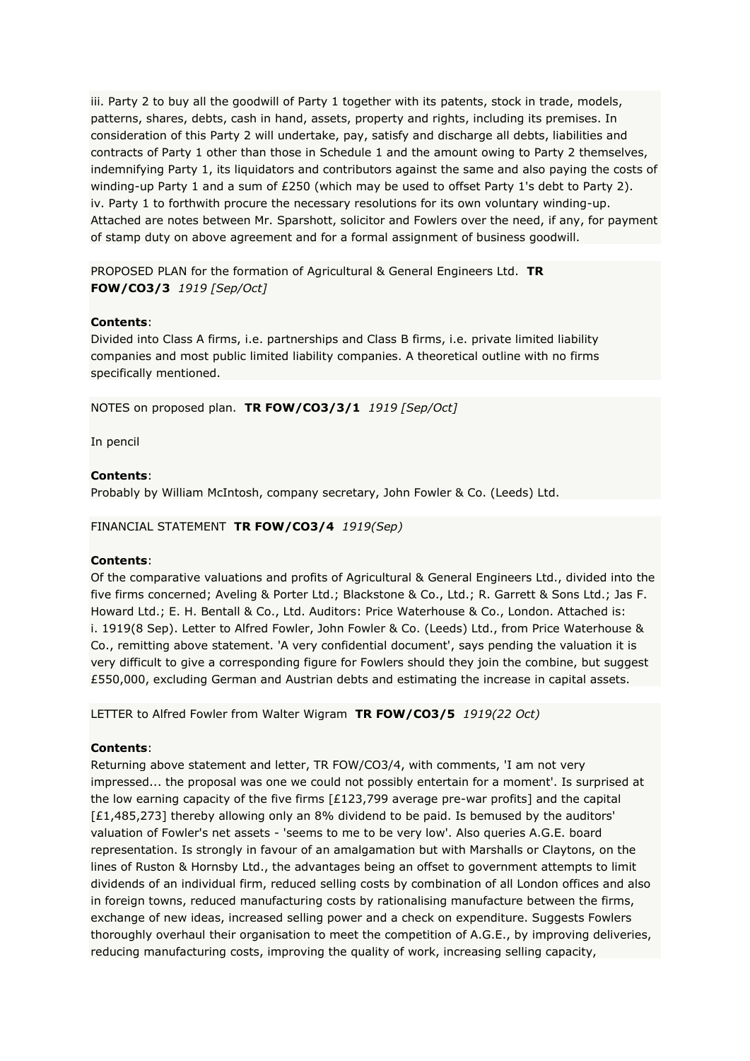iii. Party 2 to buy all the goodwill of Party 1 together with its patents, stock in trade, models, patterns, shares, debts, cash in hand, assets, property and rights, including its premises. In consideration of this Party 2 will undertake, pay, satisfy and discharge all debts, liabilities and contracts of Party 1 other than those in Schedule 1 and the amount owing to Party 2 themselves, indemnifying Party 1, its liquidators and contributors against the same and also paying the costs of winding-up Party 1 and a sum of £250 (which may be used to offset Party 1's debt to Party 2). iv. Party 1 to forthwith procure the necessary resolutions for its own voluntary winding-up. Attached are notes between Mr. Sparshott, solicitor and Fowlers over the need, if any, for payment of stamp duty on above agreement and for a formal assignment of business goodwill.

PROPOSED PLAN for the formation of Agricultural & General Engineers Ltd. **TR FOW/CO3/3** *1919 [Sep/Oct]*

## **Contents**:

Divided into Class A firms, i.e. partnerships and Class B firms, i.e. private limited liability companies and most public limited liability companies. A theoretical outline with no firms specifically mentioned.

NOTES on proposed plan. **TR FOW/CO3/3/1** *1919 [Sep/Oct]*

In pencil

## **Contents**:

Probably by William McIntosh, company secretary, John Fowler & Co. (Leeds) Ltd.

## FINANCIAL STATEMENT **TR FOW/CO3/4** *1919(Sep)*

## **Contents**:

Of the comparative valuations and profits of Agricultural & General Engineers Ltd., divided into the five firms concerned; Aveling & Porter Ltd.; Blackstone & Co., Ltd.; R. Garrett & Sons Ltd.; Jas F. Howard Ltd.; E. H. Bentall & Co., Ltd. Auditors: Price Waterhouse & Co., London. Attached is: i. 1919(8 Sep). Letter to Alfred Fowler, John Fowler & Co. (Leeds) Ltd., from Price Waterhouse & Co., remitting above statement. 'A very confidential document', says pending the valuation it is very difficult to give a corresponding figure for Fowlers should they join the combine, but suggest £550,000, excluding German and Austrian debts and estimating the increase in capital assets.

LETTER to Alfred Fowler from Walter Wigram **TR FOW/CO3/5** *1919(22 Oct)*

# **Contents**:

Returning above statement and letter, TR FOW/CO3/4, with comments, 'I am not very impressed... the proposal was one we could not possibly entertain for a moment'. Is surprised at the low earning capacity of the five firms [£123,799 average pre-war profits] and the capital [£1,485,273] thereby allowing only an 8% dividend to be paid. Is bemused by the auditors' valuation of Fowler's net assets - 'seems to me to be very low'. Also queries A.G.E. board representation. Is strongly in favour of an amalgamation but with Marshalls or Claytons, on the lines of Ruston & Hornsby Ltd., the advantages being an offset to government attempts to limit dividends of an individual firm, reduced selling costs by combination of all London offices and also in foreign towns, reduced manufacturing costs by rationalising manufacture between the firms, exchange of new ideas, increased selling power and a check on expenditure. Suggests Fowlers thoroughly overhaul their organisation to meet the competition of A.G.E., by improving deliveries, reducing manufacturing costs, improving the quality of work, increasing selling capacity,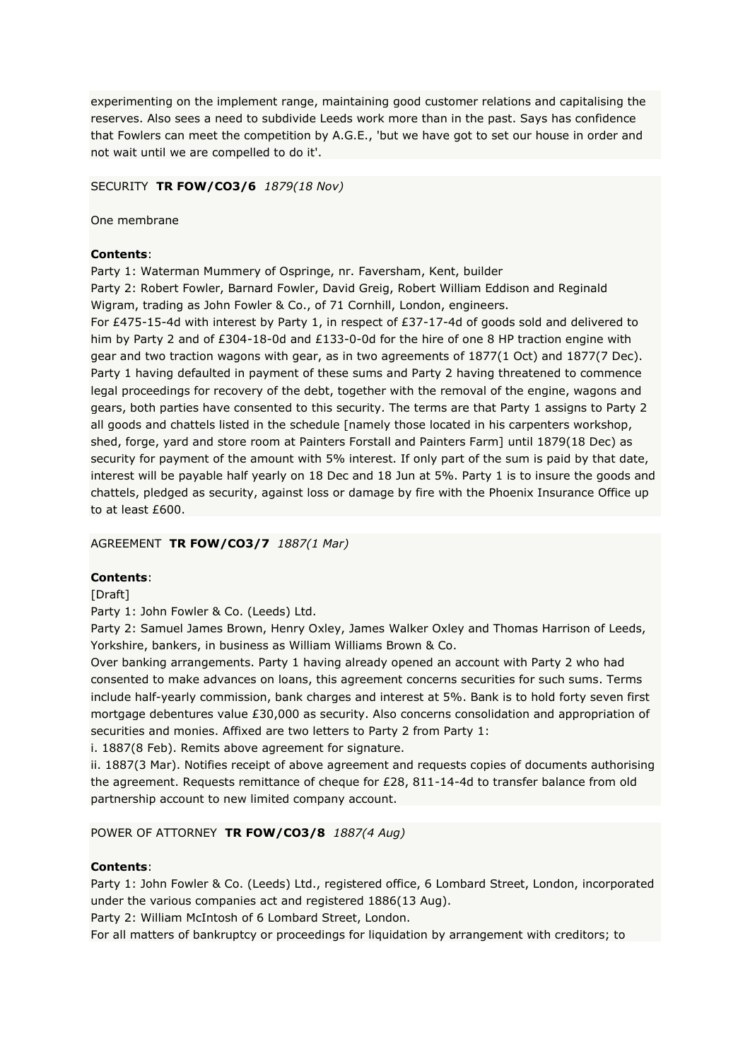experimenting on the implement range, maintaining good customer relations and capitalising the reserves. Also sees a need to subdivide Leeds work more than in the past. Says has confidence that Fowlers can meet the competition by A.G.E., 'but we have got to set our house in order and not wait until we are compelled to do it'.

SECURITY **TR FOW/CO3/6** *1879(18 Nov)*

One membrane

# **Contents**:

Party 1: Waterman Mummery of Ospringe, nr. Faversham, Kent, builder Party 2: Robert Fowler, Barnard Fowler, David Greig, Robert William Eddison and Reginald Wigram, trading as John Fowler & Co., of 71 Cornhill, London, engineers.

For £475-15-4d with interest by Party 1, in respect of £37-17-4d of goods sold and delivered to him by Party 2 and of £304-18-0d and £133-0-0d for the hire of one 8 HP traction engine with gear and two traction wagons with gear, as in two agreements of 1877(1 Oct) and 1877(7 Dec). Party 1 having defaulted in payment of these sums and Party 2 having threatened to commence legal proceedings for recovery of the debt, together with the removal of the engine, wagons and gears, both parties have consented to this security. The terms are that Party 1 assigns to Party 2 all goods and chattels listed in the schedule [namely those located in his carpenters workshop, shed, forge, yard and store room at Painters Forstall and Painters Farm] until 1879(18 Dec) as security for payment of the amount with 5% interest. If only part of the sum is paid by that date, interest will be payable half yearly on 18 Dec and 18 Jun at 5%. Party 1 is to insure the goods and chattels, pledged as security, against loss or damage by fire with the Phoenix Insurance Office up to at least £600.

# AGREEMENT **TR FOW/CO3/7** *1887(1 Mar)*

# **Contents**:

## [Draft]

Party 1: John Fowler & Co. (Leeds) Ltd.

Party 2: Samuel James Brown, Henry Oxley, James Walker Oxley and Thomas Harrison of Leeds, Yorkshire, bankers, in business as William Williams Brown & Co.

Over banking arrangements. Party 1 having already opened an account with Party 2 who had consented to make advances on loans, this agreement concerns securities for such sums. Terms include half-yearly commission, bank charges and interest at 5%. Bank is to hold forty seven first mortgage debentures value £30,000 as security. Also concerns consolidation and appropriation of securities and monies. Affixed are two letters to Party 2 from Party 1:

i. 1887(8 Feb). Remits above agreement for signature.

ii. 1887(3 Mar). Notifies receipt of above agreement and requests copies of documents authorising the agreement. Requests remittance of cheque for £28, 811-14-4d to transfer balance from old partnership account to new limited company account.

POWER OF ATTORNEY **TR FOW/CO3/8** *1887(4 Aug)*

# **Contents**:

Party 1: John Fowler & Co. (Leeds) Ltd., registered office, 6 Lombard Street, London, incorporated under the various companies act and registered 1886(13 Aug).

Party 2: William McIntosh of 6 Lombard Street, London.

For all matters of bankruptcy or proceedings for liquidation by arrangement with creditors; to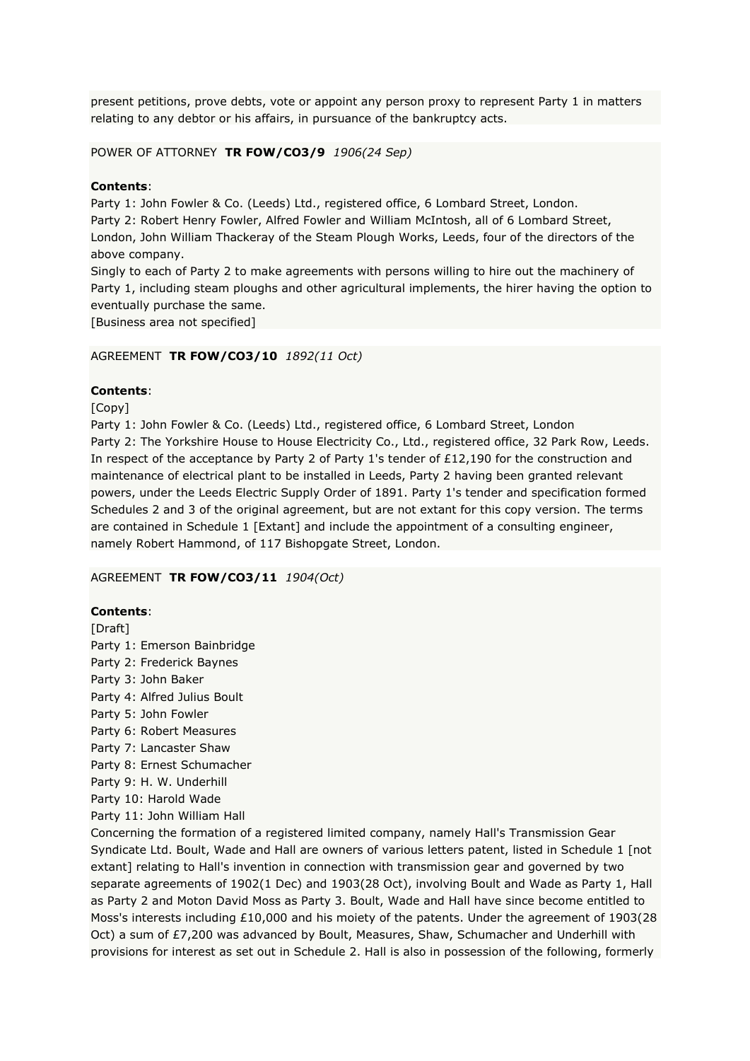present petitions, prove debts, vote or appoint any person proxy to represent Party 1 in matters relating to any debtor or his affairs, in pursuance of the bankruptcy acts.

POWER OF ATTORNEY **TR FOW/CO3/9** *1906(24 Sep)*

## **Contents**:

Party 1: John Fowler & Co. (Leeds) Ltd., registered office, 6 Lombard Street, London. Party 2: Robert Henry Fowler, Alfred Fowler and William McIntosh, all of 6 Lombard Street, London, John William Thackeray of the Steam Plough Works, Leeds, four of the directors of the above company.

Singly to each of Party 2 to make agreements with persons willing to hire out the machinery of Party 1, including steam ploughs and other agricultural implements, the hirer having the option to eventually purchase the same.

[Business area not specified]

## AGREEMENT **TR FOW/CO3/10** *1892(11 Oct)*

## **Contents**:

[Copy]

Party 1: John Fowler & Co. (Leeds) Ltd., registered office, 6 Lombard Street, London Party 2: The Yorkshire House to House Electricity Co., Ltd., registered office, 32 Park Row, Leeds. In respect of the acceptance by Party 2 of Party 1's tender of £12,190 for the construction and maintenance of electrical plant to be installed in Leeds, Party 2 having been granted relevant powers, under the Leeds Electric Supply Order of 1891. Party 1's tender and specification formed Schedules 2 and 3 of the original agreement, but are not extant for this copy version. The terms are contained in Schedule 1 [Extant] and include the appointment of a consulting engineer, namely Robert Hammond, of 117 Bishopgate Street, London.

## AGREEMENT **TR FOW/CO3/11** *1904(Oct)*

## **Contents**:

[Draft] Party 1: Emerson Bainbridge Party 2: Frederick Baynes Party 3: John Baker Party 4: Alfred Julius Boult Party 5: John Fowler Party 6: Robert Measures Party 7: Lancaster Shaw Party 8: Ernest Schumacher Party 9: H. W. Underhill

Party 10: Harold Wade

Party 11: John William Hall

Concerning the formation of a registered limited company, namely Hall's Transmission Gear Syndicate Ltd. Boult, Wade and Hall are owners of various letters patent, listed in Schedule 1 [not extant] relating to Hall's invention in connection with transmission gear and governed by two separate agreements of 1902(1 Dec) and 1903(28 Oct), involving Boult and Wade as Party 1, Hall as Party 2 and Moton David Moss as Party 3. Boult, Wade and Hall have since become entitled to Moss's interests including £10,000 and his moiety of the patents. Under the agreement of 1903(28 Oct) a sum of £7,200 was advanced by Boult, Measures, Shaw, Schumacher and Underhill with provisions for interest as set out in Schedule 2. Hall is also in possession of the following, formerly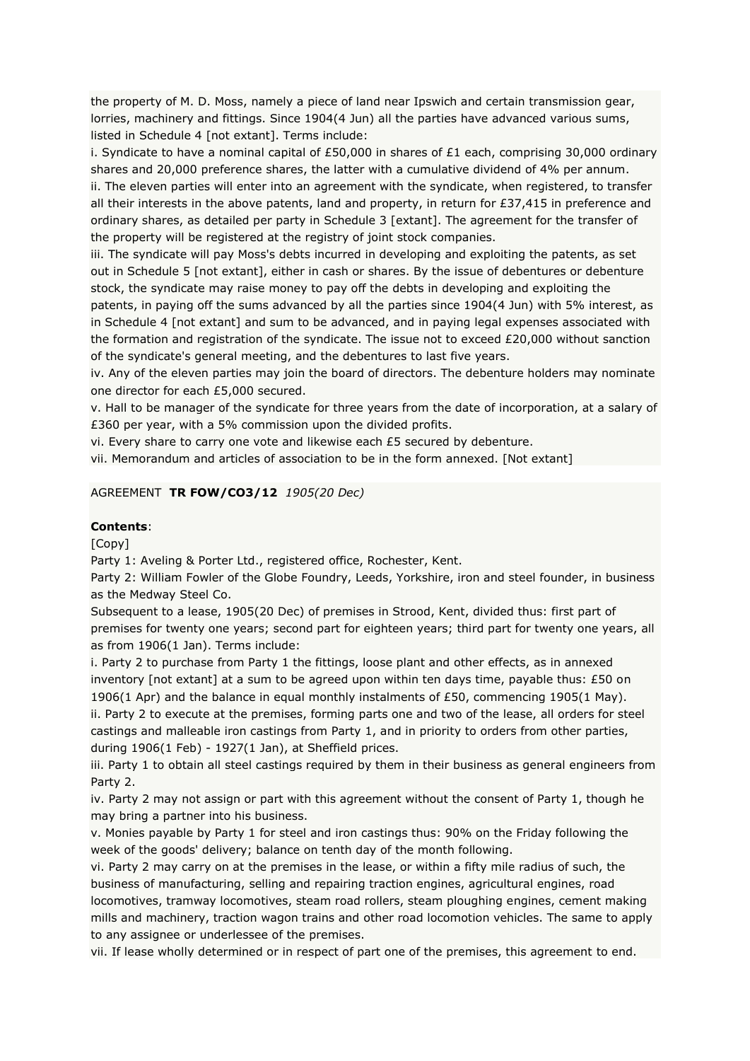the property of M. D. Moss, namely a piece of land near Ipswich and certain transmission gear, lorries, machinery and fittings. Since 1904(4 Jun) all the parties have advanced various sums, listed in Schedule 4 [not extant]. Terms include:

i. Syndicate to have a nominal capital of £50,000 in shares of £1 each, comprising 30,000 ordinary shares and 20,000 preference shares, the latter with a cumulative dividend of 4% per annum. ii. The eleven parties will enter into an agreement with the syndicate, when registered, to transfer all their interests in the above patents, land and property, in return for  $£37,415$  in preference and ordinary shares, as detailed per party in Schedule 3 [extant]. The agreement for the transfer of the property will be registered at the registry of joint stock companies.

iii. The syndicate will pay Moss's debts incurred in developing and exploiting the patents, as set out in Schedule 5 [not extant], either in cash or shares. By the issue of debentures or debenture stock, the syndicate may raise money to pay off the debts in developing and exploiting the patents, in paying off the sums advanced by all the parties since 1904(4 Jun) with 5% interest, as in Schedule 4 [not extant] and sum to be advanced, and in paying legal expenses associated with the formation and registration of the syndicate. The issue not to exceed £20,000 without sanction of the syndicate's general meeting, and the debentures to last five years.

iv. Any of the eleven parties may join the board of directors. The debenture holders may nominate one director for each £5,000 secured.

v. Hall to be manager of the syndicate for three years from the date of incorporation, at a salary of £360 per year, with a 5% commission upon the divided profits.

vi. Every share to carry one vote and likewise each £5 secured by debenture.

vii. Memorandum and articles of association to be in the form annexed. [Not extant]

## AGREEMENT **TR FOW/CO3/12** *1905(20 Dec)*

#### **Contents**:

[Copy]

Party 1: Aveling & Porter Ltd., registered office, Rochester, Kent.

Party 2: William Fowler of the Globe Foundry, Leeds, Yorkshire, iron and steel founder, in business as the Medway Steel Co.

Subsequent to a lease, 1905(20 Dec) of premises in Strood, Kent, divided thus: first part of premises for twenty one years; second part for eighteen years; third part for twenty one years, all as from 1906(1 Jan). Terms include:

i. Party 2 to purchase from Party 1 the fittings, loose plant and other effects, as in annexed inventory [not extant] at a sum to be agreed upon within ten days time, payable thus: £50 on 1906(1 Apr) and the balance in equal monthly instalments of £50, commencing 1905(1 May). ii. Party 2 to execute at the premises, forming parts one and two of the lease, all orders for steel castings and malleable iron castings from Party 1, and in priority to orders from other parties, during 1906(1 Feb) - 1927(1 Jan), at Sheffield prices.

iii. Party 1 to obtain all steel castings required by them in their business as general engineers from Party 2.

iv. Party 2 may not assign or part with this agreement without the consent of Party 1, though he may bring a partner into his business.

v. Monies payable by Party 1 for steel and iron castings thus: 90% on the Friday following the week of the goods' delivery; balance on tenth day of the month following.

vi. Party 2 may carry on at the premises in the lease, or within a fifty mile radius of such, the business of manufacturing, selling and repairing traction engines, agricultural engines, road locomotives, tramway locomotives, steam road rollers, steam ploughing engines, cement making mills and machinery, traction wagon trains and other road locomotion vehicles. The same to apply to any assignee or underlessee of the premises.

vii. If lease wholly determined or in respect of part one of the premises, this agreement to end.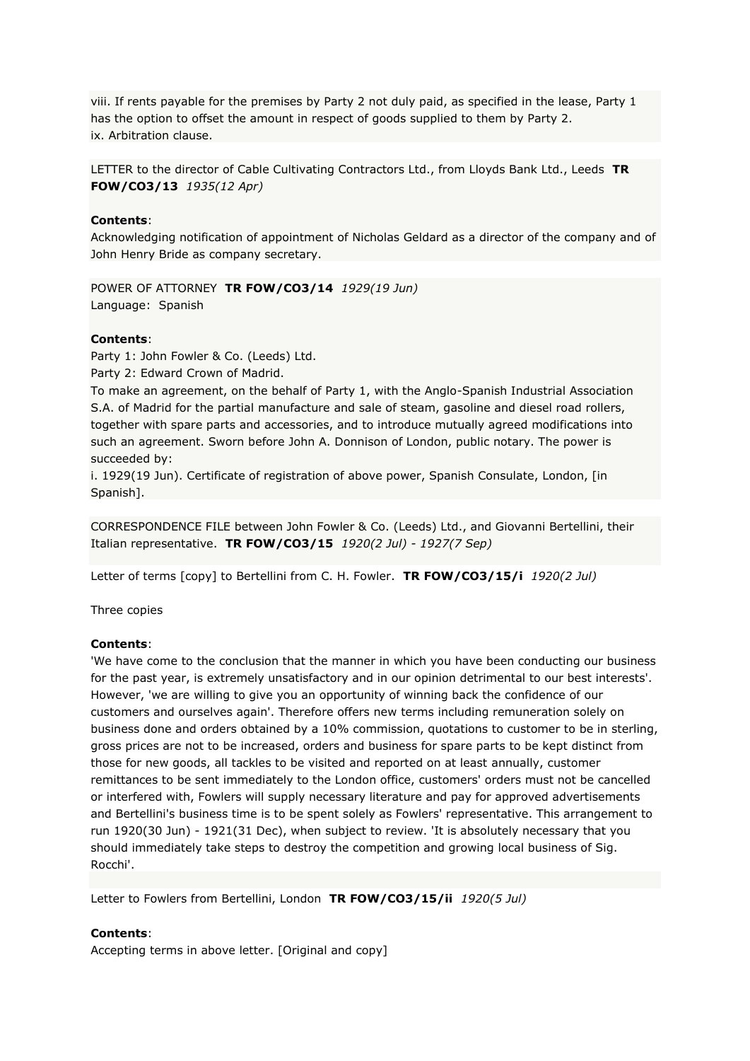viii. If rents payable for the premises by Party 2 not duly paid, as specified in the lease, Party 1 has the option to offset the amount in respect of goods supplied to them by Party 2. ix. Arbitration clause.

LETTER to the director of Cable Cultivating Contractors Ltd., from Lloyds Bank Ltd., Leeds **TR FOW/CO3/13** *1935(12 Apr)*

## **Contents**:

Acknowledging notification of appointment of Nicholas Geldard as a director of the company and of John Henry Bride as company secretary.

POWER OF ATTORNEY **TR FOW/CO3/14** *1929(19 Jun)* Language: Spanish

## **Contents**:

Party 1: John Fowler & Co. (Leeds) Ltd.

Party 2: Edward Crown of Madrid.

To make an agreement, on the behalf of Party 1, with the Anglo-Spanish Industrial Association S.A. of Madrid for the partial manufacture and sale of steam, gasoline and diesel road rollers, together with spare parts and accessories, and to introduce mutually agreed modifications into such an agreement. Sworn before John A. Donnison of London, public notary. The power is succeeded by:

i. 1929(19 Jun). Certificate of registration of above power, Spanish Consulate, London, [in Spanish].

CORRESPONDENCE FILE between John Fowler & Co. (Leeds) Ltd., and Giovanni Bertellini, their Italian representative. **TR FOW/CO3/15** *1920(2 Jul) - 1927(7 Sep)*

Letter of terms [copy] to Bertellini from C. H. Fowler. **TR FOW/CO3/15/i** *1920(2 Jul)*

Three copies

#### **Contents**:

'We have come to the conclusion that the manner in which you have been conducting our business for the past year, is extremely unsatisfactory and in our opinion detrimental to our best interests'. However, 'we are willing to give you an opportunity of winning back the confidence of our customers and ourselves again'. Therefore offers new terms including remuneration solely on business done and orders obtained by a 10% commission, quotations to customer to be in sterling, gross prices are not to be increased, orders and business for spare parts to be kept distinct from those for new goods, all tackles to be visited and reported on at least annually, customer remittances to be sent immediately to the London office, customers' orders must not be cancelled or interfered with, Fowlers will supply necessary literature and pay for approved advertisements and Bertellini's business time is to be spent solely as Fowlers' representative. This arrangement to run 1920(30 Jun) - 1921(31 Dec), when subject to review. 'It is absolutely necessary that you should immediately take steps to destroy the competition and growing local business of Sig. Rocchi'.

Letter to Fowlers from Bertellini, London **TR FOW/CO3/15/ii** *1920(5 Jul)*

#### **Contents**:

Accepting terms in above letter. [Original and copy]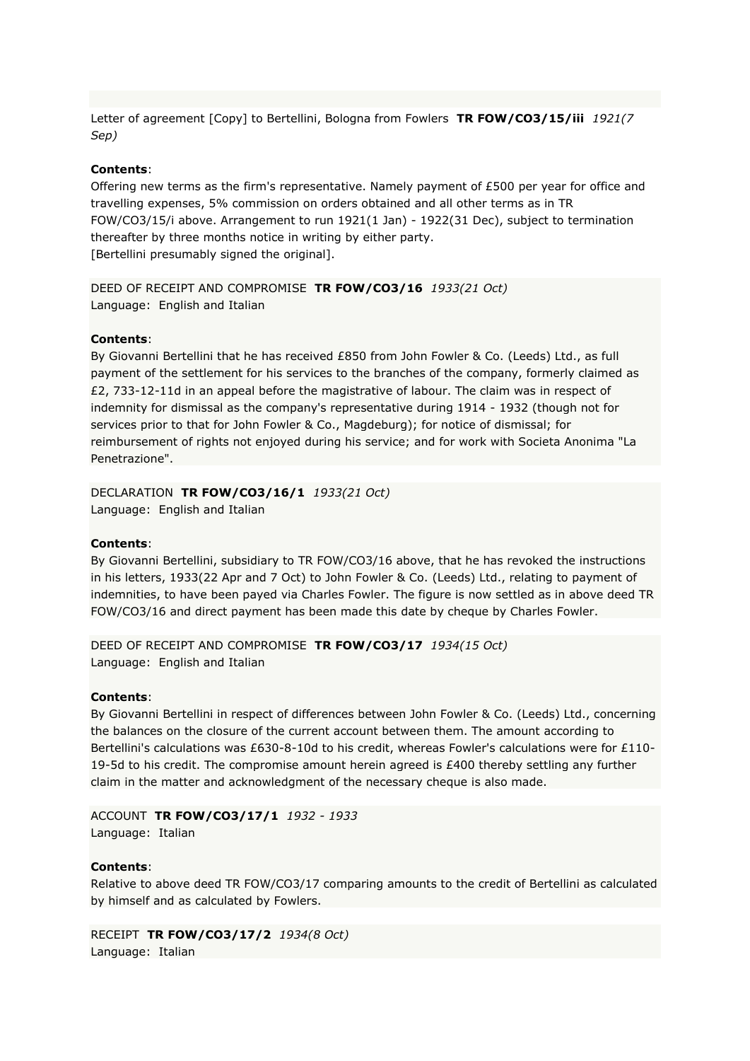Letter of agreement [Copy] to Bertellini, Bologna from Fowlers **TR FOW/CO3/15/iii** *1921(7 Sep)*

#### **Contents**:

Offering new terms as the firm's representative. Namely payment of £500 per year for office and travelling expenses, 5% commission on orders obtained and all other terms as in TR FOW/CO3/15/i above. Arrangement to run 1921(1 Jan) - 1922(31 Dec), subject to termination thereafter by three months notice in writing by either party. [Bertellini presumably signed the original].

DEED OF RECEIPT AND COMPROMISE **TR FOW/CO3/16** *1933(21 Oct)* Language: English and Italian

#### **Contents**:

By Giovanni Bertellini that he has received £850 from John Fowler & Co. (Leeds) Ltd., as full payment of the settlement for his services to the branches of the company, formerly claimed as £2, 733-12-11d in an appeal before the magistrative of labour. The claim was in respect of indemnity for dismissal as the company's representative during 1914 - 1932 (though not for services prior to that for John Fowler & Co., Magdeburg); for notice of dismissal; for reimbursement of rights not enjoyed during his service; and for work with Societa Anonima "La Penetrazione".

DECLARATION **TR FOW/CO3/16/1** *1933(21 Oct)* Language: English and Italian

#### **Contents**:

By Giovanni Bertellini, subsidiary to TR FOW/CO3/16 above, that he has revoked the instructions in his letters, 1933(22 Apr and 7 Oct) to John Fowler & Co. (Leeds) Ltd., relating to payment of indemnities, to have been payed via Charles Fowler. The figure is now settled as in above deed TR FOW/CO3/16 and direct payment has been made this date by cheque by Charles Fowler.

DEED OF RECEIPT AND COMPROMISE **TR FOW/CO3/17** *1934(15 Oct)* Language: English and Italian

#### **Contents**:

By Giovanni Bertellini in respect of differences between John Fowler & Co. (Leeds) Ltd., concerning the balances on the closure of the current account between them. The amount according to Bertellini's calculations was £630-8-10d to his credit, whereas Fowler's calculations were for £110-19-5d to his credit. The compromise amount herein agreed is  $£400$  thereby settling any further claim in the matter and acknowledgment of the necessary cheque is also made.

ACCOUNT **TR FOW/CO3/17/1** *1932 - 1933* Language: Italian

#### **Contents**:

Relative to above deed TR FOW/CO3/17 comparing amounts to the credit of Bertellini as calculated by himself and as calculated by Fowlers.

RECEIPT **TR FOW/CO3/17/2** *1934(8 Oct)* Language: Italian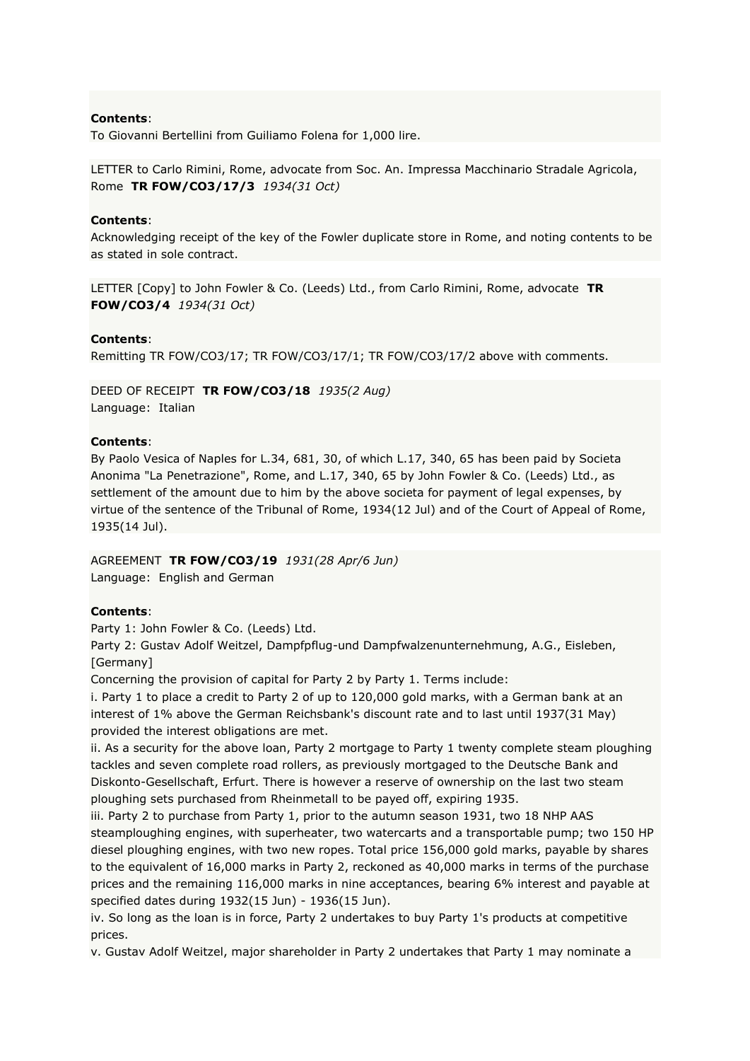To Giovanni Bertellini from Guiliamo Folena for 1,000 lire.

LETTER to Carlo Rimini, Rome, advocate from Soc. An. Impressa Macchinario Stradale Agricola, Rome **TR FOW/CO3/17/3** *1934(31 Oct)*

## **Contents**:

Acknowledging receipt of the key of the Fowler duplicate store in Rome, and noting contents to be as stated in sole contract.

LETTER [Copy] to John Fowler & Co. (Leeds) Ltd., from Carlo Rimini, Rome, advocate **TR FOW/CO3/4** *1934(31 Oct)*

## **Contents**:

Remitting TR FOW/CO3/17; TR FOW/CO3/17/1; TR FOW/CO3/17/2 above with comments.

DEED OF RECEIPT **TR FOW/CO3/18** *1935(2 Aug)* Language: Italian

## **Contents**:

By Paolo Vesica of Naples for L.34, 681, 30, of which L.17, 340, 65 has been paid by Societa Anonima "La Penetrazione", Rome, and L.17, 340, 65 by John Fowler & Co. (Leeds) Ltd., as settlement of the amount due to him by the above societa for payment of legal expenses, by virtue of the sentence of the Tribunal of Rome, 1934(12 Jul) and of the Court of Appeal of Rome, 1935(14 Jul).

# AGREEMENT **TR FOW/CO3/19** *1931(28 Apr/6 Jun)*

Language: English and German

## **Contents**:

Party 1: John Fowler & Co. (Leeds) Ltd.

Party 2: Gustav Adolf Weitzel, Dampfpflug-und Dampfwalzenunternehmung, A.G., Eisleben, [Germany]

Concerning the provision of capital for Party 2 by Party 1. Terms include:

i. Party 1 to place a credit to Party 2 of up to 120,000 gold marks, with a German bank at an interest of 1% above the German Reichsbank's discount rate and to last until 1937(31 May) provided the interest obligations are met.

ii. As a security for the above loan, Party 2 mortgage to Party 1 twenty complete steam ploughing tackles and seven complete road rollers, as previously mortgaged to the Deutsche Bank and Diskonto-Gesellschaft, Erfurt. There is however a reserve of ownership on the last two steam ploughing sets purchased from Rheinmetall to be payed off, expiring 1935.

iii. Party 2 to purchase from Party 1, prior to the autumn season 1931, two 18 NHP AAS steamploughing engines, with superheater, two watercarts and a transportable pump; two 150 HP diesel ploughing engines, with two new ropes. Total price 156,000 gold marks, payable by shares to the equivalent of 16,000 marks in Party 2, reckoned as 40,000 marks in terms of the purchase prices and the remaining 116,000 marks in nine acceptances, bearing 6% interest and payable at specified dates during 1932(15 Jun) - 1936(15 Jun).

iv. So long as the loan is in force, Party 2 undertakes to buy Party 1's products at competitive prices.

v. Gustav Adolf Weitzel, major shareholder in Party 2 undertakes that Party 1 may nominate a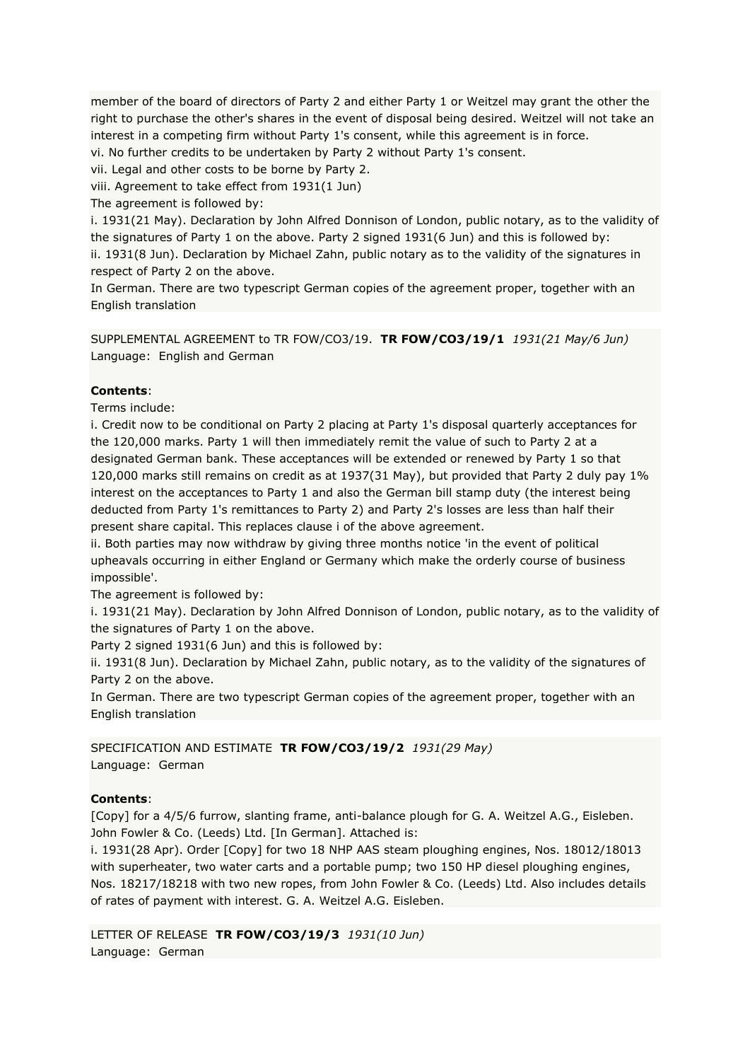member of the board of directors of Party 2 and either Party 1 or Weitzel may grant the other the right to purchase the other's shares in the event of disposal being desired. Weitzel will not take an interest in a competing firm without Party 1's consent, while this agreement is in force.

vi. No further credits to be undertaken by Party 2 without Party 1's consent.

vii. Legal and other costs to be borne by Party 2.

viii. Agreement to take effect from 1931(1 Jun)

The agreement is followed by:

i. 1931(21 May). Declaration by John Alfred Donnison of London, public notary, as to the validity of the signatures of Party 1 on the above. Party 2 signed 1931(6 Jun) and this is followed by: ii. 1931(8 Jun). Declaration by Michael Zahn, public notary as to the validity of the signatures in respect of Party 2 on the above.

In German. There are two typescript German copies of the agreement proper, together with an English translation

SUPPLEMENTAL AGREEMENT to TR FOW/CO3/19. **TR FOW/CO3/19/1** *1931(21 May/6 Jun)* Language: English and German

## **Contents**:

Terms include:

i. Credit now to be conditional on Party 2 placing at Party 1's disposal quarterly acceptances for the 120,000 marks. Party 1 will then immediately remit the value of such to Party 2 at a designated German bank. These acceptances will be extended or renewed by Party 1 so that 120,000 marks still remains on credit as at 1937(31 May), but provided that Party 2 duly pay 1% interest on the acceptances to Party 1 and also the German bill stamp duty (the interest being deducted from Party 1's remittances to Party 2) and Party 2's losses are less than half their present share capital. This replaces clause i of the above agreement.

ii. Both parties may now withdraw by giving three months notice 'in the event of political upheavals occurring in either England or Germany which make the orderly course of business impossible'.

The agreement is followed by:

i. 1931(21 May). Declaration by John Alfred Donnison of London, public notary, as to the validity of the signatures of Party 1 on the above.

Party 2 signed 1931(6 Jun) and this is followed by:

ii. 1931(8 Jun). Declaration by Michael Zahn, public notary, as to the validity of the signatures of Party 2 on the above.

In German. There are two typescript German copies of the agreement proper, together with an English translation

SPECIFICATION AND ESTIMATE **TR FOW/CO3/19/2** *1931(29 May)* Language: German

## **Contents**:

[Copy] for a 4/5/6 furrow, slanting frame, anti-balance plough for G. A. Weitzel A.G., Eisleben. John Fowler & Co. (Leeds) Ltd. [In German]. Attached is:

i. 1931(28 Apr). Order [Copy] for two 18 NHP AAS steam ploughing engines, Nos. 18012/18013 with superheater, two water carts and a portable pump; two 150 HP diesel ploughing engines, Nos. 18217/18218 with two new ropes, from John Fowler & Co. (Leeds) Ltd. Also includes details of rates of payment with interest. G. A. Weitzel A.G. Eisleben.

LETTER OF RELEASE **TR FOW/CO3/19/3** *1931(10 Jun)* Language: German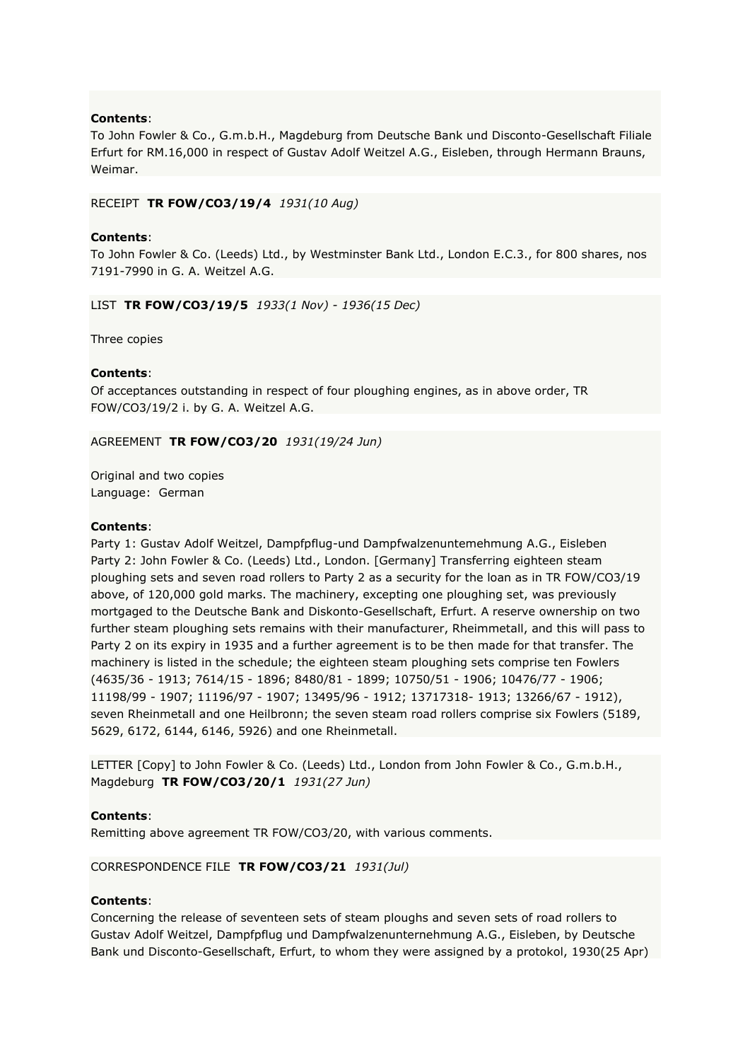To John Fowler & Co., G.m.b.H., Magdeburg from Deutsche Bank und Disconto-Gesellschaft Filiale Erfurt for RM.16,000 in respect of Gustav Adolf Weitzel A.G., Eisleben, through Hermann Brauns, Weimar.

## RECEIPT **TR FOW/CO3/19/4** *1931(10 Aug)*

## **Contents**:

To John Fowler & Co. (Leeds) Ltd., by Westminster Bank Ltd., London E.C.3., for 800 shares, nos 7191-7990 in G. A. Weitzel A.G.

LIST **TR FOW/CO3/19/5** *1933(1 Nov) - 1936(15 Dec)*

Three copies

## **Contents**:

Of acceptances outstanding in respect of four ploughing engines, as in above order, TR FOW/CO3/19/2 i. by G. A. Weitzel A.G.

AGREEMENT **TR FOW/CO3/20** *1931(19/24 Jun)*

Original and two copies Language: German

## **Contents**:

Party 1: Gustav Adolf Weitzel, Dampfpflug-und Dampfwalzenuntemehmung A.G., Eisleben Party 2: John Fowler & Co. (Leeds) Ltd., London. [Germany] Transferring eighteen steam ploughing sets and seven road rollers to Party 2 as a security for the loan as in TR FOW/CO3/19 above, of 120,000 gold marks. The machinery, excepting one ploughing set, was previously mortgaged to the Deutsche Bank and Diskonto-Gesellschaft, Erfurt. A reserve ownership on two further steam ploughing sets remains with their manufacturer, Rheimmetall, and this will pass to Party 2 on its expiry in 1935 and a further agreement is to be then made for that transfer. The machinery is listed in the schedule; the eighteen steam ploughing sets comprise ten Fowlers (4635/36 - 1913; 7614/15 - 1896; 8480/81 - 1899; 10750/51 - 1906; 10476/77 - 1906; 11198/99 - 1907; 11196/97 - 1907; 13495/96 - 1912; 13717318- 1913; 13266/67 - 1912), seven Rheinmetall and one Heilbronn; the seven steam road rollers comprise six Fowlers (5189, 5629, 6172, 6144, 6146, 5926) and one Rheinmetall.

LETTER [Copy] to John Fowler & Co. (Leeds) Ltd., London from John Fowler & Co., G.m.b.H., Magdeburg **TR FOW/CO3/20/1** *1931(27 Jun)*

## **Contents**:

Remitting above agreement TR FOW/CO3/20, with various comments.

## CORRESPONDENCE FILE **TR FOW/CO3/21** *1931(Jul)*

## **Contents**:

Concerning the release of seventeen sets of steam ploughs and seven sets of road rollers to Gustav Adolf Weitzel, Dampfpflug und Dampfwalzenunternehmung A.G., Eisleben, by Deutsche Bank und Disconto-Gesellschaft, Erfurt, to whom they were assigned by a protokol, 1930(25 Apr)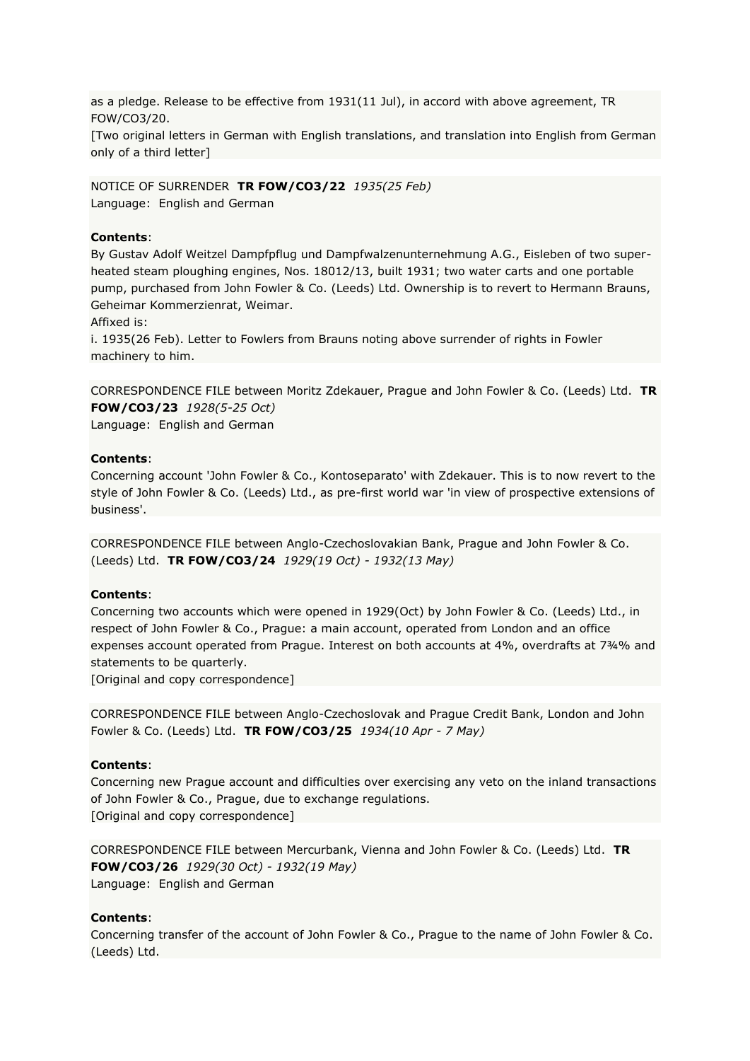as a pledge. Release to be effective from 1931(11 Jul), in accord with above agreement, TR FOW/CO3/20.

[Two original letters in German with English translations, and translation into English from German only of a third letter]

NOTICE OF SURRENDER **TR FOW/CO3/22** *1935(25 Feb)* Language: English and German

## **Contents**:

By Gustav Adolf Weitzel Dampfpflug und Dampfwalzenunternehmung A.G., Eisleben of two superheated steam ploughing engines, Nos. 18012/13, built 1931; two water carts and one portable pump, purchased from John Fowler & Co. (Leeds) Ltd. Ownership is to revert to Hermann Brauns, Geheimar Kommerzienrat, Weimar.

Affixed is:

i. 1935(26 Feb). Letter to Fowlers from Brauns noting above surrender of rights in Fowler machinery to him.

CORRESPONDENCE FILE between Moritz Zdekauer, Prague and John Fowler & Co. (Leeds) Ltd. **TR FOW/CO3/23** *1928(5-25 Oct)* Language: English and German

## **Contents**:

Concerning account 'John Fowler & Co., Kontoseparato' with Zdekauer. This is to now revert to the style of John Fowler & Co. (Leeds) Ltd., as pre-first world war 'in view of prospective extensions of business'.

CORRESPONDENCE FILE between Anglo-Czechoslovakian Bank, Prague and John Fowler & Co. (Leeds) Ltd. **TR FOW/CO3/24** *1929(19 Oct) - 1932(13 May)*

## **Contents**:

Concerning two accounts which were opened in 1929(Oct) by John Fowler & Co. (Leeds) Ltd., in respect of John Fowler & Co., Prague: a main account, operated from London and an office expenses account operated from Prague. Interest on both accounts at 4%, overdrafts at 7¾% and statements to be quarterly.

[Original and copy correspondence]

CORRESPONDENCE FILE between Anglo-Czechoslovak and Prague Credit Bank, London and John Fowler & Co. (Leeds) Ltd. **TR FOW/CO3/25** *1934(10 Apr - 7 May)*

## **Contents**:

Concerning new Prague account and difficulties over exercising any veto on the inland transactions of John Fowler & Co., Prague, due to exchange regulations. [Original and copy correspondence]

CORRESPONDENCE FILE between Mercurbank, Vienna and John Fowler & Co. (Leeds) Ltd. **TR FOW/CO3/26** *1929(30 Oct) - 1932(19 May)* Language: English and German

## **Contents**:

Concerning transfer of the account of John Fowler & Co., Prague to the name of John Fowler & Co. (Leeds) Ltd.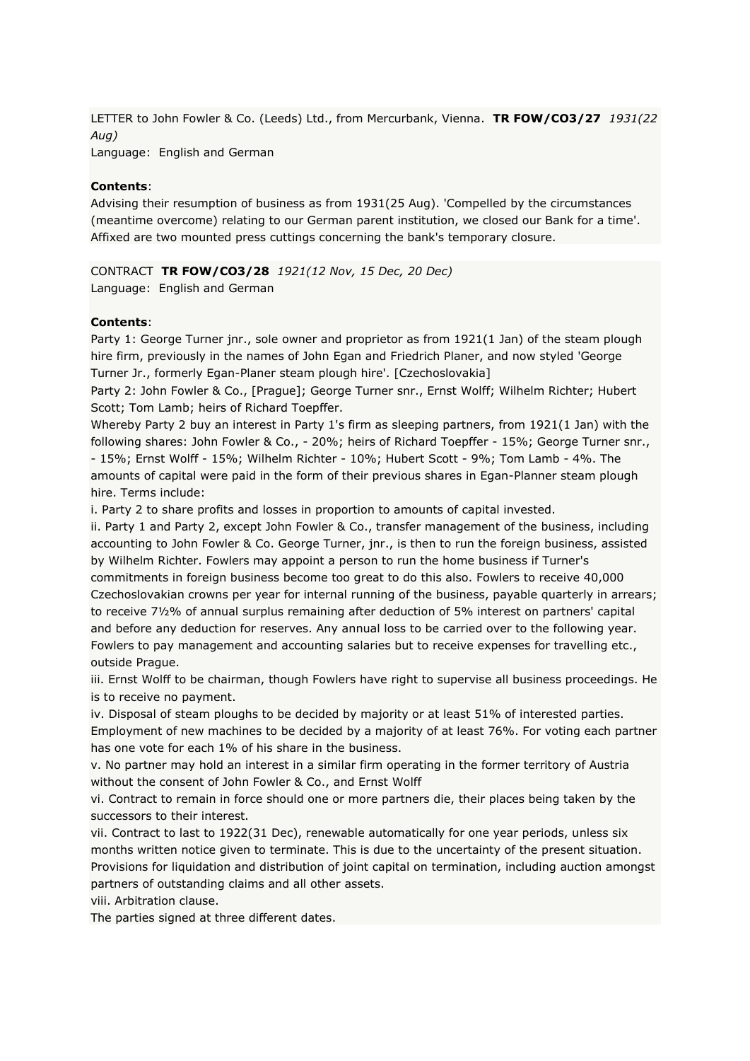LETTER to John Fowler & Co. (Leeds) Ltd., from Mercurbank, Vienna. **TR FOW/CO3/27** *1931(22 Aug)* Language: English and German

**Contents**:

Advising their resumption of business as from 1931(25 Aug). 'Compelled by the circumstances (meantime overcome) relating to our German parent institution, we closed our Bank for a time'. Affixed are two mounted press cuttings concerning the bank's temporary closure.

CONTRACT **TR FOW/CO3/28** *1921(12 Nov, 15 Dec, 20 Dec)* Language: English and German

# **Contents**:

Party 1: George Turner jnr., sole owner and proprietor as from 1921(1 Jan) of the steam plough hire firm, previously in the names of John Egan and Friedrich Planer, and now styled 'George Turner Jr., formerly Egan-Planer steam plough hire'. [Czechoslovakia]

Party 2: John Fowler & Co., [Prague]; George Turner snr., Ernst Wolff; Wilhelm Richter; Hubert Scott; Tom Lamb; heirs of Richard Toepffer.

Whereby Party 2 buy an interest in Party 1's firm as sleeping partners, from 1921(1 Jan) with the following shares: John Fowler & Co., - 20%; heirs of Richard Toepffer - 15%; George Turner snr., - 15%; Ernst Wolff - 15%; Wilhelm Richter - 10%; Hubert Scott - 9%; Tom Lamb - 4%. The amounts of capital were paid in the form of their previous shares in Egan-Planner steam plough hire. Terms include:

i. Party 2 to share profits and losses in proportion to amounts of capital invested.

ii. Party 1 and Party 2, except John Fowler & Co., transfer management of the business, including accounting to John Fowler & Co. George Turner, jnr., is then to run the foreign business, assisted by Wilhelm Richter. Fowlers may appoint a person to run the home business if Turner's commitments in foreign business become too great to do this also. Fowlers to receive 40,000 Czechoslovakian crowns per year for internal running of the business, payable quarterly in arrears; to receive 7½% of annual surplus remaining after deduction of 5% interest on partners' capital and before any deduction for reserves. Any annual loss to be carried over to the following year. Fowlers to pay management and accounting salaries but to receive expenses for travelling etc., outside Prague.

iii. Ernst Wolff to be chairman, though Fowlers have right to supervise all business proceedings. He is to receive no payment.

iv. Disposal of steam ploughs to be decided by majority or at least 51% of interested parties. Employment of new machines to be decided by a majority of at least 76%. For voting each partner has one vote for each 1% of his share in the business.

v. No partner may hold an interest in a similar firm operating in the former territory of Austria without the consent of John Fowler & Co., and Ernst Wolff

vi. Contract to remain in force should one or more partners die, their places being taken by the successors to their interest.

vii. Contract to last to 1922(31 Dec), renewable automatically for one year periods, unless six months written notice given to terminate. This is due to the uncertainty of the present situation. Provisions for liquidation and distribution of joint capital on termination, including auction amongst partners of outstanding claims and all other assets.

viii. Arbitration clause.

The parties signed at three different dates.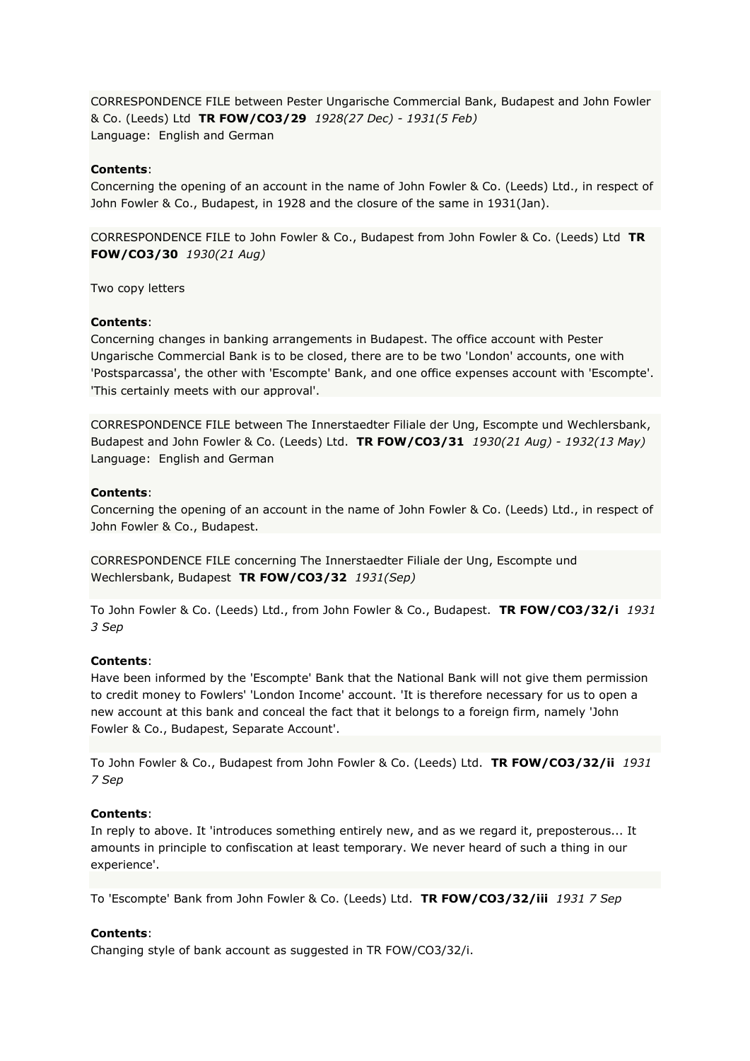CORRESPONDENCE FILE between Pester Ungarische Commercial Bank, Budapest and John Fowler & Co. (Leeds) Ltd **TR FOW/CO3/29** *1928(27 Dec) - 1931(5 Feb)* Language: English and German

## **Contents**:

Concerning the opening of an account in the name of John Fowler & Co. (Leeds) Ltd., in respect of John Fowler & Co., Budapest, in 1928 and the closure of the same in 1931(Jan).

CORRESPONDENCE FILE to John Fowler & Co., Budapest from John Fowler & Co. (Leeds) Ltd **TR FOW/CO3/30** *1930(21 Aug)*

Two copy letters

## **Contents**:

Concerning changes in banking arrangements in Budapest. The office account with Pester Ungarische Commercial Bank is to be closed, there are to be two 'London' accounts, one with 'Postsparcassa', the other with 'Escompte' Bank, and one office expenses account with 'Escompte'. 'This certainly meets with our approval'.

CORRESPONDENCE FILE between The Innerstaedter Filiale der Ung, Escompte und Wechlersbank, Budapest and John Fowler & Co. (Leeds) Ltd. **TR FOW/CO3/31** *1930(21 Aug) - 1932(13 May)* Language: English and German

#### **Contents**:

Concerning the opening of an account in the name of John Fowler & Co. (Leeds) Ltd., in respect of John Fowler & Co., Budapest.

CORRESPONDENCE FILE concerning The Innerstaedter Filiale der Ung, Escompte und Wechlersbank, Budapest **TR FOW/CO3/32** *1931(Sep)*

To John Fowler & Co. (Leeds) Ltd., from John Fowler & Co., Budapest. **TR FOW/CO3/32/i** *1931 3 Sep*

#### **Contents**:

Have been informed by the 'Escompte' Bank that the National Bank will not give them permission to credit money to Fowlers' 'London Income' account. 'It is therefore necessary for us to open a new account at this bank and conceal the fact that it belongs to a foreign firm, namely 'John Fowler & Co., Budapest, Separate Account'.

To John Fowler & Co., Budapest from John Fowler & Co. (Leeds) Ltd. **TR FOW/CO3/32/ii** *1931 7 Sep*

#### **Contents**:

In reply to above. It 'introduces something entirely new, and as we regard it, preposterous... It amounts in principle to confiscation at least temporary. We never heard of such a thing in our experience'.

To 'Escompte' Bank from John Fowler & Co. (Leeds) Ltd. **TR FOW/CO3/32/iii** *1931 7 Sep*

#### **Contents**:

Changing style of bank account as suggested in TR FOW/CO3/32/i.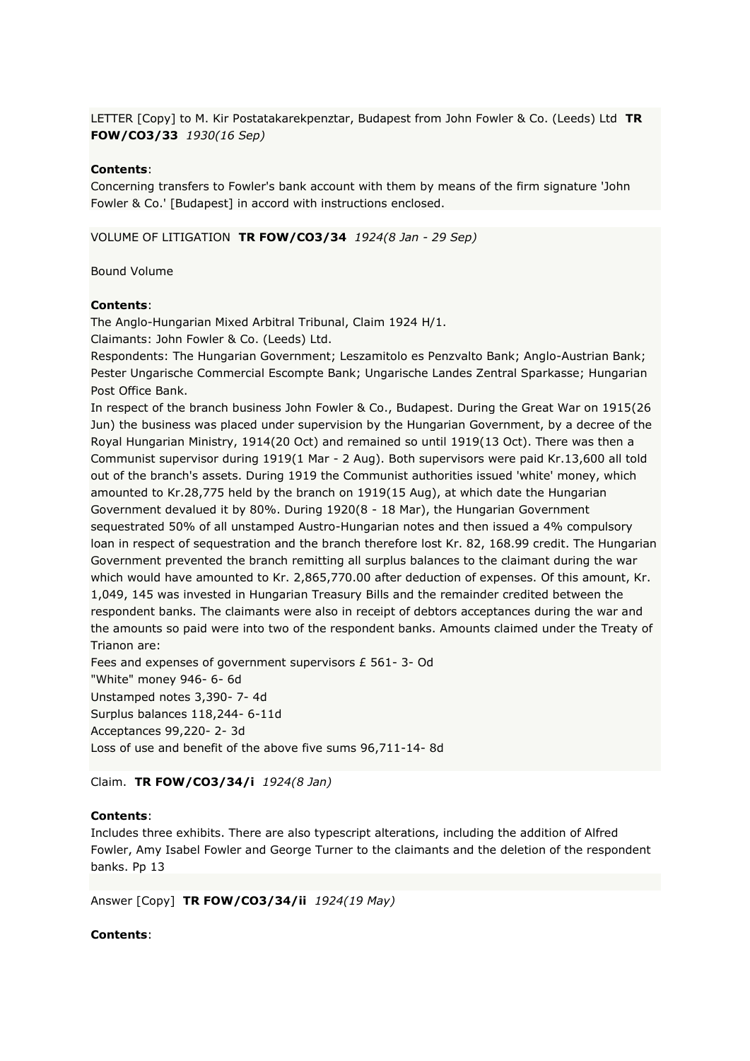LETTER [Copy] to M. Kir Postatakarekpenztar, Budapest from John Fowler & Co. (Leeds) Ltd **TR FOW/CO3/33** *1930(16 Sep)*

## **Contents**:

Concerning transfers to Fowler's bank account with them by means of the firm signature 'John Fowler & Co.' [Budapest] in accord with instructions enclosed.

VOLUME OF LITIGATION **TR FOW/CO3/34** *1924(8 Jan - 29 Sep)*

Bound Volume

## **Contents**:

The Anglo-Hungarian Mixed Arbitral Tribunal, Claim 1924 H/1.

Claimants: John Fowler & Co. (Leeds) Ltd.

Respondents: The Hungarian Government; Leszamitolo es Penzvalto Bank; Anglo-Austrian Bank; Pester Ungarische Commercial Escompte Bank; Ungarische Landes Zentral Sparkasse; Hungarian Post Office Bank.

In respect of the branch business John Fowler & Co., Budapest. During the Great War on 1915(26 Jun) the business was placed under supervision by the Hungarian Government, by a decree of the Royal Hungarian Ministry, 1914(20 Oct) and remained so until 1919(13 Oct). There was then a Communist supervisor during 1919(1 Mar - 2 Aug). Both supervisors were paid Kr.13,600 all told out of the branch's assets. During 1919 the Communist authorities issued 'white' money, which amounted to Kr.28,775 held by the branch on 1919(15 Aug), at which date the Hungarian Government devalued it by 80%. During 1920(8 - 18 Mar), the Hungarian Government sequestrated 50% of all unstamped Austro-Hungarian notes and then issued a 4% compulsory loan in respect of sequestration and the branch therefore lost Kr. 82, 168.99 credit. The Hungarian Government prevented the branch remitting all surplus balances to the claimant during the war which would have amounted to Kr. 2,865,770.00 after deduction of expenses. Of this amount, Kr. 1,049, 145 was invested in Hungarian Treasury Bills and the remainder credited between the respondent banks. The claimants were also in receipt of debtors acceptances during the war and the amounts so paid were into two of the respondent banks. Amounts claimed under the Treaty of Trianon are:

Fees and expenses of government supervisors £ 561- 3- Od "White" money 946- 6- 6d Unstamped notes 3,390- 7- 4d Surplus balances 118,244- 6-11d Acceptances 99,220- 2- 3d Loss of use and benefit of the above five sums 96,711-14- 8d

## Claim. **TR FOW/CO3/34/i** *1924(8 Jan)*

## **Contents**:

Includes three exhibits. There are also typescript alterations, including the addition of Alfred Fowler, Amy Isabel Fowler and George Turner to the claimants and the deletion of the respondent banks. Pp 13

Answer [Copy] **TR FOW/CO3/34/ii** *1924(19 May)*

#### **Contents**: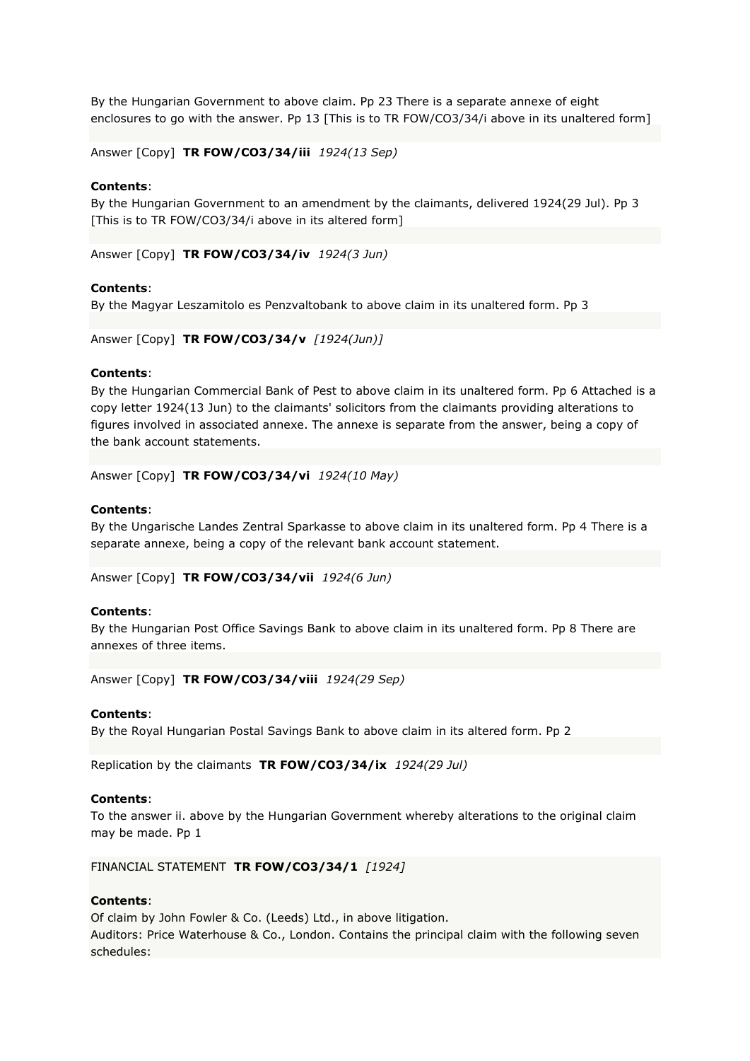By the Hungarian Government to above claim. Pp 23 There is a separate annexe of eight enclosures to go with the answer. Pp 13 [This is to TR FOW/CO3/34/i above in its unaltered form]

Answer [Copy] **TR FOW/CO3/34/iii** *1924(13 Sep)*

# **Contents**:

By the Hungarian Government to an amendment by the claimants, delivered 1924(29 Jul). Pp 3 [This is to TR FOW/CO3/34/i above in its altered form]

Answer [Copy] **TR FOW/CO3/34/iv** *1924(3 Jun)*

### **Contents**:

By the Magyar Leszamitolo es Penzvaltobank to above claim in its unaltered form. Pp 3

Answer [Copy] **TR FOW/CO3/34/v** *[1924(Jun)]*

#### **Contents**:

By the Hungarian Commercial Bank of Pest to above claim in its unaltered form. Pp 6 Attached is a copy letter 1924(13 Jun) to the claimants' solicitors from the claimants providing alterations to figures involved in associated annexe. The annexe is separate from the answer, being a copy of the bank account statements.

Answer [Copy] **TR FOW/CO3/34/vi** *1924(10 May)*

### **Contents**:

By the Ungarische Landes Zentral Sparkasse to above claim in its unaltered form. Pp 4 There is a separate annexe, being a copy of the relevant bank account statement.

Answer [Copy] **TR FOW/CO3/34/vii** *1924(6 Jun)*

### **Contents**:

By the Hungarian Post Office Savings Bank to above claim in its unaltered form. Pp 8 There are annexes of three items.

Answer [Copy] **TR FOW/CO3/34/viii** *1924(29 Sep)*

#### **Contents**:

By the Royal Hungarian Postal Savings Bank to above claim in its altered form. Pp 2

Replication by the claimants **TR FOW/CO3/34/ix** *1924(29 Jul)*

#### **Contents**:

To the answer ii. above by the Hungarian Government whereby alterations to the original claim may be made. Pp 1

FINANCIAL STATEMENT **TR FOW/CO3/34/1** *[1924]*

### **Contents**:

Of claim by John Fowler & Co. (Leeds) Ltd., in above litigation. Auditors: Price Waterhouse & Co., London. Contains the principal claim with the following seven schedules: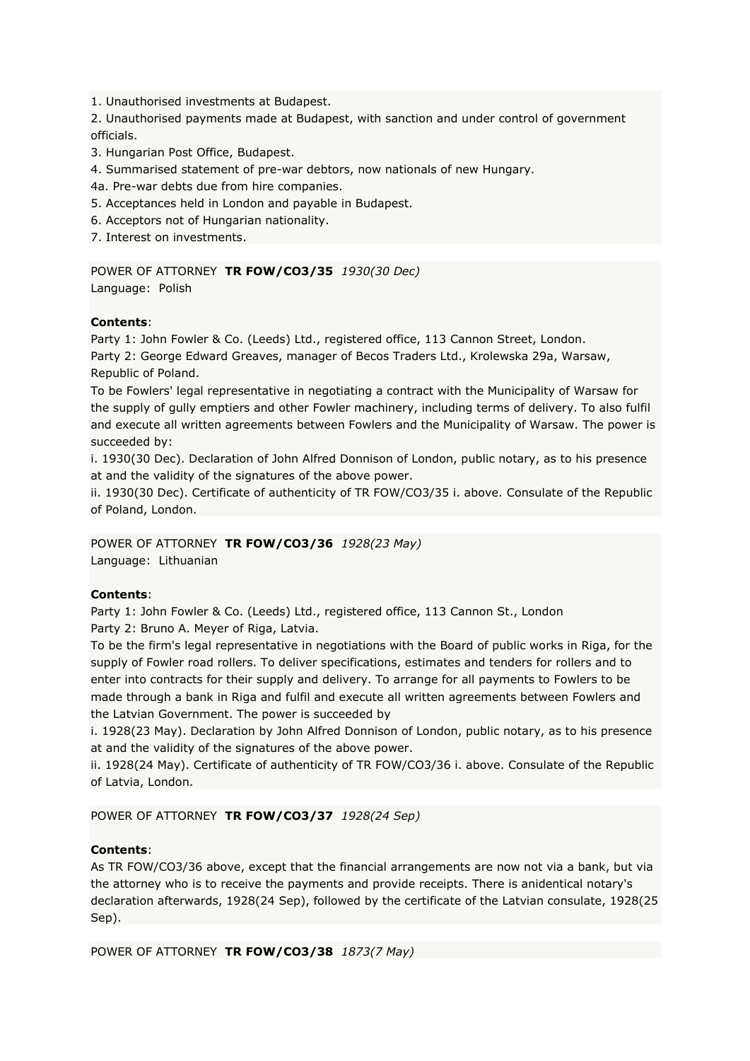1. Unauthorised investments at Budapest.

2. Unauthorised payments made at Budapest, with sanction and under control of government officials.

3. Hungarian Post Office, Budapest.

4. Summarised statement of pre-war debtors, now nationals of new Hungary.

4a. Pre-war debts due from hire companies.

5. Acceptances held in London and payable in Budapest.

6. Acceptors not of Hungarian nationality.

7. Interest on investments.

POWER OF ATTORNEY **TR FOW/CO3/35** *1930(30 Dec)* Language: Polish

# **Contents**:

Party 1: John Fowler & Co. (Leeds) Ltd., registered office, 113 Cannon Street, London. Party 2: George Edward Greaves, manager of Becos Traders Ltd., Krolewska 29a, Warsaw, Republic of Poland.

To be Fowlers' legal representative in negotiating a contract with the Municipality of Warsaw for the supply of gully emptiers and other Fowler machinery, including terms of delivery. To also fulfil and execute all written agreements between Fowlers and the Municipality of Warsaw. The power is succeeded by:

i. 1930(30 Dec). Declaration of John Alfred Donnison of London, public notary, as to his presence at and the validity of the signatures of the above power.

ii. 1930(30 Dec). Certificate of authenticity of TR FOW/CO3/35 i. above. Consulate of the Republic of Poland, London.

POWER OF ATTORNEY **TR FOW/CO3/36** *1928(23 May)* Language: Lithuanian

# **Contents**:

Party 1: John Fowler & Co. (Leeds) Ltd., registered office, 113 Cannon St., London Party 2: Bruno A. Meyer of Riga, Latvia.

To be the firm's legal representative in negotiations with the Board of public works in Riga, for the supply of Fowler road rollers. To deliver specifications, estimates and tenders for rollers and to enter into contracts for their supply and delivery. To arrange for all payments to Fowlers to be made through a bank in Riga and fulfil and execute all written agreements between Fowlers and the Latvian Government. The power is succeeded by

i. 1928(23 May). Declaration by John Alfred Donnison of London, public notary, as to his presence at and the validity of the signatures of the above power.

ii. 1928(24 May). Certificate of authenticity of TR FOW/CO3/36 i. above. Consulate of the Republic of Latvia, London.

POWER OF ATTORNEY **TR FOW/CO3/37** *1928(24 Sep)*

# **Contents**:

As TR FOW/CO3/36 above, except that the financial arrangements are now not via a bank, but via the attorney who is to receive the payments and provide receipts. There is anidentical notary's declaration afterwards, 1928(24 Sep), followed by the certificate of the Latvian consulate, 1928(25 Sep).

POWER OF ATTORNEY **TR FOW/CO3/38** *1873(7 May)*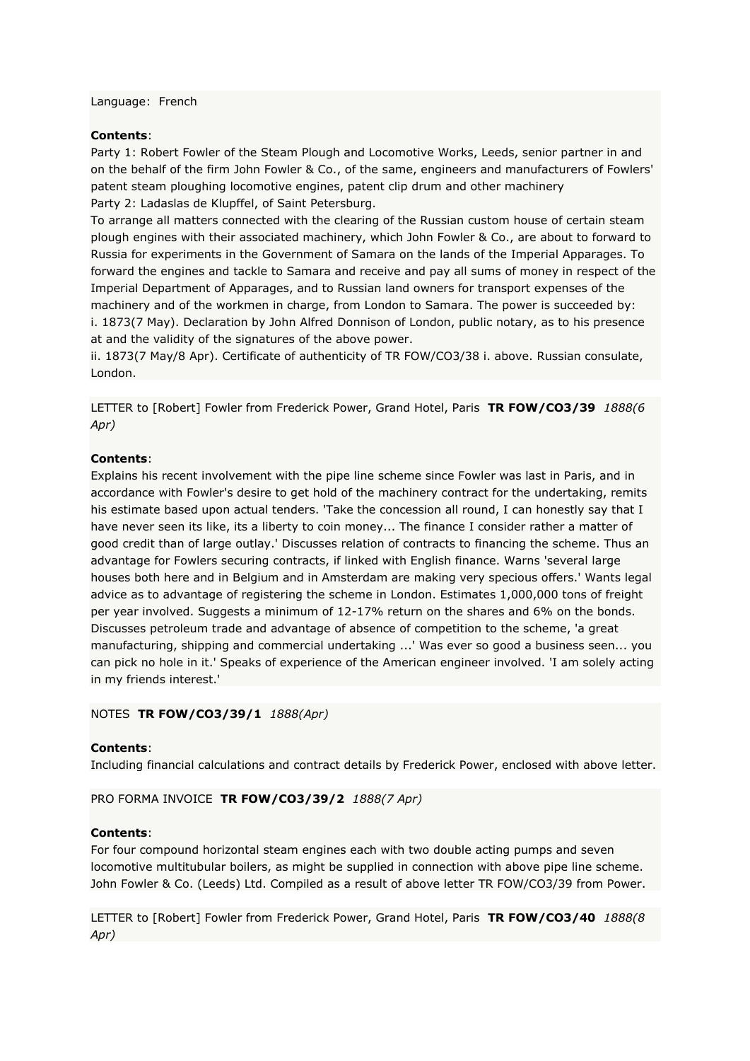Language: French

#### **Contents**:

Party 1: Robert Fowler of the Steam Plough and Locomotive Works, Leeds, senior partner in and on the behalf of the firm John Fowler & Co., of the same, engineers and manufacturers of Fowlers' patent steam ploughing locomotive engines, patent clip drum and other machinery Party 2: Ladaslas de Klupffel, of Saint Petersburg.

To arrange all matters connected with the clearing of the Russian custom house of certain steam plough engines with their associated machinery, which John Fowler & Co., are about to forward to Russia for experiments in the Government of Samara on the lands of the Imperial Apparages. To forward the engines and tackle to Samara and receive and pay all sums of money in respect of the Imperial Department of Apparages, and to Russian land owners for transport expenses of the machinery and of the workmen in charge, from London to Samara. The power is succeeded by: i. 1873(7 May). Declaration by John Alfred Donnison of London, public notary, as to his presence at and the validity of the signatures of the above power.

ii. 1873(7 May/8 Apr). Certificate of authenticity of TR FOW/CO3/38 i. above. Russian consulate, London.

LETTER to [Robert] Fowler from Frederick Power, Grand Hotel, Paris **TR FOW/CO3/39** *1888(6 Apr)*

#### **Contents**:

Explains his recent involvement with the pipe line scheme since Fowler was last in Paris, and in accordance with Fowler's desire to get hold of the machinery contract for the undertaking, remits his estimate based upon actual tenders. 'Take the concession all round, I can honestly say that I have never seen its like, its a liberty to coin money... The finance I consider rather a matter of good credit than of large outlay.' Discusses relation of contracts to financing the scheme. Thus an advantage for Fowlers securing contracts, if linked with English finance. Warns 'several large houses both here and in Belgium and in Amsterdam are making very specious offers.' Wants legal advice as to advantage of registering the scheme in London. Estimates 1,000,000 tons of freight per year involved. Suggests a minimum of 12-17% return on the shares and 6% on the bonds. Discusses petroleum trade and advantage of absence of competition to the scheme, 'a great manufacturing, shipping and commercial undertaking ...' Was ever so good a business seen... you can pick no hole in it.' Speaks of experience of the American engineer involved. 'I am solely acting in my friends interest.'

#### NOTES **TR FOW/CO3/39/1** *1888(Apr)*

### **Contents**:

Including financial calculations and contract details by Frederick Power, enclosed with above letter.

PRO FORMA INVOICE **TR FOW/CO3/39/2** *1888(7 Apr)*

#### **Contents**:

For four compound horizontal steam engines each with two double acting pumps and seven locomotive multitubular boilers, as might be supplied in connection with above pipe line scheme. John Fowler & Co. (Leeds) Ltd. Compiled as a result of above letter TR FOW/CO3/39 from Power.

LETTER to [Robert] Fowler from Frederick Power, Grand Hotel, Paris **TR FOW/CO3/40** *1888(8 Apr)*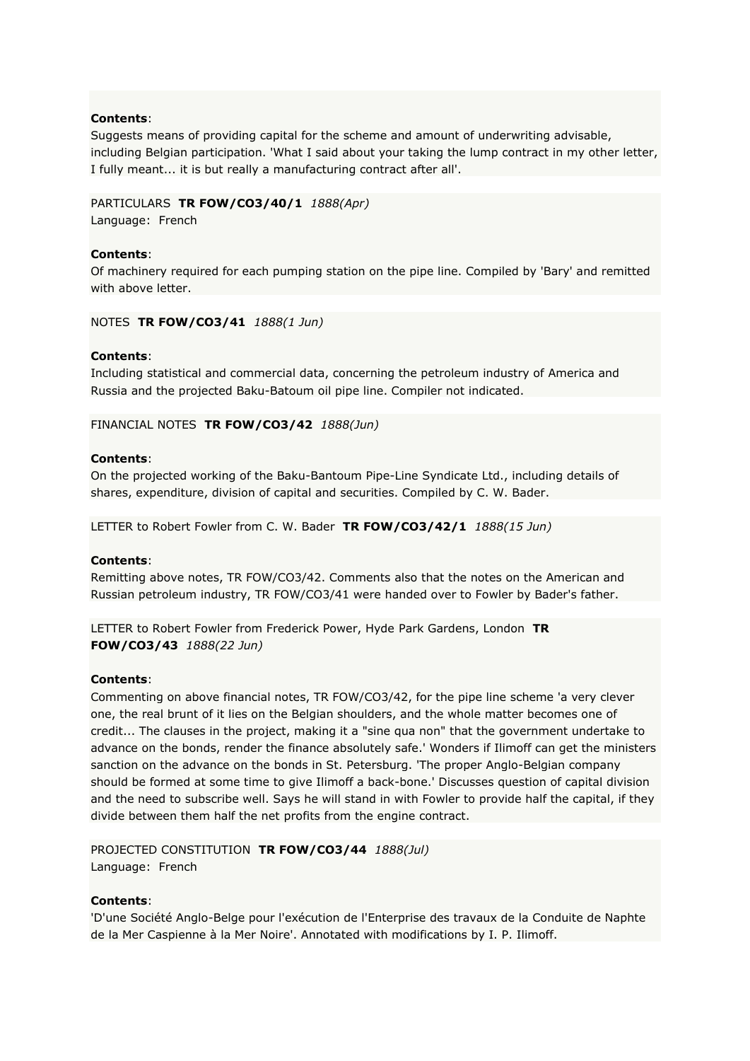Suggests means of providing capital for the scheme and amount of underwriting advisable, including Belgian participation. 'What I said about your taking the lump contract in my other letter, I fully meant... it is but really a manufacturing contract after all'.

# PARTICULARS **TR FOW/CO3/40/1** *1888(Apr)*

Language: French

# **Contents**:

Of machinery required for each pumping station on the pipe line. Compiled by 'Bary' and remitted with above letter.

NOTES **TR FOW/CO3/41** *1888(1 Jun)*

# **Contents**:

Including statistical and commercial data, concerning the petroleum industry of America and Russia and the projected Baku-Batoum oil pipe line. Compiler not indicated.

# FINANCIAL NOTES **TR FOW/CO3/42** *1888(Jun)*

# **Contents**:

On the projected working of the Baku-Bantoum Pipe-Line Syndicate Ltd., including details of shares, expenditure, division of capital and securities. Compiled by C. W. Bader.

LETTER to Robert Fowler from C. W. Bader **TR FOW/CO3/42/1** *1888(15 Jun)*

### **Contents**:

Remitting above notes, TR FOW/CO3/42. Comments also that the notes on the American and Russian petroleum industry, TR FOW/CO3/41 were handed over to Fowler by Bader's father.

LETTER to Robert Fowler from Frederick Power, Hyde Park Gardens, London **TR FOW/CO3/43** *1888(22 Jun)*

### **Contents**:

Commenting on above financial notes, TR FOW/CO3/42, for the pipe line scheme 'a very clever one, the real brunt of it lies on the Belgian shoulders, and the whole matter becomes one of credit... The clauses in the project, making it a "sine qua non" that the government undertake to advance on the bonds, render the finance absolutely safe.' Wonders if Ilimoff can get the ministers sanction on the advance on the bonds in St. Petersburg. 'The proper Anglo-Belgian company should be formed at some time to give Ilimoff a back-bone.' Discusses question of capital division and the need to subscribe well. Says he will stand in with Fowler to provide half the capital, if they divide between them half the net profits from the engine contract.

# PROJECTED CONSTITUTION **TR FOW/CO3/44** *1888(Jul)* Language: French

### **Contents**:

'D'une Société Anglo-Belge pour l'exécution de l'Enterprise des travaux de la Conduite de Naphte de la Mer Caspienne à la Mer Noire'. Annotated with modifications by I. P. Ilimoff.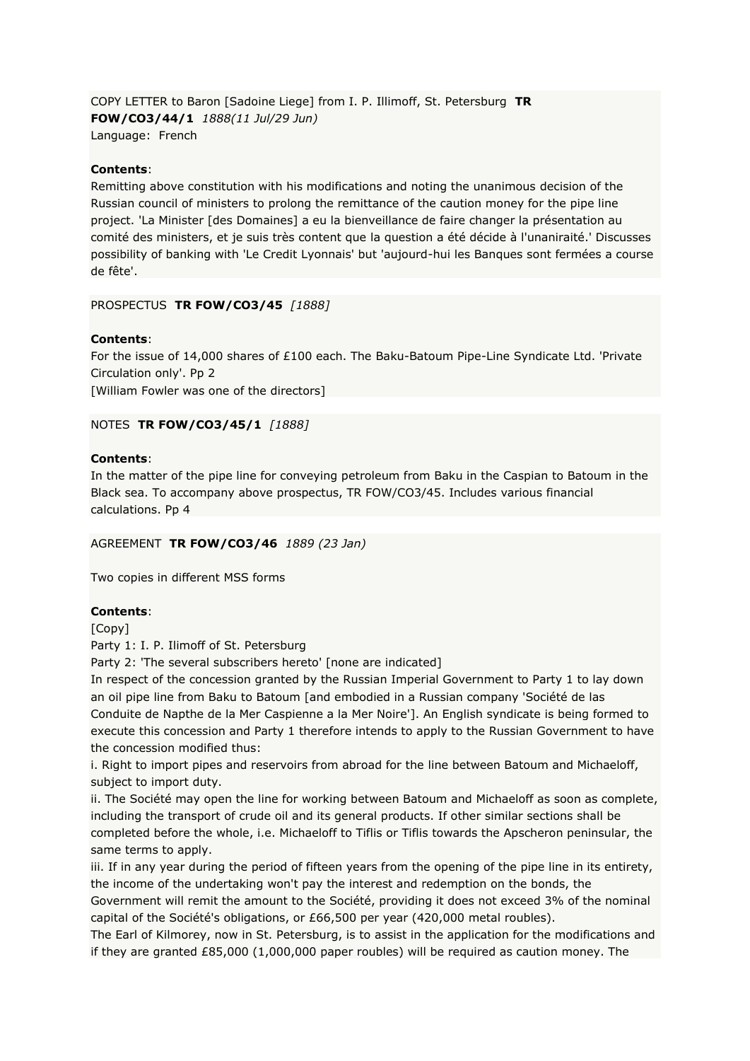COPY LETTER to Baron [Sadoine Liege] from I. P. Illimoff, St. Petersburg **TR FOW/CO3/44/1** *1888(11 Jul/29 Jun)* Language: French

# **Contents**:

Remitting above constitution with his modifications and noting the unanimous decision of the Russian council of ministers to prolong the remittance of the caution money for the pipe line project. 'La Minister [des Domaines] a eu la bienveillance de faire changer la présentation au comité des ministers, et je suis très content que la question a été décide à l'unaniraité.' Discusses possibility of banking with 'Le Credit Lyonnais' but 'aujourd-hui les Banques sont fermées a course de fête'.

### PROSPECTUS **TR FOW/CO3/45** *[1888]*

# **Contents**:

For the issue of 14,000 shares of £100 each. The Baku-Batoum Pipe-Line Syndicate Ltd. 'Private Circulation only'. Pp 2 [William Fowler was one of the directors]

NOTES **TR FOW/CO3/45/1** *[1888]*

# **Contents**:

In the matter of the pipe line for conveying petroleum from Baku in the Caspian to Batoum in the Black sea. To accompany above prospectus, TR FOW/CO3/45. Includes various financial calculations. Pp 4

### AGREEMENT **TR FOW/CO3/46** *1889 (23 Jan)*

Two copies in different MSS forms

### **Contents**:

[Copy]

Party 1: I. P. Ilimoff of St. Petersburg

Party 2: 'The several subscribers hereto' [none are indicated]

In respect of the concession granted by the Russian Imperial Government to Party 1 to lay down an oil pipe line from Baku to Batoum [and embodied in a Russian company 'Société de las Conduite de Napthe de la Mer Caspienne a la Mer Noire']. An English syndicate is being formed to execute this concession and Party 1 therefore intends to apply to the Russian Government to have the concession modified thus:

i. Right to import pipes and reservoirs from abroad for the line between Batoum and Michaeloff, subject to import duty.

ii. The Société may open the line for working between Batoum and Michaeloff as soon as complete, including the transport of crude oil and its general products. If other similar sections shall be completed before the whole, i.e. Michaeloff to Tiflis or Tiflis towards the Apscheron peninsular, the same terms to apply.

iii. If in any year during the period of fifteen years from the opening of the pipe line in its entirety, the income of the undertaking won't pay the interest and redemption on the bonds, the

Government will remit the amount to the Société, providing it does not exceed 3% of the nominal capital of the Société's obligations, or £66,500 per year (420,000 metal roubles).

The Earl of Kilmorey, now in St. Petersburg, is to assist in the application for the modifications and if they are granted £85,000 (1,000,000 paper roubles) will be required as caution money. The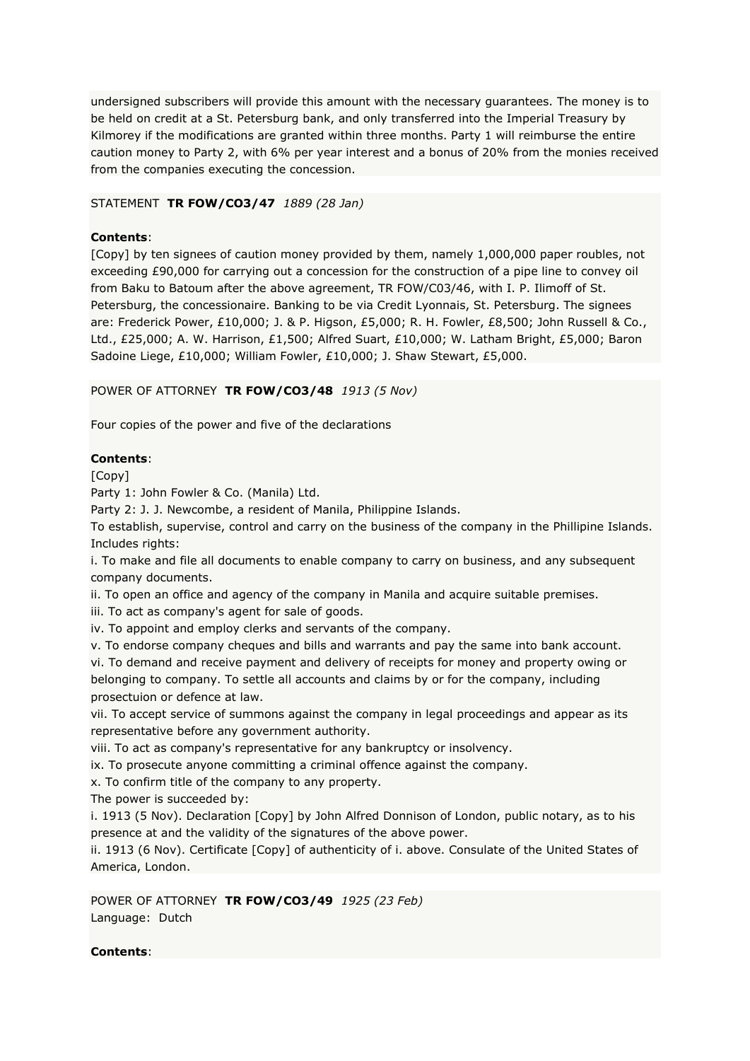undersigned subscribers will provide this amount with the necessary guarantees. The money is to be held on credit at a St. Petersburg bank, and only transferred into the Imperial Treasury by Kilmorey if the modifications are granted within three months. Party 1 will reimburse the entire caution money to Party 2, with 6% per year interest and a bonus of 20% from the monies received from the companies executing the concession.

# STATEMENT **TR FOW/CO3/47** *1889 (28 Jan)*

# **Contents**:

[Copy] by ten signees of caution money provided by them, namely 1,000,000 paper roubles, not exceeding £90,000 for carrying out a concession for the construction of a pipe line to convey oil from Baku to Batoum after the above agreement, TR FOW/C03/46, with I. P. Ilimoff of St. Petersburg, the concessionaire. Banking to be via Credit Lyonnais, St. Petersburg. The signees are: Frederick Power, £10,000; J. & P. Higson, £5,000; R. H. Fowler, £8,500; John Russell & Co., Ltd., £25,000; A. W. Harrison, £1,500; Alfred Suart, £10,000; W. Latham Bright, £5,000; Baron Sadoine Liege, £10,000; William Fowler, £10,000; J. Shaw Stewart, £5,000.

# POWER OF ATTORNEY **TR FOW/CO3/48** *1913 (5 Nov)*

Four copies of the power and five of the declarations

# **Contents**:

[Copy]

Party 1: John Fowler & Co. (Manila) Ltd.

Party 2: J. J. Newcombe, a resident of Manila, Philippine Islands.

To establish, supervise, control and carry on the business of the company in the Phillipine Islands. Includes rights:

i. To make and file all documents to enable company to carry on business, and any subsequent company documents.

ii. To open an office and agency of the company in Manila and acquire suitable premises.

iii. To act as company's agent for sale of goods.

iv. To appoint and employ clerks and servants of the company.

v. To endorse company cheques and bills and warrants and pay the same into bank account.

vi. To demand and receive payment and delivery of receipts for money and property owing or belonging to company. To settle all accounts and claims by or for the company, including prosectuion or defence at law.

vii. To accept service of summons against the company in legal proceedings and appear as its representative before any government authority.

viii. To act as company's representative for any bankruptcy or insolvency.

ix. To prosecute anyone committing a criminal offence against the company.

x. To confirm title of the company to any property.

The power is succeeded by:

i. 1913 (5 Nov). Declaration [Copy] by John Alfred Donnison of London, public notary, as to his presence at and the validity of the signatures of the above power.

ii. 1913 (6 Nov). Certificate [Copy] of authenticity of i. above. Consulate of the United States of America, London.

POWER OF ATTORNEY **TR FOW/CO3/49** *1925 (23 Feb)* Language: Dutch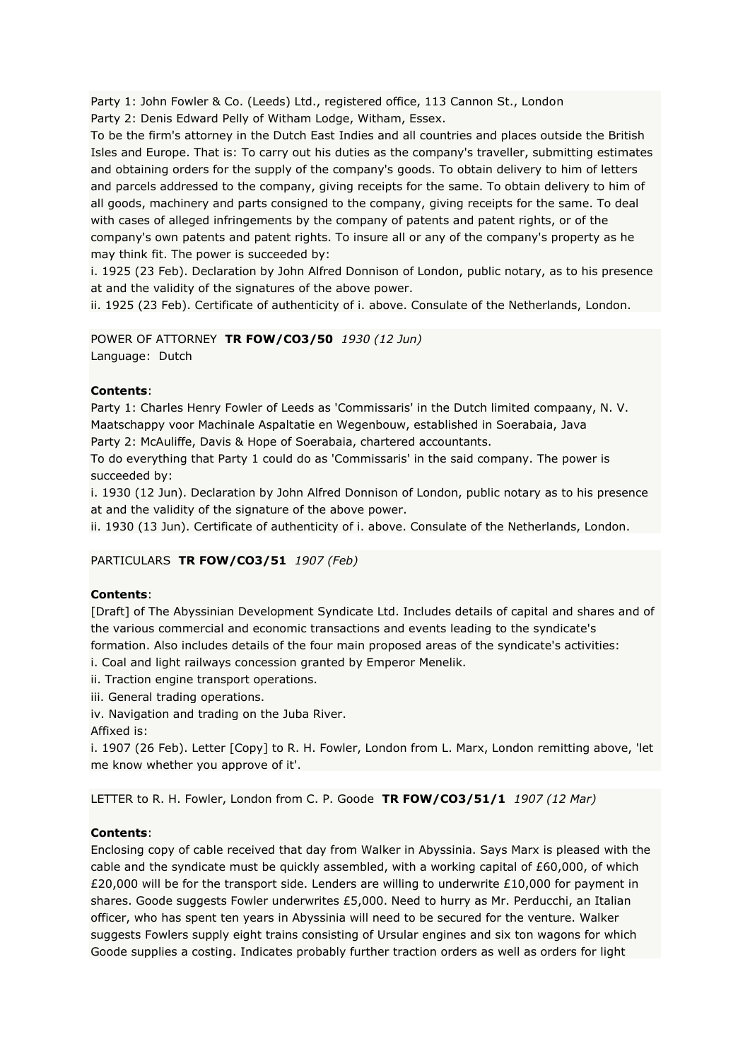Party 1: John Fowler & Co. (Leeds) Ltd., registered office, 113 Cannon St., London Party 2: Denis Edward Pelly of Witham Lodge, Witham, Essex.

To be the firm's attorney in the Dutch East Indies and all countries and places outside the British Isles and Europe. That is: To carry out his duties as the company's traveller, submitting estimates and obtaining orders for the supply of the company's goods. To obtain delivery to him of letters and parcels addressed to the company, giving receipts for the same. To obtain delivery to him of all goods, machinery and parts consigned to the company, giving receipts for the same. To deal with cases of alleged infringements by the company of patents and patent rights, or of the company's own patents and patent rights. To insure all or any of the company's property as he may think fit. The power is succeeded by:

i. 1925 (23 Feb). Declaration by John Alfred Donnison of London, public notary, as to his presence at and the validity of the signatures of the above power.

ii. 1925 (23 Feb). Certificate of authenticity of i. above. Consulate of the Netherlands, London.

POWER OF ATTORNEY **TR FOW/CO3/50** *1930 (12 Jun)* Language: Dutch

# **Contents**:

Party 1: Charles Henry Fowler of Leeds as 'Commissaris' in the Dutch limited compaany, N. V. Maatschappy voor Machinale Aspaltatie en Wegenbouw, established in Soerabaia, Java

Party 2: McAuliffe, Davis & Hope of Soerabaia, chartered accountants.

To do everything that Party 1 could do as 'Commissaris' in the said company. The power is succeeded by:

i. 1930 (12 Jun). Declaration by John Alfred Donnison of London, public notary as to his presence at and the validity of the signature of the above power.

ii. 1930 (13 Jun). Certificate of authenticity of i. above. Consulate of the Netherlands, London.

# PARTICULARS **TR FOW/CO3/51** *1907 (Feb)*

# **Contents**:

[Draft] of The Abyssinian Development Syndicate Ltd. Includes details of capital and shares and of the various commercial and economic transactions and events leading to the syndicate's formation. Also includes details of the four main proposed areas of the syndicate's activities:

i. Coal and light railways concession granted by Emperor Menelik.

ii. Traction engine transport operations.

iii. General trading operations.

iv. Navigation and trading on the Juba River.

Affixed is:

i. 1907 (26 Feb). Letter [Copy] to R. H. Fowler, London from L. Marx, London remitting above, 'let me know whether you approve of it'.

LETTER to R. H. Fowler, London from C. P. Goode **TR FOW/CO3/51/1** *1907 (12 Mar)*

### **Contents**:

Enclosing copy of cable received that day from Walker in Abyssinia. Says Marx is pleased with the cable and the syndicate must be quickly assembled, with a working capital of £60,000, of which £20,000 will be for the transport side. Lenders are willing to underwrite £10,000 for payment in shares. Goode suggests Fowler underwrites £5,000. Need to hurry as Mr. Perducchi, an Italian officer, who has spent ten years in Abyssinia will need to be secured for the venture. Walker suggests Fowlers supply eight trains consisting of Ursular engines and six ton wagons for which Goode supplies a costing. Indicates probably further traction orders as well as orders for light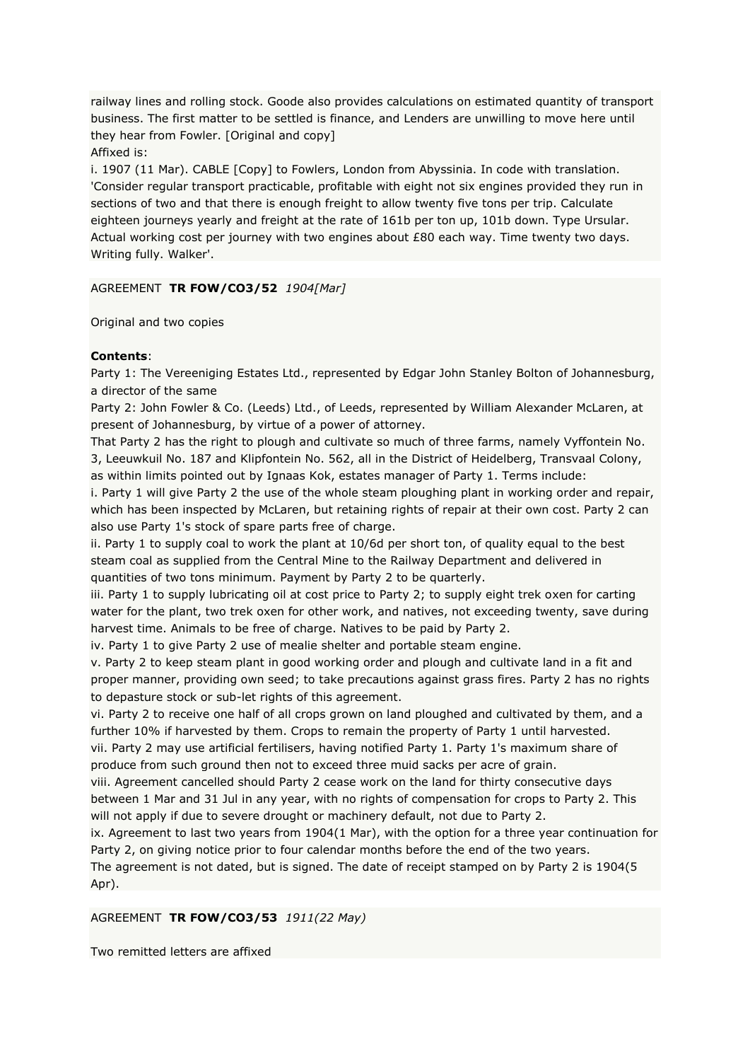railway lines and rolling stock. Goode also provides calculations on estimated quantity of transport business. The first matter to be settled is finance, and Lenders are unwilling to move here until they hear from Fowler. [Original and copy]

Affixed is:

i. 1907 (11 Mar). CABLE [Copy] to Fowlers, London from Abyssinia. In code with translation. 'Consider regular transport practicable, profitable with eight not six engines provided they run in sections of two and that there is enough freight to allow twenty five tons per trip. Calculate eighteen journeys yearly and freight at the rate of 161b per ton up, 101b down. Type Ursular. Actual working cost per journey with two engines about £80 each way. Time twenty two days. Writing fully. Walker'.

AGREEMENT **TR FOW/CO3/52** *1904[Mar]*

Original and two copies

# **Contents**:

Party 1: The Vereeniging Estates Ltd., represented by Edgar John Stanley Bolton of Johannesburg, a director of the same

Party 2: John Fowler & Co. (Leeds) Ltd., of Leeds, represented by William Alexander McLaren, at present of Johannesburg, by virtue of a power of attorney.

That Party 2 has the right to plough and cultivate so much of three farms, namely Vyffontein No. 3, Leeuwkuil No. 187 and Klipfontein No. 562, all in the District of Heidelberg, Transvaal Colony, as within limits pointed out by Ignaas Kok, estates manager of Party 1. Terms include:

i. Party 1 will give Party 2 the use of the whole steam ploughing plant in working order and repair, which has been inspected by McLaren, but retaining rights of repair at their own cost. Party 2 can also use Party 1's stock of spare parts free of charge.

ii. Party 1 to supply coal to work the plant at 10/6d per short ton, of quality equal to the best steam coal as supplied from the Central Mine to the Railway Department and delivered in quantities of two tons minimum. Payment by Party 2 to be quarterly.

iii. Party 1 to supply lubricating oil at cost price to Party 2; to supply eight trek oxen for carting water for the plant, two trek oxen for other work, and natives, not exceeding twenty, save during harvest time. Animals to be free of charge. Natives to be paid by Party 2.

iv. Party 1 to give Party 2 use of mealie shelter and portable steam engine.

v. Party 2 to keep steam plant in good working order and plough and cultivate land in a fit and proper manner, providing own seed; to take precautions against grass fires. Party 2 has no rights to depasture stock or sub-let rights of this agreement.

vi. Party 2 to receive one half of all crops grown on land ploughed and cultivated by them, and a further 10% if harvested by them. Crops to remain the property of Party 1 until harvested.

vii. Party 2 may use artificial fertilisers, having notified Party 1. Party 1's maximum share of produce from such ground then not to exceed three muid sacks per acre of grain.

viii. Agreement cancelled should Party 2 cease work on the land for thirty consecutive days between 1 Mar and 31 Jul in any year, with no rights of compensation for crops to Party 2. This will not apply if due to severe drought or machinery default, not due to Party 2.

ix. Agreement to last two years from 1904(1 Mar), with the option for a three year continuation for Party 2, on giving notice prior to four calendar months before the end of the two years.

The agreement is not dated, but is signed. The date of receipt stamped on by Party 2 is 1904(5 Apr).

# AGREEMENT **TR FOW/CO3/53** *1911(22 May)*

Two remitted letters are affixed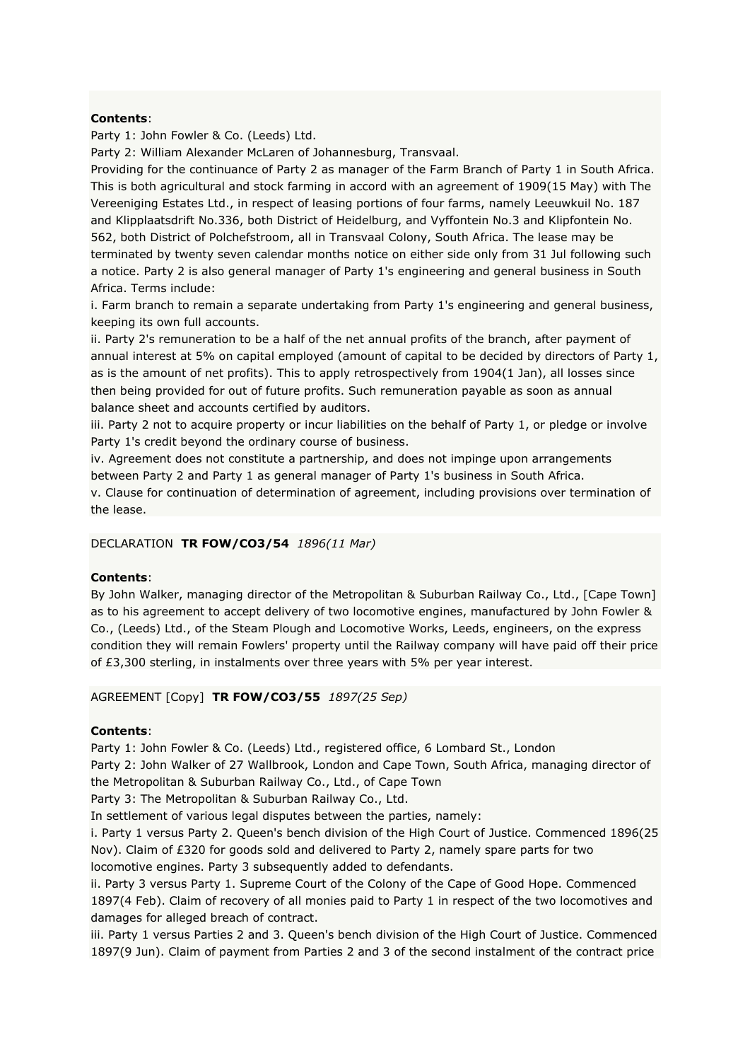Party 1: John Fowler & Co. (Leeds) Ltd.

Party 2: William Alexander McLaren of Johannesburg, Transvaal.

Providing for the continuance of Party 2 as manager of the Farm Branch of Party 1 in South Africa. This is both agricultural and stock farming in accord with an agreement of 1909(15 May) with The Vereeniging Estates Ltd., in respect of leasing portions of four farms, namely Leeuwkuil No. 187 and Klipplaatsdrift No.336, both District of Heidelburg, and Vyffontein No.3 and Klipfontein No. 562, both District of Polchefstroom, all in Transvaal Colony, South Africa. The lease may be terminated by twenty seven calendar months notice on either side only from 31 Jul following such a notice. Party 2 is also general manager of Party 1's engineering and general business in South Africa. Terms include:

i. Farm branch to remain a separate undertaking from Party 1's engineering and general business, keeping its own full accounts.

ii. Party 2's remuneration to be a half of the net annual profits of the branch, after payment of annual interest at 5% on capital employed (amount of capital to be decided by directors of Party 1, as is the amount of net profits). This to apply retrospectively from 1904(1 Jan), all losses since then being provided for out of future profits. Such remuneration payable as soon as annual balance sheet and accounts certified by auditors.

iii. Party 2 not to acquire property or incur liabilities on the behalf of Party 1, or pledge or involve Party 1's credit beyond the ordinary course of business.

iv. Agreement does not constitute a partnership, and does not impinge upon arrangements between Party 2 and Party 1 as general manager of Party 1's business in South Africa. v. Clause for continuation of determination of agreement, including provisions over termination of

the lease.

#### DECLARATION **TR FOW/CO3/54** *1896(11 Mar)*

#### **Contents**:

By John Walker, managing director of the Metropolitan & Suburban Railway Co., Ltd., [Cape Town] as to his agreement to accept delivery of two locomotive engines, manufactured by John Fowler & Co., (Leeds) Ltd., of the Steam Plough and Locomotive Works, Leeds, engineers, on the express condition they will remain Fowlers' property until the Railway company will have paid off their price of £3,300 sterling, in instalments over three years with 5% per year interest.

AGREEMENT [Copy] **TR FOW/CO3/55** *1897(25 Sep)*

#### **Contents**:

Party 1: John Fowler & Co. (Leeds) Ltd., registered office, 6 Lombard St., London

Party 2: John Walker of 27 Wallbrook, London and Cape Town, South Africa, managing director of the Metropolitan & Suburban Railway Co., Ltd., of Cape Town

Party 3: The Metropolitan & Suburban Railway Co., Ltd.

In settlement of various legal disputes between the parties, namely:

i. Party 1 versus Party 2. Queen's bench division of the High Court of Justice. Commenced 1896(25 Nov). Claim of £320 for goods sold and delivered to Party 2, namely spare parts for two locomotive engines. Party 3 subsequently added to defendants.

ii. Party 3 versus Party 1. Supreme Court of the Colony of the Cape of Good Hope. Commenced 1897(4 Feb). Claim of recovery of all monies paid to Party 1 in respect of the two locomotives and damages for alleged breach of contract.

iii. Party 1 versus Parties 2 and 3. Queen's bench division of the High Court of Justice. Commenced 1897(9 Jun). Claim of payment from Parties 2 and 3 of the second instalment of the contract price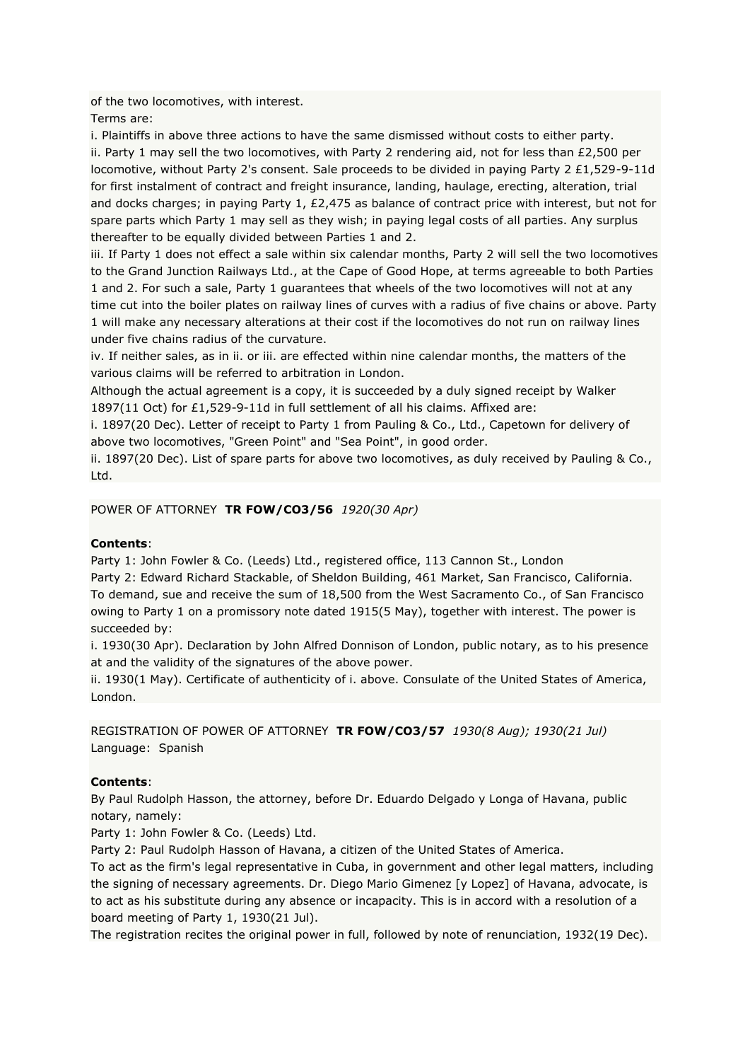of the two locomotives, with interest.

Terms are:

i. Plaintiffs in above three actions to have the same dismissed without costs to either party. ii. Party 1 may sell the two locomotives, with Party 2 rendering aid, not for less than £2,500 per locomotive, without Party 2's consent. Sale proceeds to be divided in paying Party 2 £1,529-9-11d for first instalment of contract and freight insurance, landing, haulage, erecting, alteration, trial and docks charges; in paying Party 1, £2,475 as balance of contract price with interest, but not for spare parts which Party 1 may sell as they wish; in paying legal costs of all parties. Any surplus thereafter to be equally divided between Parties 1 and 2.

iii. If Party 1 does not effect a sale within six calendar months, Party 2 will sell the two locomotives to the Grand Junction Railways Ltd., at the Cape of Good Hope, at terms agreeable to both Parties 1 and 2. For such a sale, Party 1 guarantees that wheels of the two locomotives will not at any time cut into the boiler plates on railway lines of curves with a radius of five chains or above. Party 1 will make any necessary alterations at their cost if the locomotives do not run on railway lines under five chains radius of the curvature.

iv. If neither sales, as in ii. or iii. are effected within nine calendar months, the matters of the various claims will be referred to arbitration in London.

Although the actual agreement is a copy, it is succeeded by a duly signed receipt by Walker 1897(11 Oct) for £1,529-9-11d in full settlement of all his claims. Affixed are:

i. 1897(20 Dec). Letter of receipt to Party 1 from Pauling & Co., Ltd., Capetown for delivery of above two locomotives, "Green Point" and "Sea Point", in good order.

ii. 1897(20 Dec). List of spare parts for above two locomotives, as duly received by Pauling & Co., Ltd.

POWER OF ATTORNEY **TR FOW/CO3/56** *1920(30 Apr)*

# **Contents**:

Party 1: John Fowler & Co. (Leeds) Ltd., registered office, 113 Cannon St., London Party 2: Edward Richard Stackable, of Sheldon Building, 461 Market, San Francisco, California. To demand, sue and receive the sum of 18,500 from the West Sacramento Co., of San Francisco owing to Party 1 on a promissory note dated 1915(5 May), together with interest. The power is succeeded by:

i. 1930(30 Apr). Declaration by John Alfred Donnison of London, public notary, as to his presence at and the validity of the signatures of the above power.

ii. 1930(1 May). Certificate of authenticity of i. above. Consulate of the United States of America, London.

REGISTRATION OF POWER OF ATTORNEY **TR FOW/CO3/57** *1930(8 Aug); 1930(21 Jul)* Language: Spanish

# **Contents**:

By Paul Rudolph Hasson, the attorney, before Dr. Eduardo Delgado y Longa of Havana, public notary, namely:

Party 1: John Fowler & Co. (Leeds) Ltd.

Party 2: Paul Rudolph Hasson of Havana, a citizen of the United States of America.

To act as the firm's legal representative in Cuba, in government and other legal matters, including the signing of necessary agreements. Dr. Diego Mario Gimenez [y Lopez] of Havana, advocate, is to act as his substitute during any absence or incapacity. This is in accord with a resolution of a board meeting of Party 1, 1930(21 Jul).

The registration recites the original power in full, followed by note of renunciation, 1932(19 Dec).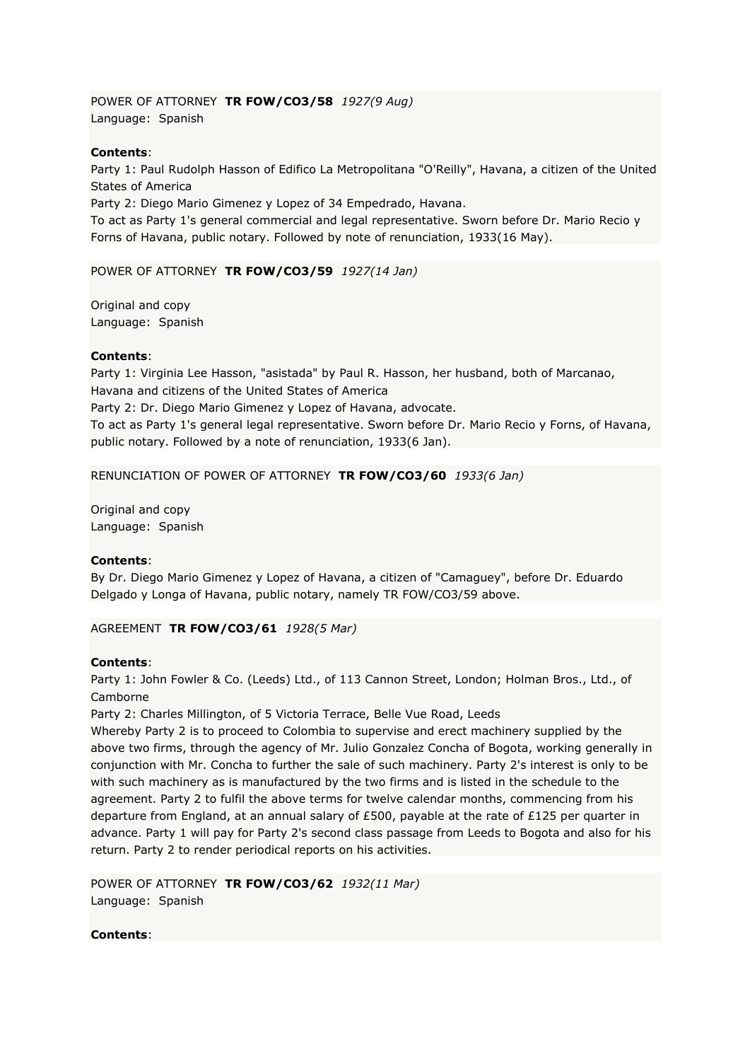POWER OF ATTORNEY **TR FOW/CO3/58** *1927(9 Aug)* Language: Spanish

# **Contents**:

Party 1: Paul Rudolph Hasson of Edifico La Metropolitana "O'Reilly", Havana, a citizen of the United States of America

Party 2: Diego Mario Gimenez y Lopez of 34 Empedrado, Havana.

To act as Party 1's general commercial and legal representative. Sworn before Dr. Mario Recio y Forns of Havana, public notary. Followed by note of renunciation, 1933(16 May).

### POWER OF ATTORNEY **TR FOW/CO3/59** *1927(14 Jan)*

Original and copy Language: Spanish

### **Contents**:

Party 1: Virginia Lee Hasson, "asistada" by Paul R. Hasson, her husband, both of Marcanao, Havana and citizens of the United States of America

Party 2: Dr. Diego Mario Gimenez y Lopez of Havana, advocate.

To act as Party 1's general legal representative. Sworn before Dr. Mario Recio y Forns, of Havana, public notary. Followed by a note of renunciation, 1933(6 Jan).

#### RENUNCIATION OF POWER OF ATTORNEY **TR FOW/CO3/60** *1933(6 Jan)*

Original and copy Language: Spanish

### **Contents**:

By Dr. Diego Mario Gimenez y Lopez of Havana, a citizen of "Camaguey", before Dr. Eduardo Delgado y Longa of Havana, public notary, namely TR FOW/CO3/59 above.

#### AGREEMENT **TR FOW/CO3/61** *1928(5 Mar)*

### **Contents**:

Party 1: John Fowler & Co. (Leeds) Ltd., of 113 Cannon Street, London; Holman Bros., Ltd., of Camborne

Party 2: Charles Millington, of 5 Victoria Terrace, Belle Vue Road, Leeds

Whereby Party 2 is to proceed to Colombia to supervise and erect machinery supplied by the above two firms, through the agency of Mr. Julio Gonzalez Concha of Bogota, working generally in conjunction with Mr. Concha to further the sale of such machinery. Party 2's interest is only to be with such machinery as is manufactured by the two firms and is listed in the schedule to the agreement. Party 2 to fulfil the above terms for twelve calendar months, commencing from his departure from England, at an annual salary of £500, payable at the rate of £125 per quarter in advance. Party 1 will pay for Party 2's second class passage from Leeds to Bogota and also for his return. Party 2 to render periodical reports on his activities.

POWER OF ATTORNEY **TR FOW/CO3/62** *1932(11 Mar)* Language: Spanish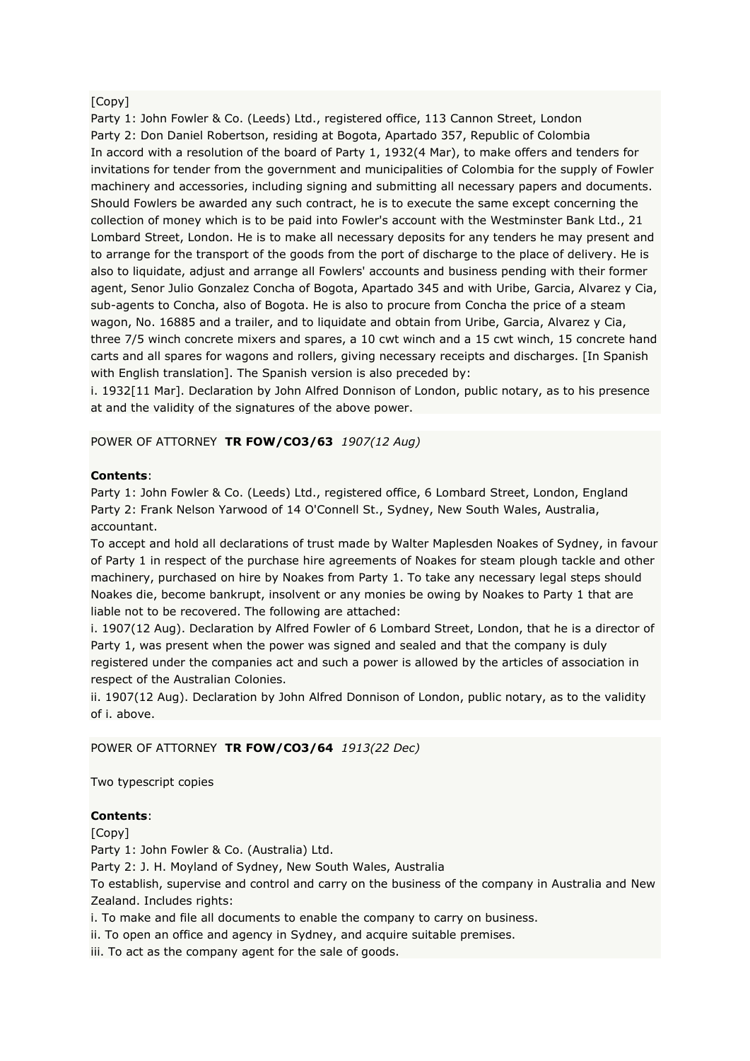# [Copy]

Party 1: John Fowler & Co. (Leeds) Ltd., registered office, 113 Cannon Street, London Party 2: Don Daniel Robertson, residing at Bogota, Apartado 357, Republic of Colombia In accord with a resolution of the board of Party 1, 1932(4 Mar), to make offers and tenders for invitations for tender from the government and municipalities of Colombia for the supply of Fowler machinery and accessories, including signing and submitting all necessary papers and documents. Should Fowlers be awarded any such contract, he is to execute the same except concerning the collection of money which is to be paid into Fowler's account with the Westminster Bank Ltd., 21 Lombard Street, London. He is to make all necessary deposits for any tenders he may present and to arrange for the transport of the goods from the port of discharge to the place of delivery. He is also to liquidate, adjust and arrange all Fowlers' accounts and business pending with their former agent, Senor Julio Gonzalez Concha of Bogota, Apartado 345 and with Uribe, Garcia, Alvarez y Cia, sub-agents to Concha, also of Bogota. He is also to procure from Concha the price of a steam wagon, No. 16885 and a trailer, and to liquidate and obtain from Uribe, Garcia, Alvarez y Cia, three 7/5 winch concrete mixers and spares, a 10 cwt winch and a 15 cwt winch, 15 concrete hand carts and all spares for wagons and rollers, giving necessary receipts and discharges. [In Spanish with English translation]. The Spanish version is also preceded by:

i. 1932[11 Mar]. Declaration by John Alfred Donnison of London, public notary, as to his presence at and the validity of the signatures of the above power.

POWER OF ATTORNEY **TR FOW/CO3/63** *1907(12 Aug)*

### **Contents**:

Party 1: John Fowler & Co. (Leeds) Ltd., registered office, 6 Lombard Street, London, England Party 2: Frank Nelson Yarwood of 14 O'Connell St., Sydney, New South Wales, Australia, accountant.

To accept and hold all declarations of trust made by Walter Maplesden Noakes of Sydney, in favour of Party 1 in respect of the purchase hire agreements of Noakes for steam plough tackle and other machinery, purchased on hire by Noakes from Party 1. To take any necessary legal steps should Noakes die, become bankrupt, insolvent or any monies be owing by Noakes to Party 1 that are liable not to be recovered. The following are attached:

i. 1907(12 Aug). Declaration by Alfred Fowler of 6 Lombard Street, London, that he is a director of Party 1, was present when the power was signed and sealed and that the company is duly registered under the companies act and such a power is allowed by the articles of association in respect of the Australian Colonies.

ii. 1907(12 Aug). Declaration by John Alfred Donnison of London, public notary, as to the validity of i. above.

### POWER OF ATTORNEY **TR FOW/CO3/64** *1913(22 Dec)*

Two typescript copies

#### **Contents**:

[Copy]

Party 1: John Fowler & Co. (Australia) Ltd.

Party 2: J. H. Moyland of Sydney, New South Wales, Australia

To establish, supervise and control and carry on the business of the company in Australia and New Zealand. Includes rights:

i. To make and file all documents to enable the company to carry on business.

ii. To open an office and agency in Sydney, and acquire suitable premises.

iii. To act as the company agent for the sale of goods.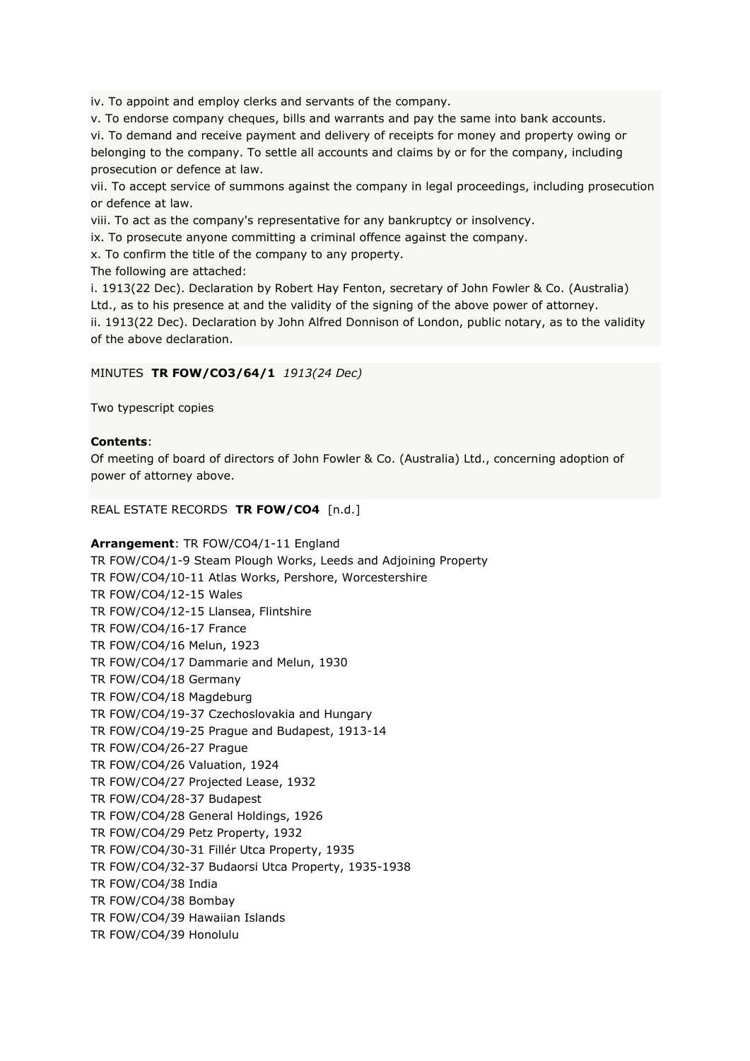iv. To appoint and employ clerks and servants of the company.

v. To endorse company cheques, bills and warrants and pay the same into bank accounts.

vi. To demand and receive payment and delivery of receipts for money and property owing or belonging to the company. To settle all accounts and claims by or for the company, including prosecution or defence at law.

vii. To accept service of summons against the company in legal proceedings, including prosecution or defence at law.

viii. To act as the company's representative for any bankruptcy or insolvency.

ix. To prosecute anyone committing a criminal offence against the company.

x. To confirm the title of the company to any property.

The following are attached:

i. 1913(22 Dec). Declaration by Robert Hay Fenton, secretary of John Fowler & Co. (Australia) Ltd., as to his presence at and the validity of the signing of the above power of attorney. ii. 1913(22 Dec). Declaration by John Alfred Donnison of London, public notary, as to the validity of the above declaration.

# MINUTES **TR FOW/CO3/64/1** *1913(24 Dec)*

Two typescript copies

# **Contents**:

Of meeting of board of directors of John Fowler & Co. (Australia) Ltd., concerning adoption of power of attorney above.

# REAL ESTATE RECORDS **TR FOW/CO4** [n.d.]

### **Arrangement**: TR FOW/CO4/1-11 England

TR FOW/CO4/1-9 Steam Plough Works, Leeds and Adjoining Property TR FOW/CO4/10-11 Atlas Works, Pershore, Worcestershire TR FOW/CO4/12-15 Wales TR FOW/CO4/12-15 Llansea, Flintshire TR FOW/CO4/16-17 France TR FOW/CO4/16 Melun, 1923 TR FOW/CO4/17 Dammarie and Melun, 1930 TR FOW/CO4/18 Germany TR FOW/CO4/18 Magdeburg TR FOW/CO4/19-37 Czechoslovakia and Hungary TR FOW/CO4/19-25 Prague and Budapest, 1913-14 TR FOW/CO4/26-27 Prague TR FOW/CO4/26 Valuation, 1924 TR FOW/CO4/27 Projected Lease, 1932 TR FOW/CO4/28-37 Budapest TR FOW/CO4/28 General Holdings, 1926 TR FOW/CO4/29 Petz Property, 1932 TR FOW/CO4/30-31 Fillér Utca Property, 1935 TR FOW/CO4/32-37 Budaorsi Utca Property, 1935-1938 TR FOW/CO4/38 India TR FOW/CO4/38 Bombay TR FOW/CO4/39 Hawaiian Islands TR FOW/CO4/39 Honolulu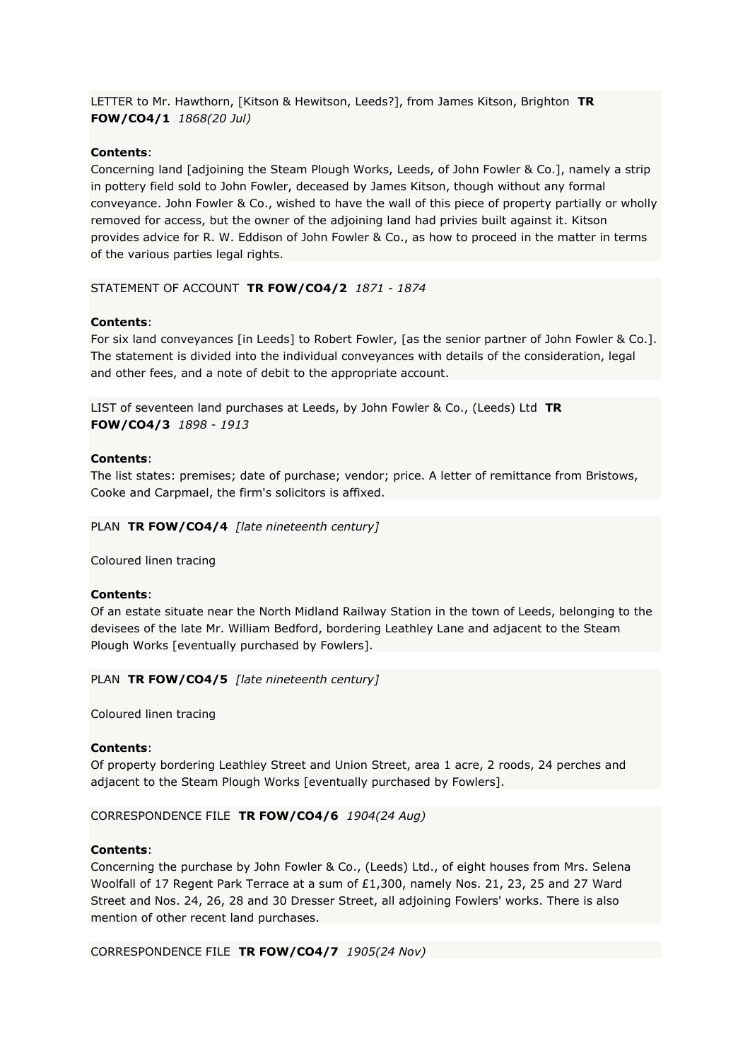LETTER to Mr. Hawthorn, [Kitson & Hewitson, Leeds?], from James Kitson, Brighton **TR FOW/CO4/1** *1868(20 Jul)*

# **Contents**:

Concerning land [adjoining the Steam Plough Works, Leeds, of John Fowler & Co.], namely a strip in pottery field sold to John Fowler, deceased by James Kitson, though without any formal conveyance. John Fowler & Co., wished to have the wall of this piece of property partially or wholly removed for access, but the owner of the adjoining land had privies built against it. Kitson provides advice for R. W. Eddison of John Fowler & Co., as how to proceed in the matter in terms of the various parties legal rights.

STATEMENT OF ACCOUNT **TR FOW/CO4/2** *1871 - 1874*

### **Contents**:

For six land conveyances [in Leeds] to Robert Fowler, [as the senior partner of John Fowler & Co.]. The statement is divided into the individual conveyances with details of the consideration, legal and other fees, and a note of debit to the appropriate account.

LIST of seventeen land purchases at Leeds, by John Fowler & Co., (Leeds) Ltd **TR FOW/CO4/3** *1898 - 1913*

#### **Contents**:

The list states: premises; date of purchase; vendor; price. A letter of remittance from Bristows, Cooke and Carpmael, the firm's solicitors is affixed.

PLAN **TR FOW/CO4/4** *[late nineteenth century]*

Coloured linen tracing

### **Contents**:

Of an estate situate near the North Midland Railway Station in the town of Leeds, belonging to the devisees of the late Mr. William Bedford, bordering Leathley Lane and adjacent to the Steam Plough Works [eventually purchased by Fowlers].

PLAN **TR FOW/CO4/5** *[late nineteenth century]*

Coloured linen tracing

#### **Contents**:

Of property bordering Leathley Street and Union Street, area 1 acre, 2 roods, 24 perches and adjacent to the Steam Plough Works [eventually purchased by Fowlers].

CORRESPONDENCE FILE **TR FOW/CO4/6** *1904(24 Aug)*

#### **Contents**:

Concerning the purchase by John Fowler & Co., (Leeds) Ltd., of eight houses from Mrs. Selena Woolfall of 17 Regent Park Terrace at a sum of £1,300, namely Nos. 21, 23, 25 and 27 Ward Street and Nos. 24, 26, 28 and 30 Dresser Street, all adjoining Fowlers' works. There is also mention of other recent land purchases.

CORRESPONDENCE FILE **TR FOW/CO4/7** *1905(24 Nov)*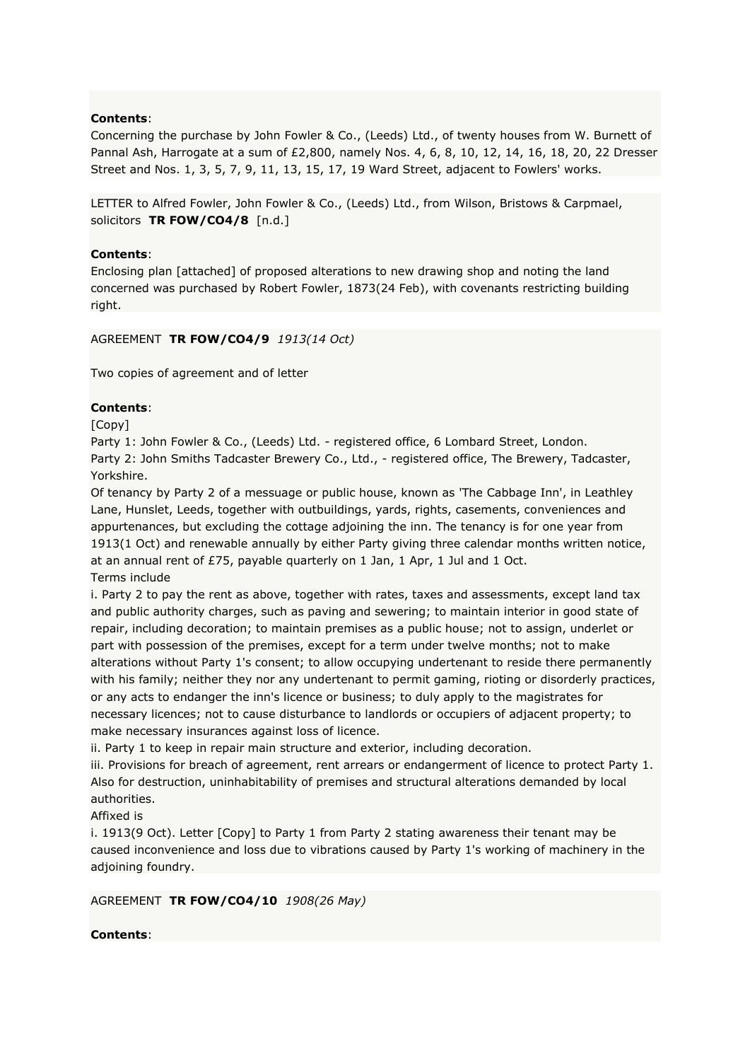Concerning the purchase by John Fowler & Co., (Leeds) Ltd., of twenty houses from W. Burnett of Pannal Ash, Harrogate at a sum of £2,800, namely Nos. 4, 6, 8, 10, 12, 14, 16, 18, 20, 22 Dresser Street and Nos. 1, 3, 5, 7, 9, 11, 13, 15, 17, 19 Ward Street, adjacent to Fowlers' works.

LETTER to Alfred Fowler, John Fowler & Co., (Leeds) Ltd., from Wilson, Bristows & Carpmael, solicitors **TR FOW/CO4/8** [n.d.]

### **Contents**:

Enclosing plan [attached] of proposed alterations to new drawing shop and noting the land concerned was purchased by Robert Fowler, 1873(24 Feb), with covenants restricting building right.

### AGREEMENT **TR FOW/CO4/9** *1913(14 Oct)*

Two copies of agreement and of letter

### **Contents**:

[Copy]

Party 1: John Fowler & Co., (Leeds) Ltd. - registered office, 6 Lombard Street, London. Party 2: John Smiths Tadcaster Brewery Co., Ltd., - registered office, The Brewery, Tadcaster, Yorkshire.

Of tenancy by Party 2 of a messuage or public house, known as 'The Cabbage Inn', in Leathley Lane, Hunslet, Leeds, together with outbuildings, yards, rights, casements, conveniences and appurtenances, but excluding the cottage adjoining the inn. The tenancy is for one year from 1913(1 Oct) and renewable annually by either Party giving three calendar months written notice, at an annual rent of £75, payable quarterly on 1 Jan, 1 Apr, 1 Jul and 1 Oct. Terms include

i. Party 2 to pay the rent as above, together with rates, taxes and assessments, except land tax and public authority charges, such as paving and sewering; to maintain interior in good state of repair, including decoration; to maintain premises as a public house; not to assign, underlet or part with possession of the premises, except for a term under twelve months; not to make alterations without Party 1's consent; to allow occupying undertenant to reside there permanently with his family; neither they nor any undertenant to permit gaming, rioting or disorderly practices, or any acts to endanger the inn's licence or business; to duly apply to the magistrates for necessary licences; not to cause disturbance to landlords or occupiers of adjacent property; to make necessary insurances against loss of licence.

ii. Party 1 to keep in repair main structure and exterior, including decoration.

iii. Provisions for breach of agreement, rent arrears or endangerment of licence to protect Party 1. Also for destruction, uninhabitability of premises and structural alterations demanded by local authorities.

### Affixed is

i. 1913(9 Oct). Letter [Copy] to Party 1 from Party 2 stating awareness their tenant may be caused inconvenience and loss due to vibrations caused by Party 1's working of machinery in the adjoining foundry.

AGREEMENT **TR FOW/CO4/10** *1908(26 May)*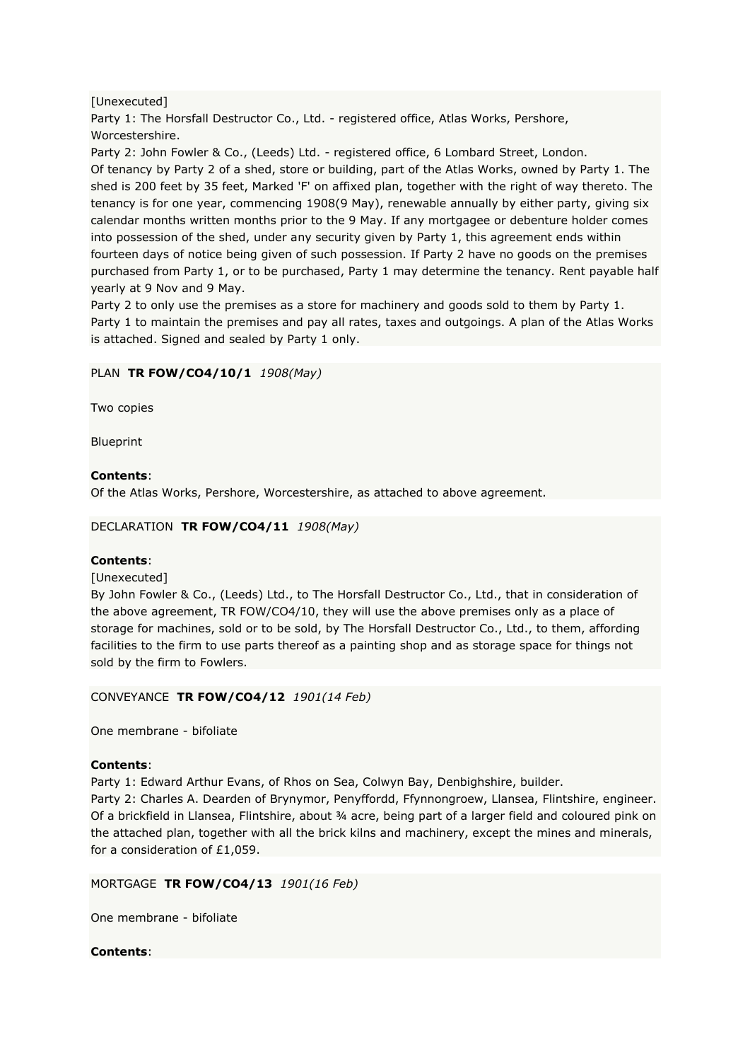# [Unexecuted]

Party 1: The Horsfall Destructor Co., Ltd. - registered office, Atlas Works, Pershore, Worcestershire.

Party 2: John Fowler & Co., (Leeds) Ltd. - registered office, 6 Lombard Street, London. Of tenancy by Party 2 of a shed, store or building, part of the Atlas Works, owned by Party 1. The shed is 200 feet by 35 feet, Marked 'F' on affixed plan, together with the right of way thereto. The tenancy is for one year, commencing 1908(9 May), renewable annually by either party, giving six calendar months written months prior to the 9 May. If any mortgagee or debenture holder comes into possession of the shed, under any security given by Party 1, this agreement ends within fourteen days of notice being given of such possession. If Party 2 have no goods on the premises purchased from Party 1, or to be purchased, Party 1 may determine the tenancy. Rent payable half yearly at 9 Nov and 9 May.

Party 2 to only use the premises as a store for machinery and goods sold to them by Party 1. Party 1 to maintain the premises and pay all rates, taxes and outgoings. A plan of the Atlas Works is attached. Signed and sealed by Party 1 only.

# PLAN **TR FOW/CO4/10/1** *1908(May)*

Two copies

Blueprint

# **Contents**:

Of the Atlas Works, Pershore, Worcestershire, as attached to above agreement.

DECLARATION **TR FOW/CO4/11** *1908(May)*

### **Contents**:

[Unexecuted]

By John Fowler & Co., (Leeds) Ltd., to The Horsfall Destructor Co., Ltd., that in consideration of the above agreement, TR FOW/CO4/10, they will use the above premises only as a place of storage for machines, sold or to be sold, by The Horsfall Destructor Co., Ltd., to them, affording facilities to the firm to use parts thereof as a painting shop and as storage space for things not sold by the firm to Fowlers.

CONVEYANCE **TR FOW/CO4/12** *1901(14 Feb)*

One membrane - bifoliate

### **Contents**:

Party 1: Edward Arthur Evans, of Rhos on Sea, Colwyn Bay, Denbighshire, builder.

Party 2: Charles A. Dearden of Brynymor, Penyffordd, Ffynnongroew, Llansea, Flintshire, engineer. Of a brickfield in Llansea, Flintshire, about ¾ acre, being part of a larger field and coloured pink on the attached plan, together with all the brick kilns and machinery, except the mines and minerals, for a consideration of £1,059.

MORTGAGE **TR FOW/CO4/13** *1901(16 Feb)*

One membrane - bifoliate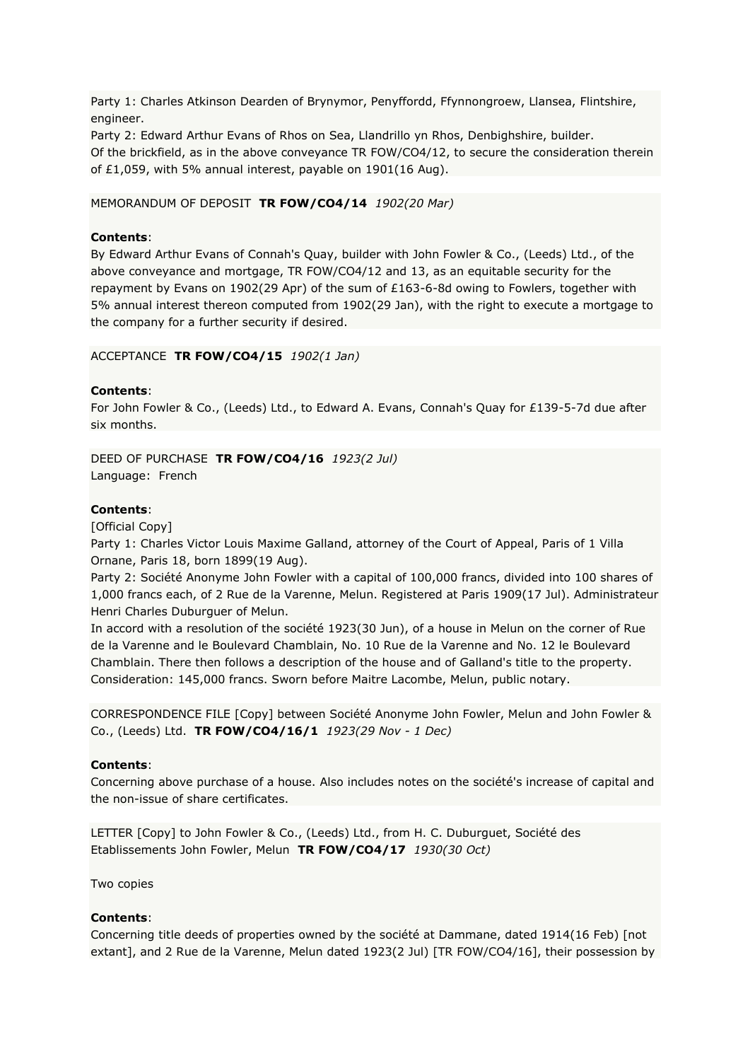Party 1: Charles Atkinson Dearden of Brynymor, Penyffordd, Ffynnongroew, Llansea, Flintshire, engineer.

Party 2: Edward Arthur Evans of Rhos on Sea, Llandrillo yn Rhos, Denbighshire, builder. Of the brickfield, as in the above conveyance TR FOW/CO4/12, to secure the consideration therein of £1,059, with 5% annual interest, payable on 1901(16 Aug).

MEMORANDUM OF DEPOSIT **TR FOW/CO4/14** *1902(20 Mar)*

#### **Contents**:

By Edward Arthur Evans of Connah's Quay, builder with John Fowler & Co., (Leeds) Ltd., of the above conveyance and mortgage, TR FOW/CO4/12 and 13, as an equitable security for the repayment by Evans on 1902(29 Apr) of the sum of £163-6-8d owing to Fowlers, together with 5% annual interest thereon computed from 1902(29 Jan), with the right to execute a mortgage to the company for a further security if desired.

#### ACCEPTANCE **TR FOW/CO4/15** *1902(1 Jan)*

#### **Contents**:

For John Fowler & Co., (Leeds) Ltd., to Edward A. Evans, Connah's Quay for £139-5-7d due after six months.

DEED OF PURCHASE **TR FOW/CO4/16** *1923(2 Jul)* Language: French

#### **Contents**:

[Official Copy]

Party 1: Charles Victor Louis Maxime Galland, attorney of the Court of Appeal, Paris of 1 Villa Ornane, Paris 18, born 1899(19 Aug).

Party 2: Société Anonyme John Fowler with a capital of 100,000 francs, divided into 100 shares of 1,000 francs each, of 2 Rue de la Varenne, Melun. Registered at Paris 1909(17 Jul). Administrateur Henri Charles Duburguer of Melun.

In accord with a resolution of the société 1923(30 Jun), of a house in Melun on the corner of Rue de la Varenne and le Boulevard Chamblain, No. 10 Rue de la Varenne and No. 12 le Boulevard Chamblain. There then follows a description of the house and of Galland's title to the property. Consideration: 145,000 francs. Sworn before Maitre Lacombe, Melun, public notary.

CORRESPONDENCE FILE [Copy] between Société Anonyme John Fowler, Melun and John Fowler & Co., (Leeds) Ltd. **TR FOW/CO4/16/1** *1923(29 Nov - 1 Dec)*

#### **Contents**:

Concerning above purchase of a house. Also includes notes on the société's increase of capital and the non-issue of share certificates.

LETTER [Copy] to John Fowler & Co., (Leeds) Ltd., from H. C. Duburguet, Société des Etablissements John Fowler, Melun **TR FOW/CO4/17** *1930(30 Oct)*

Two copies

#### **Contents**:

Concerning title deeds of properties owned by the société at Dammane, dated 1914(16 Feb) [not extant], and 2 Rue de la Varenne, Melun dated 1923(2 Jul) [TR FOW/CO4/16], their possession by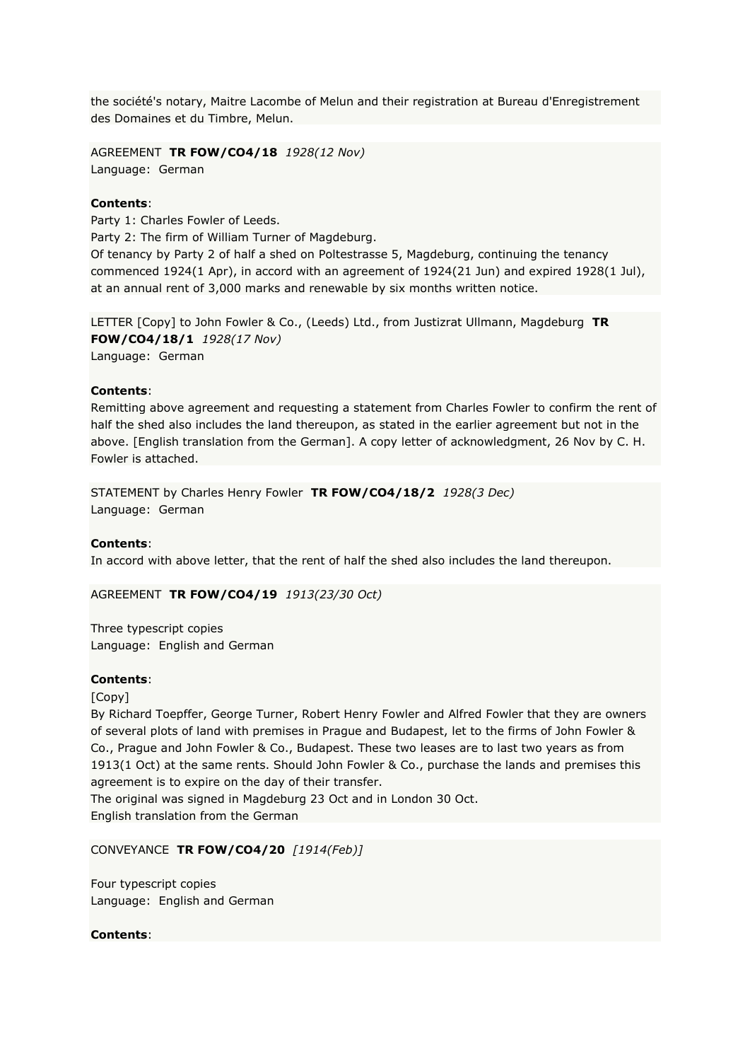the société's notary, Maitre Lacombe of Melun and their registration at Bureau d'Enregistrement des Domaines et du Timbre, Melun.

AGREEMENT **TR FOW/CO4/18** *1928(12 Nov)* Language: German

#### **Contents**:

Party 1: Charles Fowler of Leeds. Party 2: The firm of William Turner of Magdeburg. Of tenancy by Party 2 of half a shed on Poltestrasse 5, Magdeburg, continuing the tenancy commenced 1924(1 Apr), in accord with an agreement of 1924(21 Jun) and expired 1928(1 Jul), at an annual rent of 3,000 marks and renewable by six months written notice.

LETTER [Copy] to John Fowler & Co., (Leeds) Ltd., from Justizrat Ullmann, Magdeburg **TR FOW/CO4/18/1** *1928(17 Nov)* Language: German

#### **Contents**:

Remitting above agreement and requesting a statement from Charles Fowler to confirm the rent of half the shed also includes the land thereupon, as stated in the earlier agreement but not in the above. [English translation from the German]. A copy letter of acknowledgment, 26 Nov by C. H. Fowler is attached.

STATEMENT by Charles Henry Fowler **TR FOW/CO4/18/2** *1928(3 Dec)* Language: German

#### **Contents**:

In accord with above letter, that the rent of half the shed also includes the land thereupon.

AGREEMENT **TR FOW/CO4/19** *1913(23/30 Oct)*

Three typescript copies Language: English and German

#### **Contents**:

[Copy]

By Richard Toepffer, George Turner, Robert Henry Fowler and Alfred Fowler that they are owners of several plots of land with premises in Prague and Budapest, let to the firms of John Fowler & Co., Prague and John Fowler & Co., Budapest. These two leases are to last two years as from 1913(1 Oct) at the same rents. Should John Fowler & Co., purchase the lands and premises this agreement is to expire on the day of their transfer.

The original was signed in Magdeburg 23 Oct and in London 30 Oct. English translation from the German

CONVEYANCE **TR FOW/CO4/20** *[1914(Feb)]*

Four typescript copies Language: English and German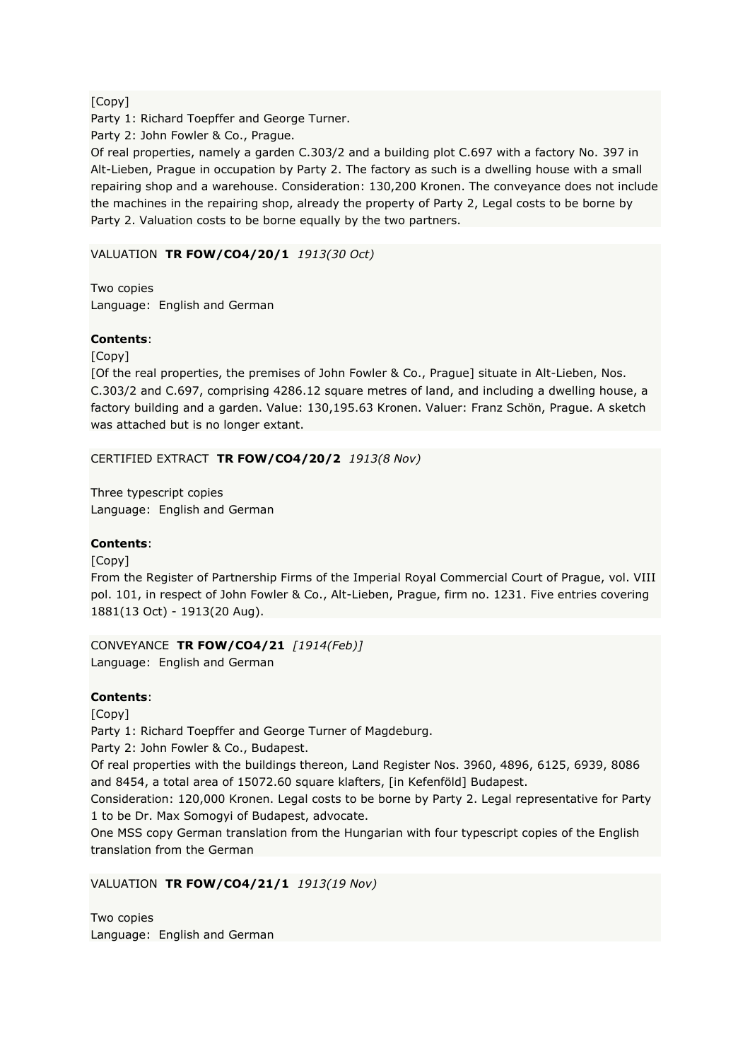# [Copy]

Party 1: Richard Toepffer and George Turner.

Party 2: John Fowler & Co., Prague.

Of real properties, namely a garden C.303/2 and a building plot C.697 with a factory No. 397 in Alt-Lieben, Prague in occupation by Party 2. The factory as such is a dwelling house with a small repairing shop and a warehouse. Consideration: 130,200 Kronen. The conveyance does not include the machines in the repairing shop, already the property of Party 2, Legal costs to be borne by Party 2. Valuation costs to be borne equally by the two partners.

# VALUATION **TR FOW/CO4/20/1** *1913(30 Oct)*

Two copies Language: English and German

# **Contents**:

[Copy]

[Of the real properties, the premises of John Fowler & Co., Prague] situate in Alt-Lieben, Nos. C.303/2 and C.697, comprising 4286.12 square metres of land, and including a dwelling house, a factory building and a garden. Value: 130,195.63 Kronen. Valuer: Franz Schön, Prague. A sketch was attached but is no longer extant.

# CERTIFIED EXTRACT **TR FOW/CO4/20/2** *1913(8 Nov)*

Three typescript copies Language: English and German

# **Contents**:

[Copy]

From the Register of Partnership Firms of the Imperial Royal Commercial Court of Prague, vol. VIII pol. 101, in respect of John Fowler & Co., Alt-Lieben, Prague, firm no. 1231. Five entries covering 1881(13 Oct) - 1913(20 Aug).

CONVEYANCE **TR FOW/CO4/21** *[1914(Feb)]* Language: English and German

# **Contents**:

[Copy]

Party 1: Richard Toepffer and George Turner of Magdeburg.

Party 2: John Fowler & Co., Budapest.

Of real properties with the buildings thereon, Land Register Nos. 3960, 4896, 6125, 6939, 8086 and 8454, a total area of 15072.60 square klafters, [in Kefenföld] Budapest.

Consideration: 120,000 Kronen. Legal costs to be borne by Party 2. Legal representative for Party 1 to be Dr. Max Somogyi of Budapest, advocate.

One MSS copy German translation from the Hungarian with four typescript copies of the English translation from the German

# VALUATION **TR FOW/CO4/21/1** *1913(19 Nov)*

Two copies Language: English and German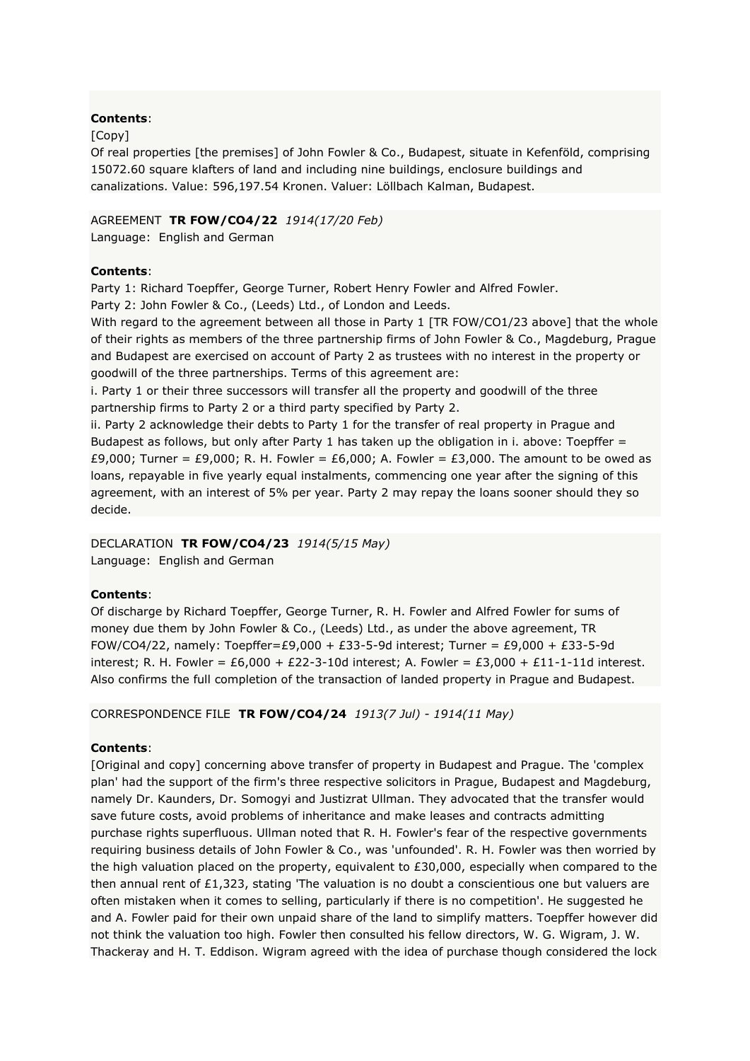### [Copy]

Of real properties [the premises] of John Fowler & Co., Budapest, situate in Kefenföld, comprising 15072.60 square klafters of land and including nine buildings, enclosure buildings and canalizations. Value: 596,197.54 Kronen. Valuer: Löllbach Kalman, Budapest.

# AGREEMENT **TR FOW/CO4/22** *1914(17/20 Feb)*

Language: English and German

# **Contents**:

Party 1: Richard Toepffer, George Turner, Robert Henry Fowler and Alfred Fowler.

Party 2: John Fowler & Co., (Leeds) Ltd., of London and Leeds.

With regard to the agreement between all those in Party 1 [TR FOW/CO1/23 above] that the whole of their rights as members of the three partnership firms of John Fowler & Co., Magdeburg, Prague and Budapest are exercised on account of Party 2 as trustees with no interest in the property or goodwill of the three partnerships. Terms of this agreement are:

i. Party 1 or their three successors will transfer all the property and goodwill of the three partnership firms to Party 2 or a third party specified by Party 2.

ii. Party 2 acknowledge their debts to Party 1 for the transfer of real property in Prague and Budapest as follows, but only after Party 1 has taken up the obligation in i. above: Toepffer = £9,000; Turner = £9,000; R. H. Fowler = £6,000; A. Fowler = £3,000. The amount to be owed as loans, repayable in five yearly equal instalments, commencing one year after the signing of this agreement, with an interest of 5% per year. Party 2 may repay the loans sooner should they so decide.

# DECLARATION **TR FOW/CO4/23** *1914(5/15 May)*

Language: English and German

# **Contents**:

Of discharge by Richard Toepffer, George Turner, R. H. Fowler and Alfred Fowler for sums of money due them by John Fowler & Co., (Leeds) Ltd., as under the above agreement, TR FOW/CO4/22, namely: Toepffer=£9,000 + £33-5-9d interest; Turner = £9,000 + £33-5-9d interest; R. H. Fowler = £6,000 + £22-3-10d interest; A. Fowler = £3,000 + £11-1-11d interest. Also confirms the full completion of the transaction of landed property in Prague and Budapest.

CORRESPONDENCE FILE **TR FOW/CO4/24** *1913(7 Jul) - 1914(11 May)*

# **Contents**:

[Original and copy] concerning above transfer of property in Budapest and Prague. The 'complex plan' had the support of the firm's three respective solicitors in Prague, Budapest and Magdeburg, namely Dr. Kaunders, Dr. Somogyi and Justizrat Ullman. They advocated that the transfer would save future costs, avoid problems of inheritance and make leases and contracts admitting purchase rights superfluous. Ullman noted that R. H. Fowler's fear of the respective governments requiring business details of John Fowler & Co., was 'unfounded'. R. H. Fowler was then worried by the high valuation placed on the property, equivalent to £30,000, especially when compared to the then annual rent of  $E1,323$ , stating 'The valuation is no doubt a conscientious one but valuers are often mistaken when it comes to selling, particularly if there is no competition'. He suggested he and A. Fowler paid for their own unpaid share of the land to simplify matters. Toepffer however did not think the valuation too high. Fowler then consulted his fellow directors, W. G. Wigram, J. W. Thackeray and H. T. Eddison. Wigram agreed with the idea of purchase though considered the lock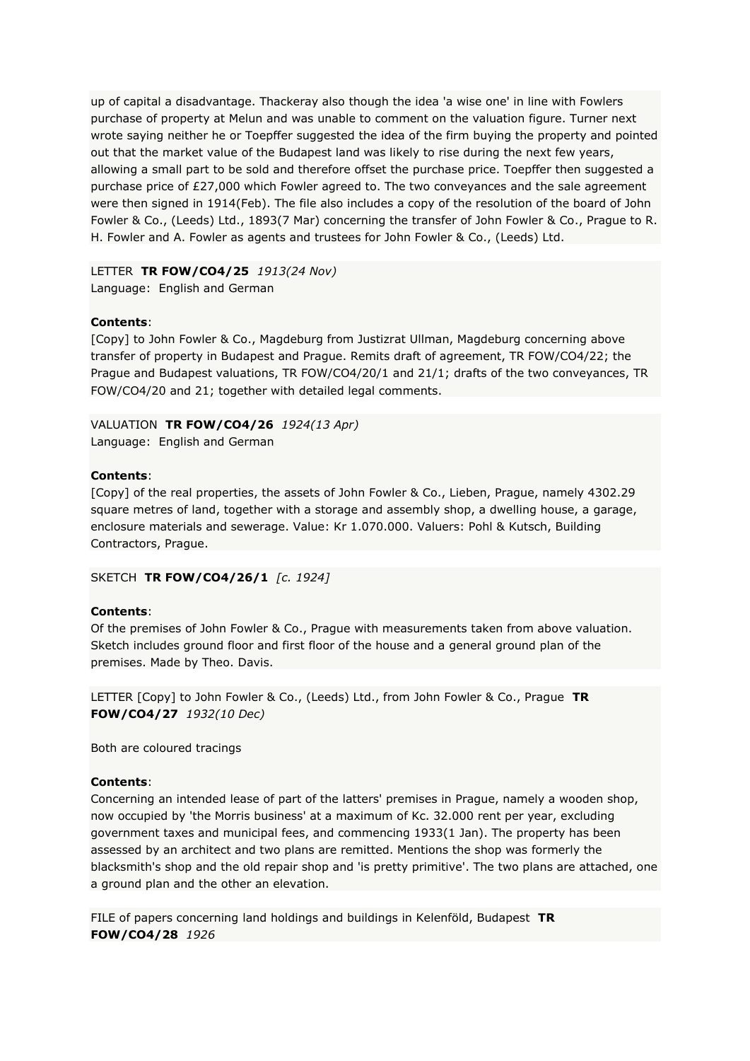up of capital a disadvantage. Thackeray also though the idea 'a wise one' in line with Fowlers purchase of property at Melun and was unable to comment on the valuation figure. Turner next wrote saying neither he or Toepffer suggested the idea of the firm buying the property and pointed out that the market value of the Budapest land was likely to rise during the next few years, allowing a small part to be sold and therefore offset the purchase price. Toepffer then suggested a purchase price of £27,000 which Fowler agreed to. The two conveyances and the sale agreement were then signed in 1914(Feb). The file also includes a copy of the resolution of the board of John Fowler & Co., (Leeds) Ltd., 1893(7 Mar) concerning the transfer of John Fowler & Co., Prague to R. H. Fowler and A. Fowler as agents and trustees for John Fowler & Co., (Leeds) Ltd.

LETTER **TR FOW/CO4/25** *1913(24 Nov)* Language: English and German

# **Contents**:

[Copy] to John Fowler & Co., Magdeburg from Justizrat Ullman, Magdeburg concerning above transfer of property in Budapest and Prague. Remits draft of agreement, TR FOW/CO4/22; the Prague and Budapest valuations, TR FOW/CO4/20/1 and 21/1; drafts of the two conveyances, TR FOW/CO4/20 and 21; together with detailed legal comments.

VALUATION **TR FOW/CO4/26** *1924(13 Apr)* Language: English and German

# **Contents**:

[Copy] of the real properties, the assets of John Fowler & Co., Lieben, Prague, namely 4302.29 square metres of land, together with a storage and assembly shop, a dwelling house, a garage, enclosure materials and sewerage. Value: Kr 1.070.000. Valuers: Pohl & Kutsch, Building Contractors, Prague.

SKETCH **TR FOW/CO4/26/1** *[c. 1924]*

### **Contents**:

Of the premises of John Fowler & Co., Prague with measurements taken from above valuation. Sketch includes ground floor and first floor of the house and a general ground plan of the premises. Made by Theo. Davis.

LETTER [Copy] to John Fowler & Co., (Leeds) Ltd., from John Fowler & Co., Prague **TR FOW/CO4/27** *1932(10 Dec)*

Both are coloured tracings

# **Contents**:

Concerning an intended lease of part of the latters' premises in Prague, namely a wooden shop, now occupied by 'the Morris business' at a maximum of Kc. 32.000 rent per year, excluding government taxes and municipal fees, and commencing 1933(1 Jan). The property has been assessed by an architect and two plans are remitted. Mentions the shop was formerly the blacksmith's shop and the old repair shop and 'is pretty primitive'. The two plans are attached, one a ground plan and the other an elevation.

FILE of papers concerning land holdings and buildings in Kelenföld, Budapest **TR FOW/CO4/28** *1926*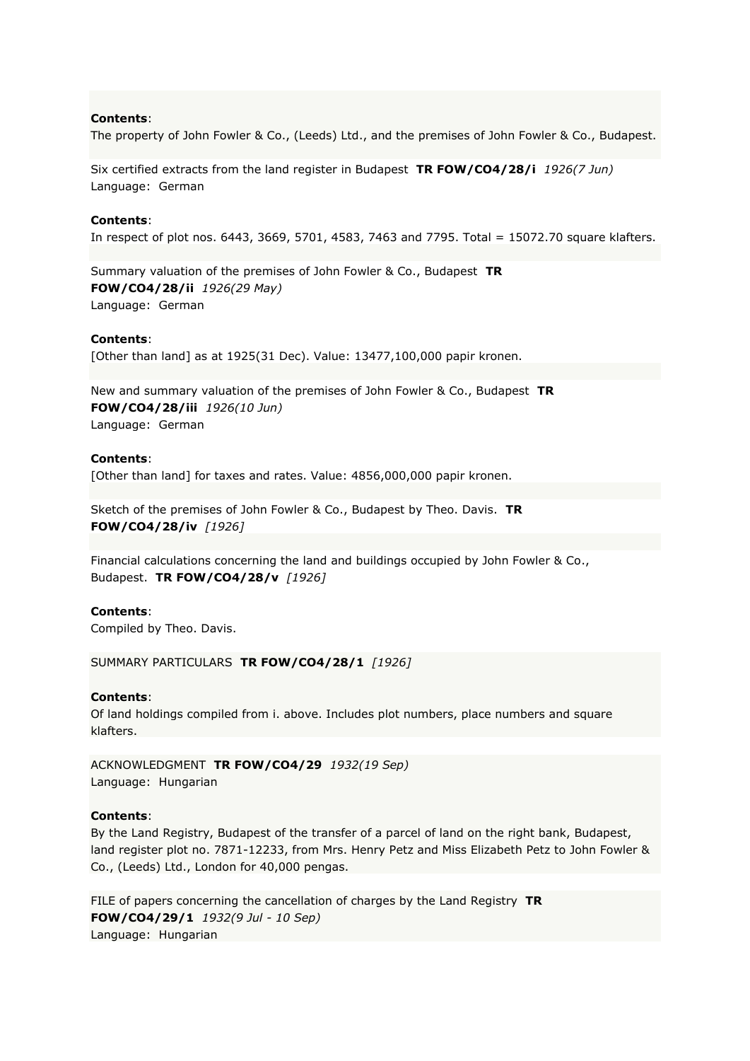The property of John Fowler & Co., (Leeds) Ltd., and the premises of John Fowler & Co., Budapest.

Six certified extracts from the land register in Budapest **TR FOW/CO4/28/i** *1926(7 Jun)* Language: German

#### **Contents**:

In respect of plot nos. 6443, 3669, 5701, 4583, 7463 and 7795. Total = 15072.70 square klafters.

Summary valuation of the premises of John Fowler & Co., Budapest **TR FOW/CO4/28/ii** *1926(29 May)* Language: German

#### **Contents**:

[Other than land] as at 1925(31 Dec). Value: 13477,100,000 papir kronen.

New and summary valuation of the premises of John Fowler & Co., Budapest **TR FOW/CO4/28/iii** *1926(10 Jun)* Language: German

#### **Contents**:

[Other than land] for taxes and rates. Value: 4856,000,000 papir kronen.

Sketch of the premises of John Fowler & Co., Budapest by Theo. Davis. **TR FOW/CO4/28/iv** *[1926]*

Financial calculations concerning the land and buildings occupied by John Fowler & Co., Budapest. **TR FOW/CO4/28/v** *[1926]*

### **Contents**:

Compiled by Theo. Davis.

SUMMARY PARTICULARS **TR FOW/CO4/28/1** *[1926]*

#### **Contents**:

Of land holdings compiled from i. above. Includes plot numbers, place numbers and square klafters.

ACKNOWLEDGMENT **TR FOW/CO4/29** *1932(19 Sep)* Language: Hungarian

#### **Contents**:

By the Land Registry, Budapest of the transfer of a parcel of land on the right bank, Budapest, land register plot no. 7871-12233, from Mrs. Henry Petz and Miss Elizabeth Petz to John Fowler & Co., (Leeds) Ltd., London for 40,000 pengas.

FILE of papers concerning the cancellation of charges by the Land Registry **TR FOW/CO4/29/1** *1932(9 Jul - 10 Sep)* Language: Hungarian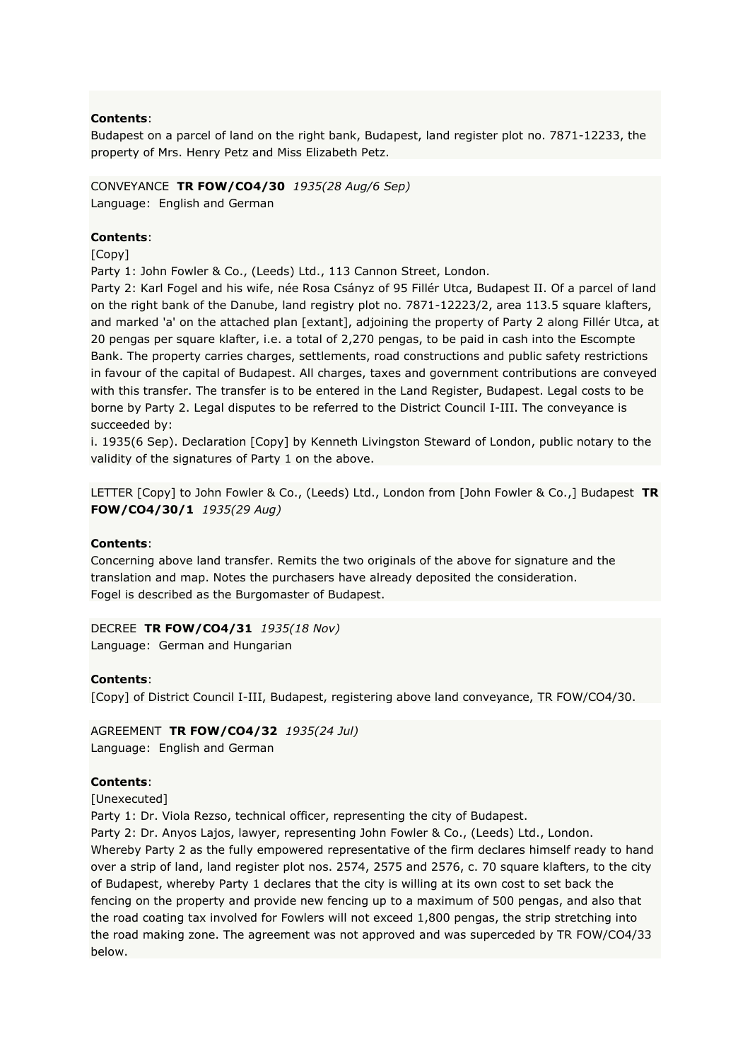Budapest on a parcel of land on the right bank, Budapest, land register plot no. 7871-12233, the property of Mrs. Henry Petz and Miss Elizabeth Petz.

# CONVEYANCE **TR FOW/CO4/30** *1935(28 Aug/6 Sep)*

Language: English and German

# **Contents**:

[Copy]

Party 1: John Fowler & Co., (Leeds) Ltd., 113 Cannon Street, London.

Party 2: Karl Fogel and his wife, née Rosa Csányz of 95 Fillér Utca, Budapest II. Of a parcel of land on the right bank of the Danube, land registry plot no. 7871-12223/2, area 113.5 square klafters, and marked 'a' on the attached plan [extant], adjoining the property of Party 2 along Fillér Utca, at 20 pengas per square klafter, i.e. a total of 2,270 pengas, to be paid in cash into the Escompte Bank. The property carries charges, settlements, road constructions and public safety restrictions in favour of the capital of Budapest. All charges, taxes and government contributions are conveyed with this transfer. The transfer is to be entered in the Land Register, Budapest. Legal costs to be borne by Party 2. Legal disputes to be referred to the District Council I-III. The conveyance is succeeded by:

i. 1935(6 Sep). Declaration [Copy] by Kenneth Livingston Steward of London, public notary to the validity of the signatures of Party 1 on the above.

LETTER [Copy] to John Fowler & Co., (Leeds) Ltd., London from [John Fowler & Co.,] Budapest **TR FOW/CO4/30/1** *1935(29 Aug)*

# **Contents**:

Concerning above land transfer. Remits the two originals of the above for signature and the translation and map. Notes the purchasers have already deposited the consideration. Fogel is described as the Burgomaster of Budapest.

DECREE **TR FOW/CO4/31** *1935(18 Nov)*

Language: German and Hungarian

# **Contents**:

[Copy] of District Council I-III, Budapest, registering above land conveyance, TR FOW/CO4/30.

# AGREEMENT **TR FOW/CO4/32** *1935(24 Jul)*

Language: English and German

# **Contents**:

[Unexecuted]

Party 1: Dr. Viola Rezso, technical officer, representing the city of Budapest.

Party 2: Dr. Anyos Lajos, lawyer, representing John Fowler & Co., (Leeds) Ltd., London. Whereby Party 2 as the fully empowered representative of the firm declares himself ready to hand over a strip of land, land register plot nos. 2574, 2575 and 2576, c. 70 square klafters, to the city of Budapest, whereby Party 1 declares that the city is willing at its own cost to set back the fencing on the property and provide new fencing up to a maximum of 500 pengas, and also that the road coating tax involved for Fowlers will not exceed 1,800 pengas, the strip stretching into the road making zone. The agreement was not approved and was superceded by TR FOW/CO4/33 below.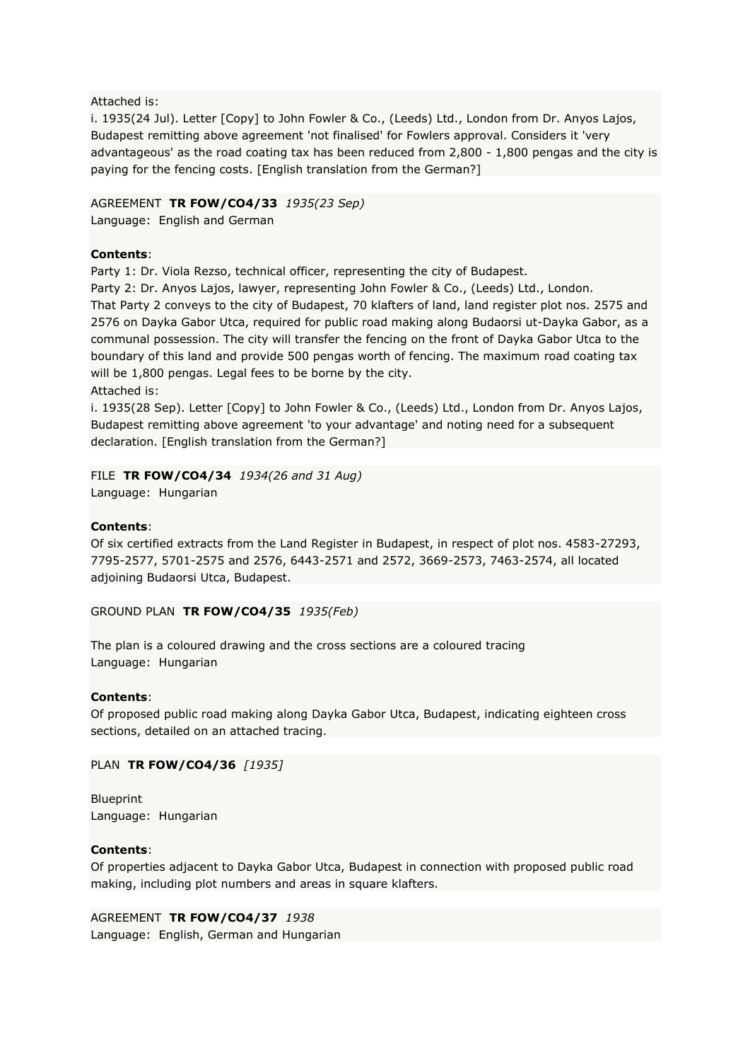### Attached is:

i. 1935(24 Jul). Letter [Copy] to John Fowler & Co., (Leeds) Ltd., London from Dr. Anyos Lajos, Budapest remitting above agreement 'not finalised' for Fowlers approval. Considers it 'very advantageous' as the road coating tax has been reduced from 2,800 - 1,800 pengas and the city is paying for the fencing costs. [English translation from the German?]

# AGREEMENT **TR FOW/CO4/33** *1935(23 Sep)*

Language: English and German

# **Contents**:

Party 1: Dr. Viola Rezso, technical officer, representing the city of Budapest.

Party 2: Dr. Anyos Lajos, lawyer, representing John Fowler & Co., (Leeds) Ltd., London. That Party 2 conveys to the city of Budapest, 70 klafters of land, land register plot nos. 2575 and 2576 on Dayka Gabor Utca, required for public road making along Budaorsi ut-Dayka Gabor, as a communal possession. The city will transfer the fencing on the front of Dayka Gabor Utca to the boundary of this land and provide 500 pengas worth of fencing. The maximum road coating tax will be 1,800 pengas. Legal fees to be borne by the city.

Attached is:

i. 1935(28 Sep). Letter [Copy] to John Fowler & Co., (Leeds) Ltd., London from Dr. Anyos Lajos, Budapest remitting above agreement 'to your advantage' and noting need for a subsequent declaration. [English translation from the German?]

# FILE **TR FOW/CO4/34** *1934(26 and 31 Aug)*

Language: Hungarian

# **Contents**:

Of six certified extracts from the Land Register in Budapest, in respect of plot nos. 4583-27293, 7795-2577, 5701-2575 and 2576, 6443-2571 and 2572, 3669-2573, 7463-2574, all located adjoining Budaorsi Utca, Budapest.

# GROUND PLAN **TR FOW/CO4/35** *1935(Feb)*

The plan is a coloured drawing and the cross sections are a coloured tracing Language: Hungarian

# **Contents**:

Of proposed public road making along Dayka Gabor Utca, Budapest, indicating eighteen cross sections, detailed on an attached tracing.

# PLAN **TR FOW/CO4/36** *[1935]*

Blueprint Language: Hungarian

# **Contents**:

Of properties adjacent to Dayka Gabor Utca, Budapest in connection with proposed public road making, including plot numbers and areas in square klafters.

AGREEMENT **TR FOW/CO4/37** *1938* Language: English, German and Hungarian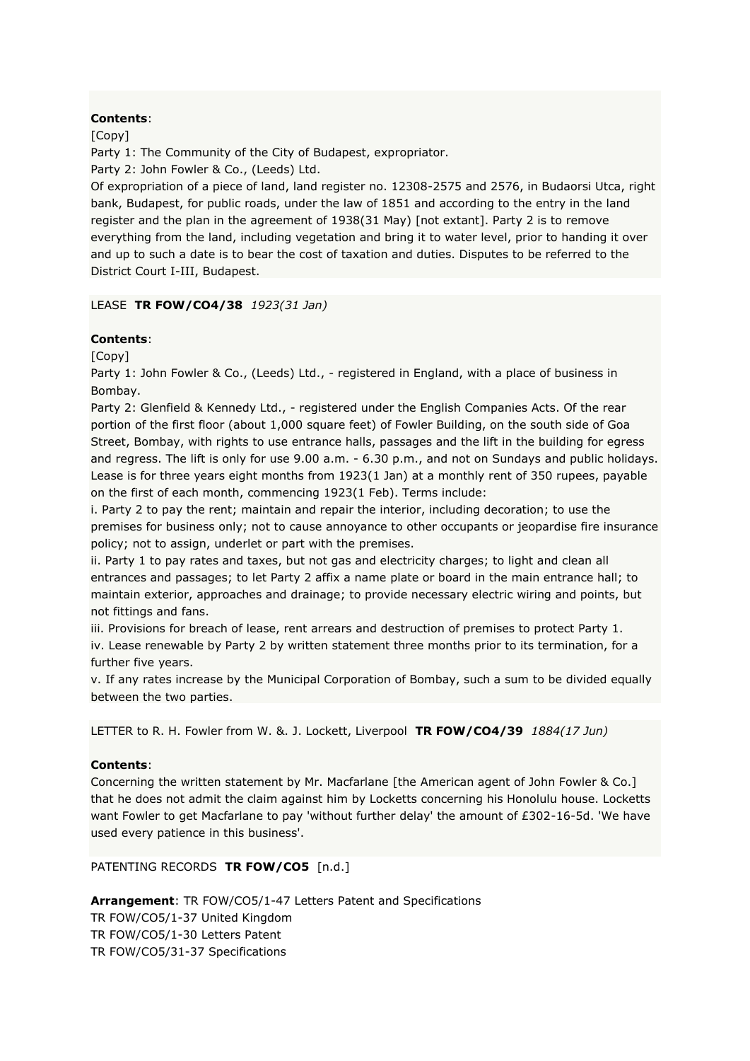[Copy]

Party 1: The Community of the City of Budapest, expropriator.

Party 2: John Fowler & Co., (Leeds) Ltd.

Of expropriation of a piece of land, land register no. 12308-2575 and 2576, in Budaorsi Utca, right bank, Budapest, for public roads, under the law of 1851 and according to the entry in the land register and the plan in the agreement of 1938(31 May) [not extant]. Party 2 is to remove everything from the land, including vegetation and bring it to water level, prior to handing it over and up to such a date is to bear the cost of taxation and duties. Disputes to be referred to the District Court I-III, Budapest.

# LEASE **TR FOW/CO4/38** *1923(31 Jan)*

# **Contents**:

[Copy]

Party 1: John Fowler & Co., (Leeds) Ltd., - registered in England, with a place of business in Bombay.

Party 2: Glenfield & Kennedy Ltd., - registered under the English Companies Acts. Of the rear portion of the first floor (about 1,000 square feet) of Fowler Building, on the south side of Goa Street, Bombay, with rights to use entrance halls, passages and the lift in the building for egress and regress. The lift is only for use 9.00 a.m. - 6.30 p.m., and not on Sundays and public holidays. Lease is for three years eight months from 1923(1 Jan) at a monthly rent of 350 rupees, payable on the first of each month, commencing 1923(1 Feb). Terms include:

i. Party 2 to pay the rent; maintain and repair the interior, including decoration; to use the premises for business only; not to cause annoyance to other occupants or jeopardise fire insurance policy; not to assign, underlet or part with the premises.

ii. Party 1 to pay rates and taxes, but not gas and electricity charges; to light and clean all entrances and passages; to let Party 2 affix a name plate or board in the main entrance hall; to maintain exterior, approaches and drainage; to provide necessary electric wiring and points, but not fittings and fans.

iii. Provisions for breach of lease, rent arrears and destruction of premises to protect Party 1. iv. Lease renewable by Party 2 by written statement three months prior to its termination, for a further five years.

v. If any rates increase by the Municipal Corporation of Bombay, such a sum to be divided equally between the two parties.

LETTER to R. H. Fowler from W. &. J. Lockett, Liverpool **TR FOW/CO4/39** *1884(17 Jun)*

### **Contents**:

Concerning the written statement by Mr. Macfarlane [the American agent of John Fowler & Co.] that he does not admit the claim against him by Locketts concerning his Honolulu house. Locketts want Fowler to get Macfarlane to pay 'without further delay' the amount of £302-16-5d. 'We have used every patience in this business'.

PATENTING RECORDS **TR FOW/CO5** [n.d.]

**Arrangement**: TR FOW/CO5/1-47 Letters Patent and Specifications TR FOW/CO5/1-37 United Kingdom TR FOW/CO5/1-30 Letters Patent TR FOW/CO5/31-37 Specifications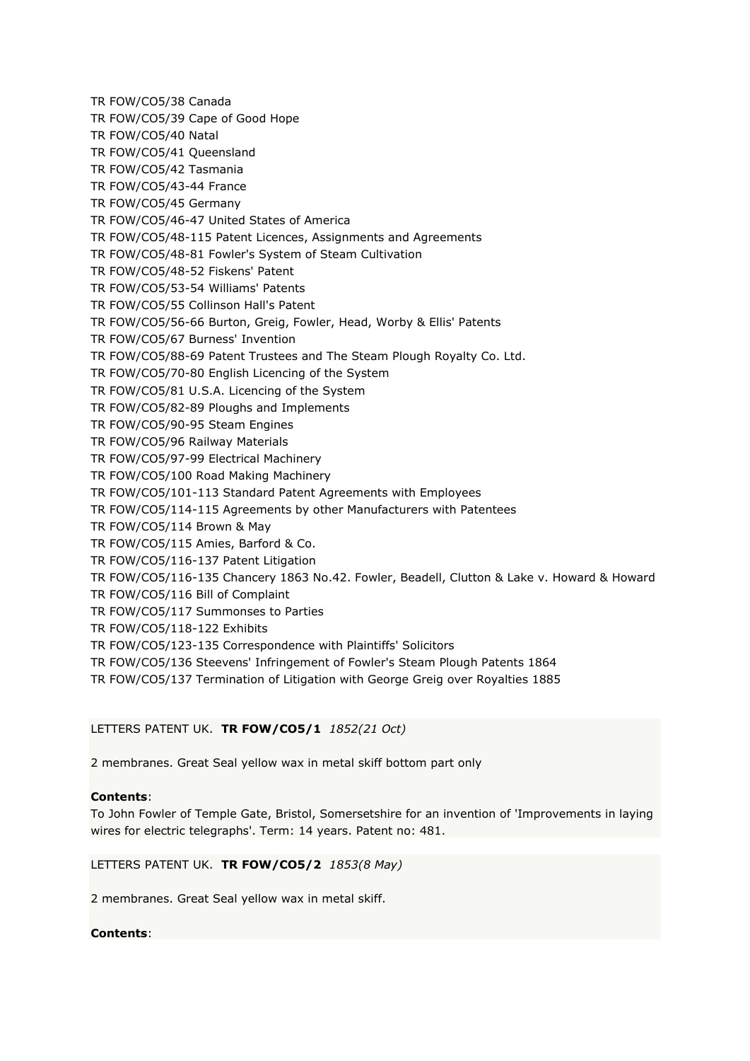TR FOW/CO5/38 Canada TR FOW/CO5/39 Cape of Good Hope TR FOW/CO5/40 Natal TR FOW/CO5/41 Queensland TR FOW/CO5/42 Tasmania TR FOW/CO5/43-44 France TR FOW/CO5/45 Germany TR FOW/CO5/46-47 United States of America TR FOW/CO5/48-115 Patent Licences, Assignments and Agreements TR FOW/CO5/48-81 Fowler's System of Steam Cultivation TR FOW/CO5/48-52 Fiskens' Patent TR FOW/CO5/53-54 Williams' Patents TR FOW/CO5/55 Collinson Hall's Patent TR FOW/CO5/56-66 Burton, Greig, Fowler, Head, Worby & Ellis' Patents TR FOW/CO5/67 Burness' Invention TR FOW/CO5/88-69 Patent Trustees and The Steam Plough Royalty Co. Ltd. TR FOW/CO5/70-80 English Licencing of the System TR FOW/CO5/81 U.S.A. Licencing of the System TR FOW/CO5/82-89 Ploughs and Implements TR FOW/CO5/90-95 Steam Engines TR FOW/CO5/96 Railway Materials TR FOW/CO5/97-99 Electrical Machinery TR FOW/CO5/100 Road Making Machinery TR FOW/CO5/101-113 Standard Patent Agreements with Employees TR FOW/CO5/114-115 Agreements by other Manufacturers with Patentees TR FOW/CO5/114 Brown & May TR FOW/CO5/115 Amies, Barford & Co. TR FOW/CO5/116-137 Patent Litigation TR FOW/CO5/116-135 Chancery 1863 No.42. Fowler, Beadell, Clutton & Lake v. Howard & Howard TR FOW/CO5/116 Bill of Complaint TR FOW/CO5/117 Summonses to Parties TR FOW/CO5/118-122 Exhibits TR FOW/CO5/123-135 Correspondence with Plaintiffs' Solicitors TR FOW/CO5/136 Steevens' Infringement of Fowler's Steam Plough Patents 1864 TR FOW/CO5/137 Termination of Litigation with George Greig over Royalties 1885

# LETTERS PATENT UK. **TR FOW/CO5/1** *1852(21 Oct)*

2 membranes. Great Seal yellow wax in metal skiff bottom part only

# **Contents**:

To John Fowler of Temple Gate, Bristol, Somersetshire for an invention of 'Improvements in laying wires for electric telegraphs'. Term: 14 years. Patent no: 481.

### LETTERS PATENT UK. **TR FOW/CO5/2** *1853(8 May)*

2 membranes. Great Seal yellow wax in metal skiff.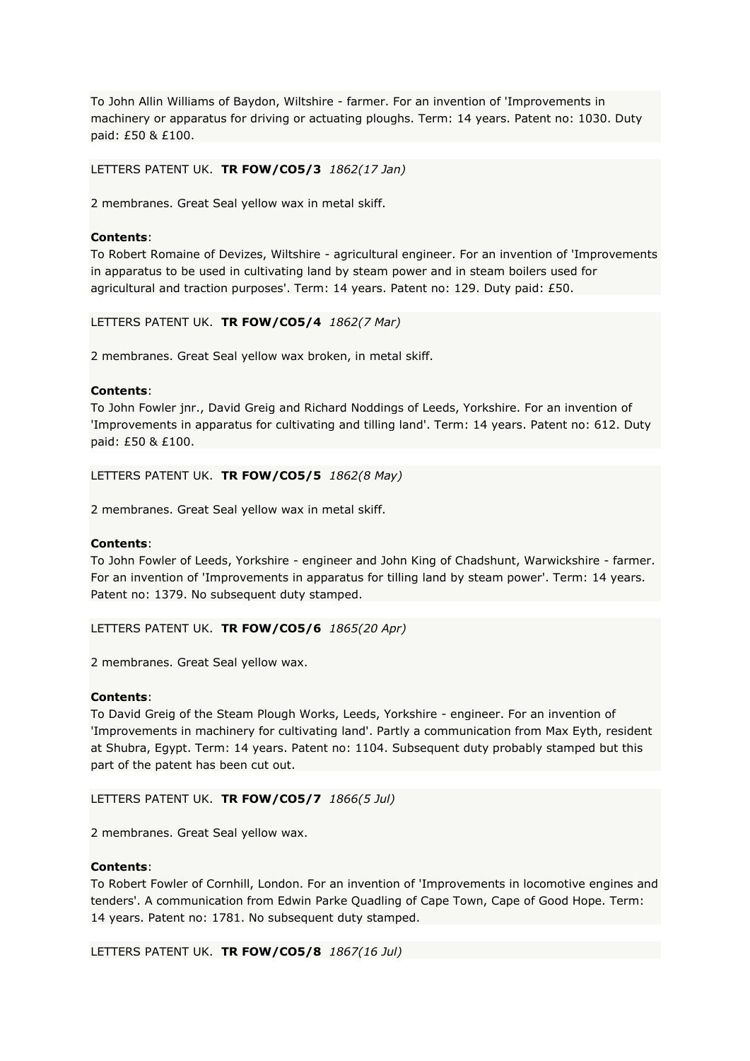To John Allin Williams of Baydon, Wiltshire - farmer. For an invention of 'Improvements in machinery or apparatus for driving or actuating ploughs. Term: 14 years. Patent no: 1030. Duty paid: £50 & £100.

### LETTERS PATENT UK. **TR FOW/CO5/3** *1862(17 Jan)*

2 membranes. Great Seal yellow wax in metal skiff.

#### **Contents**:

To Robert Romaine of Devizes, Wiltshire - agricultural engineer. For an invention of 'Improvements in apparatus to be used in cultivating land by steam power and in steam boilers used for agricultural and traction purposes'. Term: 14 years. Patent no: 129. Duty paid: £50.

LETTERS PATENT UK. **TR FOW/CO5/4** *1862(7 Mar)*

2 membranes. Great Seal yellow wax broken, in metal skiff.

#### **Contents**:

To John Fowler jnr., David Greig and Richard Noddings of Leeds, Yorkshire. For an invention of 'Improvements in apparatus for cultivating and tilling land'. Term: 14 years. Patent no: 612. Duty paid: £50 & £100.

#### LETTERS PATENT UK. **TR FOW/CO5/5** *1862(8 May)*

2 membranes. Great Seal yellow wax in metal skiff.

### **Contents**:

To John Fowler of Leeds, Yorkshire - engineer and John King of Chadshunt, Warwickshire - farmer. For an invention of 'Improvements in apparatus for tilling land by steam power'. Term: 14 years. Patent no: 1379. No subsequent duty stamped.

LETTERS PATENT UK. **TR FOW/CO5/6** *1865(20 Apr)*

2 membranes. Great Seal yellow wax.

#### **Contents**:

To David Greig of the Steam Plough Works, Leeds, Yorkshire - engineer. For an invention of 'Improvements in machinery for cultivating land'. Partly a communication from Max Eyth, resident at Shubra, Egypt. Term: 14 years. Patent no: 1104. Subsequent duty probably stamped but this part of the patent has been cut out.

LETTERS PATENT UK. **TR FOW/CO5/7** *1866(5 Jul)*

2 membranes. Great Seal yellow wax.

#### **Contents**:

To Robert Fowler of Cornhill, London. For an invention of 'Improvements in locomotive engines and tenders'. A communication from Edwin Parke Quadling of Cape Town, Cape of Good Hope. Term: 14 years. Patent no: 1781. No subsequent duty stamped.

LETTERS PATENT UK. **TR FOW/CO5/8** *1867(16 Jul)*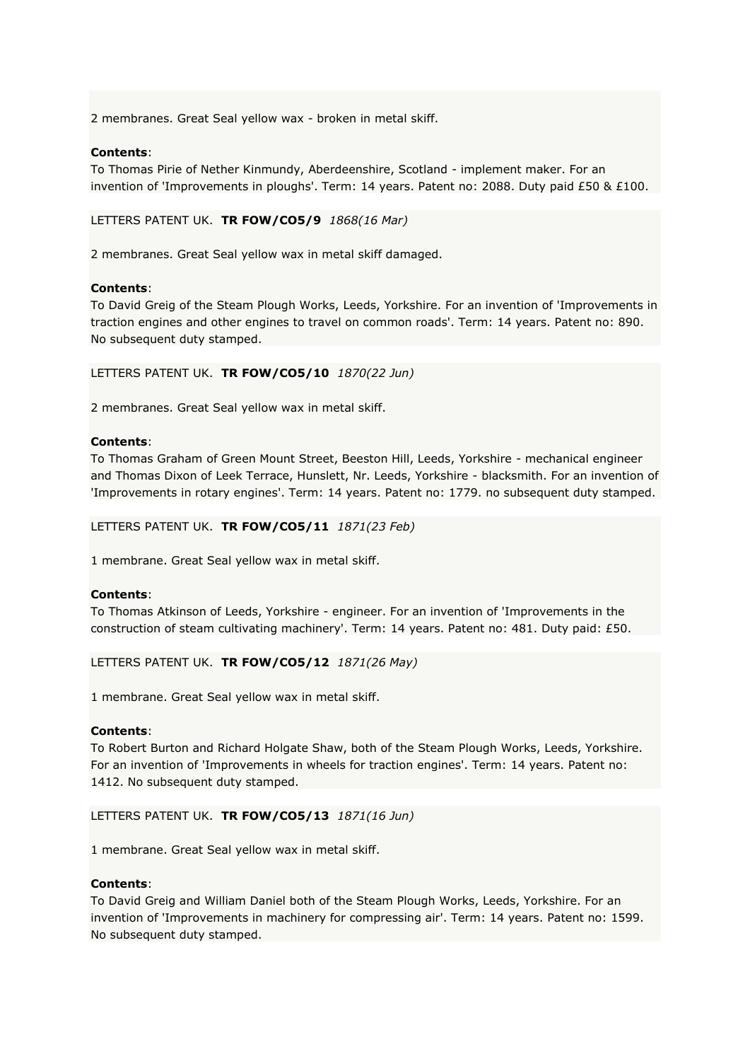2 membranes. Great Seal yellow wax - broken in metal skiff.

### **Contents**:

To Thomas Pirie of Nether Kinmundy, Aberdeenshire, Scotland - implement maker. For an invention of 'Improvements in ploughs'. Term: 14 years. Patent no: 2088. Duty paid £50 & £100.

LETTERS PATENT UK. **TR FOW/CO5/9** *1868(16 Mar)*

2 membranes. Great Seal yellow wax in metal skiff damaged.

### **Contents**:

To David Greig of the Steam Plough Works, Leeds, Yorkshire. For an invention of 'Improvements in traction engines and other engines to travel on common roads'. Term: 14 years. Patent no: 890. No subsequent duty stamped.

LETTERS PATENT UK. **TR FOW/CO5/10** *1870(22 Jun)*

2 membranes. Great Seal yellow wax in metal skiff.

#### **Contents**:

To Thomas Graham of Green Mount Street, Beeston Hill, Leeds, Yorkshire - mechanical engineer and Thomas Dixon of Leek Terrace, Hunslett, Nr. Leeds, Yorkshire - blacksmith. For an invention of 'Improvements in rotary engines'. Term: 14 years. Patent no: 1779. no subsequent duty stamped.

LETTERS PATENT UK. **TR FOW/CO5/11** *1871(23 Feb)*

1 membrane. Great Seal yellow wax in metal skiff.

### **Contents**:

To Thomas Atkinson of Leeds, Yorkshire - engineer. For an invention of 'Improvements in the construction of steam cultivating machinery'. Term: 14 years. Patent no: 481. Duty paid: £50.

LETTERS PATENT UK. **TR FOW/CO5/12** *1871(26 May)*

1 membrane. Great Seal yellow wax in metal skiff.

#### **Contents**:

To Robert Burton and Richard Holgate Shaw, both of the Steam Plough Works, Leeds, Yorkshire. For an invention of 'Improvements in wheels for traction engines'. Term: 14 years. Patent no: 1412. No subsequent duty stamped.

#### LETTERS PATENT UK. **TR FOW/CO5/13** *1871(16 Jun)*

1 membrane. Great Seal yellow wax in metal skiff.

### **Contents**:

To David Greig and William Daniel both of the Steam Plough Works, Leeds, Yorkshire. For an invention of 'Improvements in machinery for compressing air'. Term: 14 years. Patent no: 1599. No subsequent duty stamped.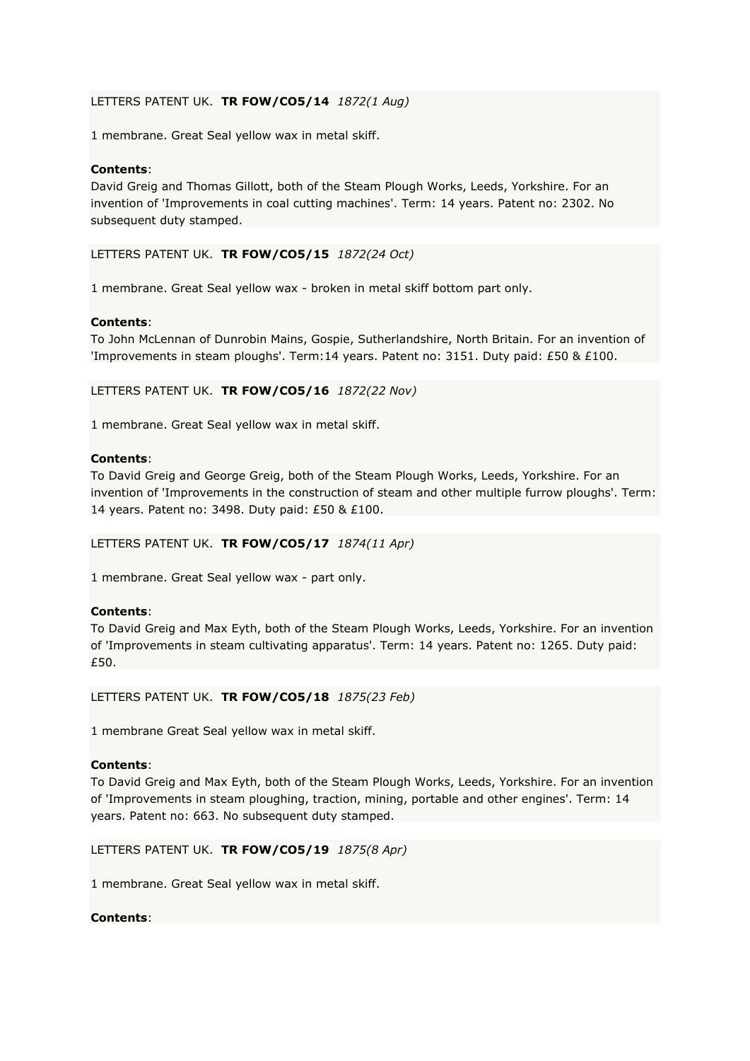# LETTERS PATENT UK. **TR FOW/CO5/14** *1872(1 Aug)*

1 membrane. Great Seal yellow wax in metal skiff.

### **Contents**:

David Greig and Thomas Gillott, both of the Steam Plough Works, Leeds, Yorkshire. For an invention of 'Improvements in coal cutting machines'. Term: 14 years. Patent no: 2302. No subsequent duty stamped.

LETTERS PATENT UK. **TR FOW/CO5/15** *1872(24 Oct)*

1 membrane. Great Seal yellow wax - broken in metal skiff bottom part only.

### **Contents**:

To John McLennan of Dunrobin Mains, Gospie, Sutherlandshire, North Britain. For an invention of 'Improvements in steam ploughs'. Term:14 years. Patent no: 3151. Duty paid: £50 & £100.

LETTERS PATENT UK. **TR FOW/CO5/16** *1872(22 Nov)*

1 membrane. Great Seal yellow wax in metal skiff.

#### **Contents**:

To David Greig and George Greig, both of the Steam Plough Works, Leeds, Yorkshire. For an invention of 'Improvements in the construction of steam and other multiple furrow ploughs'. Term: 14 years. Patent no: 3498. Duty paid: £50 & £100.

LETTERS PATENT UK. **TR FOW/CO5/17** *1874(11 Apr)*

1 membrane. Great Seal yellow wax - part only.

#### **Contents**:

To David Greig and Max Eyth, both of the Steam Plough Works, Leeds, Yorkshire. For an invention of 'Improvements in steam cultivating apparatus'. Term: 14 years. Patent no: 1265. Duty paid: £50.

LETTERS PATENT UK. **TR FOW/CO5/18** *1875(23 Feb)*

1 membrane Great Seal yellow wax in metal skiff.

### **Contents**:

To David Greig and Max Eyth, both of the Steam Plough Works, Leeds, Yorkshire. For an invention of 'Improvements in steam ploughing, traction, mining, portable and other engines'. Term: 14 years. Patent no: 663. No subsequent duty stamped.

LETTERS PATENT UK. **TR FOW/CO5/19** *1875(8 Apr)*

1 membrane. Great Seal yellow wax in metal skiff.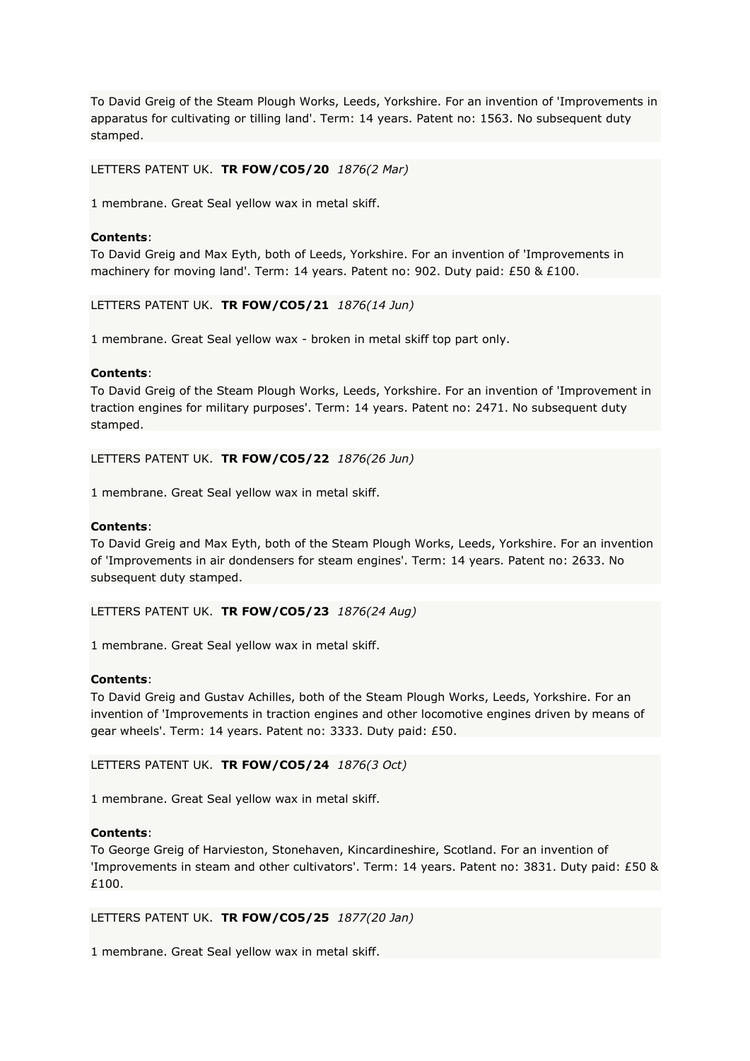To David Greig of the Steam Plough Works, Leeds, Yorkshire. For an invention of 'Improvements in apparatus for cultivating or tilling land'. Term: 14 years. Patent no: 1563. No subsequent duty stamped.

### LETTERS PATENT UK. **TR FOW/CO5/20** *1876(2 Mar)*

1 membrane. Great Seal yellow wax in metal skiff.

#### **Contents**:

To David Greig and Max Eyth, both of Leeds, Yorkshire. For an invention of 'Improvements in machinery for moving land'. Term: 14 years. Patent no: 902. Duty paid: £50 & £100.

LETTERS PATENT UK. **TR FOW/CO5/21** *1876(14 Jun)*

1 membrane. Great Seal yellow wax - broken in metal skiff top part only.

#### **Contents**:

To David Greig of the Steam Plough Works, Leeds, Yorkshire. For an invention of 'Improvement in traction engines for military purposes'. Term: 14 years. Patent no: 2471. No subsequent duty stamped.

LETTERS PATENT UK. **TR FOW/CO5/22** *1876(26 Jun)*

1 membrane. Great Seal yellow wax in metal skiff.

#### **Contents**:

To David Greig and Max Eyth, both of the Steam Plough Works, Leeds, Yorkshire. For an invention of 'Improvements in air dondensers for steam engines'. Term: 14 years. Patent no: 2633. No subsequent duty stamped.

LETTERS PATENT UK. **TR FOW/CO5/23** *1876(24 Aug)*

1 membrane. Great Seal yellow wax in metal skiff.

#### **Contents**:

To David Greig and Gustav Achilles, both of the Steam Plough Works, Leeds, Yorkshire. For an invention of 'Improvements in traction engines and other locomotive engines driven by means of gear wheels'. Term: 14 years. Patent no: 3333. Duty paid: £50.

LETTERS PATENT UK. **TR FOW/CO5/24** *1876(3 Oct)*

1 membrane. Great Seal yellow wax in metal skiff.

### **Contents**:

To George Greig of Harvieston, Stonehaven, Kincardineshire, Scotland. For an invention of 'Improvements in steam and other cultivators'. Term: 14 years. Patent no: 3831. Duty paid: £50 & £100.

LETTERS PATENT UK. **TR FOW/CO5/25** *1877(20 Jan)*

1 membrane. Great Seal yellow wax in metal skiff.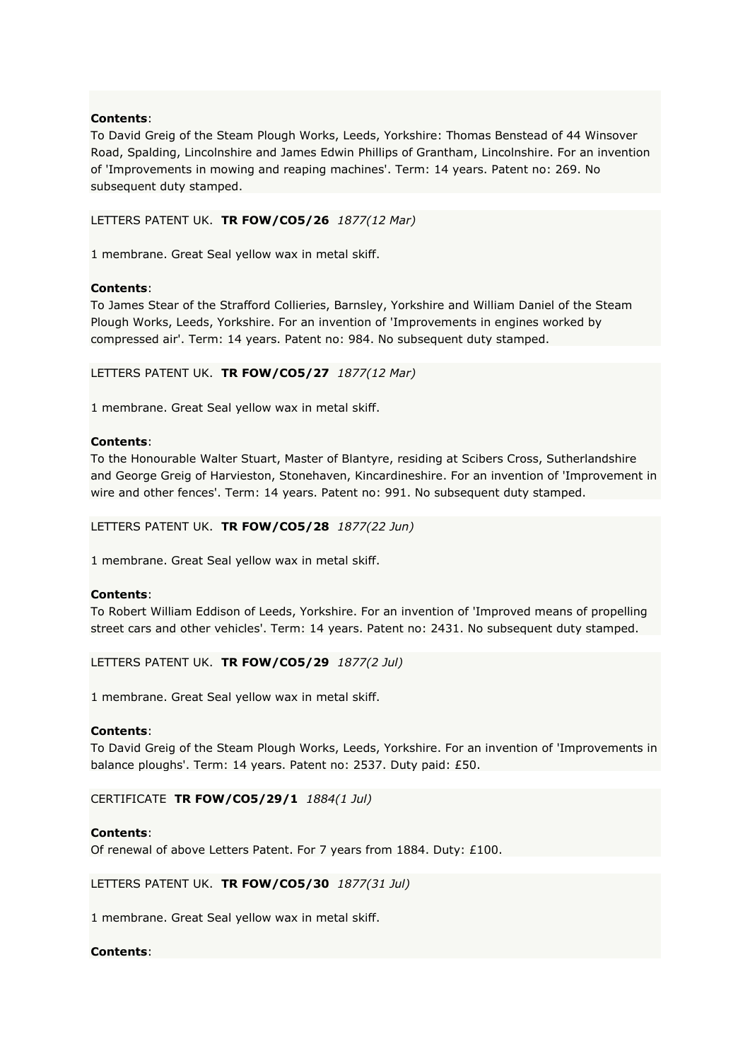To David Greig of the Steam Plough Works, Leeds, Yorkshire: Thomas Benstead of 44 Winsover Road, Spalding, Lincolnshire and James Edwin Phillips of Grantham, Lincolnshire. For an invention of 'Improvements in mowing and reaping machines'. Term: 14 years. Patent no: 269. No subsequent duty stamped.

# LETTERS PATENT UK. **TR FOW/CO5/26** *1877(12 Mar)*

1 membrane. Great Seal yellow wax in metal skiff.

# **Contents**:

To James Stear of the Strafford Collieries, Barnsley, Yorkshire and William Daniel of the Steam Plough Works, Leeds, Yorkshire. For an invention of 'Improvements in engines worked by compressed air'. Term: 14 years. Patent no: 984. No subsequent duty stamped.

LETTERS PATENT UK. **TR FOW/CO5/27** *1877(12 Mar)*

1 membrane. Great Seal yellow wax in metal skiff.

### **Contents**:

To the Honourable Walter Stuart, Master of Blantyre, residing at Scibers Cross, Sutherlandshire and George Greig of Harvieston, Stonehaven, Kincardineshire. For an invention of 'Improvement in wire and other fences'. Term: 14 years. Patent no: 991. No subsequent duty stamped.

LETTERS PATENT UK. **TR FOW/CO5/28** *1877(22 Jun)*

1 membrane. Great Seal yellow wax in metal skiff.

### **Contents**:

To Robert William Eddison of Leeds, Yorkshire. For an invention of 'Improved means of propelling street cars and other vehicles'. Term: 14 years. Patent no: 2431. No subsequent duty stamped.

LETTERS PATENT UK. **TR FOW/CO5/29** *1877(2 Jul)*

1 membrane. Great Seal yellow wax in metal skiff.

### **Contents**:

To David Greig of the Steam Plough Works, Leeds, Yorkshire. For an invention of 'Improvements in balance ploughs'. Term: 14 years. Patent no: 2537. Duty paid: £50.

CERTIFICATE **TR FOW/CO5/29/1** *1884(1 Jul)*

### **Contents**:

Of renewal of above Letters Patent. For 7 years from 1884. Duty: £100.

LETTERS PATENT UK. **TR FOW/CO5/30** *1877(31 Jul)*

1 membrane. Great Seal yellow wax in metal skiff.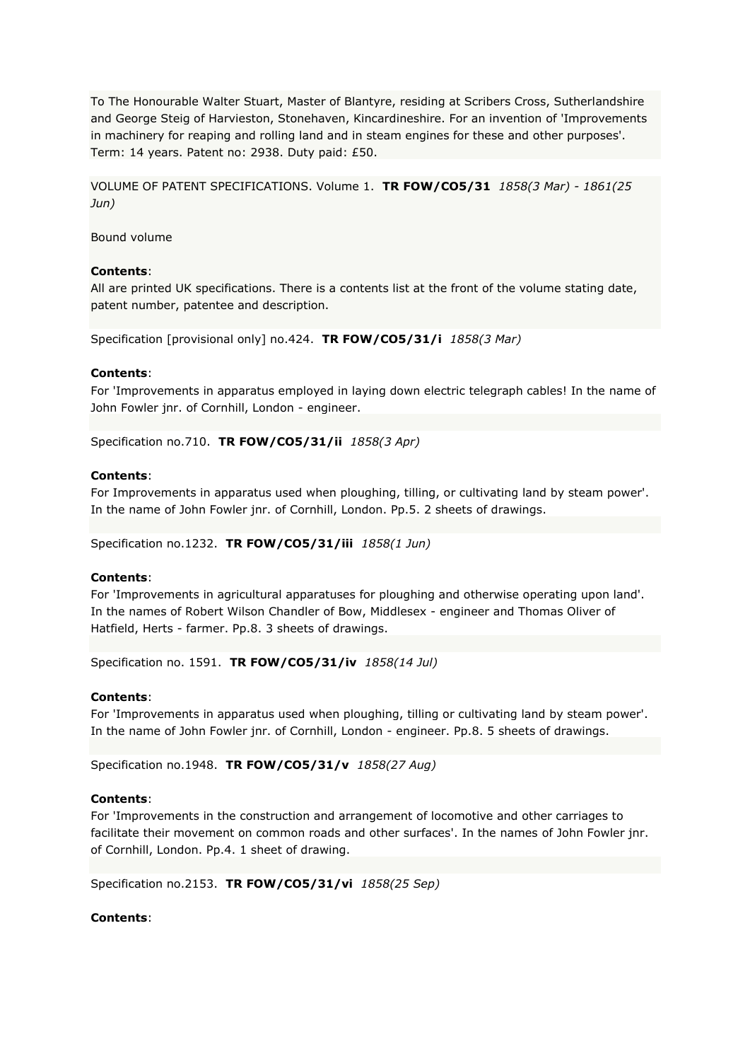To The Honourable Walter Stuart, Master of Blantyre, residing at Scribers Cross, Sutherlandshire and George Steig of Harvieston, Stonehaven, Kincardineshire. For an invention of 'Improvements in machinery for reaping and rolling land and in steam engines for these and other purposes'. Term: 14 years. Patent no: 2938. Duty paid: £50.

VOLUME OF PATENT SPECIFICATIONS. Volume 1. **TR FOW/CO5/31** *1858(3 Mar) - 1861(25 Jun)*

Bound volume

### **Contents**:

All are printed UK specifications. There is a contents list at the front of the volume stating date, patent number, patentee and description.

Specification [provisional only] no.424. **TR FOW/CO5/31/i** *1858(3 Mar)*

### **Contents**:

For 'Improvements in apparatus employed in laying down electric telegraph cables! In the name of John Fowler jnr. of Cornhill, London - engineer.

Specification no.710. **TR FOW/CO5/31/ii** *1858(3 Apr)*

### **Contents**:

For Improvements in apparatus used when ploughing, tilling, or cultivating land by steam power'. In the name of John Fowler jnr. of Cornhill, London. Pp.5. 2 sheets of drawings.

Specification no.1232. **TR FOW/CO5/31/iii** *1858(1 Jun)*

### **Contents**:

For 'Improvements in agricultural apparatuses for ploughing and otherwise operating upon land'. In the names of Robert Wilson Chandler of Bow, Middlesex - engineer and Thomas Oliver of Hatfield, Herts - farmer. Pp.8. 3 sheets of drawings.

Specification no. 1591. **TR FOW/CO5/31/iv** *1858(14 Jul)*

### **Contents**:

For 'Improvements in apparatus used when ploughing, tilling or cultivating land by steam power'. In the name of John Fowler jnr. of Cornhill, London - engineer. Pp.8. 5 sheets of drawings.

Specification no.1948. **TR FOW/CO5/31/v** *1858(27 Aug)*

### **Contents**:

For 'Improvements in the construction and arrangement of locomotive and other carriages to facilitate their movement on common roads and other surfaces'. In the names of John Fowler jnr. of Cornhill, London. Pp.4. 1 sheet of drawing.

Specification no.2153. **TR FOW/CO5/31/vi** *1858(25 Sep)*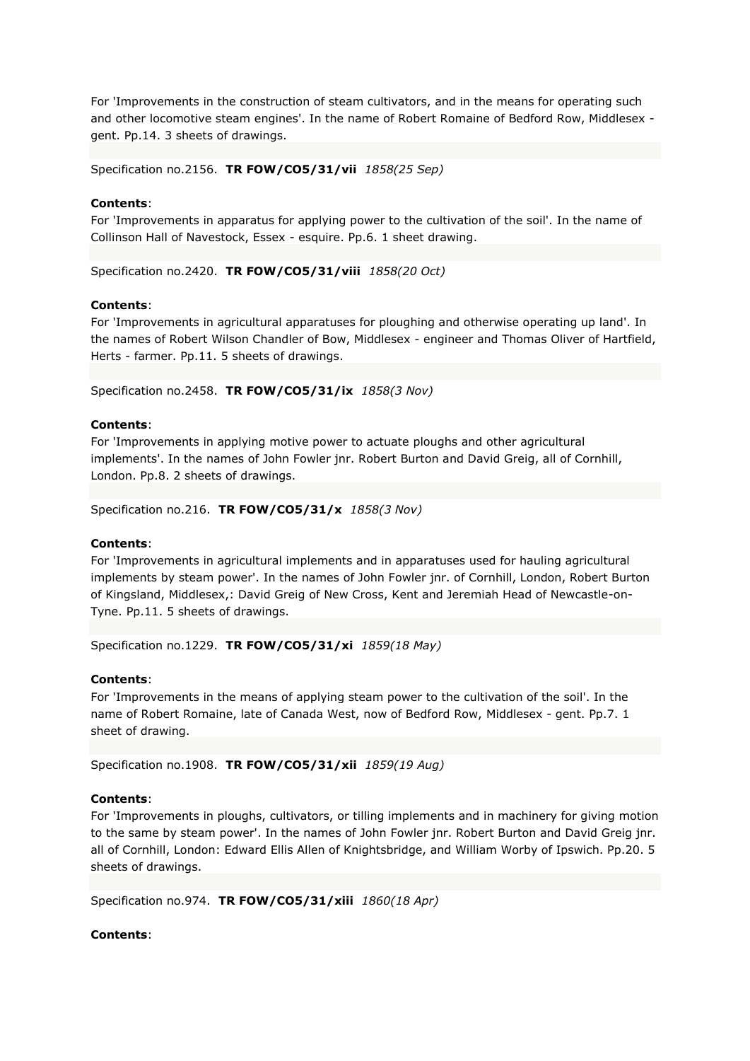For 'Improvements in the construction of steam cultivators, and in the means for operating such and other locomotive steam engines'. In the name of Robert Romaine of Bedford Row, Middlesex gent. Pp.14. 3 sheets of drawings.

Specification no.2156. **TR FOW/CO5/31/vii** *1858(25 Sep)*

### **Contents**:

For 'Improvements in apparatus for applying power to the cultivation of the soil'. In the name of Collinson Hall of Navestock, Essex - esquire. Pp.6. 1 sheet drawing.

Specification no.2420. **TR FOW/CO5/31/viii** *1858(20 Oct)*

# **Contents**:

For 'Improvements in agricultural apparatuses for ploughing and otherwise operating up land'. In the names of Robert Wilson Chandler of Bow, Middlesex - engineer and Thomas Oliver of Hartfield, Herts - farmer. Pp.11. 5 sheets of drawings.

Specification no.2458. **TR FOW/CO5/31/ix** *1858(3 Nov)*

# **Contents**:

For 'Improvements in applying motive power to actuate ploughs and other agricultural implements'. In the names of John Fowler jnr. Robert Burton and David Greig, all of Cornhill, London. Pp.8. 2 sheets of drawings.

Specification no.216. **TR FOW/CO5/31/x** *1858(3 Nov)*

### **Contents**:

For 'Improvements in agricultural implements and in apparatuses used for hauling agricultural implements by steam power'. In the names of John Fowler jnr. of Cornhill, London, Robert Burton of Kingsland, Middlesex,: David Greig of New Cross, Kent and Jeremiah Head of Newcastle-on-Tyne. Pp.11. 5 sheets of drawings.

Specification no.1229. **TR FOW/CO5/31/xi** *1859(18 May)*

### **Contents**:

For 'Improvements in the means of applying steam power to the cultivation of the soil'. In the name of Robert Romaine, late of Canada West, now of Bedford Row, Middlesex - gent. Pp.7. 1 sheet of drawing.

Specification no.1908. **TR FOW/CO5/31/xii** *1859(19 Aug)*

### **Contents**:

For 'Improvements in ploughs, cultivators, or tilling implements and in machinery for giving motion to the same by steam power'. In the names of John Fowler jnr. Robert Burton and David Greig jnr. all of Cornhill, London: Edward Ellis Allen of Knightsbridge, and William Worby of Ipswich. Pp.20. 5 sheets of drawings.

Specification no.974. **TR FOW/CO5/31/xiii** *1860(18 Apr)*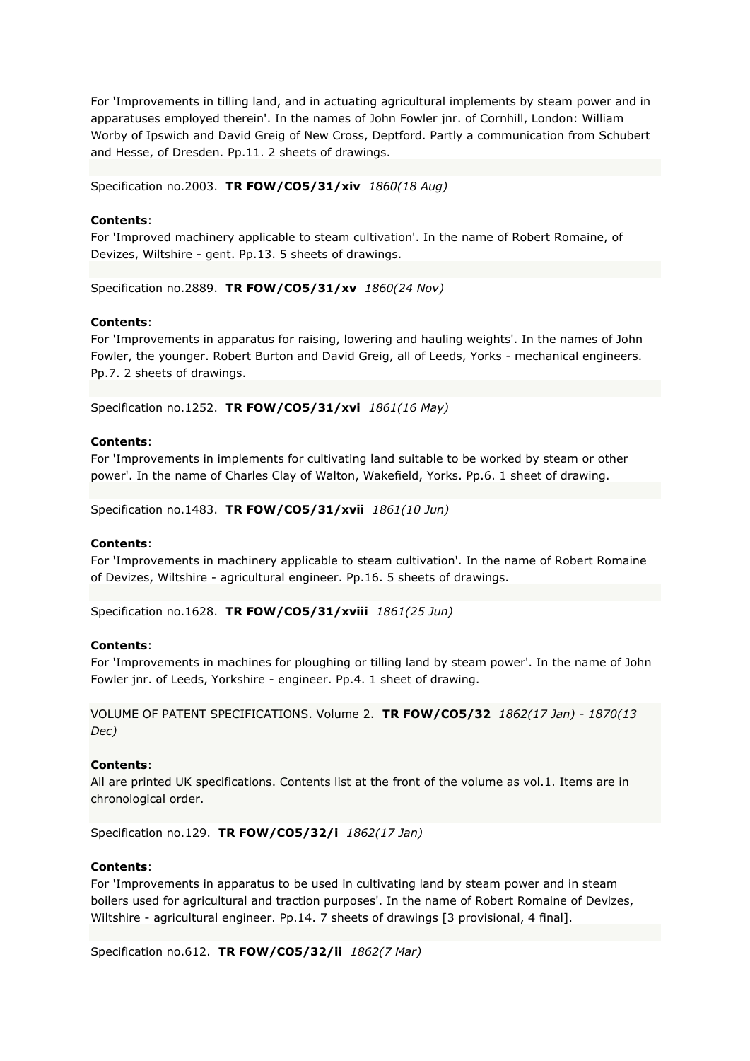For 'Improvements in tilling land, and in actuating agricultural implements by steam power and in apparatuses employed therein'. In the names of John Fowler jnr. of Cornhill, London: William Worby of Ipswich and David Greig of New Cross, Deptford. Partly a communication from Schubert and Hesse, of Dresden. Pp.11. 2 sheets of drawings.

Specification no.2003. **TR FOW/CO5/31/xiv** *1860(18 Aug)*

### **Contents**:

For 'Improved machinery applicable to steam cultivation'. In the name of Robert Romaine, of Devizes, Wiltshire - gent. Pp.13. 5 sheets of drawings.

Specification no.2889. **TR FOW/CO5/31/xv** *1860(24 Nov)*

### **Contents**:

For 'Improvements in apparatus for raising, lowering and hauling weights'. In the names of John Fowler, the younger. Robert Burton and David Greig, all of Leeds, Yorks - mechanical engineers. Pp.7. 2 sheets of drawings.

Specification no.1252. **TR FOW/CO5/31/xvi** *1861(16 May)*

#### **Contents**:

For 'Improvements in implements for cultivating land suitable to be worked by steam or other power'. In the name of Charles Clay of Walton, Wakefield, Yorks. Pp.6. 1 sheet of drawing.

Specification no.1483. **TR FOW/CO5/31/xvii** *1861(10 Jun)*

#### **Contents**:

For 'Improvements in machinery applicable to steam cultivation'. In the name of Robert Romaine of Devizes, Wiltshire - agricultural engineer. Pp.16. 5 sheets of drawings.

Specification no.1628. **TR FOW/CO5/31/xviii** *1861(25 Jun)*

#### **Contents**:

For 'Improvements in machines for ploughing or tilling land by steam power'. In the name of John Fowler jnr. of Leeds, Yorkshire - engineer. Pp.4. 1 sheet of drawing.

VOLUME OF PATENT SPECIFICATIONS. Volume 2. **TR FOW/CO5/32** *1862(17 Jan) - 1870(13 Dec)*

#### **Contents**:

All are printed UK specifications. Contents list at the front of the volume as vol.1. Items are in chronological order.

Specification no.129. **TR FOW/CO5/32/i** *1862(17 Jan)*

#### **Contents**:

For 'Improvements in apparatus to be used in cultivating land by steam power and in steam boilers used for agricultural and traction purposes'. In the name of Robert Romaine of Devizes, Wiltshire - agricultural engineer. Pp.14. 7 sheets of drawings [3 provisional, 4 final].

Specification no.612. **TR FOW/CO5/32/ii** *1862(7 Mar)*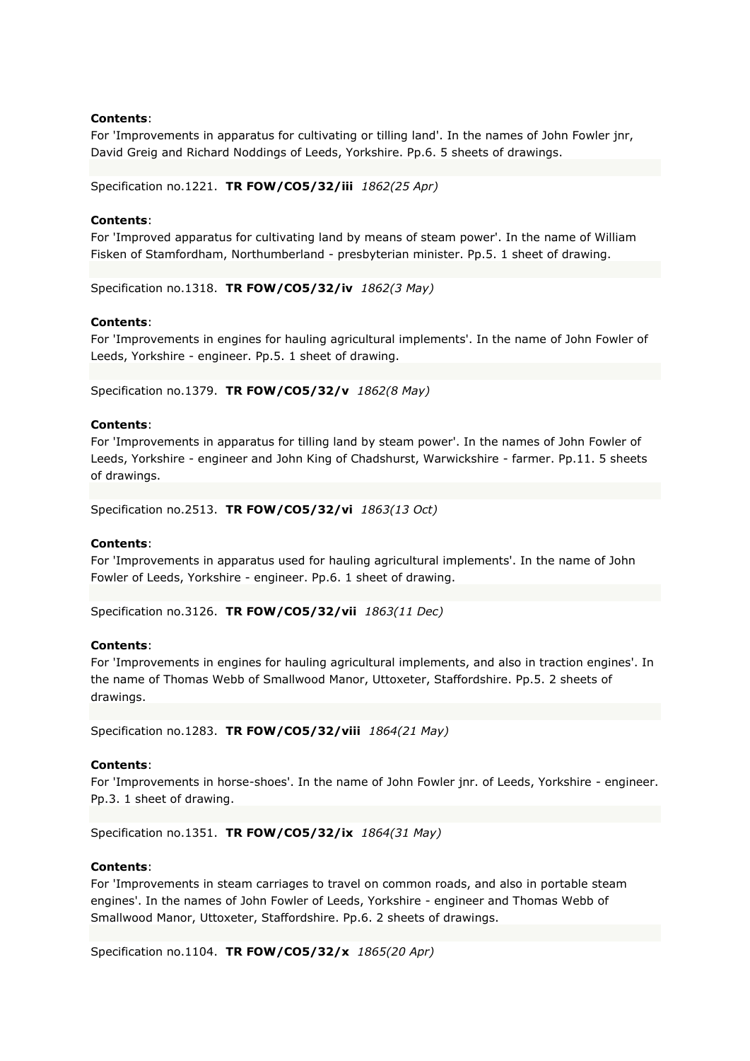For 'Improvements in apparatus for cultivating or tilling land'. In the names of John Fowler jnr, David Greig and Richard Noddings of Leeds, Yorkshire. Pp.6. 5 sheets of drawings.

Specification no.1221. **TR FOW/CO5/32/iii** *1862(25 Apr)*

### **Contents**:

For 'Improved apparatus for cultivating land by means of steam power'. In the name of William Fisken of Stamfordham, Northumberland - presbyterian minister. Pp.5. 1 sheet of drawing.

Specification no.1318. **TR FOW/CO5/32/iv** *1862(3 May)*

#### **Contents**:

For 'Improvements in engines for hauling agricultural implements'. In the name of John Fowler of Leeds, Yorkshire - engineer. Pp.5. 1 sheet of drawing.

Specification no.1379. **TR FOW/CO5/32/v** *1862(8 May)*

#### **Contents**:

For 'Improvements in apparatus for tilling land by steam power'. In the names of John Fowler of Leeds, Yorkshire - engineer and John King of Chadshurst, Warwickshire - farmer. Pp.11. 5 sheets of drawings.

Specification no.2513. **TR FOW/CO5/32/vi** *1863(13 Oct)*

#### **Contents**:

For 'Improvements in apparatus used for hauling agricultural implements'. In the name of John Fowler of Leeds, Yorkshire - engineer. Pp.6. 1 sheet of drawing.

Specification no.3126. **TR FOW/CO5/32/vii** *1863(11 Dec)*

#### **Contents**:

For 'Improvements in engines for hauling agricultural implements, and also in traction engines'. In the name of Thomas Webb of Smallwood Manor, Uttoxeter, Staffordshire. Pp.5. 2 sheets of drawings.

Specification no.1283. **TR FOW/CO5/32/viii** *1864(21 May)*

#### **Contents**:

For 'Improvements in horse-shoes'. In the name of John Fowler jnr. of Leeds, Yorkshire - engineer. Pp.3. 1 sheet of drawing.

Specification no.1351. **TR FOW/CO5/32/ix** *1864(31 May)*

#### **Contents**:

For 'Improvements in steam carriages to travel on common roads, and also in portable steam engines'. In the names of John Fowler of Leeds, Yorkshire - engineer and Thomas Webb of Smallwood Manor, Uttoxeter, Staffordshire. Pp.6. 2 sheets of drawings.

Specification no.1104. **TR FOW/CO5/32/x** *1865(20 Apr)*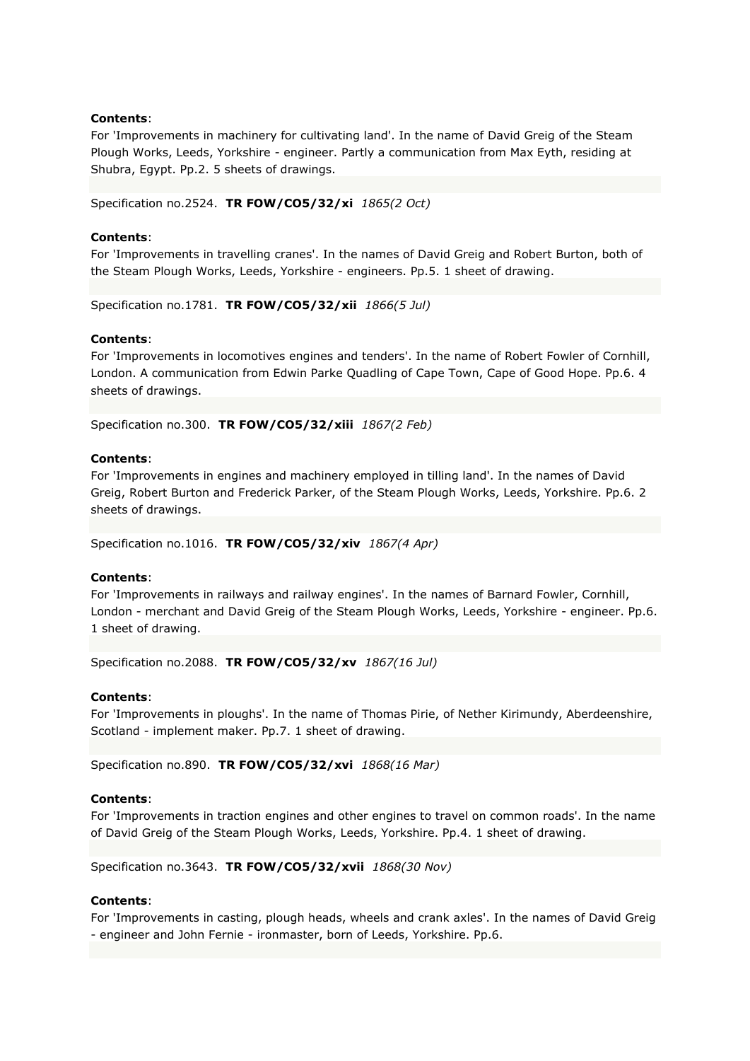For 'Improvements in machinery for cultivating land'. In the name of David Greig of the Steam Plough Works, Leeds, Yorkshire - engineer. Partly a communication from Max Eyth, residing at Shubra, Egypt. Pp.2. 5 sheets of drawings.

Specification no.2524. **TR FOW/CO5/32/xi** *1865(2 Oct)*

### **Contents**:

For 'Improvements in travelling cranes'. In the names of David Greig and Robert Burton, both of the Steam Plough Works, Leeds, Yorkshire - engineers. Pp.5. 1 sheet of drawing.

Specification no.1781. **TR FOW/CO5/32/xii** *1866(5 Jul)*

#### **Contents**:

For 'Improvements in locomotives engines and tenders'. In the name of Robert Fowler of Cornhill, London. A communication from Edwin Parke Quadling of Cape Town, Cape of Good Hope. Pp.6. 4 sheets of drawings.

Specification no.300. **TR FOW/CO5/32/xiii** *1867(2 Feb)*

#### **Contents**:

For 'Improvements in engines and machinery employed in tilling land'. In the names of David Greig, Robert Burton and Frederick Parker, of the Steam Plough Works, Leeds, Yorkshire. Pp.6. 2 sheets of drawings.

Specification no.1016. **TR FOW/CO5/32/xiv** *1867(4 Apr)*

#### **Contents**:

For 'Improvements in railways and railway engines'. In the names of Barnard Fowler, Cornhill, London - merchant and David Greig of the Steam Plough Works, Leeds, Yorkshire - engineer. Pp.6. 1 sheet of drawing.

Specification no.2088. **TR FOW/CO5/32/xv** *1867(16 Jul)*

### **Contents**:

For 'Improvements in ploughs'. In the name of Thomas Pirie, of Nether Kirimundy, Aberdeenshire, Scotland - implement maker. Pp.7. 1 sheet of drawing.

Specification no.890. **TR FOW/CO5/32/xvi** *1868(16 Mar)*

#### **Contents**:

For 'Improvements in traction engines and other engines to travel on common roads'. In the name of David Greig of the Steam Plough Works, Leeds, Yorkshire. Pp.4. 1 sheet of drawing.

Specification no.3643. **TR FOW/CO5/32/xvii** *1868(30 Nov)*

#### **Contents**:

For 'Improvements in casting, plough heads, wheels and crank axles'. In the names of David Greig - engineer and John Fernie - ironmaster, born of Leeds, Yorkshire. Pp.6.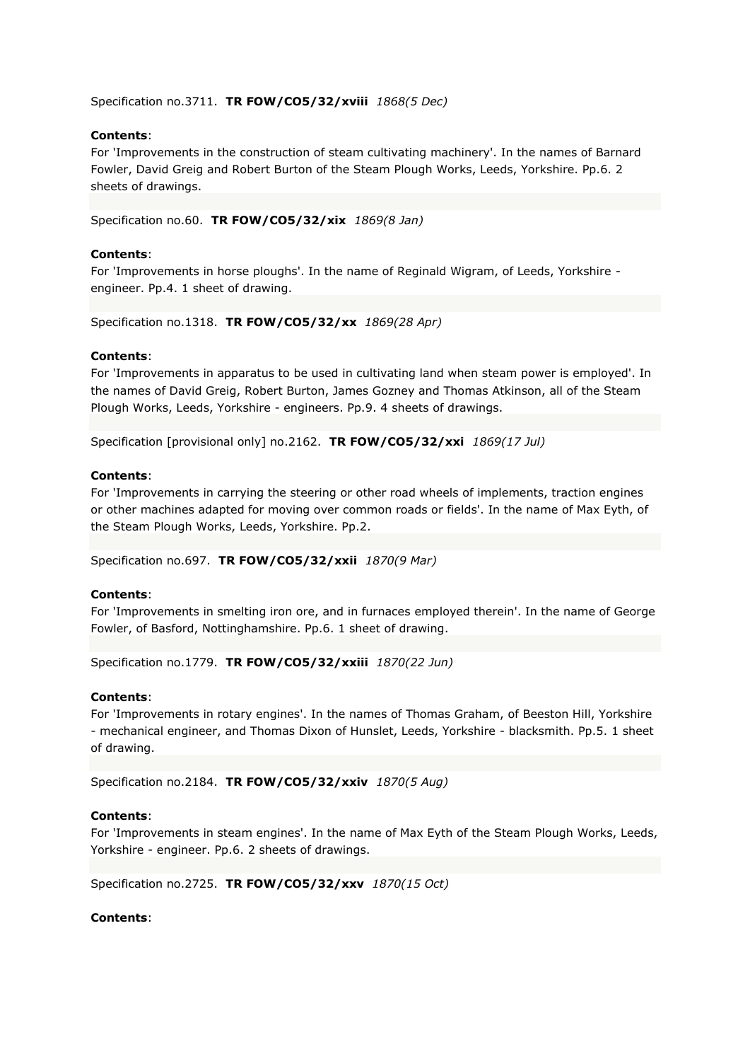Specification no.3711. **TR FOW/CO5/32/xviii** *1868(5 Dec)*

### **Contents**:

For 'Improvements in the construction of steam cultivating machinery'. In the names of Barnard Fowler, David Greig and Robert Burton of the Steam Plough Works, Leeds, Yorkshire. Pp.6. 2 sheets of drawings.

Specification no.60. **TR FOW/CO5/32/xix** *1869(8 Jan)*

### **Contents**:

For 'Improvements in horse ploughs'. In the name of Reginald Wigram, of Leeds, Yorkshire engineer. Pp.4. 1 sheet of drawing.

Specification no.1318. **TR FOW/CO5/32/xx** *1869(28 Apr)*

#### **Contents**:

For 'Improvements in apparatus to be used in cultivating land when steam power is employed'. In the names of David Greig, Robert Burton, James Gozney and Thomas Atkinson, all of the Steam Plough Works, Leeds, Yorkshire - engineers. Pp.9. 4 sheets of drawings.

Specification [provisional only] no.2162. **TR FOW/CO5/32/xxi** *1869(17 Jul)*

### **Contents**:

For 'Improvements in carrying the steering or other road wheels of implements, traction engines or other machines adapted for moving over common roads or fields'. In the name of Max Eyth, of the Steam Plough Works, Leeds, Yorkshire. Pp.2.

Specification no.697. **TR FOW/CO5/32/xxii** *1870(9 Mar)*

### **Contents**:

For 'Improvements in smelting iron ore, and in furnaces employed therein'. In the name of George Fowler, of Basford, Nottinghamshire. Pp.6. 1 sheet of drawing.

Specification no.1779. **TR FOW/CO5/32/xxiii** *1870(22 Jun)*

### **Contents**:

For 'Improvements in rotary engines'. In the names of Thomas Graham, of Beeston Hill, Yorkshire - mechanical engineer, and Thomas Dixon of Hunslet, Leeds, Yorkshire - blacksmith. Pp.5. 1 sheet of drawing.

Specification no.2184. **TR FOW/CO5/32/xxiv** *1870(5 Aug)*

#### **Contents**:

For 'Improvements in steam engines'. In the name of Max Eyth of the Steam Plough Works, Leeds, Yorkshire - engineer. Pp.6. 2 sheets of drawings.

Specification no.2725. **TR FOW/CO5/32/xxv** *1870(15 Oct)*

### **Contents**: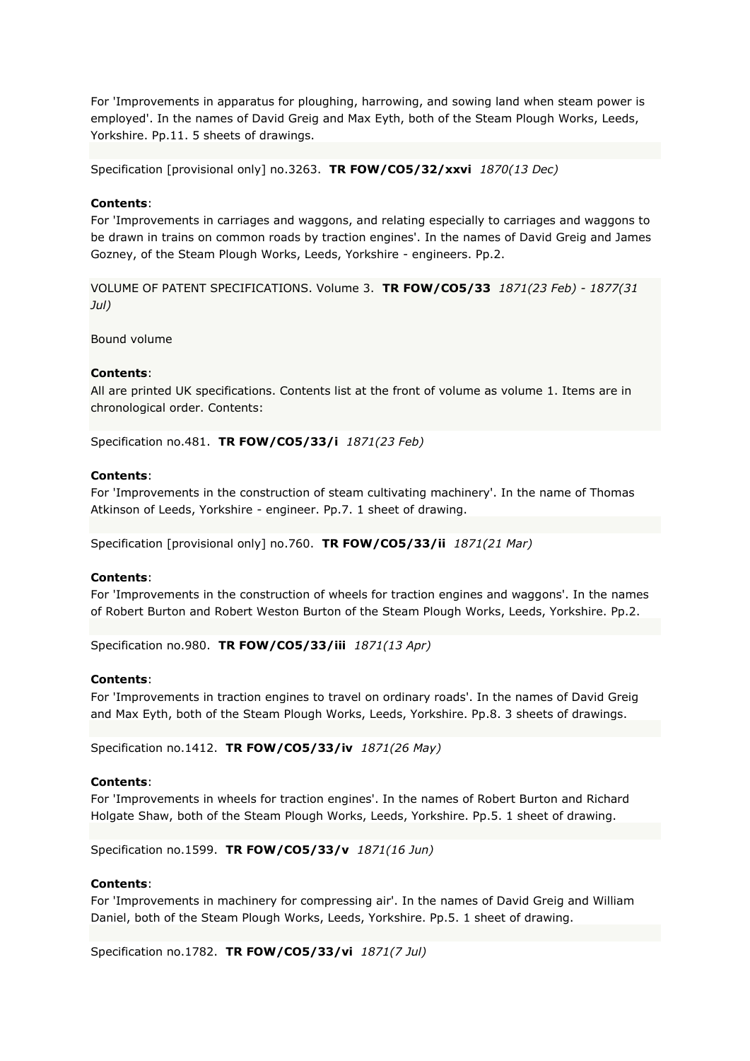For 'Improvements in apparatus for ploughing, harrowing, and sowing land when steam power is employed'. In the names of David Greig and Max Eyth, both of the Steam Plough Works, Leeds, Yorkshire. Pp.11. 5 sheets of drawings.

Specification [provisional only] no.3263. **TR FOW/CO5/32/xxvi** *1870(13 Dec)*

### **Contents**:

For 'Improvements in carriages and waggons, and relating especially to carriages and waggons to be drawn in trains on common roads by traction engines'. In the names of David Greig and James Gozney, of the Steam Plough Works, Leeds, Yorkshire - engineers. Pp.2.

VOLUME OF PATENT SPECIFICATIONS. Volume 3. **TR FOW/CO5/33** *1871(23 Feb) - 1877(31 Jul)*

Bound volume

### **Contents**:

All are printed UK specifications. Contents list at the front of volume as volume 1. Items are in chronological order. Contents:

Specification no.481. **TR FOW/CO5/33/i** *1871(23 Feb)*

### **Contents**:

For 'Improvements in the construction of steam cultivating machinery'. In the name of Thomas Atkinson of Leeds, Yorkshire - engineer. Pp.7. 1 sheet of drawing.

Specification [provisional only] no.760. **TR FOW/CO5/33/ii** *1871(21 Mar)*

### **Contents**:

For 'Improvements in the construction of wheels for traction engines and waggons'. In the names of Robert Burton and Robert Weston Burton of the Steam Plough Works, Leeds, Yorkshire. Pp.2.

Specification no.980. **TR FOW/CO5/33/iii** *1871(13 Apr)*

### **Contents**:

For 'Improvements in traction engines to travel on ordinary roads'. In the names of David Greig and Max Eyth, both of the Steam Plough Works, Leeds, Yorkshire. Pp.8. 3 sheets of drawings.

Specification no.1412. **TR FOW/CO5/33/iv** *1871(26 May)*

### **Contents**:

For 'Improvements in wheels for traction engines'. In the names of Robert Burton and Richard Holgate Shaw, both of the Steam Plough Works, Leeds, Yorkshire. Pp.5. 1 sheet of drawing.

Specification no.1599. **TR FOW/CO5/33/v** *1871(16 Jun)*

### **Contents**:

For 'Improvements in machinery for compressing air'. In the names of David Greig and William Daniel, both of the Steam Plough Works, Leeds, Yorkshire. Pp.5. 1 sheet of drawing.

Specification no.1782. **TR FOW/CO5/33/vi** *1871(7 Jul)*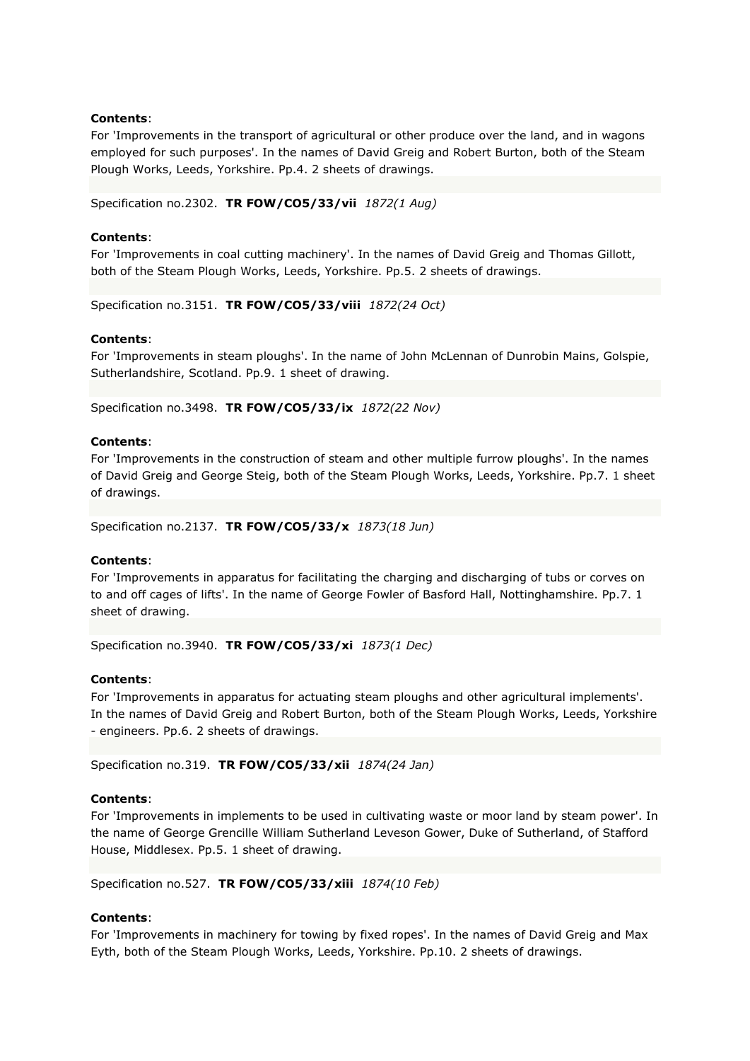### **Contents**:

For 'Improvements in the transport of agricultural or other produce over the land, and in wagons employed for such purposes'. In the names of David Greig and Robert Burton, both of the Steam Plough Works, Leeds, Yorkshire. Pp.4. 2 sheets of drawings.

Specification no.2302. **TR FOW/CO5/33/vii** *1872(1 Aug)*

### **Contents**:

For 'Improvements in coal cutting machinery'. In the names of David Greig and Thomas Gillott, both of the Steam Plough Works, Leeds, Yorkshire. Pp.5. 2 sheets of drawings.

Specification no.3151. **TR FOW/CO5/33/viii** *1872(24 Oct)*

#### **Contents**:

For 'Improvements in steam ploughs'. In the name of John McLennan of Dunrobin Mains, Golspie, Sutherlandshire, Scotland. Pp.9. 1 sheet of drawing.

Specification no.3498. **TR FOW/CO5/33/ix** *1872(22 Nov)*

#### **Contents**:

For 'Improvements in the construction of steam and other multiple furrow ploughs'. In the names of David Greig and George Steig, both of the Steam Plough Works, Leeds, Yorkshire. Pp.7. 1 sheet of drawings.

Specification no.2137. **TR FOW/CO5/33/x** *1873(18 Jun)*

#### **Contents**:

For 'Improvements in apparatus for facilitating the charging and discharging of tubs or corves on to and off cages of lifts'. In the name of George Fowler of Basford Hall, Nottinghamshire. Pp.7. 1 sheet of drawing.

Specification no.3940. **TR FOW/CO5/33/xi** *1873(1 Dec)*

#### **Contents**:

For 'Improvements in apparatus for actuating steam ploughs and other agricultural implements'. In the names of David Greig and Robert Burton, both of the Steam Plough Works, Leeds, Yorkshire - engineers. Pp.6. 2 sheets of drawings.

Specification no.319. **TR FOW/CO5/33/xii** *1874(24 Jan)*

#### **Contents**:

For 'Improvements in implements to be used in cultivating waste or moor land by steam power'. In the name of George Grencille William Sutherland Leveson Gower, Duke of Sutherland, of Stafford House, Middlesex. Pp.5. 1 sheet of drawing.

Specification no.527. **TR FOW/CO5/33/xiii** *1874(10 Feb)*

### **Contents**:

For 'Improvements in machinery for towing by fixed ropes'. In the names of David Greig and Max Eyth, both of the Steam Plough Works, Leeds, Yorkshire. Pp.10. 2 sheets of drawings.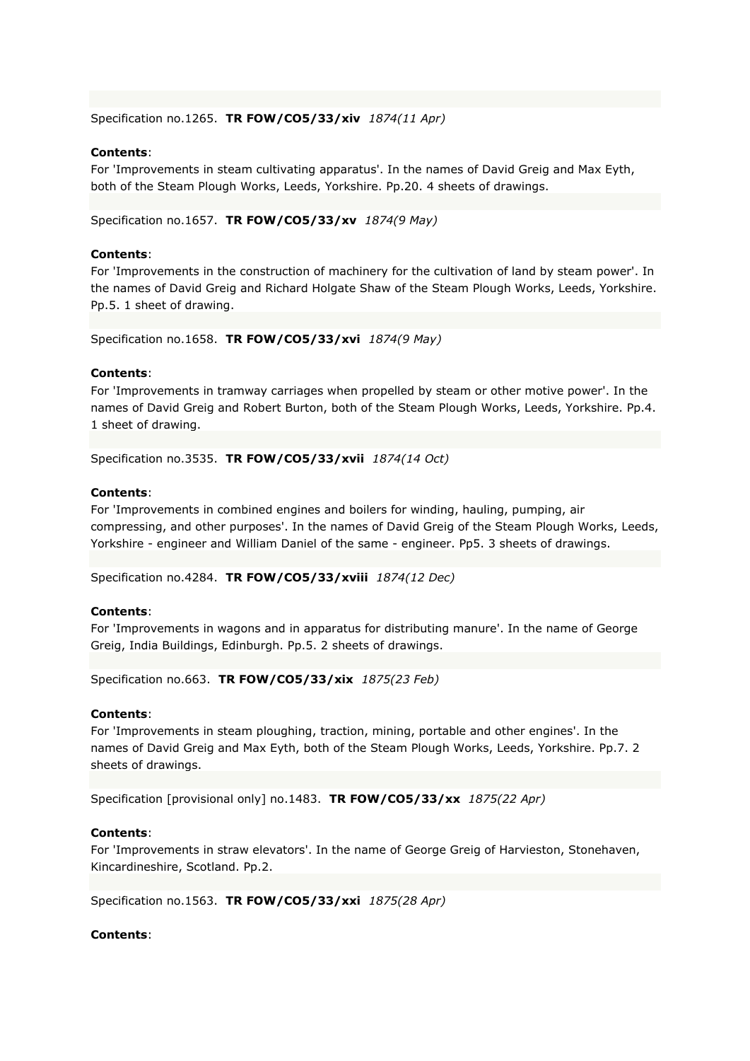Specification no.1265. **TR FOW/CO5/33/xiv** *1874(11 Apr)*

#### **Contents**:

For 'Improvements in steam cultivating apparatus'. In the names of David Greig and Max Eyth, both of the Steam Plough Works, Leeds, Yorkshire. Pp.20. 4 sheets of drawings.

Specification no.1657. **TR FOW/CO5/33/xv** *1874(9 May)*

#### **Contents**:

For 'Improvements in the construction of machinery for the cultivation of land by steam power'. In the names of David Greig and Richard Holgate Shaw of the Steam Plough Works, Leeds, Yorkshire. Pp.5. 1 sheet of drawing.

Specification no.1658. **TR FOW/CO5/33/xvi** *1874(9 May)*

#### **Contents**:

For 'Improvements in tramway carriages when propelled by steam or other motive power'. In the names of David Greig and Robert Burton, both of the Steam Plough Works, Leeds, Yorkshire. Pp.4. 1 sheet of drawing.

Specification no.3535. **TR FOW/CO5/33/xvii** *1874(14 Oct)*

### **Contents**:

For 'Improvements in combined engines and boilers for winding, hauling, pumping, air compressing, and other purposes'. In the names of David Greig of the Steam Plough Works, Leeds, Yorkshire - engineer and William Daniel of the same - engineer. Pp5. 3 sheets of drawings.

Specification no.4284. **TR FOW/CO5/33/xviii** *1874(12 Dec)*

### **Contents**:

For 'Improvements in wagons and in apparatus for distributing manure'. In the name of George Greig, India Buildings, Edinburgh. Pp.5. 2 sheets of drawings.

Specification no.663. **TR FOW/CO5/33/xix** *1875(23 Feb)*

#### **Contents**:

For 'Improvements in steam ploughing, traction, mining, portable and other engines'. In the names of David Greig and Max Eyth, both of the Steam Plough Works, Leeds, Yorkshire. Pp.7. 2 sheets of drawings.

Specification [provisional only] no.1483. **TR FOW/CO5/33/xx** *1875(22 Apr)*

### **Contents**:

For 'Improvements in straw elevators'. In the name of George Greig of Harvieston, Stonehaven, Kincardineshire, Scotland. Pp.2.

Specification no.1563. **TR FOW/CO5/33/xxi** *1875(28 Apr)*

### **Contents**: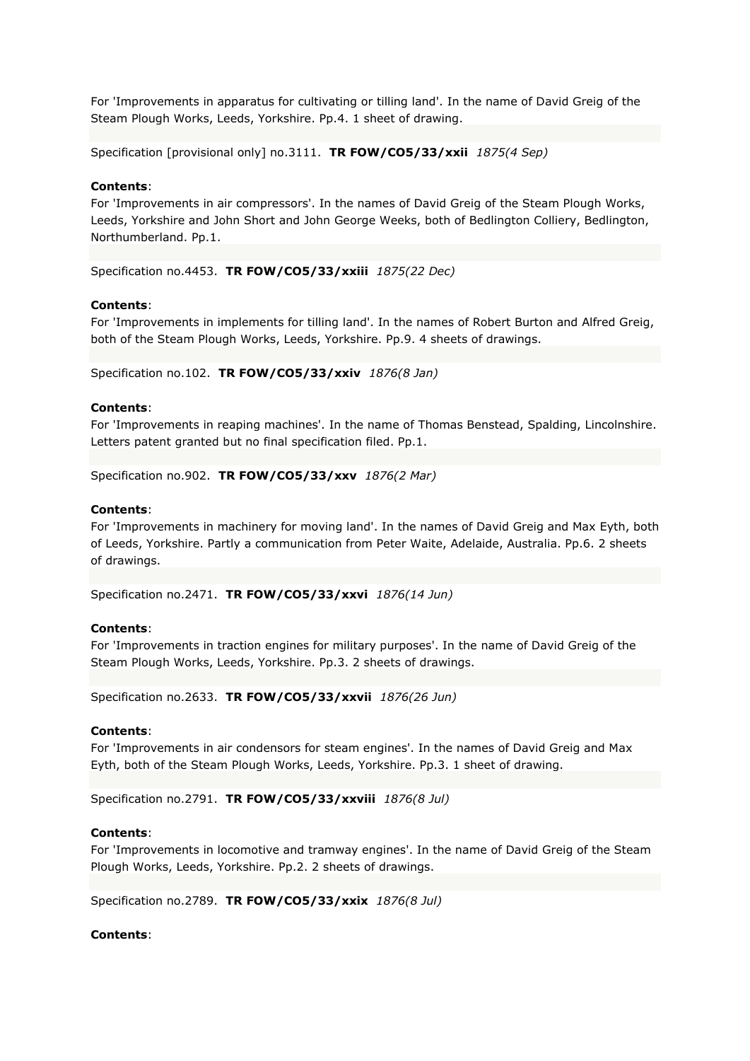For 'Improvements in apparatus for cultivating or tilling land'. In the name of David Greig of the Steam Plough Works, Leeds, Yorkshire. Pp.4. 1 sheet of drawing.

Specification [provisional only] no.3111. **TR FOW/CO5/33/xxii** *1875(4 Sep)*

### **Contents**:

For 'Improvements in air compressors'. In the names of David Greig of the Steam Plough Works, Leeds, Yorkshire and John Short and John George Weeks, both of Bedlington Colliery, Bedlington, Northumberland. Pp.1.

Specification no.4453. **TR FOW/CO5/33/xxiii** *1875(22 Dec)*

#### **Contents**:

For 'Improvements in implements for tilling land'. In the names of Robert Burton and Alfred Greig, both of the Steam Plough Works, Leeds, Yorkshire. Pp.9. 4 sheets of drawings.

Specification no.102. **TR FOW/CO5/33/xxiv** *1876(8 Jan)*

### **Contents**:

For 'Improvements in reaping machines'. In the name of Thomas Benstead, Spalding, Lincolnshire. Letters patent granted but no final specification filed. Pp.1.

Specification no.902. **TR FOW/CO5/33/xxv** *1876(2 Mar)*

#### **Contents**:

For 'Improvements in machinery for moving land'. In the names of David Greig and Max Eyth, both of Leeds, Yorkshire. Partly a communication from Peter Waite, Adelaide, Australia. Pp.6. 2 sheets of drawings.

Specification no.2471. **TR FOW/CO5/33/xxvi** *1876(14 Jun)*

#### **Contents**:

For 'Improvements in traction engines for military purposes'. In the name of David Greig of the Steam Plough Works, Leeds, Yorkshire. Pp.3. 2 sheets of drawings.

Specification no.2633. **TR FOW/CO5/33/xxvii** *1876(26 Jun)*

#### **Contents**:

For 'Improvements in air condensors for steam engines'. In the names of David Greig and Max Eyth, both of the Steam Plough Works, Leeds, Yorkshire. Pp.3. 1 sheet of drawing.

Specification no.2791. **TR FOW/CO5/33/xxviii** *1876(8 Jul)*

#### **Contents**:

For 'Improvements in locomotive and tramway engines'. In the name of David Greig of the Steam Plough Works, Leeds, Yorkshire. Pp.2. 2 sheets of drawings.

Specification no.2789. **TR FOW/CO5/33/xxix** *1876(8 Jul)*

#### **Contents**: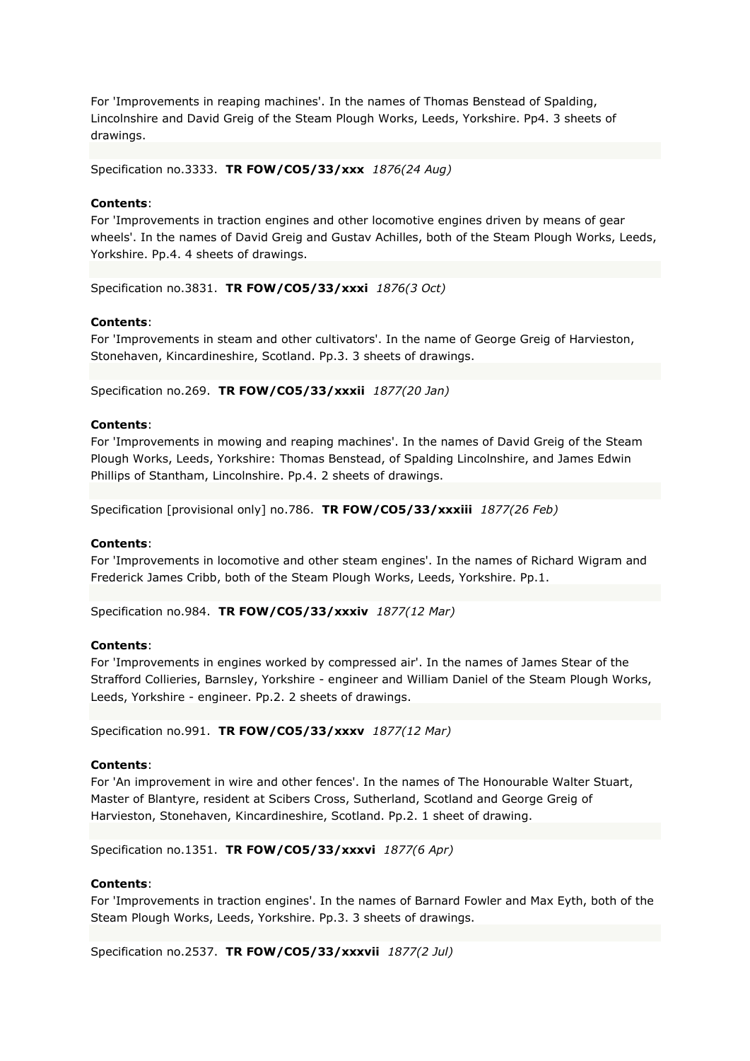For 'Improvements in reaping machines'. In the names of Thomas Benstead of Spalding, Lincolnshire and David Greig of the Steam Plough Works, Leeds, Yorkshire. Pp4. 3 sheets of drawings.

Specification no.3333. **TR FOW/CO5/33/xxx** *1876(24 Aug)*

### **Contents**:

For 'Improvements in traction engines and other locomotive engines driven by means of gear wheels'. In the names of David Greig and Gustav Achilles, both of the Steam Plough Works, Leeds, Yorkshire. Pp.4. 4 sheets of drawings.

Specification no.3831. **TR FOW/CO5/33/xxxi** *1876(3 Oct)*

### **Contents**:

For 'Improvements in steam and other cultivators'. In the name of George Greig of Harvieston, Stonehaven, Kincardineshire, Scotland. Pp.3. 3 sheets of drawings.

Specification no.269. **TR FOW/CO5/33/xxxii** *1877(20 Jan)*

#### **Contents**:

For 'Improvements in mowing and reaping machines'. In the names of David Greig of the Steam Plough Works, Leeds, Yorkshire: Thomas Benstead, of Spalding Lincolnshire, and James Edwin Phillips of Stantham, Lincolnshire. Pp.4. 2 sheets of drawings.

Specification [provisional only] no.786. **TR FOW/CO5/33/xxxiii** *1877(26 Feb)*

#### **Contents**:

For 'Improvements in locomotive and other steam engines'. In the names of Richard Wigram and Frederick James Cribb, both of the Steam Plough Works, Leeds, Yorkshire. Pp.1.

Specification no.984. **TR FOW/CO5/33/xxxiv** *1877(12 Mar)*

#### **Contents**:

For 'Improvements in engines worked by compressed air'. In the names of James Stear of the Strafford Collieries, Barnsley, Yorkshire - engineer and William Daniel of the Steam Plough Works, Leeds, Yorkshire - engineer. Pp.2. 2 sheets of drawings.

Specification no.991. **TR FOW/CO5/33/xxxv** *1877(12 Mar)*

### **Contents**:

For 'An improvement in wire and other fences'. In the names of The Honourable Walter Stuart, Master of Blantyre, resident at Scibers Cross, Sutherland, Scotland and George Greig of Harvieston, Stonehaven, Kincardineshire, Scotland. Pp.2. 1 sheet of drawing.

Specification no.1351. **TR FOW/CO5/33/xxxvi** *1877(6 Apr)*

#### **Contents**:

For 'Improvements in traction engines'. In the names of Barnard Fowler and Max Eyth, both of the Steam Plough Works, Leeds, Yorkshire. Pp.3. 3 sheets of drawings.

Specification no.2537. **TR FOW/CO5/33/xxxvii** *1877(2 Jul)*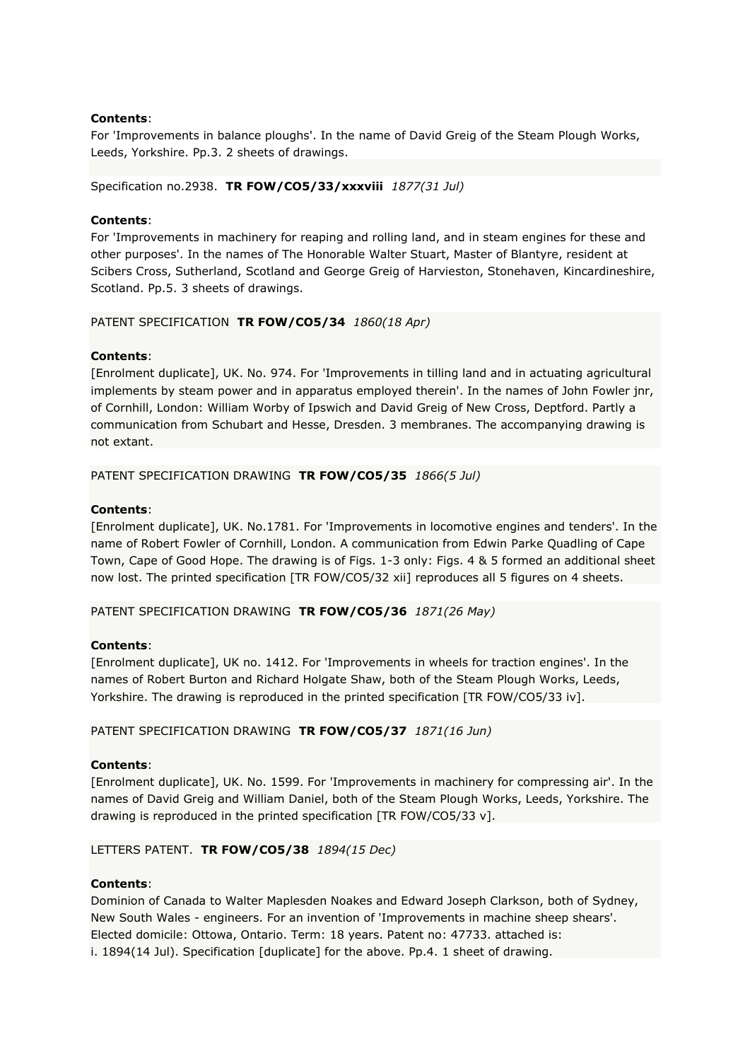### **Contents**:

For 'Improvements in balance ploughs'. In the name of David Greig of the Steam Plough Works, Leeds, Yorkshire. Pp.3. 2 sheets of drawings.

Specification no.2938. **TR FOW/CO5/33/xxxviii** *1877(31 Jul)*

### **Contents**:

For 'Improvements in machinery for reaping and rolling land, and in steam engines for these and other purposes'. In the names of The Honorable Walter Stuart, Master of Blantyre, resident at Scibers Cross, Sutherland, Scotland and George Greig of Harvieston, Stonehaven, Kincardineshire, Scotland. Pp.5. 3 sheets of drawings.

### PATENT SPECIFICATION **TR FOW/CO5/34** *1860(18 Apr)*

### **Contents**:

[Enrolment duplicate], UK. No. 974. For 'Improvements in tilling land and in actuating agricultural implements by steam power and in apparatus employed therein'. In the names of John Fowler jnr, of Cornhill, London: William Worby of Ipswich and David Greig of New Cross, Deptford. Partly a communication from Schubart and Hesse, Dresden. 3 membranes. The accompanying drawing is not extant.

### PATENT SPECIFICATION DRAWING **TR FOW/CO5/35** *1866(5 Jul)*

### **Contents**:

[Enrolment duplicate], UK. No.1781. For 'Improvements in locomotive engines and tenders'. In the name of Robert Fowler of Cornhill, London. A communication from Edwin Parke Quadling of Cape Town, Cape of Good Hope. The drawing is of Figs. 1-3 only: Figs. 4 & 5 formed an additional sheet now lost. The printed specification [TR FOW/CO5/32 xii] reproduces all 5 figures on 4 sheets.

PATENT SPECIFICATION DRAWING **TR FOW/CO5/36** *1871(26 May)*

### **Contents**:

[Enrolment duplicate], UK no. 1412. For 'Improvements in wheels for traction engines'. In the names of Robert Burton and Richard Holgate Shaw, both of the Steam Plough Works, Leeds, Yorkshire. The drawing is reproduced in the printed specification [TR FOW/CO5/33 iv].

PATENT SPECIFICATION DRAWING **TR FOW/CO5/37** *1871(16 Jun)*

### **Contents**:

[Enrolment duplicate], UK. No. 1599. For 'Improvements in machinery for compressing air'. In the names of David Greig and William Daniel, both of the Steam Plough Works, Leeds, Yorkshire. The drawing is reproduced in the printed specification [TR FOW/CO5/33 v].

### LETTERS PATENT. **TR FOW/CO5/38** *1894(15 Dec)*

### **Contents**:

Dominion of Canada to Walter Maplesden Noakes and Edward Joseph Clarkson, both of Sydney, New South Wales - engineers. For an invention of 'Improvements in machine sheep shears'. Elected domicile: Ottowa, Ontario. Term: 18 years. Patent no: 47733. attached is: i. 1894(14 Jul). Specification [duplicate] for the above. Pp.4. 1 sheet of drawing.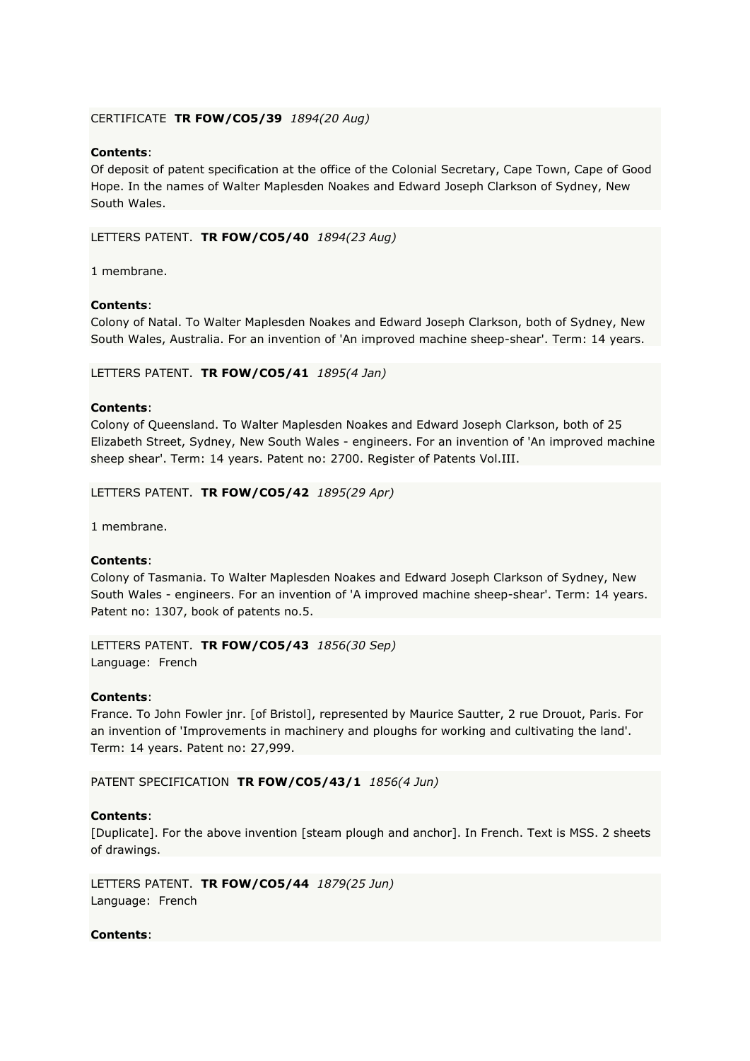### CERTIFICATE **TR FOW/CO5/39** *1894(20 Aug)*

# **Contents**:

Of deposit of patent specification at the office of the Colonial Secretary, Cape Town, Cape of Good Hope. In the names of Walter Maplesden Noakes and Edward Joseph Clarkson of Sydney, New South Wales.

LETTERS PATENT. **TR FOW/CO5/40** *1894(23 Aug)*

1 membrane.

### **Contents**:

Colony of Natal. To Walter Maplesden Noakes and Edward Joseph Clarkson, both of Sydney, New South Wales, Australia. For an invention of 'An improved machine sheep-shear'. Term: 14 years.

LETTERS PATENT. **TR FOW/CO5/41** *1895(4 Jan)*

### **Contents**:

Colony of Queensland. To Walter Maplesden Noakes and Edward Joseph Clarkson, both of 25 Elizabeth Street, Sydney, New South Wales - engineers. For an invention of 'An improved machine sheep shear'. Term: 14 years. Patent no: 2700. Register of Patents Vol.III.

LETTERS PATENT. **TR FOW/CO5/42** *1895(29 Apr)*

1 membrane.

### **Contents**:

Colony of Tasmania. To Walter Maplesden Noakes and Edward Joseph Clarkson of Sydney, New South Wales - engineers. For an invention of 'A improved machine sheep-shear'. Term: 14 years. Patent no: 1307, book of patents no.5.

LETTERS PATENT. **TR FOW/CO5/43** *1856(30 Sep)* Language: French

### **Contents**:

France. To John Fowler jnr. [of Bristol], represented by Maurice Sautter, 2 rue Drouot, Paris. For an invention of 'Improvements in machinery and ploughs for working and cultivating the land'. Term: 14 years. Patent no: 27,999.

PATENT SPECIFICATION **TR FOW/CO5/43/1** *1856(4 Jun)*

# **Contents**:

[Duplicate]. For the above invention [steam plough and anchor]. In French. Text is MSS. 2 sheets of drawings.

LETTERS PATENT. **TR FOW/CO5/44** *1879(25 Jun)* Language: French

# **Contents**: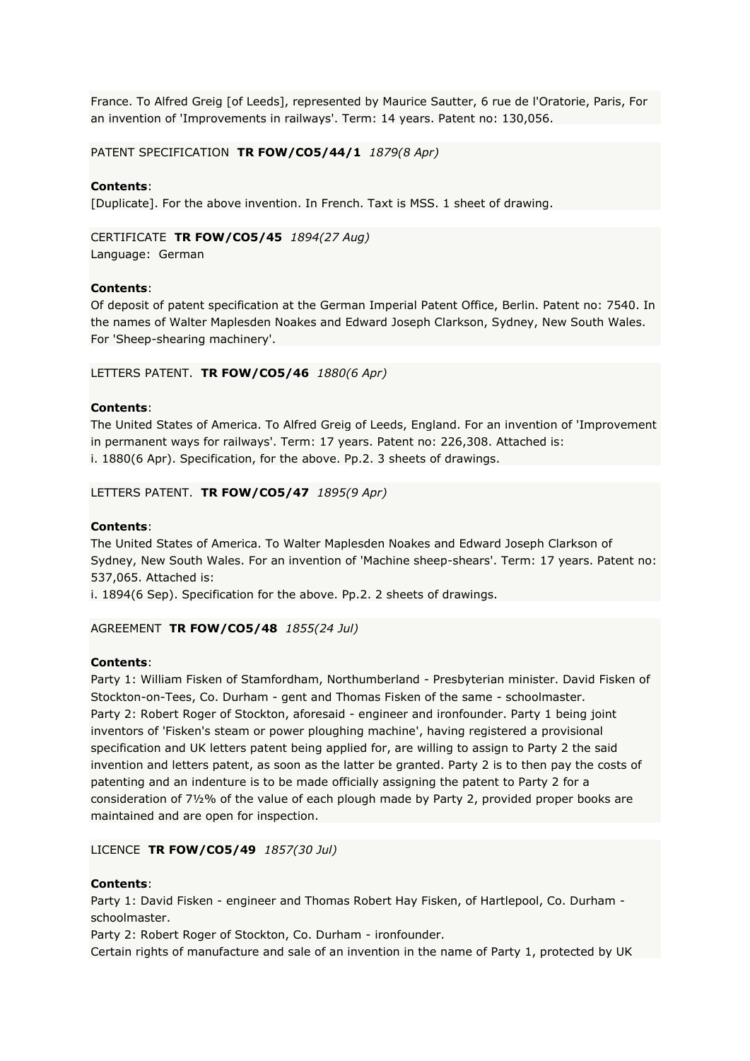France. To Alfred Greig [of Leeds], represented by Maurice Sautter, 6 rue de l'Oratorie, Paris, For an invention of 'Improvements in railways'. Term: 14 years. Patent no: 130,056.

PATENT SPECIFICATION **TR FOW/CO5/44/1** *1879(8 Apr)*

### **Contents**:

[Duplicate]. For the above invention. In French. Taxt is MSS. 1 sheet of drawing.

CERTIFICATE **TR FOW/CO5/45** *1894(27 Aug)*

Language: German

### **Contents**:

Of deposit of patent specification at the German Imperial Patent Office, Berlin. Patent no: 7540. In the names of Walter Maplesden Noakes and Edward Joseph Clarkson, Sydney, New South Wales. For 'Sheep-shearing machinery'.

### LETTERS PATENT. **TR FOW/CO5/46** *1880(6 Apr)*

### **Contents**:

The United States of America. To Alfred Greig of Leeds, England. For an invention of 'Improvement in permanent ways for railways'. Term: 17 years. Patent no: 226,308. Attached is: i. 1880(6 Apr). Specification, for the above. Pp.2. 3 sheets of drawings.

### LETTERS PATENT. **TR FOW/CO5/47** *1895(9 Apr)*

### **Contents**:

The United States of America. To Walter Maplesden Noakes and Edward Joseph Clarkson of Sydney, New South Wales. For an invention of 'Machine sheep-shears'. Term: 17 years. Patent no: 537,065. Attached is:

i. 1894(6 Sep). Specification for the above. Pp.2. 2 sheets of drawings.

### AGREEMENT **TR FOW/CO5/48** *1855(24 Jul)*

### **Contents**:

Party 1: William Fisken of Stamfordham, Northumberland - Presbyterian minister. David Fisken of Stockton-on-Tees, Co. Durham - gent and Thomas Fisken of the same - schoolmaster. Party 2: Robert Roger of Stockton, aforesaid - engineer and ironfounder. Party 1 being joint inventors of 'Fisken's steam or power ploughing machine', having registered a provisional specification and UK letters patent being applied for, are willing to assign to Party 2 the said invention and letters patent, as soon as the latter be granted. Party 2 is to then pay the costs of patenting and an indenture is to be made officially assigning the patent to Party 2 for a consideration of 7½% of the value of each plough made by Party 2, provided proper books are maintained and are open for inspection.

# LICENCE **TR FOW/CO5/49** *1857(30 Jul)*

### **Contents**:

Party 1: David Fisken - engineer and Thomas Robert Hay Fisken, of Hartlepool, Co. Durham schoolmaster.

Party 2: Robert Roger of Stockton, Co. Durham - ironfounder.

Certain rights of manufacture and sale of an invention in the name of Party 1, protected by UK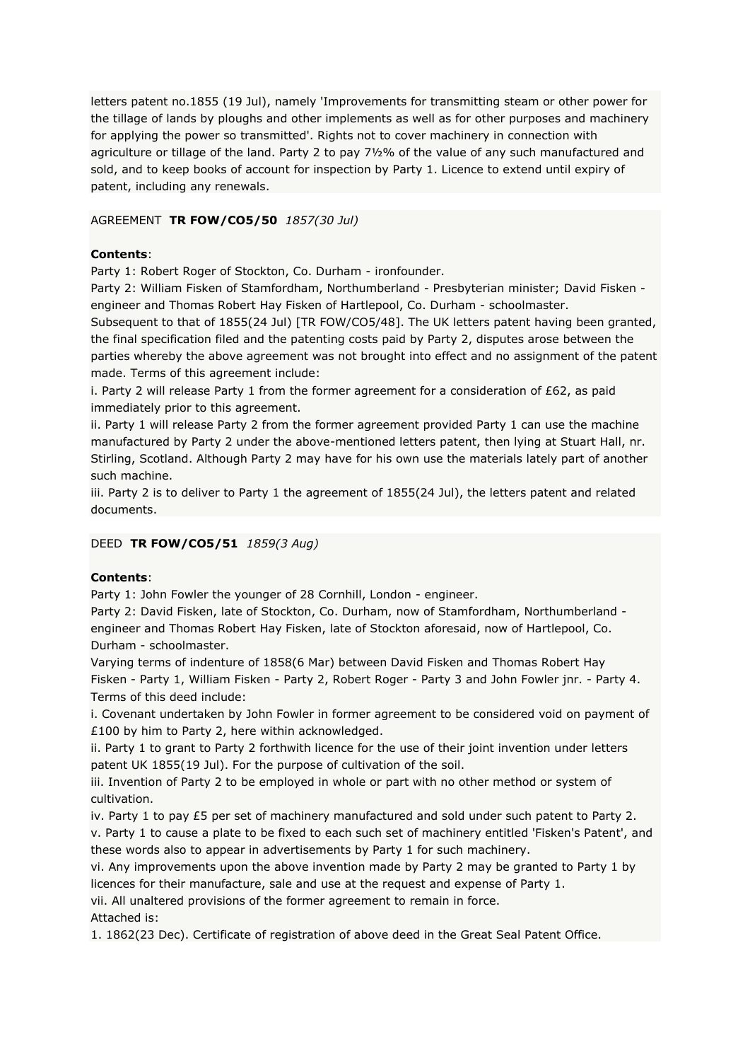letters patent no.1855 (19 Jul), namely 'Improvements for transmitting steam or other power for the tillage of lands by ploughs and other implements as well as for other purposes and machinery for applying the power so transmitted'. Rights not to cover machinery in connection with agriculture or tillage of the land. Party 2 to pay 7½% of the value of any such manufactured and sold, and to keep books of account for inspection by Party 1. Licence to extend until expiry of patent, including any renewals.

# AGREEMENT **TR FOW/CO5/50** *1857(30 Jul)*

# **Contents**:

Party 1: Robert Roger of Stockton, Co. Durham - ironfounder.

Party 2: William Fisken of Stamfordham, Northumberland - Presbyterian minister; David Fisken engineer and Thomas Robert Hay Fisken of Hartlepool, Co. Durham - schoolmaster.

Subsequent to that of 1855(24 Jul) [TR FOW/CO5/48]. The UK letters patent having been granted, the final specification filed and the patenting costs paid by Party 2, disputes arose between the parties whereby the above agreement was not brought into effect and no assignment of the patent made. Terms of this agreement include:

i. Party 2 will release Party 1 from the former agreement for a consideration of  $E62$ , as paid immediately prior to this agreement.

ii. Party 1 will release Party 2 from the former agreement provided Party 1 can use the machine manufactured by Party 2 under the above-mentioned letters patent, then lying at Stuart Hall, nr. Stirling, Scotland. Although Party 2 may have for his own use the materials lately part of another such machine.

iii. Party 2 is to deliver to Party 1 the agreement of 1855(24 Jul), the letters patent and related documents.

### DEED **TR FOW/CO5/51** *1859(3 Aug)*

### **Contents**:

Party 1: John Fowler the younger of 28 Cornhill, London - engineer.

Party 2: David Fisken, late of Stockton, Co. Durham, now of Stamfordham, Northumberland engineer and Thomas Robert Hay Fisken, late of Stockton aforesaid, now of Hartlepool, Co. Durham - schoolmaster.

Varying terms of indenture of 1858(6 Mar) between David Fisken and Thomas Robert Hay Fisken - Party 1, William Fisken - Party 2, Robert Roger - Party 3 and John Fowler jnr. - Party 4. Terms of this deed include:

i. Covenant undertaken by John Fowler in former agreement to be considered void on payment of £100 by him to Party 2, here within acknowledged.

ii. Party 1 to grant to Party 2 forthwith licence for the use of their joint invention under letters patent UK 1855(19 Jul). For the purpose of cultivation of the soil.

iii. Invention of Party 2 to be employed in whole or part with no other method or system of cultivation.

iv. Party 1 to pay £5 per set of machinery manufactured and sold under such patent to Party 2. v. Party 1 to cause a plate to be fixed to each such set of machinery entitled 'Fisken's Patent', and these words also to appear in advertisements by Party 1 for such machinery.

vi. Any improvements upon the above invention made by Party 2 may be granted to Party 1 by licences for their manufacture, sale and use at the request and expense of Party 1. vii. All unaltered provisions of the former agreement to remain in force.

Attached is:

1. 1862(23 Dec). Certificate of registration of above deed in the Great Seal Patent Office.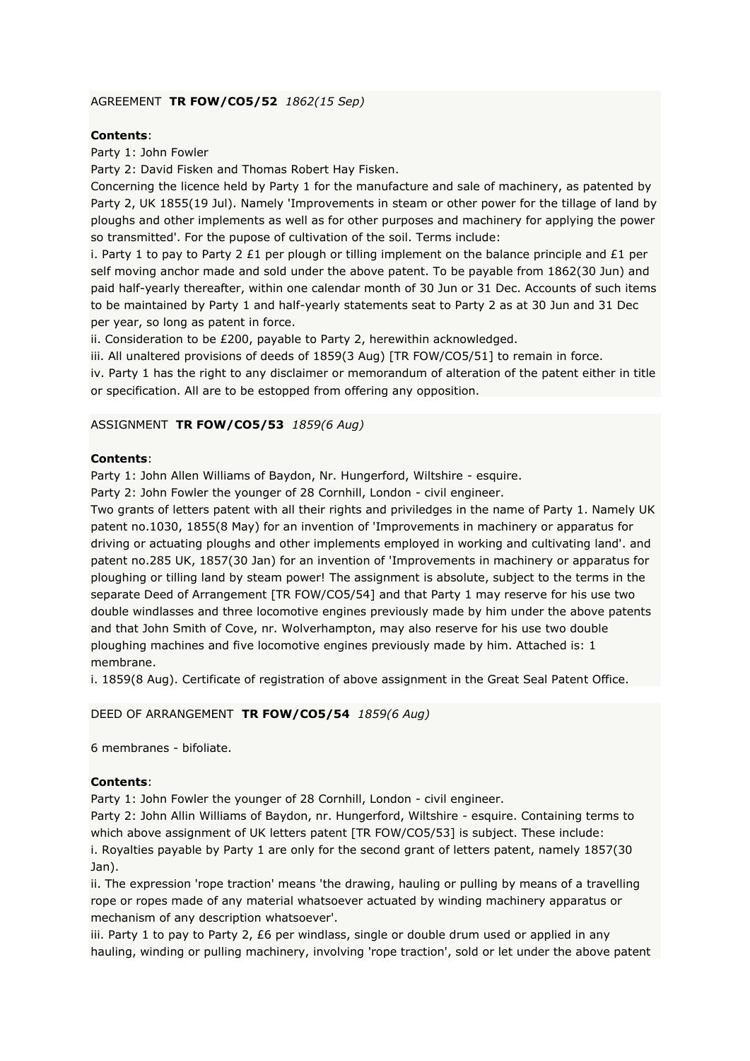# AGREEMENT **TR FOW/CO5/52** *1862(15 Sep)*

# **Contents**:

Party 1: John Fowler

Party 2: David Fisken and Thomas Robert Hay Fisken.

Concerning the licence held by Party 1 for the manufacture and sale of machinery, as patented by Party 2, UK 1855(19 Jul). Namely 'Improvements in steam or other power for the tillage of land by ploughs and other implements as well as for other purposes and machinery for applying the power so transmitted'. For the pupose of cultivation of the soil. Terms include:

i. Party 1 to pay to Party 2 £1 per plough or tilling implement on the balance principle and £1 per self moving anchor made and sold under the above patent. To be payable from 1862(30 Jun) and paid half-yearly thereafter, within one calendar month of 30 Jun or 31 Dec. Accounts of such items to be maintained by Party 1 and half-yearly statements seat to Party 2 as at 30 Jun and 31 Dec per year, so long as patent in force.

ii. Consideration to be £200, payable to Party 2, herewithin acknowledged.

iii. All unaltered provisions of deeds of 1859(3 Aug) [TR FOW/CO5/51] to remain in force.

iv. Party 1 has the right to any disclaimer or memorandum of alteration of the patent either in title or specification. All are to be estopped from offering any opposition.

### ASSIGNMENT **TR FOW/CO5/53** *1859(6 Aug)*

### **Contents**:

Party 1: John Allen Williams of Baydon, Nr. Hungerford, Wiltshire - esquire.

Party 2: John Fowler the younger of 28 Cornhill, London - civil engineer.

Two grants of letters patent with all their rights and priviledges in the name of Party 1. Namely UK patent no.1030, 1855(8 May) for an invention of 'Improvements in machinery or apparatus for driving or actuating ploughs and other implements employed in working and cultivating land'. and patent no.285 UK, 1857(30 Jan) for an invention of 'Improvements in machinery or apparatus for ploughing or tilling land by steam power! The assignment is absolute, subject to the terms in the separate Deed of Arrangement [TR FOW/CO5/54] and that Party 1 may reserve for his use two double windlasses and three locomotive engines previously made by him under the above patents and that John Smith of Cove, nr. Wolverhampton, may also reserve for his use two double ploughing machines and five locomotive engines previously made by him. Attached is: 1 membrane.

i. 1859(8 Aug). Certificate of registration of above assignment in the Great Seal Patent Office.

### DEED OF ARRANGEMENT **TR FOW/CO5/54** *1859(6 Aug)*

6 membranes - bifoliate.

# **Contents**:

Party 1: John Fowler the younger of 28 Cornhill, London - civil engineer.

Party 2: John Allin Williams of Baydon, nr. Hungerford, Wiltshire - esquire. Containing terms to which above assignment of UK letters patent [TR FOW/CO5/53] is subject. These include: i. Royalties payable by Party 1 are only for the second grant of letters patent, namely 1857(30 Jan).

ii. The expression 'rope traction' means 'the drawing, hauling or pulling by means of a travelling rope or ropes made of any material whatsoever actuated by winding machinery apparatus or mechanism of any description whatsoever'.

iii. Party 1 to pay to Party 2,  $E6$  per windlass, single or double drum used or applied in any hauling, winding or pulling machinery, involving 'rope traction', sold or let under the above patent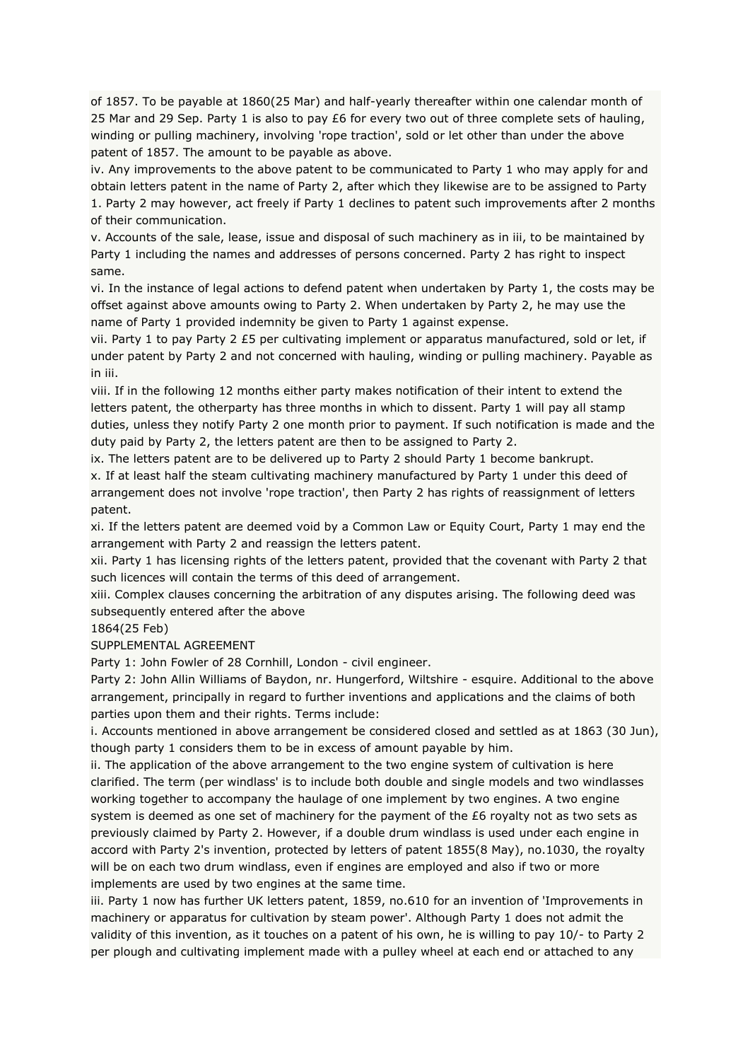of 1857. To be payable at 1860(25 Mar) and half-yearly thereafter within one calendar month of 25 Mar and 29 Sep. Party 1 is also to pay £6 for every two out of three complete sets of hauling, winding or pulling machinery, involving 'rope traction', sold or let other than under the above patent of 1857. The amount to be payable as above.

iv. Any improvements to the above patent to be communicated to Party 1 who may apply for and obtain letters patent in the name of Party 2, after which they likewise are to be assigned to Party 1. Party 2 may however, act freely if Party 1 declines to patent such improvements after 2 months of their communication.

v. Accounts of the sale, lease, issue and disposal of such machinery as in iii, to be maintained by Party 1 including the names and addresses of persons concerned. Party 2 has right to inspect same.

vi. In the instance of legal actions to defend patent when undertaken by Party 1, the costs may be offset against above amounts owing to Party 2. When undertaken by Party 2, he may use the name of Party 1 provided indemnity be given to Party 1 against expense.

vii. Party 1 to pay Party 2 £5 per cultivating implement or apparatus manufactured, sold or let, if under patent by Party 2 and not concerned with hauling, winding or pulling machinery. Payable as in iii.

viii. If in the following 12 months either party makes notification of their intent to extend the letters patent, the otherparty has three months in which to dissent. Party 1 will pay all stamp duties, unless they notify Party 2 one month prior to payment. If such notification is made and the duty paid by Party 2, the letters patent are then to be assigned to Party 2.

ix. The letters patent are to be delivered up to Party 2 should Party 1 become bankrupt. x. If at least half the steam cultivating machinery manufactured by Party 1 under this deed of arrangement does not involve 'rope traction', then Party 2 has rights of reassignment of letters patent.

xi. If the letters patent are deemed void by a Common Law or Equity Court, Party 1 may end the arrangement with Party 2 and reassign the letters patent.

xii. Party 1 has licensing rights of the letters patent, provided that the covenant with Party 2 that such licences will contain the terms of this deed of arrangement.

xiii. Complex clauses concerning the arbitration of any disputes arising. The following deed was subsequently entered after the above

1864(25 Feb)

SUPPLEMENTAL AGREEMENT

Party 1: John Fowler of 28 Cornhill, London - civil engineer.

Party 2: John Allin Williams of Baydon, nr. Hungerford, Wiltshire - esquire. Additional to the above arrangement, principally in regard to further inventions and applications and the claims of both parties upon them and their rights. Terms include:

i. Accounts mentioned in above arrangement be considered closed and settled as at 1863 (30 Jun), though party 1 considers them to be in excess of amount payable by him.

ii. The application of the above arrangement to the two engine system of cultivation is here clarified. The term (per windlass' is to include both double and single models and two windlasses working together to accompany the haulage of one implement by two engines. A two engine system is deemed as one set of machinery for the payment of the  $E6$  royalty not as two sets as previously claimed by Party 2. However, if a double drum windlass is used under each engine in accord with Party 2's invention, protected by letters of patent 1855(8 May), no.1030, the royalty will be on each two drum windlass, even if engines are employed and also if two or more implements are used by two engines at the same time.

iii. Party 1 now has further UK letters patent, 1859, no.610 for an invention of 'Improvements in machinery or apparatus for cultivation by steam power'. Although Party 1 does not admit the validity of this invention, as it touches on a patent of his own, he is willing to pay 10/- to Party 2 per plough and cultivating implement made with a pulley wheel at each end or attached to any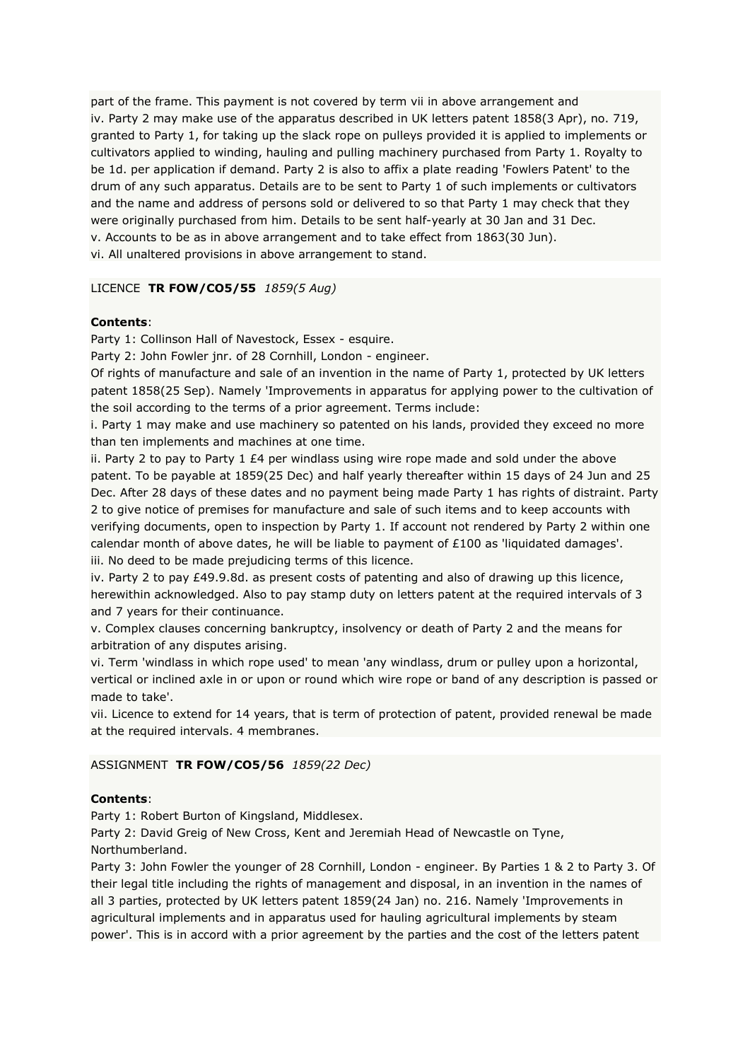part of the frame. This payment is not covered by term vii in above arrangement and iv. Party 2 may make use of the apparatus described in UK letters patent 1858(3 Apr), no. 719, granted to Party 1, for taking up the slack rope on pulleys provided it is applied to implements or cultivators applied to winding, hauling and pulling machinery purchased from Party 1. Royalty to be 1d. per application if demand. Party 2 is also to affix a plate reading 'Fowlers Patent' to the drum of any such apparatus. Details are to be sent to Party 1 of such implements or cultivators and the name and address of persons sold or delivered to so that Party 1 may check that they were originally purchased from him. Details to be sent half-yearly at 30 Jan and 31 Dec. v. Accounts to be as in above arrangement and to take effect from 1863(30 Jun). vi. All unaltered provisions in above arrangement to stand.

### LICENCE **TR FOW/CO5/55** *1859(5 Aug)*

### **Contents**:

Party 1: Collinson Hall of Navestock, Essex - esquire.

Party 2: John Fowler jnr. of 28 Cornhill, London - engineer.

Of rights of manufacture and sale of an invention in the name of Party 1, protected by UK letters patent 1858(25 Sep). Namely 'Improvements in apparatus for applying power to the cultivation of the soil according to the terms of a prior agreement. Terms include:

i. Party 1 may make and use machinery so patented on his lands, provided they exceed no more than ten implements and machines at one time.

ii. Party 2 to pay to Party 1  $E4$  per windlass using wire rope made and sold under the above patent. To be payable at 1859(25 Dec) and half yearly thereafter within 15 days of 24 Jun and 25 Dec. After 28 days of these dates and no payment being made Party 1 has rights of distraint. Party 2 to give notice of premises for manufacture and sale of such items and to keep accounts with verifying documents, open to inspection by Party 1. If account not rendered by Party 2 within one calendar month of above dates, he will be liable to payment of £100 as 'liquidated damages'. iii. No deed to be made prejudicing terms of this licence.

iv. Party 2 to pay £49.9.8d. as present costs of patenting and also of drawing up this licence, herewithin acknowledged. Also to pay stamp duty on letters patent at the required intervals of 3 and 7 years for their continuance.

v. Complex clauses concerning bankruptcy, insolvency or death of Party 2 and the means for arbitration of any disputes arising.

vi. Term 'windlass in which rope used' to mean 'any windlass, drum or pulley upon a horizontal, vertical or inclined axle in or upon or round which wire rope or band of any description is passed or made to take'.

vii. Licence to extend for 14 years, that is term of protection of patent, provided renewal be made at the required intervals. 4 membranes.

# ASSIGNMENT **TR FOW/CO5/56** *1859(22 Dec)*

# **Contents**:

Party 1: Robert Burton of Kingsland, Middlesex.

Party 2: David Greig of New Cross, Kent and Jeremiah Head of Newcastle on Tyne, Northumberland.

Party 3: John Fowler the younger of 28 Cornhill, London - engineer. By Parties 1 & 2 to Party 3. Of their legal title including the rights of management and disposal, in an invention in the names of all 3 parties, protected by UK letters patent 1859(24 Jan) no. 216. Namely 'Improvements in agricultural implements and in apparatus used for hauling agricultural implements by steam power'. This is in accord with a prior agreement by the parties and the cost of the letters patent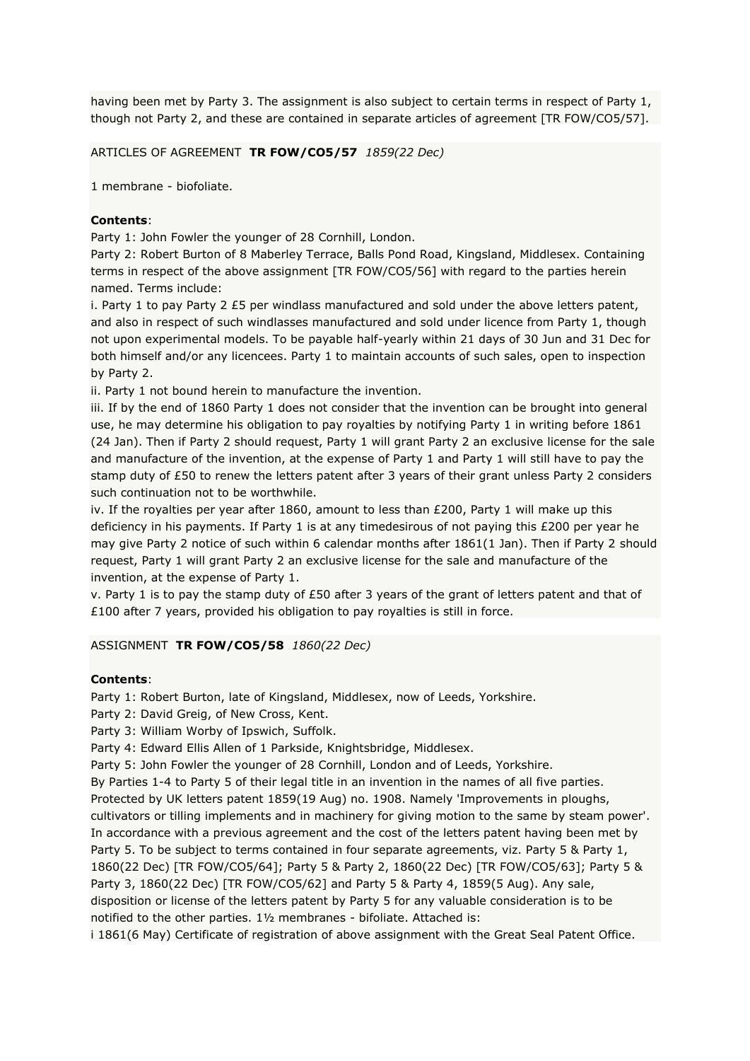having been met by Party 3. The assignment is also subject to certain terms in respect of Party 1, though not Party 2, and these are contained in separate articles of agreement [TR FOW/CO5/57].

ARTICLES OF AGREEMENT **TR FOW/CO5/57** *1859(22 Dec)*

1 membrane - biofoliate.

# **Contents**:

Party 1: John Fowler the younger of 28 Cornhill, London.

Party 2: Robert Burton of 8 Maberley Terrace, Balls Pond Road, Kingsland, Middlesex. Containing terms in respect of the above assignment [TR FOW/CO5/56] with regard to the parties herein named. Terms include:

i. Party 1 to pay Party 2 £5 per windlass manufactured and sold under the above letters patent, and also in respect of such windlasses manufactured and sold under licence from Party 1, though not upon experimental models. To be payable half-yearly within 21 days of 30 Jun and 31 Dec for both himself and/or any licencees. Party 1 to maintain accounts of such sales, open to inspection by Party 2.

ii. Party 1 not bound herein to manufacture the invention.

iii. If by the end of 1860 Party 1 does not consider that the invention can be brought into general use, he may determine his obligation to pay royalties by notifying Party 1 in writing before 1861 (24 Jan). Then if Party 2 should request, Party 1 will grant Party 2 an exclusive license for the sale and manufacture of the invention, at the expense of Party 1 and Party 1 will still have to pay the stamp duty of £50 to renew the letters patent after 3 years of their grant unless Party 2 considers such continuation not to be worthwhile.

iv. If the royalties per year after 1860, amount to less than  $E200$ , Party 1 will make up this deficiency in his payments. If Party 1 is at any timedesirous of not paying this £200 per year he may give Party 2 notice of such within 6 calendar months after 1861(1 Jan). Then if Party 2 should request, Party 1 will grant Party 2 an exclusive license for the sale and manufacture of the invention, at the expense of Party 1.

v. Party 1 is to pay the stamp duty of £50 after 3 years of the grant of letters patent and that of £100 after 7 years, provided his obligation to pay royalties is still in force.

ASSIGNMENT **TR FOW/CO5/58** *1860(22 Dec)*

# **Contents**:

Party 1: Robert Burton, late of Kingsland, Middlesex, now of Leeds, Yorkshire.

Party 2: David Greig, of New Cross, Kent.

Party 3: William Worby of Ipswich, Suffolk.

Party 4: Edward Ellis Allen of 1 Parkside, Knightsbridge, Middlesex.

Party 5: John Fowler the younger of 28 Cornhill, London and of Leeds, Yorkshire.

By Parties 1-4 to Party 5 of their legal title in an invention in the names of all five parties. Protected by UK letters patent 1859(19 Aug) no. 1908. Namely 'Improvements in ploughs, cultivators or tilling implements and in machinery for giving motion to the same by steam power'. In accordance with a previous agreement and the cost of the letters patent having been met by Party 5. To be subject to terms contained in four separate agreements, viz. Party 5 & Party 1, 1860(22 Dec) [TR FOW/CO5/64]; Party 5 & Party 2, 1860(22 Dec) [TR FOW/CO5/63]; Party 5 & Party 3, 1860(22 Dec) [TR FOW/CO5/62] and Party 5 & Party 4, 1859(5 Aug). Any sale, disposition or license of the letters patent by Party 5 for any valuable consideration is to be notified to the other parties. 1½ membranes - bifoliate. Attached is:

i 1861(6 May) Certificate of registration of above assignment with the Great Seal Patent Office.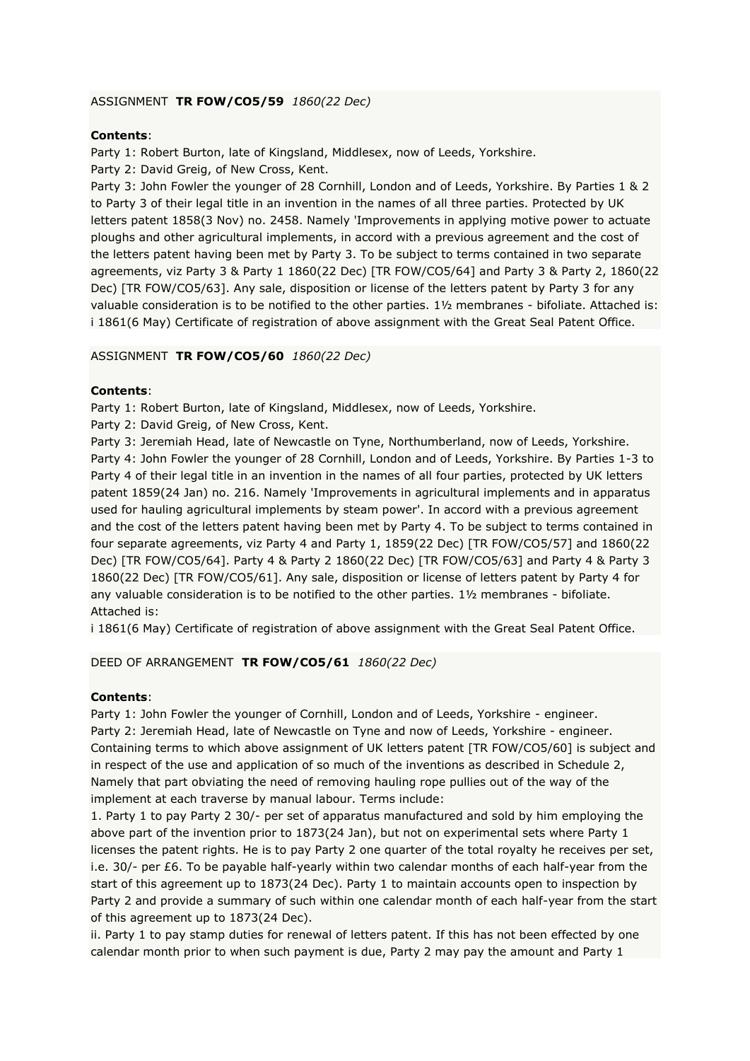# ASSIGNMENT **TR FOW/CO5/59** *1860(22 Dec)*

### **Contents**:

Party 1: Robert Burton, late of Kingsland, Middlesex, now of Leeds, Yorkshire. Party 2: David Greig, of New Cross, Kent.

Party 3: John Fowler the younger of 28 Cornhill, London and of Leeds, Yorkshire. By Parties 1 & 2 to Party 3 of their legal title in an invention in the names of all three parties. Protected by UK letters patent 1858(3 Nov) no. 2458. Namely 'Improvements in applying motive power to actuate ploughs and other agricultural implements, in accord with a previous agreement and the cost of the letters patent having been met by Party 3. To be subject to terms contained in two separate agreements, viz Party 3 & Party 1 1860(22 Dec) [TR FOW/CO5/64] and Party 3 & Party 2, 1860(22 Dec) [TR FOW/CO5/63]. Any sale, disposition or license of the letters patent by Party 3 for any valuable consideration is to be notified to the other parties. 1½ membranes - bifoliate. Attached is: i 1861(6 May) Certificate of registration of above assignment with the Great Seal Patent Office.

### ASSIGNMENT **TR FOW/CO5/60** *1860(22 Dec)*

### **Contents**:

Party 1: Robert Burton, late of Kingsland, Middlesex, now of Leeds, Yorkshire.

Party 2: David Greig, of New Cross, Kent.

Party 3: Jeremiah Head, late of Newcastle on Tyne, Northumberland, now of Leeds, Yorkshire. Party 4: John Fowler the younger of 28 Cornhill, London and of Leeds, Yorkshire. By Parties 1-3 to Party 4 of their legal title in an invention in the names of all four parties, protected by UK letters patent 1859(24 Jan) no. 216. Namely 'Improvements in agricultural implements and in apparatus used for hauling agricultural implements by steam power'. In accord with a previous agreement and the cost of the letters patent having been met by Party 4. To be subject to terms contained in four separate agreements, viz Party 4 and Party 1, 1859(22 Dec) [TR FOW/CO5/57] and 1860(22 Dec) [TR FOW/CO5/64]. Party 4 & Party 2 1860(22 Dec) [TR FOW/CO5/63] and Party 4 & Party 3 1860(22 Dec) [TR FOW/CO5/61]. Any sale, disposition or license of letters patent by Party 4 for any valuable consideration is to be notified to the other parties. 1½ membranes - bifoliate. Attached is:

i 1861(6 May) Certificate of registration of above assignment with the Great Seal Patent Office.

DEED OF ARRANGEMENT **TR FOW/CO5/61** *1860(22 Dec)*

# **Contents**:

Party 1: John Fowler the younger of Cornhill, London and of Leeds, Yorkshire - engineer. Party 2: Jeremiah Head, late of Newcastle on Tyne and now of Leeds, Yorkshire - engineer. Containing terms to which above assignment of UK letters patent [TR FOW/CO5/60] is subject and in respect of the use and application of so much of the inventions as described in Schedule 2, Namely that part obviating the need of removing hauling rope pullies out of the way of the implement at each traverse by manual labour. Terms include:

1. Party 1 to pay Party 2 30/- per set of apparatus manufactured and sold by him employing the above part of the invention prior to 1873(24 Jan), but not on experimental sets where Party 1 licenses the patent rights. He is to pay Party 2 one quarter of the total royalty he receives per set, i.e. 30/- per £6. To be payable half-yearly within two calendar months of each half-year from the start of this agreement up to 1873(24 Dec). Party 1 to maintain accounts open to inspection by Party 2 and provide a summary of such within one calendar month of each half-year from the start of this agreement up to 1873(24 Dec).

ii. Party 1 to pay stamp duties for renewal of letters patent. If this has not been effected by one calendar month prior to when such payment is due, Party 2 may pay the amount and Party 1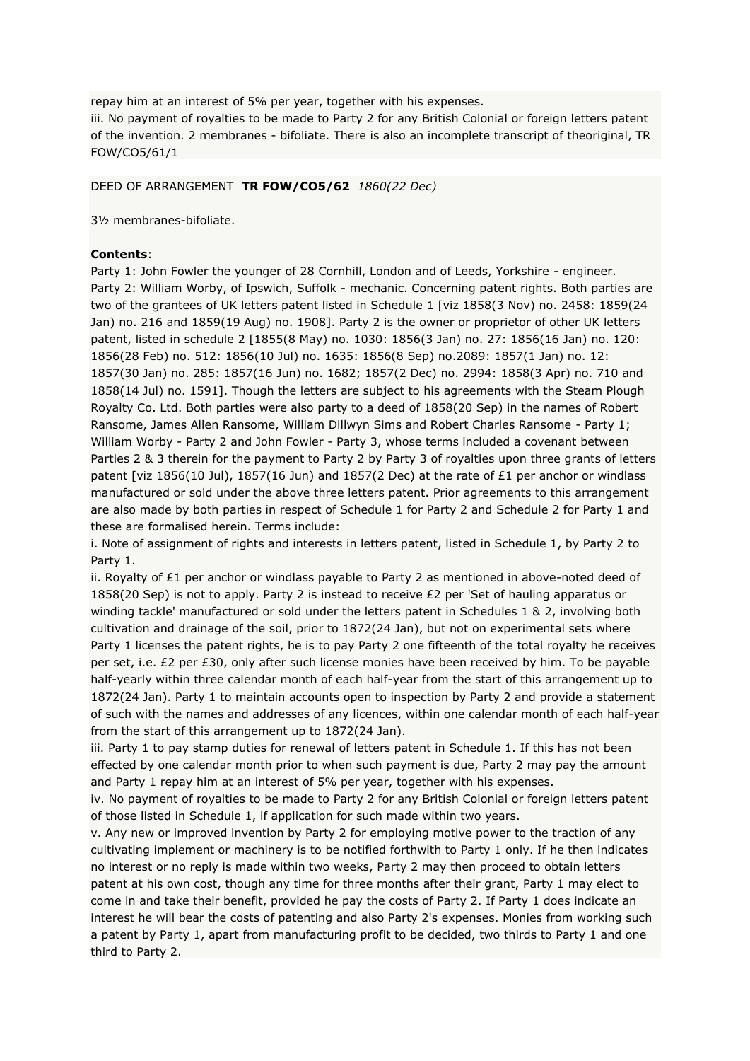repay him at an interest of 5% per year, together with his expenses.

iii. No payment of royalties to be made to Party 2 for any British Colonial or foreign letters patent of the invention. 2 membranes - bifoliate. There is also an incomplete transcript of theoriginal, TR FOW/CO5/61/1

#### DEED OF ARRANGEMENT **TR FOW/CO5/62** *1860(22 Dec)*

3½ membranes-bifoliate.

#### **Contents**:

Party 1: John Fowler the younger of 28 Cornhill, London and of Leeds, Yorkshire - engineer. Party 2: William Worby, of Ipswich, Suffolk - mechanic. Concerning patent rights. Both parties are two of the grantees of UK letters patent listed in Schedule 1 [viz 1858(3 Nov) no. 2458: 1859(24 Jan) no. 216 and 1859(19 Aug) no. 1908]. Party 2 is the owner or proprietor of other UK letters patent, listed in schedule 2 [1855(8 May) no. 1030: 1856(3 Jan) no. 27: 1856(16 Jan) no. 120: 1856(28 Feb) no. 512: 1856(10 Jul) no. 1635: 1856(8 Sep) no.2089: 1857(1 Jan) no. 12: 1857(30 Jan) no. 285: 1857(16 Jun) no. 1682; 1857(2 Dec) no. 2994: 1858(3 Apr) no. 710 and 1858(14 Jul) no. 1591]. Though the letters are subject to his agreements with the Steam Plough Royalty Co. Ltd. Both parties were also party to a deed of 1858(20 Sep) in the names of Robert Ransome, James Allen Ransome, William Dillwyn Sims and Robert Charles Ransome - Party 1; William Worby - Party 2 and John Fowler - Party 3, whose terms included a covenant between Parties 2 & 3 therein for the payment to Party 2 by Party 3 of royalties upon three grants of letters patent [viz 1856(10 Jul), 1857(16 Jun) and 1857(2 Dec) at the rate of £1 per anchor or windlass manufactured or sold under the above three letters patent. Prior agreements to this arrangement are also made by both parties in respect of Schedule 1 for Party 2 and Schedule 2 for Party 1 and these are formalised herein. Terms include:

i. Note of assignment of rights and interests in letters patent, listed in Schedule 1, by Party 2 to Party 1.

ii. Royalty of  $E1$  per anchor or windlass payable to Party 2 as mentioned in above-noted deed of 1858(20 Sep) is not to apply. Party 2 is instead to receive £2 per 'Set of hauling apparatus or winding tackle' manufactured or sold under the letters patent in Schedules 1 & 2, involving both cultivation and drainage of the soil, prior to 1872(24 Jan), but not on experimental sets where Party 1 licenses the patent rights, he is to pay Party 2 one fifteenth of the total royalty he receives per set, i.e. £2 per £30, only after such license monies have been received by him. To be payable half-yearly within three calendar month of each half-year from the start of this arrangement up to 1872(24 Jan). Party 1 to maintain accounts open to inspection by Party 2 and provide a statement of such with the names and addresses of any licences, within one calendar month of each half-year from the start of this arrangement up to 1872(24 Jan).

iii. Party 1 to pay stamp duties for renewal of letters patent in Schedule 1. If this has not been effected by one calendar month prior to when such payment is due, Party 2 may pay the amount and Party 1 repay him at an interest of 5% per year, together with his expenses.

iv. No payment of royalties to be made to Party 2 for any British Colonial or foreign letters patent of those listed in Schedule 1, if application for such made within two years.

v. Any new or improved invention by Party 2 for employing motive power to the traction of any cultivating implement or machinery is to be notified forthwith to Party 1 only. If he then indicates no interest or no reply is made within two weeks, Party 2 may then proceed to obtain letters patent at his own cost, though any time for three months after their grant, Party 1 may elect to come in and take their benefit, provided he pay the costs of Party 2. If Party 1 does indicate an interest he will bear the costs of patenting and also Party 2's expenses. Monies from working such a patent by Party 1, apart from manufacturing profit to be decided, two thirds to Party 1 and one third to Party 2.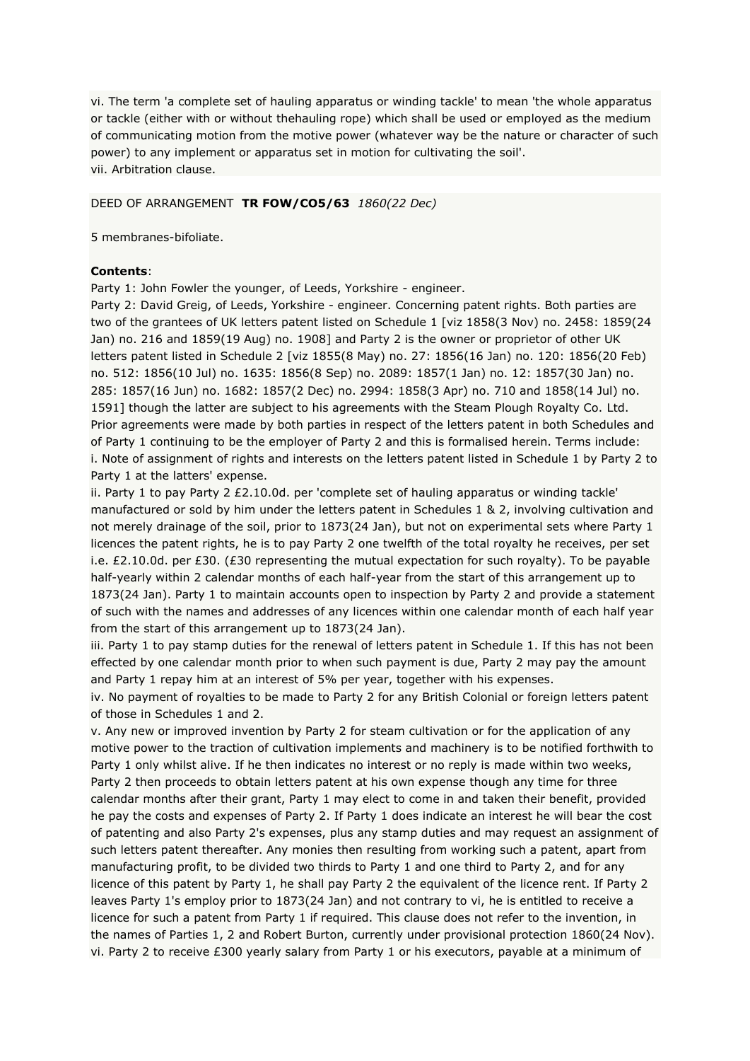vi. The term 'a complete set of hauling apparatus or winding tackle' to mean 'the whole apparatus or tackle (either with or without thehauling rope) which shall be used or employed as the medium of communicating motion from the motive power (whatever way be the nature or character of such power) to any implement or apparatus set in motion for cultivating the soil'. vii. Arbitration clause.

### DEED OF ARRANGEMENT **TR FOW/CO5/63** *1860(22 Dec)*

5 membranes-bifoliate.

#### **Contents**:

Party 1: John Fowler the younger, of Leeds, Yorkshire - engineer.

Party 2: David Greig, of Leeds, Yorkshire - engineer. Concerning patent rights. Both parties are two of the grantees of UK letters patent listed on Schedule 1 [viz 1858(3 Nov) no. 2458: 1859(24 Jan) no. 216 and 1859(19 Aug) no. 1908] and Party 2 is the owner or proprietor of other UK letters patent listed in Schedule 2 [viz 1855(8 May) no. 27: 1856(16 Jan) no. 120: 1856(20 Feb) no. 512: 1856(10 Jul) no. 1635: 1856(8 Sep) no. 2089: 1857(1 Jan) no. 12: 1857(30 Jan) no. 285: 1857(16 Jun) no. 1682: 1857(2 Dec) no. 2994: 1858(3 Apr) no. 710 and 1858(14 Jul) no. 1591] though the latter are subject to his agreements with the Steam Plough Royalty Co. Ltd. Prior agreements were made by both parties in respect of the letters patent in both Schedules and of Party 1 continuing to be the employer of Party 2 and this is formalised herein. Terms include: i. Note of assignment of rights and interests on the letters patent listed in Schedule 1 by Party 2 to Party 1 at the latters' expense.

ii. Party 1 to pay Party 2 £2.10.0d. per 'complete set of hauling apparatus or winding tackle' manufactured or sold by him under the letters patent in Schedules 1 & 2, involving cultivation and not merely drainage of the soil, prior to 1873(24 Jan), but not on experimental sets where Party 1 licences the patent rights, he is to pay Party 2 one twelfth of the total royalty he receives, per set i.e. £2.10.0d. per £30. (£30 representing the mutual expectation for such royalty). To be payable half-yearly within 2 calendar months of each half-year from the start of this arrangement up to 1873(24 Jan). Party 1 to maintain accounts open to inspection by Party 2 and provide a statement of such with the names and addresses of any licences within one calendar month of each half year from the start of this arrangement up to 1873(24 Jan).

iii. Party 1 to pay stamp duties for the renewal of letters patent in Schedule 1. If this has not been effected by one calendar month prior to when such payment is due, Party 2 may pay the amount and Party 1 repay him at an interest of 5% per year, together with his expenses.

iv. No payment of royalties to be made to Party 2 for any British Colonial or foreign letters patent of those in Schedules 1 and 2.

v. Any new or improved invention by Party 2 for steam cultivation or for the application of any motive power to the traction of cultivation implements and machinery is to be notified forthwith to Party 1 only whilst alive. If he then indicates no interest or no reply is made within two weeks, Party 2 then proceeds to obtain letters patent at his own expense though any time for three calendar months after their grant, Party 1 may elect to come in and taken their benefit, provided he pay the costs and expenses of Party 2. If Party 1 does indicate an interest he will bear the cost of patenting and also Party 2's expenses, plus any stamp duties and may request an assignment of such letters patent thereafter. Any monies then resulting from working such a patent, apart from manufacturing profit, to be divided two thirds to Party 1 and one third to Party 2, and for any licence of this patent by Party 1, he shall pay Party 2 the equivalent of the licence rent. If Party 2 leaves Party 1's employ prior to 1873(24 Jan) and not contrary to vi, he is entitled to receive a licence for such a patent from Party 1 if required. This clause does not refer to the invention, in the names of Parties 1, 2 and Robert Burton, currently under provisional protection 1860(24 Nov). vi. Party 2 to receive £300 yearly salary from Party 1 or his executors, payable at a minimum of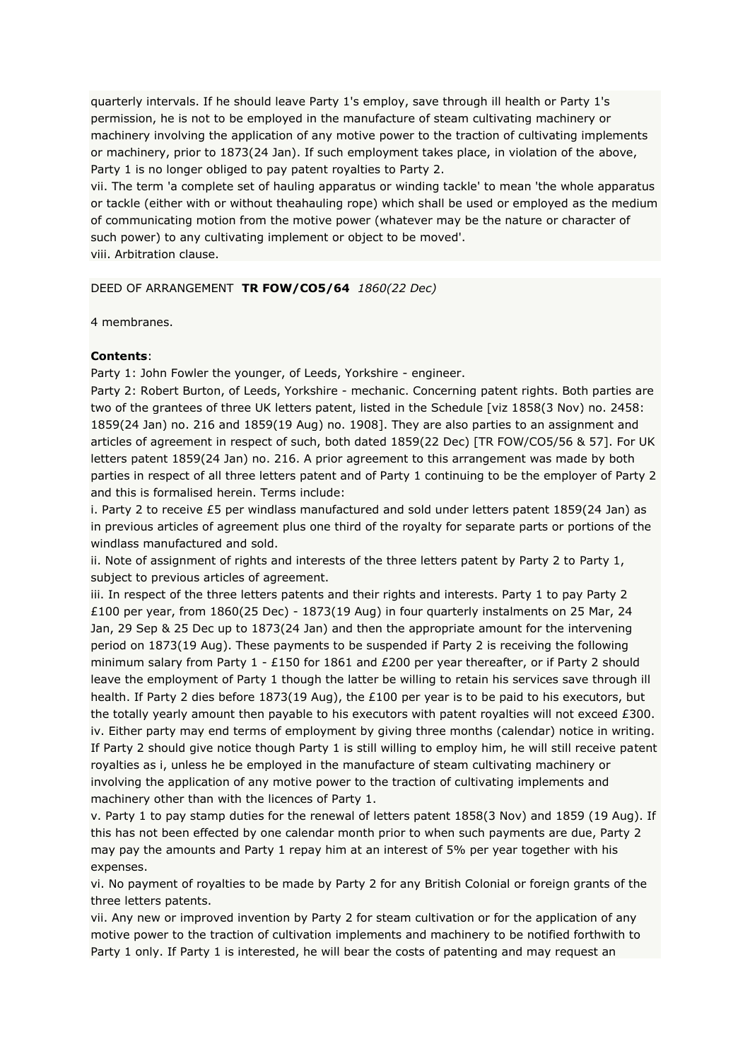quarterly intervals. If he should leave Party 1's employ, save through ill health or Party 1's permission, he is not to be employed in the manufacture of steam cultivating machinery or machinery involving the application of any motive power to the traction of cultivating implements or machinery, prior to 1873(24 Jan). If such employment takes place, in violation of the above, Party 1 is no longer obliged to pay patent royalties to Party 2.

vii. The term 'a complete set of hauling apparatus or winding tackle' to mean 'the whole apparatus or tackle (either with or without theahauling rope) which shall be used or employed as the medium of communicating motion from the motive power (whatever may be the nature or character of such power) to any cultivating implement or object to be moved'. viii. Arbitration clause.

### DEED OF ARRANGEMENT **TR FOW/CO5/64** *1860(22 Dec)*

4 membranes.

### **Contents**:

Party 1: John Fowler the younger, of Leeds, Yorkshire - engineer.

Party 2: Robert Burton, of Leeds, Yorkshire - mechanic. Concerning patent rights. Both parties are two of the grantees of three UK letters patent, listed in the Schedule [viz 1858(3 Nov) no. 2458: 1859(24 Jan) no. 216 and 1859(19 Aug) no. 1908]. They are also parties to an assignment and articles of agreement in respect of such, both dated 1859(22 Dec) [TR FOW/CO5/56 & 57]. For UK letters patent 1859(24 Jan) no. 216. A prior agreement to this arrangement was made by both parties in respect of all three letters patent and of Party 1 continuing to be the employer of Party 2 and this is formalised herein. Terms include:

i. Party 2 to receive £5 per windlass manufactured and sold under letters patent 1859(24 Jan) as in previous articles of agreement plus one third of the royalty for separate parts or portions of the windlass manufactured and sold.

ii. Note of assignment of rights and interests of the three letters patent by Party 2 to Party 1, subject to previous articles of agreement.

iii. In respect of the three letters patents and their rights and interests. Party 1 to pay Party 2 £100 per year, from 1860(25 Dec) - 1873(19 Aug) in four quarterly instalments on 25 Mar, 24 Jan, 29 Sep & 25 Dec up to 1873(24 Jan) and then the appropriate amount for the intervening period on 1873(19 Aug). These payments to be suspended if Party 2 is receiving the following minimum salary from Party 1 - £150 for 1861 and £200 per year thereafter, or if Party 2 should leave the employment of Party 1 though the latter be willing to retain his services save through ill health. If Party 2 dies before 1873(19 Aug), the £100 per year is to be paid to his executors, but the totally yearly amount then payable to his executors with patent royalties will not exceed £300. iv. Either party may end terms of employment by giving three months (calendar) notice in writing. If Party 2 should give notice though Party 1 is still willing to employ him, he will still receive patent royalties as i, unless he be employed in the manufacture of steam cultivating machinery or involving the application of any motive power to the traction of cultivating implements and machinery other than with the licences of Party 1.

v. Party 1 to pay stamp duties for the renewal of letters patent 1858(3 Nov) and 1859 (19 Aug). If this has not been effected by one calendar month prior to when such payments are due, Party 2 may pay the amounts and Party 1 repay him at an interest of 5% per year together with his expenses.

vi. No payment of royalties to be made by Party 2 for any British Colonial or foreign grants of the three letters patents.

vii. Any new or improved invention by Party 2 for steam cultivation or for the application of any motive power to the traction of cultivation implements and machinery to be notified forthwith to Party 1 only. If Party 1 is interested, he will bear the costs of patenting and may request an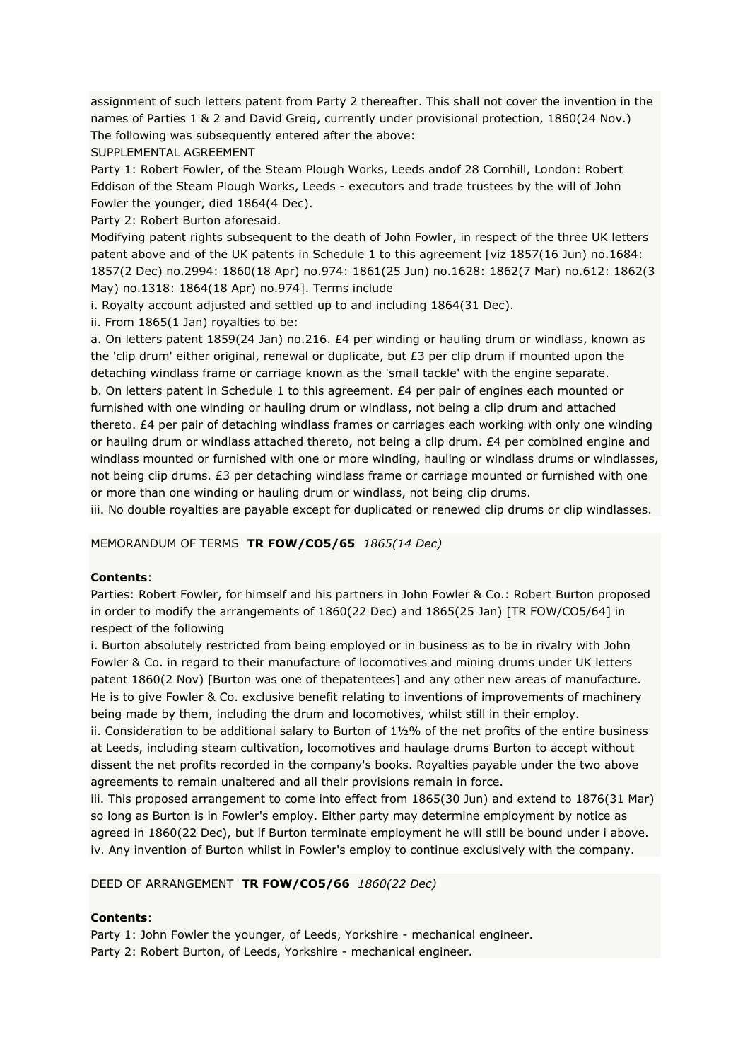assignment of such letters patent from Party 2 thereafter. This shall not cover the invention in the names of Parties 1 & 2 and David Greig, currently under provisional protection, 1860(24 Nov.) The following was subsequently entered after the above:

SUPPLEMENTAL AGREEMENT

Party 1: Robert Fowler, of the Steam Plough Works, Leeds andof 28 Cornhill, London: Robert Eddison of the Steam Plough Works, Leeds - executors and trade trustees by the will of John Fowler the younger, died 1864(4 Dec).

Party 2: Robert Burton aforesaid.

Modifying patent rights subsequent to the death of John Fowler, in respect of the three UK letters patent above and of the UK patents in Schedule 1 to this agreement [viz 1857(16 Jun) no.1684: 1857(2 Dec) no.2994: 1860(18 Apr) no.974: 1861(25 Jun) no.1628: 1862(7 Mar) no.612: 1862(3 May) no.1318: 1864(18 Apr) no.974]. Terms include

i. Royalty account adjusted and settled up to and including 1864(31 Dec).

ii. From 1865(1 Jan) royalties to be:

a. On letters patent 1859(24 Jan) no.216. £4 per winding or hauling drum or windlass, known as the 'clip drum' either original, renewal or duplicate, but £3 per clip drum if mounted upon the detaching windlass frame or carriage known as the 'small tackle' with the engine separate. b. On letters patent in Schedule 1 to this agreement. £4 per pair of engines each mounted or furnished with one winding or hauling drum or windlass, not being a clip drum and attached thereto. £4 per pair of detaching windlass frames or carriages each working with only one winding or hauling drum or windlass attached thereto, not being a clip drum. £4 per combined engine and windlass mounted or furnished with one or more winding, hauling or windlass drums or windlasses, not being clip drums. £3 per detaching windlass frame or carriage mounted or furnished with one or more than one winding or hauling drum or windlass, not being clip drums.

iii. No double royalties are payable except for duplicated or renewed clip drums or clip windlasses.

### MEMORANDUM OF TERMS **TR FOW/CO5/65** *1865(14 Dec)*

### **Contents**:

Parties: Robert Fowler, for himself and his partners in John Fowler & Co.: Robert Burton proposed in order to modify the arrangements of 1860(22 Dec) and 1865(25 Jan) [TR FOW/CO5/64] in respect of the following

i. Burton absolutely restricted from being employed or in business as to be in rivalry with John Fowler & Co. in regard to their manufacture of locomotives and mining drums under UK letters patent 1860(2 Nov) [Burton was one of thepatentees] and any other new areas of manufacture. He is to give Fowler & Co. exclusive benefit relating to inventions of improvements of machinery being made by them, including the drum and locomotives, whilst still in their employ.

ii. Consideration to be additional salary to Burton of  $1\frac{1}{2}\%$  of the net profits of the entire business at Leeds, including steam cultivation, locomotives and haulage drums Burton to accept without dissent the net profits recorded in the company's books. Royalties payable under the two above agreements to remain unaltered and all their provisions remain in force.

iii. This proposed arrangement to come into effect from 1865(30 Jun) and extend to 1876(31 Mar) so long as Burton is in Fowler's employ. Either party may determine employment by notice as agreed in 1860(22 Dec), but if Burton terminate employment he will still be bound under i above. iv. Any invention of Burton whilst in Fowler's employ to continue exclusively with the company.

### DEED OF ARRANGEMENT **TR FOW/CO5/66** *1860(22 Dec)*

### **Contents**:

Party 1: John Fowler the younger, of Leeds, Yorkshire - mechanical engineer. Party 2: Robert Burton, of Leeds, Yorkshire - mechanical engineer.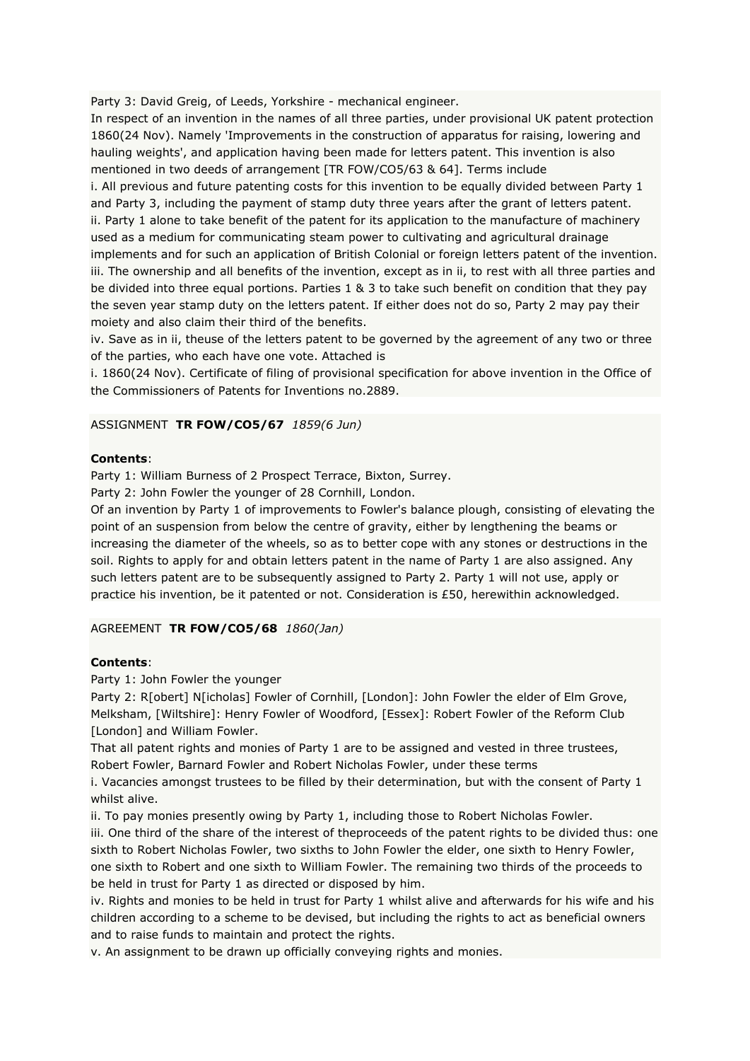Party 3: David Greig, of Leeds, Yorkshire - mechanical engineer.

In respect of an invention in the names of all three parties, under provisional UK patent protection 1860(24 Nov). Namely 'Improvements in the construction of apparatus for raising, lowering and hauling weights', and application having been made for letters patent. This invention is also mentioned in two deeds of arrangement [TR FOW/CO5/63 & 64]. Terms include

i. All previous and future patenting costs for this invention to be equally divided between Party 1 and Party 3, including the payment of stamp duty three years after the grant of letters patent. ii. Party 1 alone to take benefit of the patent for its application to the manufacture of machinery used as a medium for communicating steam power to cultivating and agricultural drainage implements and for such an application of British Colonial or foreign letters patent of the invention. iii. The ownership and all benefits of the invention, except as in ii, to rest with all three parties and be divided into three equal portions. Parties 1 & 3 to take such benefit on condition that they pay the seven year stamp duty on the letters patent. If either does not do so, Party 2 may pay their moiety and also claim their third of the benefits.

iv. Save as in ii, theuse of the letters patent to be governed by the agreement of any two or three of the parties, who each have one vote. Attached is

i. 1860(24 Nov). Certificate of filing of provisional specification for above invention in the Office of the Commissioners of Patents for Inventions no.2889.

# ASSIGNMENT **TR FOW/CO5/67** *1859(6 Jun)*

### **Contents**:

Party 1: William Burness of 2 Prospect Terrace, Bixton, Surrey.

Party 2: John Fowler the younger of 28 Cornhill, London.

Of an invention by Party 1 of improvements to Fowler's balance plough, consisting of elevating the point of an suspension from below the centre of gravity, either by lengthening the beams or increasing the diameter of the wheels, so as to better cope with any stones or destructions in the soil. Rights to apply for and obtain letters patent in the name of Party 1 are also assigned. Any such letters patent are to be subsequently assigned to Party 2. Party 1 will not use, apply or practice his invention, be it patented or not. Consideration is £50, herewithin acknowledged.

### AGREEMENT **TR FOW/CO5/68** *1860(Jan)*

### **Contents**:

Party 1: John Fowler the younger

Party 2: R[obert] N[icholas] Fowler of Cornhill, [London]: John Fowler the elder of Elm Grove, Melksham, [Wiltshire]: Henry Fowler of Woodford, [Essex]: Robert Fowler of the Reform Club [London] and William Fowler.

That all patent rights and monies of Party 1 are to be assigned and vested in three trustees, Robert Fowler, Barnard Fowler and Robert Nicholas Fowler, under these terms

i. Vacancies amongst trustees to be filled by their determination, but with the consent of Party 1 whilst alive.

ii. To pay monies presently owing by Party 1, including those to Robert Nicholas Fowler.

iii. One third of the share of the interest of theproceeds of the patent rights to be divided thus: one sixth to Robert Nicholas Fowler, two sixths to John Fowler the elder, one sixth to Henry Fowler, one sixth to Robert and one sixth to William Fowler. The remaining two thirds of the proceeds to be held in trust for Party 1 as directed or disposed by him.

iv. Rights and monies to be held in trust for Party 1 whilst alive and afterwards for his wife and his children according to a scheme to be devised, but including the rights to act as beneficial owners and to raise funds to maintain and protect the rights.

v. An assignment to be drawn up officially conveying rights and monies.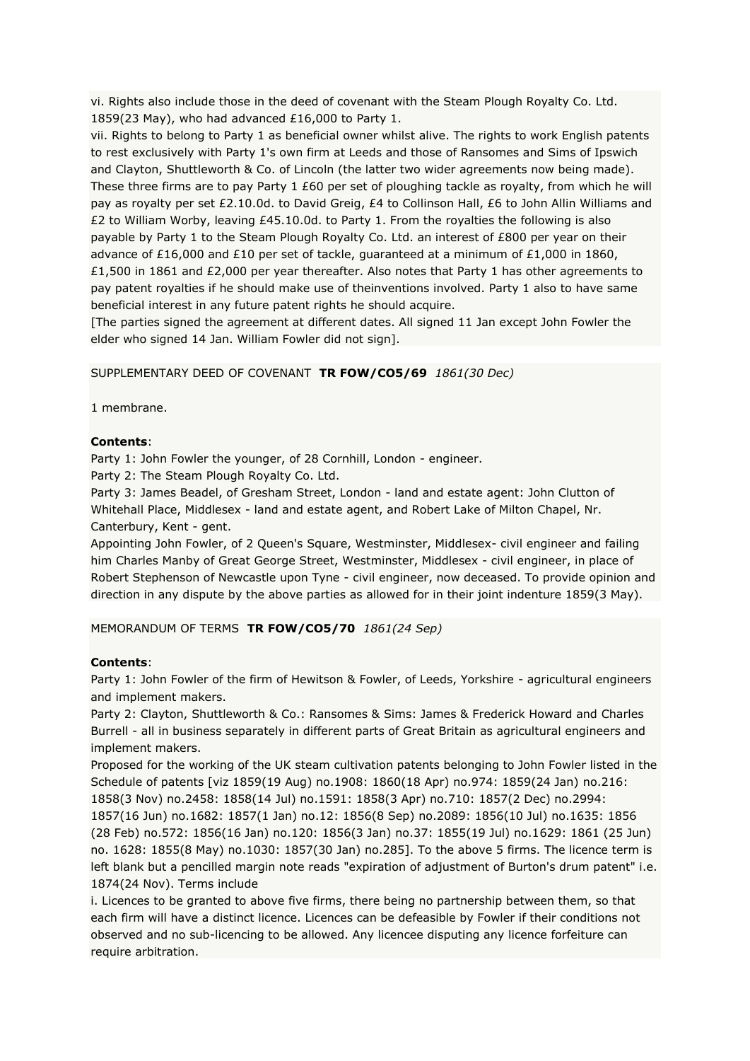vi. Rights also include those in the deed of covenant with the Steam Plough Royalty Co. Ltd. 1859(23 May), who had advanced £16,000 to Party 1.

vii. Rights to belong to Party 1 as beneficial owner whilst alive. The rights to work English patents to rest exclusively with Party 1's own firm at Leeds and those of Ransomes and Sims of Ipswich and Clayton, Shuttleworth & Co. of Lincoln (the latter two wider agreements now being made). These three firms are to pay Party 1 £60 per set of ploughing tackle as royalty, from which he will pay as royalty per set £2.10.0d. to David Greig, £4 to Collinson Hall, £6 to John Allin Williams and £2 to William Worby, leaving £45.10.0d. to Party 1. From the royalties the following is also payable by Party 1 to the Steam Plough Royalty Co. Ltd. an interest of £800 per year on their advance of £16,000 and £10 per set of tackle, guaranteed at a minimum of £1,000 in 1860, £1,500 in 1861 and £2,000 per year thereafter. Also notes that Party 1 has other agreements to pay patent royalties if he should make use of theinventions involved. Party 1 also to have same beneficial interest in any future patent rights he should acquire.

[The parties signed the agreement at different dates. All signed 11 Jan except John Fowler the elder who signed 14 Jan. William Fowler did not sign].

### SUPPLEMENTARY DEED OF COVENANT **TR FOW/CO5/69** *1861(30 Dec)*

1 membrane.

#### **Contents**:

Party 1: John Fowler the younger, of 28 Cornhill, London - engineer.

Party 2: The Steam Plough Royalty Co. Ltd.

Party 3: James Beadel, of Gresham Street, London - land and estate agent: John Clutton of Whitehall Place, Middlesex - land and estate agent, and Robert Lake of Milton Chapel, Nr. Canterbury, Kent - gent.

Appointing John Fowler, of 2 Queen's Square, Westminster, Middlesex- civil engineer and failing him Charles Manby of Great George Street, Westminster, Middlesex - civil engineer, in place of Robert Stephenson of Newcastle upon Tyne - civil engineer, now deceased. To provide opinion and direction in any dispute by the above parties as allowed for in their joint indenture 1859(3 May).

#### MEMORANDUM OF TERMS **TR FOW/CO5/70** *1861(24 Sep)*

#### **Contents**:

Party 1: John Fowler of the firm of Hewitson & Fowler, of Leeds, Yorkshire - agricultural engineers and implement makers.

Party 2: Clayton, Shuttleworth & Co.: Ransomes & Sims: James & Frederick Howard and Charles Burrell - all in business separately in different parts of Great Britain as agricultural engineers and implement makers.

Proposed for the working of the UK steam cultivation patents belonging to John Fowler listed in the Schedule of patents [viz 1859(19 Aug) no.1908: 1860(18 Apr) no.974: 1859(24 Jan) no.216: 1858(3 Nov) no.2458: 1858(14 Jul) no.1591: 1858(3 Apr) no.710: 1857(2 Dec) no.2994:

1857(16 Jun) no.1682: 1857(1 Jan) no.12: 1856(8 Sep) no.2089: 1856(10 Jul) no.1635: 1856 (28 Feb) no.572: 1856(16 Jan) no.120: 1856(3 Jan) no.37: 1855(19 Jul) no.1629: 1861 (25 Jun) no. 1628: 1855(8 May) no.1030: 1857(30 Jan) no.285]. To the above 5 firms. The licence term is left blank but a pencilled margin note reads "expiration of adjustment of Burton's drum patent" i.e. 1874(24 Nov). Terms include

i. Licences to be granted to above five firms, there being no partnership between them, so that each firm will have a distinct licence. Licences can be defeasible by Fowler if their conditions not observed and no sub-licencing to be allowed. Any licencee disputing any licence forfeiture can require arbitration.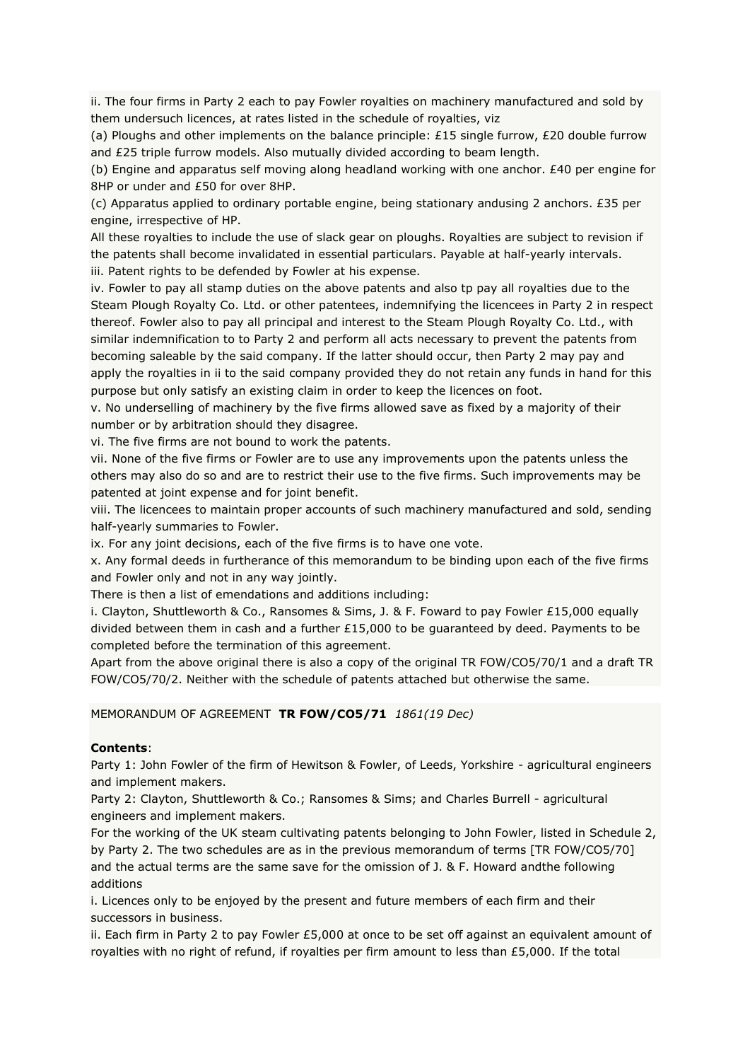ii. The four firms in Party 2 each to pay Fowler royalties on machinery manufactured and sold by them undersuch licences, at rates listed in the schedule of royalties, viz

(a) Ploughs and other implements on the balance principle: £15 single furrow, £20 double furrow and £25 triple furrow models. Also mutually divided according to beam length.

(b) Engine and apparatus self moving along headland working with one anchor. £40 per engine for 8HP or under and £50 for over 8HP.

(c) Apparatus applied to ordinary portable engine, being stationary andusing 2 anchors. £35 per engine, irrespective of HP.

All these royalties to include the use of slack gear on ploughs. Royalties are subject to revision if the patents shall become invalidated in essential particulars. Payable at half-yearly intervals. iii. Patent rights to be defended by Fowler at his expense.

iv. Fowler to pay all stamp duties on the above patents and also tp pay all royalties due to the Steam Plough Royalty Co. Ltd. or other patentees, indemnifying the licencees in Party 2 in respect thereof. Fowler also to pay all principal and interest to the Steam Plough Royalty Co. Ltd., with similar indemnification to to Party 2 and perform all acts necessary to prevent the patents from becoming saleable by the said company. If the latter should occur, then Party 2 may pay and apply the royalties in ii to the said company provided they do not retain any funds in hand for this purpose but only satisfy an existing claim in order to keep the licences on foot.

v. No underselling of machinery by the five firms allowed save as fixed by a majority of their number or by arbitration should they disagree.

vi. The five firms are not bound to work the patents.

vii. None of the five firms or Fowler are to use any improvements upon the patents unless the others may also do so and are to restrict their use to the five firms. Such improvements may be patented at joint expense and for joint benefit.

viii. The licencees to maintain proper accounts of such machinery manufactured and sold, sending half-yearly summaries to Fowler.

ix. For any joint decisions, each of the five firms is to have one vote.

x. Any formal deeds in furtherance of this memorandum to be binding upon each of the five firms and Fowler only and not in any way jointly.

There is then a list of emendations and additions including:

i. Clayton, Shuttleworth & Co., Ransomes & Sims, J. & F. Foward to pay Fowler £15,000 equally divided between them in cash and a further  $£15,000$  to be quaranteed by deed. Payments to be completed before the termination of this agreement.

Apart from the above original there is also a copy of the original TR FOW/CO5/70/1 and a draft TR FOW/CO5/70/2. Neither with the schedule of patents attached but otherwise the same.

### MEMORANDUM OF AGREEMENT **TR FOW/CO5/71** *1861(19 Dec)*

### **Contents**:

Party 1: John Fowler of the firm of Hewitson & Fowler, of Leeds, Yorkshire - agricultural engineers and implement makers.

Party 2: Clayton, Shuttleworth & Co.; Ransomes & Sims; and Charles Burrell - agricultural engineers and implement makers.

For the working of the UK steam cultivating patents belonging to John Fowler, listed in Schedule 2, by Party 2. The two schedules are as in the previous memorandum of terms [TR FOW/CO5/70] and the actual terms are the same save for the omission of J. & F. Howard andthe following additions

i. Licences only to be enjoyed by the present and future members of each firm and their successors in business.

ii. Each firm in Party 2 to pay Fowler  $£5,000$  at once to be set off against an equivalent amount of royalties with no right of refund, if royalties per firm amount to less than £5,000. If the total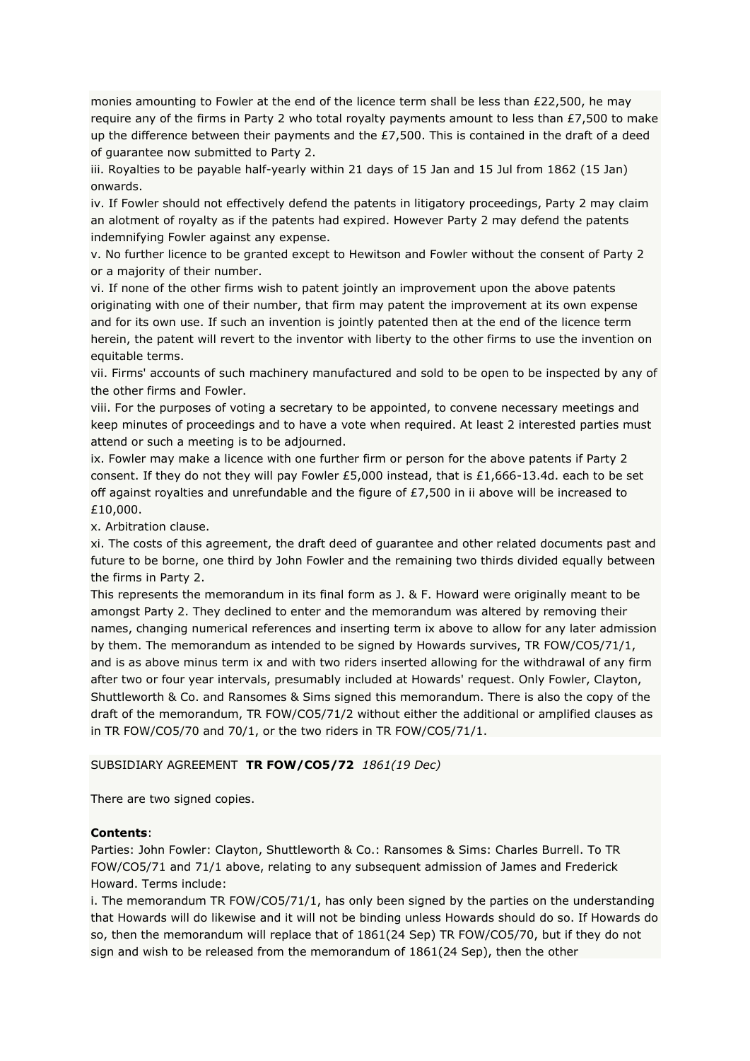monies amounting to Fowler at the end of the licence term shall be less than £22,500, he may require any of the firms in Party 2 who total royalty payments amount to less than £7,500 to make up the difference between their payments and the  $£7,500$ . This is contained in the draft of a deed of guarantee now submitted to Party 2.

iii. Royalties to be payable half-yearly within 21 days of 15 Jan and 15 Jul from 1862 (15 Jan) onwards.

iv. If Fowler should not effectively defend the patents in litigatory proceedings, Party 2 may claim an alotment of royalty as if the patents had expired. However Party 2 may defend the patents indemnifying Fowler against any expense.

v. No further licence to be granted except to Hewitson and Fowler without the consent of Party 2 or a majority of their number.

vi. If none of the other firms wish to patent jointly an improvement upon the above patents originating with one of their number, that firm may patent the improvement at its own expense and for its own use. If such an invention is jointly patented then at the end of the licence term herein, the patent will revert to the inventor with liberty to the other firms to use the invention on equitable terms.

vii. Firms' accounts of such machinery manufactured and sold to be open to be inspected by any of the other firms and Fowler.

viii. For the purposes of voting a secretary to be appointed, to convene necessary meetings and keep minutes of proceedings and to have a vote when required. At least 2 interested parties must attend or such a meeting is to be adjourned.

ix. Fowler may make a licence with one further firm or person for the above patents if Party 2 consent. If they do not they will pay Fowler £5,000 instead, that is £1,666-13.4d. each to be set off against royalties and unrefundable and the figure of £7,500 in ii above will be increased to £10,000.

x. Arbitration clause.

xi. The costs of this agreement, the draft deed of guarantee and other related documents past and future to be borne, one third by John Fowler and the remaining two thirds divided equally between the firms in Party 2.

This represents the memorandum in its final form as J. & F. Howard were originally meant to be amongst Party 2. They declined to enter and the memorandum was altered by removing their names, changing numerical references and inserting term ix above to allow for any later admission by them. The memorandum as intended to be signed by Howards survives, TR FOW/CO5/71/1, and is as above minus term ix and with two riders inserted allowing for the withdrawal of any firm after two or four year intervals, presumably included at Howards' request. Only Fowler, Clayton, Shuttleworth & Co. and Ransomes & Sims signed this memorandum. There is also the copy of the draft of the memorandum, TR FOW/CO5/71/2 without either the additional or amplified clauses as in TR FOW/CO5/70 and 70/1, or the two riders in TR FOW/CO5/71/1.

# SUBSIDIARY AGREEMENT **TR FOW/CO5/72** *1861(19 Dec)*

There are two signed copies.

# **Contents**:

Parties: John Fowler: Clayton, Shuttleworth & Co.: Ransomes & Sims: Charles Burrell. To TR FOW/CO5/71 and 71/1 above, relating to any subsequent admission of James and Frederick Howard. Terms include:

i. The memorandum TR FOW/CO5/71/1, has only been signed by the parties on the understanding that Howards will do likewise and it will not be binding unless Howards should do so. If Howards do so, then the memorandum will replace that of 1861(24 Sep) TR FOW/CO5/70, but if they do not sign and wish to be released from the memorandum of 1861(24 Sep), then the other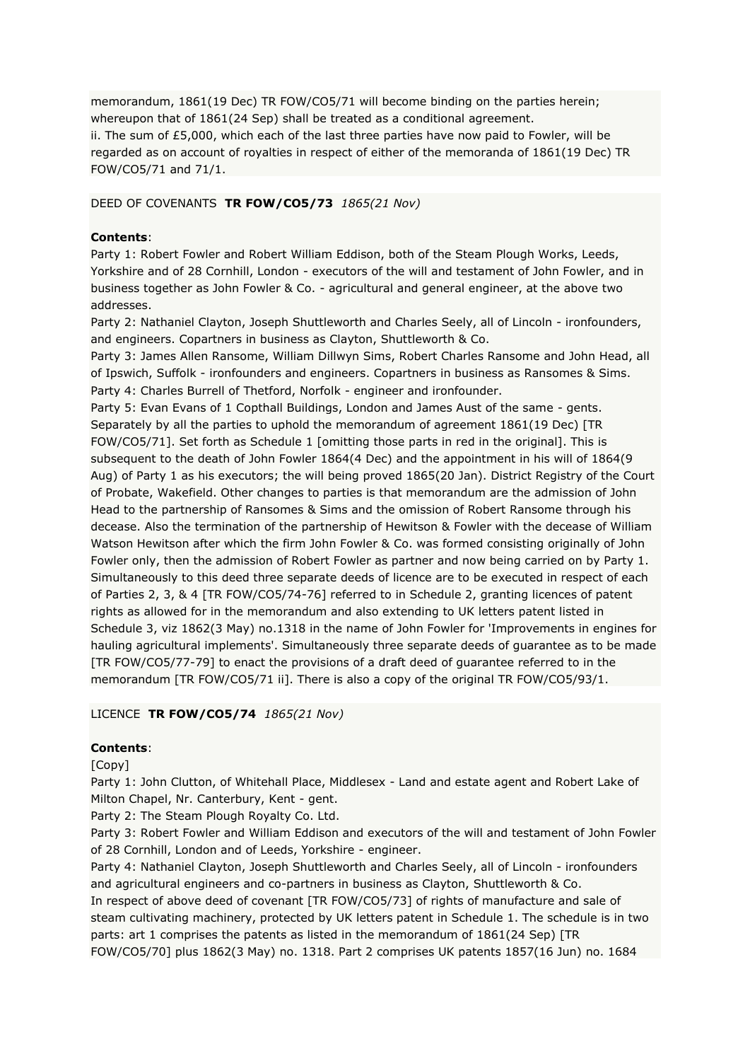memorandum, 1861(19 Dec) TR FOW/CO5/71 will become binding on the parties herein; whereupon that of 1861(24 Sep) shall be treated as a conditional agreement. ii. The sum of £5,000, which each of the last three parties have now paid to Fowler, will be regarded as on account of royalties in respect of either of the memoranda of 1861(19 Dec) TR FOW/CO5/71 and 71/1.

### DEED OF COVENANTS **TR FOW/CO5/73** *1865(21 Nov)*

### **Contents**:

Party 1: Robert Fowler and Robert William Eddison, both of the Steam Plough Works, Leeds, Yorkshire and of 28 Cornhill, London - executors of the will and testament of John Fowler, and in business together as John Fowler & Co. - agricultural and general engineer, at the above two addresses.

Party 2: Nathaniel Clayton, Joseph Shuttleworth and Charles Seely, all of Lincoln - ironfounders, and engineers. Copartners in business as Clayton, Shuttleworth & Co.

Party 3: James Allen Ransome, William Dillwyn Sims, Robert Charles Ransome and John Head, all of Ipswich, Suffolk - ironfounders and engineers. Copartners in business as Ransomes & Sims. Party 4: Charles Burrell of Thetford, Norfolk - engineer and ironfounder.

Party 5: Evan Evans of 1 Copthall Buildings, London and James Aust of the same - gents. Separately by all the parties to uphold the memorandum of agreement 1861(19 Dec) [TR FOW/CO5/71]. Set forth as Schedule 1 [omitting those parts in red in the original]. This is subsequent to the death of John Fowler 1864(4 Dec) and the appointment in his will of 1864(9 Aug) of Party 1 as his executors; the will being proved 1865(20 Jan). District Registry of the Court of Probate, Wakefield. Other changes to parties is that memorandum are the admission of John Head to the partnership of Ransomes & Sims and the omission of Robert Ransome through his decease. Also the termination of the partnership of Hewitson & Fowler with the decease of William Watson Hewitson after which the firm John Fowler & Co. was formed consisting originally of John Fowler only, then the admission of Robert Fowler as partner and now being carried on by Party 1. Simultaneously to this deed three separate deeds of licence are to be executed in respect of each of Parties 2, 3, & 4 [TR FOW/CO5/74-76] referred to in Schedule 2, granting licences of patent rights as allowed for in the memorandum and also extending to UK letters patent listed in Schedule 3, viz 1862(3 May) no.1318 in the name of John Fowler for 'Improvements in engines for hauling agricultural implements'. Simultaneously three separate deeds of guarantee as to be made [TR FOW/CO5/77-79] to enact the provisions of a draft deed of guarantee referred to in the memorandum [TR FOW/CO5/71 ii]. There is also a copy of the original TR FOW/CO5/93/1.

### LICENCE **TR FOW/CO5/74** *1865(21 Nov)*

# **Contents**:

[Copy]

Party 1: John Clutton, of Whitehall Place, Middlesex - Land and estate agent and Robert Lake of Milton Chapel, Nr. Canterbury, Kent - gent.

Party 2: The Steam Plough Royalty Co. Ltd.

Party 3: Robert Fowler and William Eddison and executors of the will and testament of John Fowler of 28 Cornhill, London and of Leeds, Yorkshire - engineer.

Party 4: Nathaniel Clayton, Joseph Shuttleworth and Charles Seely, all of Lincoln - ironfounders and agricultural engineers and co-partners in business as Clayton, Shuttleworth & Co. In respect of above deed of covenant [TR FOW/CO5/73] of rights of manufacture and sale of steam cultivating machinery, protected by UK letters patent in Schedule 1. The schedule is in two parts: art 1 comprises the patents as listed in the memorandum of 1861(24 Sep) [TR FOW/CO5/70] plus 1862(3 May) no. 1318. Part 2 comprises UK patents 1857(16 Jun) no. 1684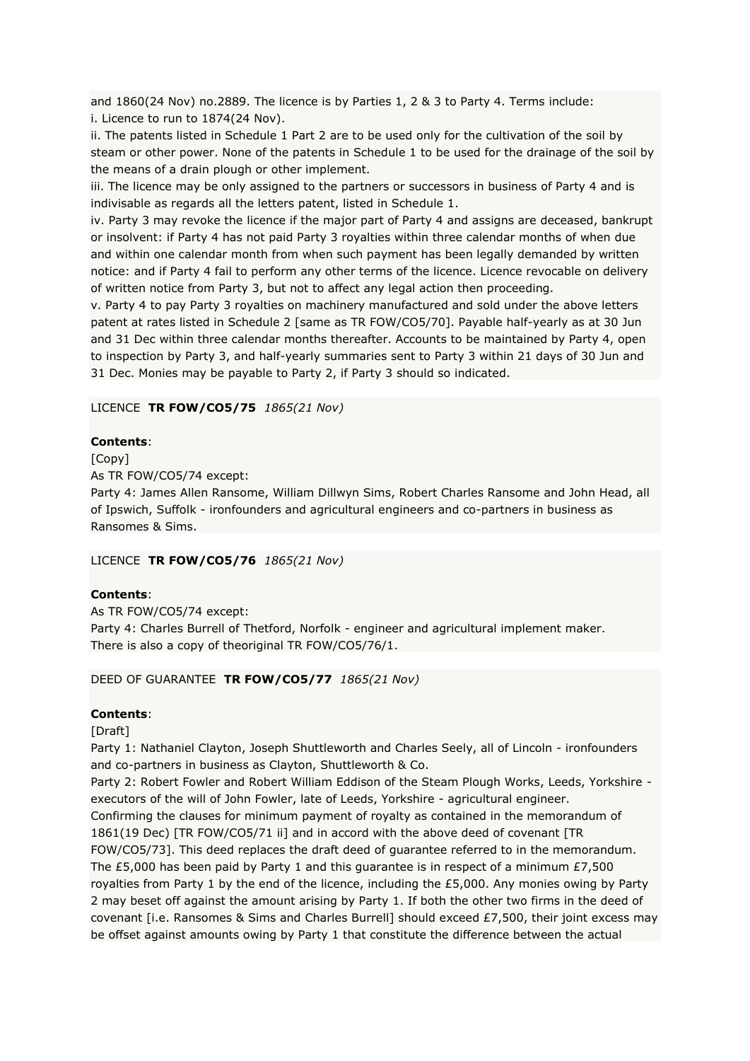and 1860(24 Nov) no.2889. The licence is by Parties 1, 2 & 3 to Party 4. Terms include: i. Licence to run to 1874(24 Nov).

ii. The patents listed in Schedule 1 Part 2 are to be used only for the cultivation of the soil by steam or other power. None of the patents in Schedule 1 to be used for the drainage of the soil by the means of a drain plough or other implement.

iii. The licence may be only assigned to the partners or successors in business of Party 4 and is indivisable as regards all the letters patent, listed in Schedule 1.

iv. Party 3 may revoke the licence if the major part of Party 4 and assigns are deceased, bankrupt or insolvent: if Party 4 has not paid Party 3 royalties within three calendar months of when due and within one calendar month from when such payment has been legally demanded by written notice: and if Party 4 fail to perform any other terms of the licence. Licence revocable on delivery of written notice from Party 3, but not to affect any legal action then proceeding.

v. Party 4 to pay Party 3 royalties on machinery manufactured and sold under the above letters patent at rates listed in Schedule 2 [same as TR FOW/CO5/70]. Payable half-yearly as at 30 Jun and 31 Dec within three calendar months thereafter. Accounts to be maintained by Party 4, open to inspection by Party 3, and half-yearly summaries sent to Party 3 within 21 days of 30 Jun and 31 Dec. Monies may be payable to Party 2, if Party 3 should so indicated.

### LICENCE **TR FOW/CO5/75** *1865(21 Nov)*

### **Contents**:

[Copy]

As TR FOW/CO5/74 except:

Party 4: James Allen Ransome, William Dillwyn Sims, Robert Charles Ransome and John Head, all of Ipswich, Suffolk - ironfounders and agricultural engineers and co-partners in business as Ransomes & Sims.

#### LICENCE **TR FOW/CO5/76** *1865(21 Nov)*

### **Contents**:

As TR FOW/CO5/74 except: Party 4: Charles Burrell of Thetford, Norfolk - engineer and agricultural implement maker. There is also a copy of theoriginal TR FOW/CO5/76/1.

#### DEED OF GUARANTEE **TR FOW/CO5/77** *1865(21 Nov)*

### **Contents**:

[Draft]

Party 1: Nathaniel Clayton, Joseph Shuttleworth and Charles Seely, all of Lincoln - ironfounders and co-partners in business as Clayton, Shuttleworth & Co.

Party 2: Robert Fowler and Robert William Eddison of the Steam Plough Works, Leeds, Yorkshire executors of the will of John Fowler, late of Leeds, Yorkshire - agricultural engineer. Confirming the clauses for minimum payment of royalty as contained in the memorandum of 1861(19 Dec) [TR FOW/CO5/71 ii] and in accord with the above deed of covenant [TR FOW/CO5/73]. This deed replaces the draft deed of guarantee referred to in the memorandum. The £5,000 has been paid by Party 1 and this guarantee is in respect of a minimum £7,500 royalties from Party 1 by the end of the licence, including the £5,000. Any monies owing by Party 2 may beset off against the amount arising by Party 1. If both the other two firms in the deed of covenant [i.e. Ransomes & Sims and Charles Burrell] should exceed £7,500, their joint excess may be offset against amounts owing by Party 1 that constitute the difference between the actual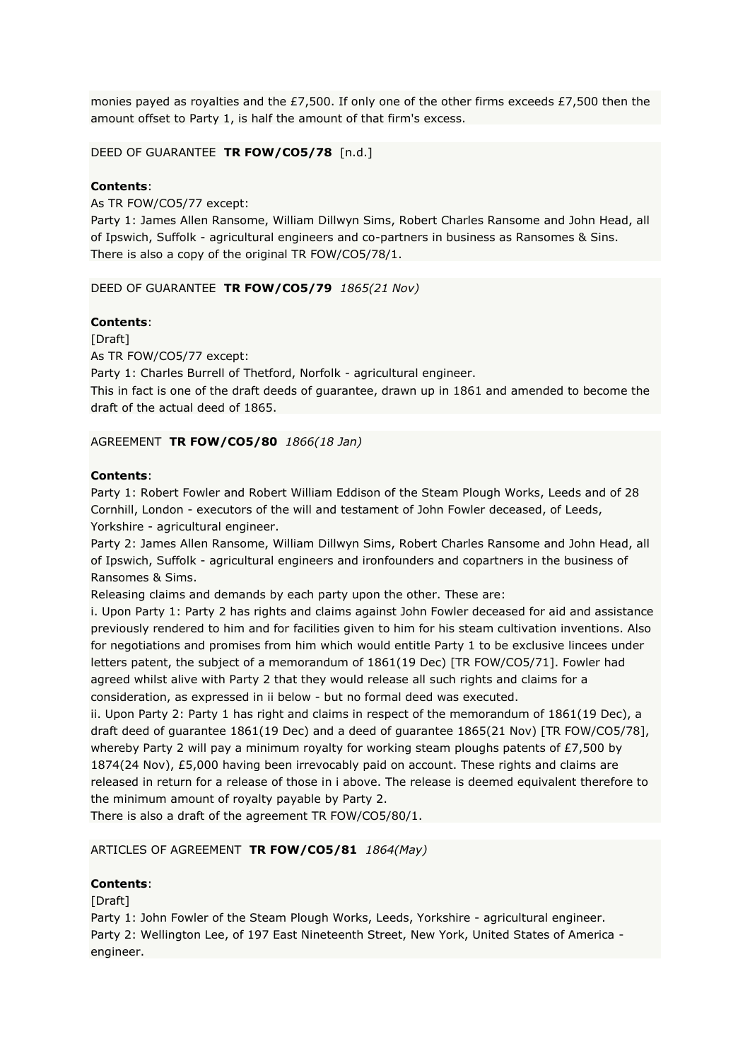monies payed as royalties and the £7,500. If only one of the other firms exceeds £7,500 then the amount offset to Party 1, is half the amount of that firm's excess.

### DEED OF GUARANTEE **TR FOW/CO5/78** [n.d.]

### **Contents**:

As TR FOW/CO5/77 except:

Party 1: James Allen Ransome, William Dillwyn Sims, Robert Charles Ransome and John Head, all of Ipswich, Suffolk - agricultural engineers and co-partners in business as Ransomes & Sins. There is also a copy of the original TR FOW/CO5/78/1.

DEED OF GUARANTEE **TR FOW/CO5/79** *1865(21 Nov)*

### **Contents**:

[Draft] As TR FOW/CO5/77 except:

Party 1: Charles Burrell of Thetford, Norfolk - agricultural engineer.

This in fact is one of the draft deeds of guarantee, drawn up in 1861 and amended to become the draft of the actual deed of 1865.

#### AGREEMENT **TR FOW/CO5/80** *1866(18 Jan)*

### **Contents**:

Party 1: Robert Fowler and Robert William Eddison of the Steam Plough Works, Leeds and of 28 Cornhill, London - executors of the will and testament of John Fowler deceased, of Leeds, Yorkshire - agricultural engineer.

Party 2: James Allen Ransome, William Dillwyn Sims, Robert Charles Ransome and John Head, all of Ipswich, Suffolk - agricultural engineers and ironfounders and copartners in the business of Ransomes & Sims.

Releasing claims and demands by each party upon the other. These are:

i. Upon Party 1: Party 2 has rights and claims against John Fowler deceased for aid and assistance previously rendered to him and for facilities given to him for his steam cultivation inventions. Also for negotiations and promises from him which would entitle Party 1 to be exclusive lincees under letters patent, the subject of a memorandum of 1861(19 Dec) [TR FOW/CO5/71]. Fowler had agreed whilst alive with Party 2 that they would release all such rights and claims for a consideration, as expressed in ii below - but no formal deed was executed.

ii. Upon Party 2: Party 1 has right and claims in respect of the memorandum of 1861(19 Dec), a draft deed of guarantee 1861(19 Dec) and a deed of guarantee 1865(21 Nov) [TR FOW/CO5/78], whereby Party 2 will pay a minimum royalty for working steam ploughs patents of  $E7,500$  by 1874(24 Nov), £5,000 having been irrevocably paid on account. These rights and claims are released in return for a release of those in i above. The release is deemed equivalent therefore to the minimum amount of royalty payable by Party 2.

There is also a draft of the agreement TR FOW/CO5/80/1.

### ARTICLES OF AGREEMENT **TR FOW/CO5/81** *1864(May)*

### **Contents**:

[Draft]

Party 1: John Fowler of the Steam Plough Works, Leeds, Yorkshire - agricultural engineer. Party 2: Wellington Lee, of 197 East Nineteenth Street, New York, United States of America engineer.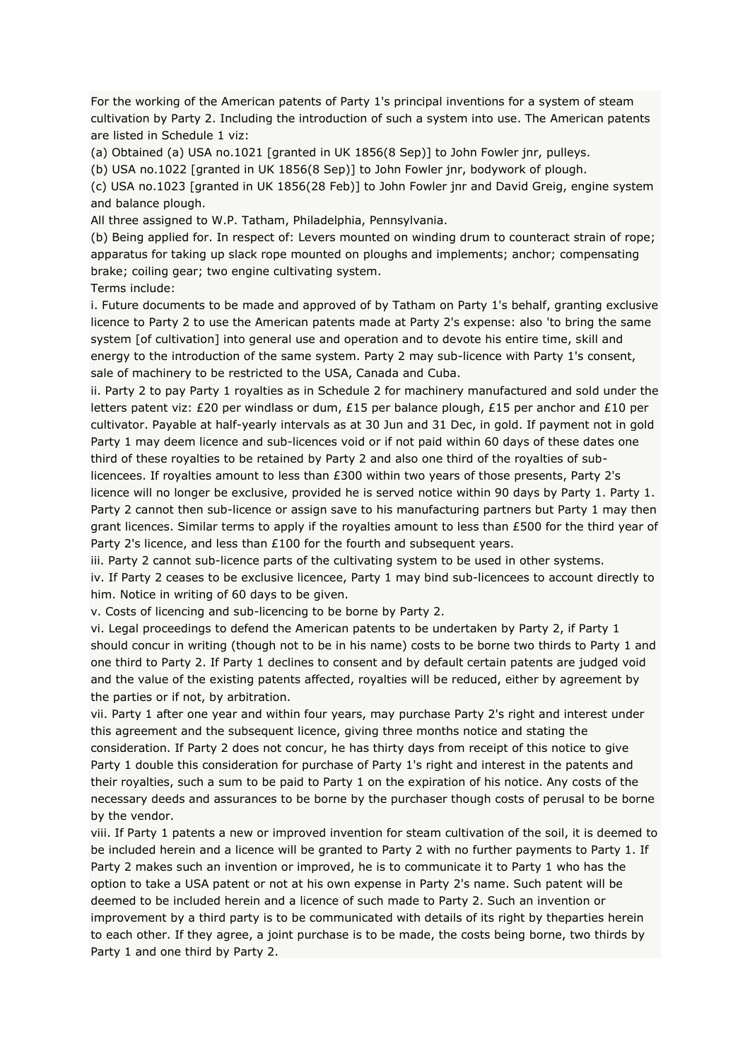For the working of the American patents of Party 1's principal inventions for a system of steam cultivation by Party 2. Including the introduction of such a system into use. The American patents are listed in Schedule 1 viz:

(a) Obtained (a) USA no.1021 [granted in UK 1856(8 Sep)] to John Fowler jnr, pulleys.

(b) USA no.1022 [granted in UK 1856(8 Sep)] to John Fowler jnr, bodywork of plough.

(c) USA no.1023 [granted in UK 1856(28 Feb)] to John Fowler jnr and David Greig, engine system and balance plough.

All three assigned to W.P. Tatham, Philadelphia, Pennsylvania.

(b) Being applied for. In respect of: Levers mounted on winding drum to counteract strain of rope; apparatus for taking up slack rope mounted on ploughs and implements; anchor; compensating brake; coiling gear; two engine cultivating system.

Terms include:

i. Future documents to be made and approved of by Tatham on Party 1's behalf, granting exclusive licence to Party 2 to use the American patents made at Party 2's expense: also 'to bring the same system [of cultivation] into general use and operation and to devote his entire time, skill and energy to the introduction of the same system. Party 2 may sub-licence with Party 1's consent, sale of machinery to be restricted to the USA, Canada and Cuba.

ii. Party 2 to pay Party 1 royalties as in Schedule 2 for machinery manufactured and sold under the letters patent viz: £20 per windlass or dum, £15 per balance plough, £15 per anchor and £10 per cultivator. Payable at half-yearly intervals as at 30 Jun and 31 Dec, in gold. If payment not in gold Party 1 may deem licence and sub-licences void or if not paid within 60 days of these dates one third of these royalties to be retained by Party 2 and also one third of the royalties of sublicencees. If royalties amount to less than £300 within two years of those presents, Party 2's licence will no longer be exclusive, provided he is served notice within 90 days by Party 1. Party 1.

Party 2 cannot then sub-licence or assign save to his manufacturing partners but Party 1 may then grant licences. Similar terms to apply if the royalties amount to less than £500 for the third year of Party 2's licence, and less than £100 for the fourth and subsequent years.

iii. Party 2 cannot sub-licence parts of the cultivating system to be used in other systems.

iv. If Party 2 ceases to be exclusive licencee, Party 1 may bind sub-licencees to account directly to him. Notice in writing of 60 days to be given.

v. Costs of licencing and sub-licencing to be borne by Party 2.

vi. Legal proceedings to defend the American patents to be undertaken by Party 2, if Party 1 should concur in writing (though not to be in his name) costs to be borne two thirds to Party 1 and one third to Party 2. If Party 1 declines to consent and by default certain patents are judged void and the value of the existing patents affected, royalties will be reduced, either by agreement by the parties or if not, by arbitration.

vii. Party 1 after one year and within four years, may purchase Party 2's right and interest under this agreement and the subsequent licence, giving three months notice and stating the consideration. If Party 2 does not concur, he has thirty days from receipt of this notice to give Party 1 double this consideration for purchase of Party 1's right and interest in the patents and their royalties, such a sum to be paid to Party 1 on the expiration of his notice. Any costs of the necessary deeds and assurances to be borne by the purchaser though costs of perusal to be borne by the vendor.

viii. If Party 1 patents a new or improved invention for steam cultivation of the soil, it is deemed to be included herein and a licence will be granted to Party 2 with no further payments to Party 1. If Party 2 makes such an invention or improved, he is to communicate it to Party 1 who has the option to take a USA patent or not at his own expense in Party 2's name. Such patent will be deemed to be included herein and a licence of such made to Party 2. Such an invention or improvement by a third party is to be communicated with details of its right by theparties herein to each other. If they agree, a joint purchase is to be made, the costs being borne, two thirds by Party 1 and one third by Party 2.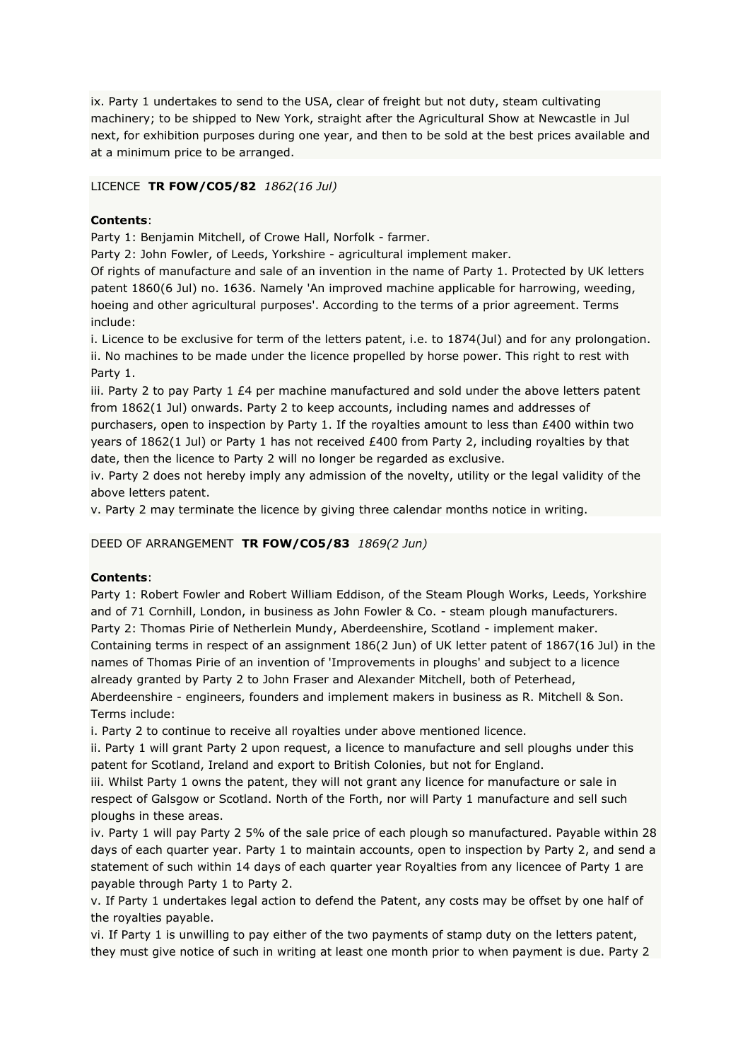ix. Party 1 undertakes to send to the USA, clear of freight but not duty, steam cultivating machinery; to be shipped to New York, straight after the Agricultural Show at Newcastle in Jul next, for exhibition purposes during one year, and then to be sold at the best prices available and at a minimum price to be arranged.

# LICENCE **TR FOW/CO5/82** *1862(16 Jul)*

# **Contents**:

Party 1: Benjamin Mitchell, of Crowe Hall, Norfolk - farmer.

Party 2: John Fowler, of Leeds, Yorkshire - agricultural implement maker.

Of rights of manufacture and sale of an invention in the name of Party 1. Protected by UK letters patent 1860(6 Jul) no. 1636. Namely 'An improved machine applicable for harrowing, weeding, hoeing and other agricultural purposes'. According to the terms of a prior agreement. Terms include:

i. Licence to be exclusive for term of the letters patent, i.e. to 1874(Jul) and for any prolongation. ii. No machines to be made under the licence propelled by horse power. This right to rest with Party 1.

iii. Party 2 to pay Party 1  $£4$  per machine manufactured and sold under the above letters patent from 1862(1 Jul) onwards. Party 2 to keep accounts, including names and addresses of purchasers, open to inspection by Party 1. If the royalties amount to less than £400 within two years of 1862(1 Jul) or Party 1 has not received £400 from Party 2, including royalties by that date, then the licence to Party 2 will no longer be regarded as exclusive.

iv. Party 2 does not hereby imply any admission of the novelty, utility or the legal validity of the above letters patent.

v. Party 2 may terminate the licence by giving three calendar months notice in writing.

# DEED OF ARRANGEMENT **TR FOW/CO5/83** *1869(2 Jun)*

# **Contents**:

Party 1: Robert Fowler and Robert William Eddison, of the Steam Plough Works, Leeds, Yorkshire and of 71 Cornhill, London, in business as John Fowler & Co. - steam plough manufacturers. Party 2: Thomas Pirie of Netherlein Mundy, Aberdeenshire, Scotland - implement maker. Containing terms in respect of an assignment 186(2 Jun) of UK letter patent of 1867(16 Jul) in the names of Thomas Pirie of an invention of 'Improvements in ploughs' and subject to a licence already granted by Party 2 to John Fraser and Alexander Mitchell, both of Peterhead, Aberdeenshire - engineers, founders and implement makers in business as R. Mitchell & Son. Terms include:

i. Party 2 to continue to receive all royalties under above mentioned licence.

ii. Party 1 will grant Party 2 upon request, a licence to manufacture and sell ploughs under this patent for Scotland, Ireland and export to British Colonies, but not for England.

iii. Whilst Party 1 owns the patent, they will not grant any licence for manufacture or sale in respect of Galsgow or Scotland. North of the Forth, nor will Party 1 manufacture and sell such ploughs in these areas.

iv. Party 1 will pay Party 2 5% of the sale price of each plough so manufactured. Payable within 28 days of each quarter year. Party 1 to maintain accounts, open to inspection by Party 2, and send a statement of such within 14 days of each quarter year Royalties from any licencee of Party 1 are payable through Party 1 to Party 2.

v. If Party 1 undertakes legal action to defend the Patent, any costs may be offset by one half of the royalties payable.

vi. If Party 1 is unwilling to pay either of the two payments of stamp duty on the letters patent, they must give notice of such in writing at least one month prior to when payment is due. Party 2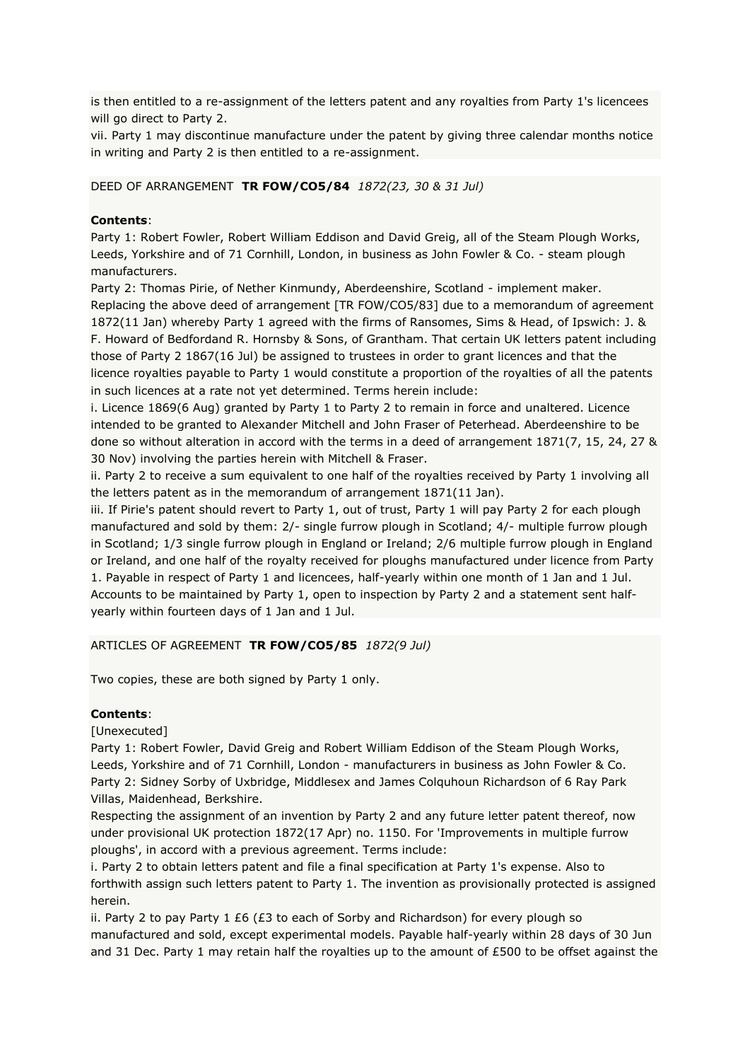is then entitled to a re-assignment of the letters patent and any royalties from Party 1's licencees will go direct to Party 2.

vii. Party 1 may discontinue manufacture under the patent by giving three calendar months notice in writing and Party 2 is then entitled to a re-assignment.

# DEED OF ARRANGEMENT **TR FOW/CO5/84** *1872(23, 30 & 31 Jul)*

#### **Contents**:

Party 1: Robert Fowler, Robert William Eddison and David Greig, all of the Steam Plough Works, Leeds, Yorkshire and of 71 Cornhill, London, in business as John Fowler & Co. - steam plough manufacturers.

Party 2: Thomas Pirie, of Nether Kinmundy, Aberdeenshire, Scotland - implement maker. Replacing the above deed of arrangement [TR FOW/CO5/83] due to a memorandum of agreement 1872(11 Jan) whereby Party 1 agreed with the firms of Ransomes, Sims & Head, of Ipswich: J. & F. Howard of Bedfordand R. Hornsby & Sons, of Grantham. That certain UK letters patent including those of Party 2 1867(16 Jul) be assigned to trustees in order to grant licences and that the licence royalties payable to Party 1 would constitute a proportion of the royalties of all the patents in such licences at a rate not yet determined. Terms herein include:

i. Licence 1869(6 Aug) granted by Party 1 to Party 2 to remain in force and unaltered. Licence intended to be granted to Alexander Mitchell and John Fraser of Peterhead. Aberdeenshire to be done so without alteration in accord with the terms in a deed of arrangement 1871(7, 15, 24, 27 & 30 Nov) involving the parties herein with Mitchell & Fraser.

ii. Party 2 to receive a sum equivalent to one half of the royalties received by Party 1 involving all the letters patent as in the memorandum of arrangement 1871(11 Jan).

iii. If Pirie's patent should revert to Party 1, out of trust, Party 1 will pay Party 2 for each plough manufactured and sold by them: 2/- single furrow plough in Scotland; 4/- multiple furrow plough in Scotland; 1/3 single furrow plough in England or Ireland; 2/6 multiple furrow plough in England or Ireland, and one half of the royalty received for ploughs manufactured under licence from Party 1. Payable in respect of Party 1 and licencees, half-yearly within one month of 1 Jan and 1 Jul. Accounts to be maintained by Party 1, open to inspection by Party 2 and a statement sent halfyearly within fourteen days of 1 Jan and 1 Jul.

#### ARTICLES OF AGREEMENT **TR FOW/CO5/85** *1872(9 Jul)*

Two copies, these are both signed by Party 1 only.

#### **Contents**:

[Unexecuted]

Party 1: Robert Fowler, David Greig and Robert William Eddison of the Steam Plough Works, Leeds, Yorkshire and of 71 Cornhill, London - manufacturers in business as John Fowler & Co. Party 2: Sidney Sorby of Uxbridge, Middlesex and James Colquhoun Richardson of 6 Ray Park Villas, Maidenhead, Berkshire.

Respecting the assignment of an invention by Party 2 and any future letter patent thereof, now under provisional UK protection 1872(17 Apr) no. 1150. For 'Improvements in multiple furrow ploughs', in accord with a previous agreement. Terms include:

i. Party 2 to obtain letters patent and file a final specification at Party 1's expense. Also to forthwith assign such letters patent to Party 1. The invention as provisionally protected is assigned herein.

ii. Party 2 to pay Party 1  $£6$  ( $£3$  to each of Sorby and Richardson) for every plough so manufactured and sold, except experimental models. Payable half-yearly within 28 days of 30 Jun and 31 Dec. Party 1 may retain half the royalties up to the amount of £500 to be offset against the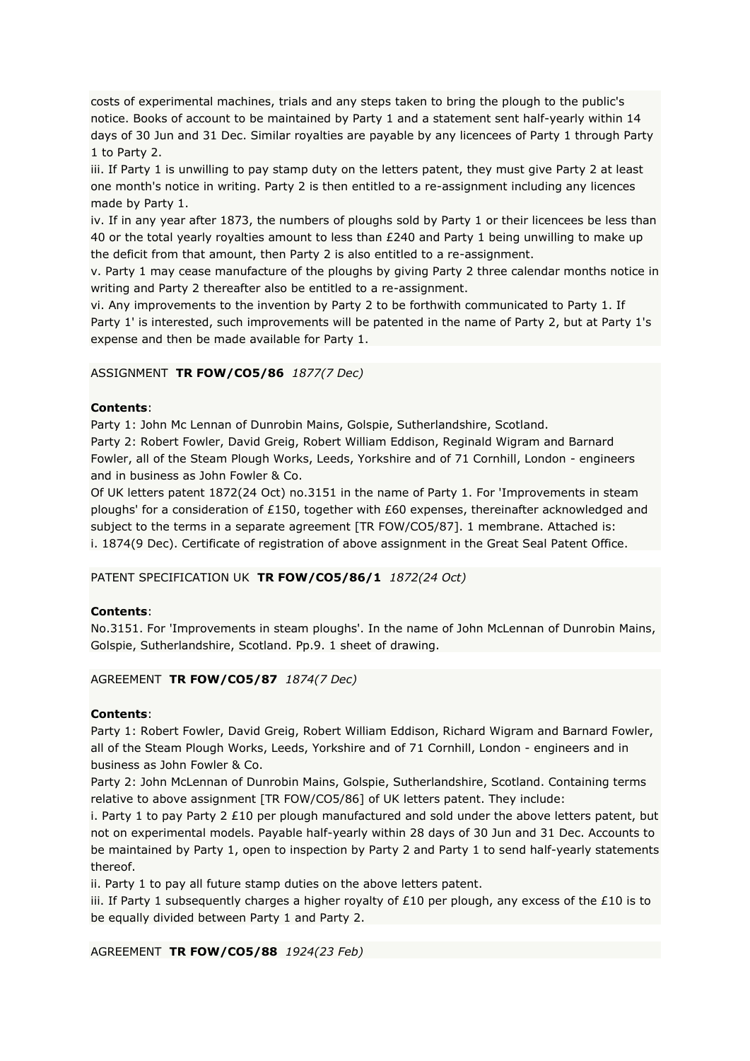costs of experimental machines, trials and any steps taken to bring the plough to the public's notice. Books of account to be maintained by Party 1 and a statement sent half-yearly within 14 days of 30 Jun and 31 Dec. Similar royalties are payable by any licencees of Party 1 through Party 1 to Party 2.

iii. If Party 1 is unwilling to pay stamp duty on the letters patent, they must give Party 2 at least one month's notice in writing. Party 2 is then entitled to a re-assignment including any licences made by Party 1.

iv. If in any year after 1873, the numbers of ploughs sold by Party 1 or their licencees be less than 40 or the total yearly royalties amount to less than £240 and Party 1 being unwilling to make up the deficit from that amount, then Party 2 is also entitled to a re-assignment.

v. Party 1 may cease manufacture of the ploughs by giving Party 2 three calendar months notice in writing and Party 2 thereafter also be entitled to a re-assignment.

vi. Any improvements to the invention by Party 2 to be forthwith communicated to Party 1. If Party 1' is interested, such improvements will be patented in the name of Party 2, but at Party 1's expense and then be made available for Party 1.

# ASSIGNMENT **TR FOW/CO5/86** *1877(7 Dec)*

### **Contents**:

Party 1: John Mc Lennan of Dunrobin Mains, Golspie, Sutherlandshire, Scotland.

Party 2: Robert Fowler, David Greig, Robert William Eddison, Reginald Wigram and Barnard Fowler, all of the Steam Plough Works, Leeds, Yorkshire and of 71 Cornhill, London - engineers and in business as John Fowler & Co.

Of UK letters patent 1872(24 Oct) no.3151 in the name of Party 1. For 'Improvements in steam ploughs' for a consideration of £150, together with £60 expenses, thereinafter acknowledged and subject to the terms in a separate agreement [TR FOW/CO5/87]. 1 membrane. Attached is: i. 1874(9 Dec). Certificate of registration of above assignment in the Great Seal Patent Office.

### PATENT SPECIFICATION UK **TR FOW/CO5/86/1** *1872(24 Oct)*

### **Contents**:

No.3151. For 'Improvements in steam ploughs'. In the name of John McLennan of Dunrobin Mains, Golspie, Sutherlandshire, Scotland. Pp.9. 1 sheet of drawing.

### AGREEMENT **TR FOW/CO5/87** *1874(7 Dec)*

### **Contents**:

Party 1: Robert Fowler, David Greig, Robert William Eddison, Richard Wigram and Barnard Fowler, all of the Steam Plough Works, Leeds, Yorkshire and of 71 Cornhill, London - engineers and in business as John Fowler & Co.

Party 2: John McLennan of Dunrobin Mains, Golspie, Sutherlandshire, Scotland. Containing terms relative to above assignment [TR FOW/CO5/86] of UK letters patent. They include:

i. Party 1 to pay Party 2 £10 per plough manufactured and sold under the above letters patent, but not on experimental models. Payable half-yearly within 28 days of 30 Jun and 31 Dec. Accounts to be maintained by Party 1, open to inspection by Party 2 and Party 1 to send half-yearly statements thereof.

ii. Party 1 to pay all future stamp duties on the above letters patent.

iii. If Party 1 subsequently charges a higher royalty of £10 per plough, any excess of the £10 is to be equally divided between Party 1 and Party 2.

AGREEMENT **TR FOW/CO5/88** *1924(23 Feb)*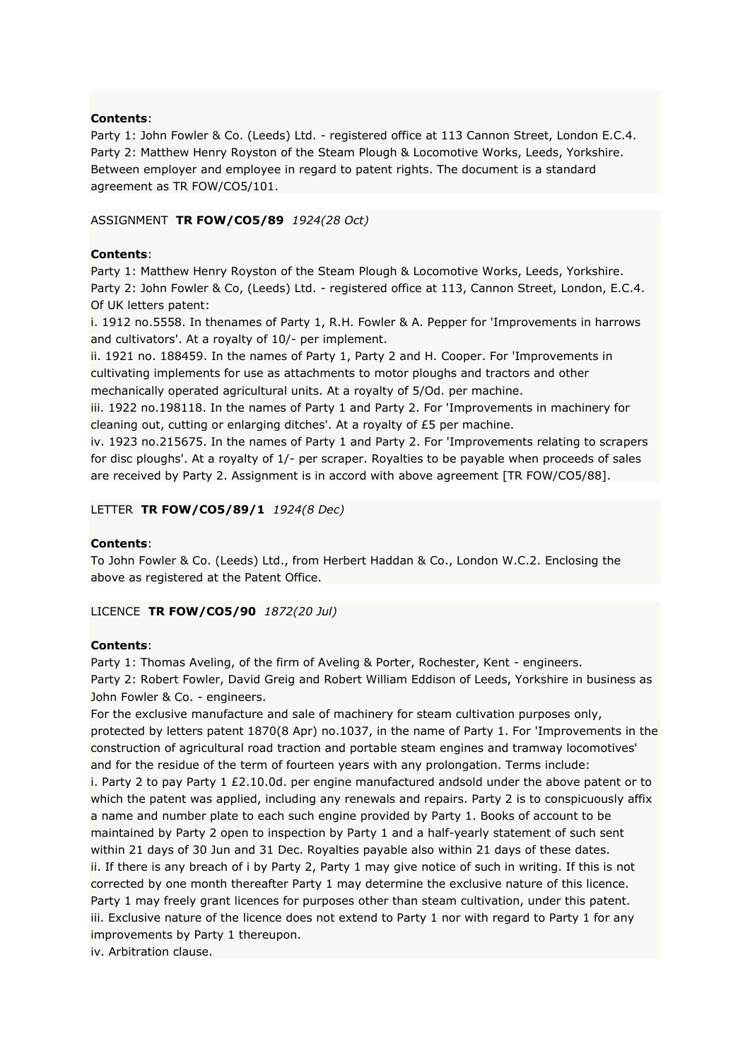### **Contents**:

Party 1: John Fowler & Co. (Leeds) Ltd. - registered office at 113 Cannon Street, London E.C.4. Party 2: Matthew Henry Royston of the Steam Plough & Locomotive Works, Leeds, Yorkshire. Between employer and employee in regard to patent rights. The document is a standard agreement as TR FOW/CO5/101.

### ASSIGNMENT **TR FOW/CO5/89** *1924(28 Oct)*

### **Contents**:

Party 1: Matthew Henry Royston of the Steam Plough & Locomotive Works, Leeds, Yorkshire. Party 2: John Fowler & Co, (Leeds) Ltd. - registered office at 113, Cannon Street, London, E.C.4. Of UK letters patent:

i. 1912 no.5558. In thenames of Party 1, R.H. Fowler & A. Pepper for 'Improvements in harrows and cultivators'. At a royalty of 10/- per implement.

ii. 1921 no. 188459. In the names of Party 1, Party 2 and H. Cooper. For 'Improvements in cultivating implements for use as attachments to motor ploughs and tractors and other mechanically operated agricultural units. At a royalty of 5/Od. per machine.

iii. 1922 no.198118. In the names of Party 1 and Party 2. For 'Improvements in machinery for cleaning out, cutting or enlarging ditches'. At a royalty of £5 per machine.

iv. 1923 no.215675. In the names of Party 1 and Party 2. For 'Improvements relating to scrapers for disc ploughs'. At a royalty of 1/- per scraper. Royalties to be payable when proceeds of sales are received by Party 2. Assignment is in accord with above agreement [TR FOW/CO5/88].

### LETTER **TR FOW/CO5/89/1** *1924(8 Dec)*

### **Contents**:

To John Fowler & Co. (Leeds) Ltd., from Herbert Haddan & Co., London W.C.2. Enclosing the above as registered at the Patent Office.

LICENCE **TR FOW/CO5/90** *1872(20 Jul)*

### **Contents**:

Party 1: Thomas Aveling, of the firm of Aveling & Porter, Rochester, Kent - engineers. Party 2: Robert Fowler, David Greig and Robert William Eddison of Leeds, Yorkshire in business as John Fowler & Co. - engineers.

For the exclusive manufacture and sale of machinery for steam cultivation purposes only, protected by letters patent 1870(8 Apr) no.1037, in the name of Party 1. For 'Improvements in the construction of agricultural road traction and portable steam engines and tramway locomotives' and for the residue of the term of fourteen years with any prolongation. Terms include: i. Party 2 to pay Party  $1 \, \text{E2.10.0d}$ , per engine manufactured andsold under the above patent or to which the patent was applied, including any renewals and repairs. Party 2 is to conspicuously affix a name and number plate to each such engine provided by Party 1. Books of account to be maintained by Party 2 open to inspection by Party 1 and a half-yearly statement of such sent within 21 days of 30 Jun and 31 Dec. Royalties payable also within 21 days of these dates. ii. If there is any breach of i by Party 2, Party 1 may give notice of such in writing. If this is not corrected by one month thereafter Party 1 may determine the exclusive nature of this licence. Party 1 may freely grant licences for purposes other than steam cultivation, under this patent. iii. Exclusive nature of the licence does not extend to Party 1 nor with regard to Party 1 for any improvements by Party 1 thereupon.

iv. Arbitration clause.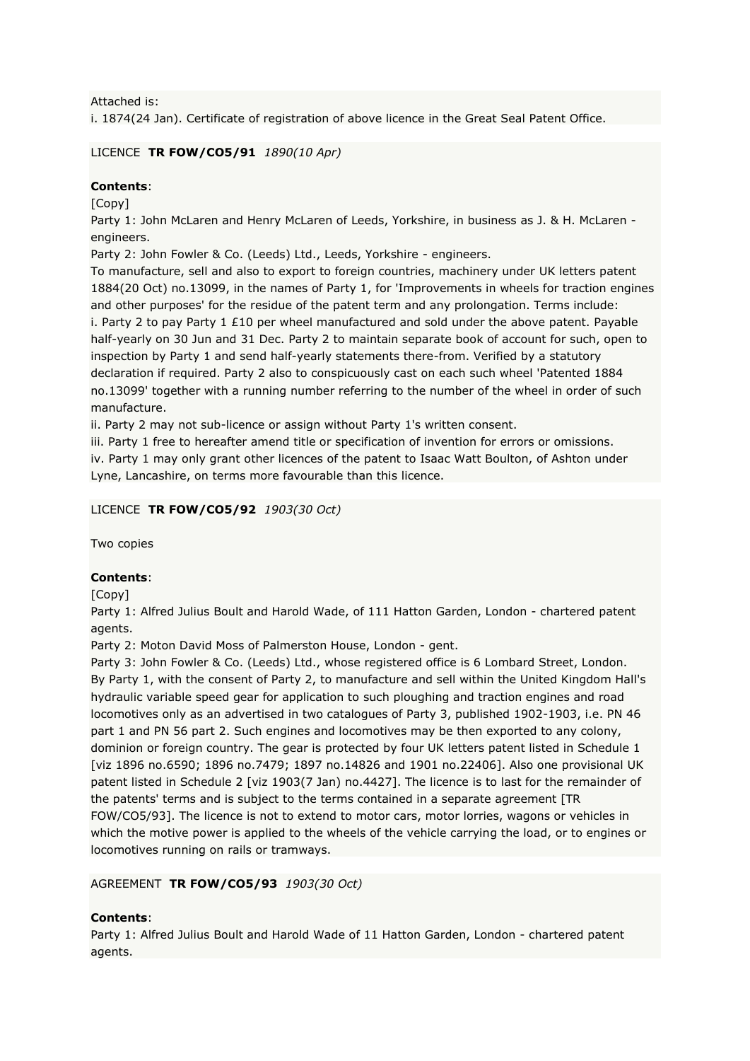Attached is:

i. 1874(24 Jan). Certificate of registration of above licence in the Great Seal Patent Office.

# LICENCE **TR FOW/CO5/91** *1890(10 Apr)*

# **Contents**:

[Copy]

Party 1: John McLaren and Henry McLaren of Leeds, Yorkshire, in business as J. & H. McLaren engineers.

Party 2: John Fowler & Co. (Leeds) Ltd., Leeds, Yorkshire - engineers.

To manufacture, sell and also to export to foreign countries, machinery under UK letters patent 1884(20 Oct) no.13099, in the names of Party 1, for 'Improvements in wheels for traction engines and other purposes' for the residue of the patent term and any prolongation. Terms include: i. Party 2 to pay Party  $1 \, \text{E10}$  per wheel manufactured and sold under the above patent. Payable half-yearly on 30 Jun and 31 Dec. Party 2 to maintain separate book of account for such, open to inspection by Party 1 and send half-yearly statements there-from. Verified by a statutory declaration if required. Party 2 also to conspicuously cast on each such wheel 'Patented 1884 no.13099' together with a running number referring to the number of the wheel in order of such manufacture.

ii. Party 2 may not sub-licence or assign without Party 1's written consent.

iii. Party 1 free to hereafter amend title or specification of invention for errors or omissions. iv. Party 1 may only grant other licences of the patent to Isaac Watt Boulton, of Ashton under Lyne, Lancashire, on terms more favourable than this licence.

LICENCE **TR FOW/CO5/92** *1903(30 Oct)*

Two copies

# **Contents**:

[Copy]

Party 1: Alfred Julius Boult and Harold Wade, of 111 Hatton Garden, London - chartered patent agents.

Party 2: Moton David Moss of Palmerston House, London - gent.

Party 3: John Fowler & Co. (Leeds) Ltd., whose registered office is 6 Lombard Street, London. By Party 1, with the consent of Party 2, to manufacture and sell within the United Kingdom Hall's hydraulic variable speed gear for application to such ploughing and traction engines and road locomotives only as an advertised in two catalogues of Party 3, published 1902-1903, i.e. PN 46 part 1 and PN 56 part 2. Such engines and locomotives may be then exported to any colony, dominion or foreign country. The gear is protected by four UK letters patent listed in Schedule 1 [viz 1896 no.6590; 1896 no.7479; 1897 no.14826 and 1901 no.22406]. Also one provisional UK patent listed in Schedule 2 [viz 1903(7 Jan) no.4427]. The licence is to last for the remainder of the patents' terms and is subject to the terms contained in a separate agreement [TR FOW/CO5/93]. The licence is not to extend to motor cars, motor lorries, wagons or vehicles in which the motive power is applied to the wheels of the vehicle carrying the load, or to engines or locomotives running on rails or tramways.

# AGREEMENT **TR FOW/CO5/93** *1903(30 Oct)*

# **Contents**:

Party 1: Alfred Julius Boult and Harold Wade of 11 Hatton Garden, London - chartered patent agents.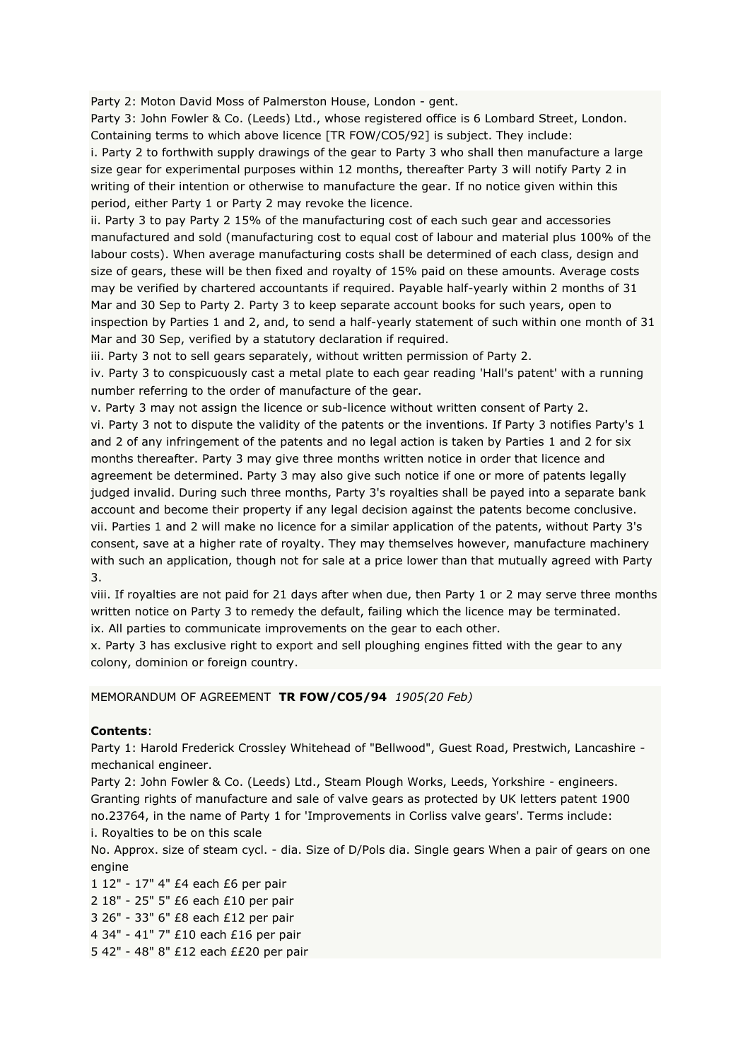Party 2: Moton David Moss of Palmerston House, London - gent.

Party 3: John Fowler & Co. (Leeds) Ltd., whose registered office is 6 Lombard Street, London. Containing terms to which above licence [TR FOW/CO5/92] is subject. They include:

i. Party 2 to forthwith supply drawings of the gear to Party 3 who shall then manufacture a large size gear for experimental purposes within 12 months, thereafter Party 3 will notify Party 2 in writing of their intention or otherwise to manufacture the gear. If no notice given within this period, either Party 1 or Party 2 may revoke the licence.

ii. Party 3 to pay Party 2 15% of the manufacturing cost of each such gear and accessories manufactured and sold (manufacturing cost to equal cost of labour and material plus 100% of the labour costs). When average manufacturing costs shall be determined of each class, design and size of gears, these will be then fixed and royalty of 15% paid on these amounts. Average costs may be verified by chartered accountants if required. Payable half-yearly within 2 months of 31 Mar and 30 Sep to Party 2. Party 3 to keep separate account books for such years, open to inspection by Parties 1 and 2, and, to send a half-yearly statement of such within one month of 31 Mar and 30 Sep, verified by a statutory declaration if required.

iii. Party 3 not to sell gears separately, without written permission of Party 2.

iv. Party 3 to conspicuously cast a metal plate to each gear reading 'Hall's patent' with a running number referring to the order of manufacture of the gear.

v. Party 3 may not assign the licence or sub-licence without written consent of Party 2. vi. Party 3 not to dispute the validity of the patents or the inventions. If Party 3 notifies Party's 1 and 2 of any infringement of the patents and no legal action is taken by Parties 1 and 2 for six months thereafter. Party 3 may give three months written notice in order that licence and agreement be determined. Party 3 may also give such notice if one or more of patents legally judged invalid. During such three months, Party 3's royalties shall be payed into a separate bank account and become their property if any legal decision against the patents become conclusive. vii. Parties 1 and 2 will make no licence for a similar application of the patents, without Party 3's consent, save at a higher rate of royalty. They may themselves however, manufacture machinery with such an application, though not for sale at a price lower than that mutually agreed with Party 3.

viii. If royalties are not paid for 21 days after when due, then Party 1 or 2 may serve three months written notice on Party 3 to remedy the default, failing which the licence may be terminated. ix. All parties to communicate improvements on the gear to each other.

x. Party 3 has exclusive right to export and sell ploughing engines fitted with the gear to any colony, dominion or foreign country.

### MEMORANDUM OF AGREEMENT **TR FOW/CO5/94** *1905(20 Feb)*

### **Contents**:

Party 1: Harold Frederick Crossley Whitehead of "Bellwood", Guest Road, Prestwich, Lancashire mechanical engineer.

Party 2: John Fowler & Co. (Leeds) Ltd., Steam Plough Works, Leeds, Yorkshire - engineers. Granting rights of manufacture and sale of valve gears as protected by UK letters patent 1900 no.23764, in the name of Party 1 for 'Improvements in Corliss valve gears'. Terms include:

i. Royalties to be on this scale

No. Approx. size of steam cycl. - dia. Size of D/Pols dia. Single gears When a pair of gears on one engine

1 12" - 17" 4" £4 each £6 per pair 2 18" - 25" 5" £6 each £10 per pair 3 26" - 33" 6" £8 each £12 per pair 4 34" - 41" 7" £10 each £16 per pair 5 42" - 48" 8" £12 each ££20 per pair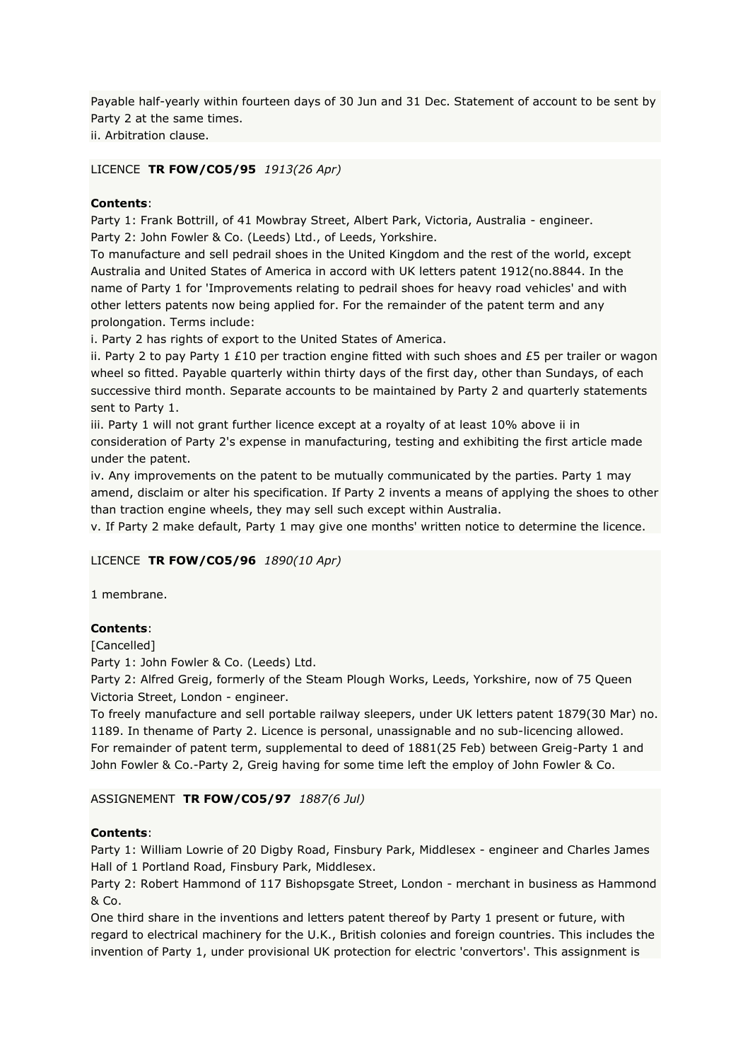Payable half-yearly within fourteen days of 30 Jun and 31 Dec. Statement of account to be sent by Party 2 at the same times.

ii. Arbitration clause.

# LICENCE **TR FOW/CO5/95** *1913(26 Apr)*

# **Contents**:

Party 1: Frank Bottrill, of 41 Mowbray Street, Albert Park, Victoria, Australia - engineer. Party 2: John Fowler & Co. (Leeds) Ltd., of Leeds, Yorkshire.

To manufacture and sell pedrail shoes in the United Kingdom and the rest of the world, except Australia and United States of America in accord with UK letters patent 1912(no.8844. In the name of Party 1 for 'Improvements relating to pedrail shoes for heavy road vehicles' and with other letters patents now being applied for. For the remainder of the patent term and any prolongation. Terms include:

i. Party 2 has rights of export to the United States of America.

ii. Party 2 to pay Party 1 £10 per traction engine fitted with such shoes and £5 per trailer or wagon wheel so fitted. Payable quarterly within thirty days of the first day, other than Sundays, of each successive third month. Separate accounts to be maintained by Party 2 and quarterly statements sent to Party 1.

iii. Party 1 will not grant further licence except at a royalty of at least 10% above ii in consideration of Party 2's expense in manufacturing, testing and exhibiting the first article made under the patent.

iv. Any improvements on the patent to be mutually communicated by the parties. Party 1 may amend, disclaim or alter his specification. If Party 2 invents a means of applying the shoes to other than traction engine wheels, they may sell such except within Australia.

v. If Party 2 make default, Party 1 may give one months' written notice to determine the licence.

### LICENCE **TR FOW/CO5/96** *1890(10 Apr)*

1 membrane.

# **Contents**:

[Cancelled]

Party 1: John Fowler & Co. (Leeds) Ltd.

Party 2: Alfred Greig, formerly of the Steam Plough Works, Leeds, Yorkshire, now of 75 Queen Victoria Street, London - engineer.

To freely manufacture and sell portable railway sleepers, under UK letters patent 1879(30 Mar) no. 1189. In thename of Party 2. Licence is personal, unassignable and no sub-licencing allowed. For remainder of patent term, supplemental to deed of 1881(25 Feb) between Greig-Party 1 and John Fowler & Co.-Party 2, Greig having for some time left the employ of John Fowler & Co.

# ASSIGNEMENT **TR FOW/CO5/97** *1887(6 Jul)*

### **Contents**:

Party 1: William Lowrie of 20 Digby Road, Finsbury Park, Middlesex - engineer and Charles James Hall of 1 Portland Road, Finsbury Park, Middlesex.

Party 2: Robert Hammond of 117 Bishopsgate Street, London - merchant in business as Hammond & Co.

One third share in the inventions and letters patent thereof by Party 1 present or future, with regard to electrical machinery for the U.K., British colonies and foreign countries. This includes the invention of Party 1, under provisional UK protection for electric 'convertors'. This assignment is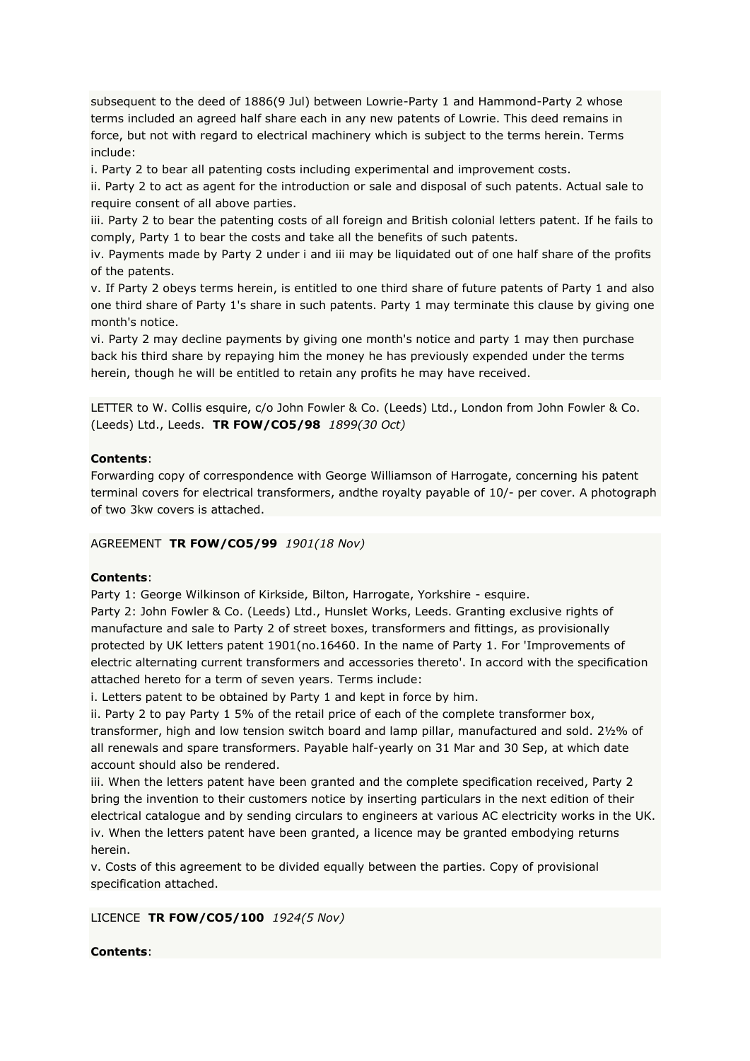subsequent to the deed of 1886(9 Jul) between Lowrie-Party 1 and Hammond-Party 2 whose terms included an agreed half share each in any new patents of Lowrie. This deed remains in force, but not with regard to electrical machinery which is subject to the terms herein. Terms include:

i. Party 2 to bear all patenting costs including experimental and improvement costs.

ii. Party 2 to act as agent for the introduction or sale and disposal of such patents. Actual sale to require consent of all above parties.

iii. Party 2 to bear the patenting costs of all foreign and British colonial letters patent. If he fails to comply, Party 1 to bear the costs and take all the benefits of such patents.

iv. Payments made by Party 2 under i and iii may be liquidated out of one half share of the profits of the patents.

v. If Party 2 obeys terms herein, is entitled to one third share of future patents of Party 1 and also one third share of Party 1's share in such patents. Party 1 may terminate this clause by giving one month's notice.

vi. Party 2 may decline payments by giving one month's notice and party 1 may then purchase back his third share by repaying him the money he has previously expended under the terms herein, though he will be entitled to retain any profits he may have received.

LETTER to W. Collis esquire, c/o John Fowler & Co. (Leeds) Ltd., London from John Fowler & Co. (Leeds) Ltd., Leeds. **TR FOW/CO5/98** *1899(30 Oct)*

### **Contents**:

Forwarding copy of correspondence with George Williamson of Harrogate, concerning his patent terminal covers for electrical transformers, andthe royalty payable of 10/- per cover. A photograph of two 3kw covers is attached.

### AGREEMENT **TR FOW/CO5/99** *1901(18 Nov)*

### **Contents**:

Party 1: George Wilkinson of Kirkside, Bilton, Harrogate, Yorkshire - esquire. Party 2: John Fowler & Co. (Leeds) Ltd., Hunslet Works, Leeds. Granting exclusive rights of manufacture and sale to Party 2 of street boxes, transformers and fittings, as provisionally protected by UK letters patent 1901(no.16460. In the name of Party 1. For 'Improvements of electric alternating current transformers and accessories thereto'. In accord with the specification attached hereto for a term of seven years. Terms include:

i. Letters patent to be obtained by Party 1 and kept in force by him.

ii. Party 2 to pay Party 1 5% of the retail price of each of the complete transformer box, transformer, high and low tension switch board and lamp pillar, manufactured and sold. 2½% of all renewals and spare transformers. Payable half-yearly on 31 Mar and 30 Sep, at which date account should also be rendered.

iii. When the letters patent have been granted and the complete specification received, Party 2 bring the invention to their customers notice by inserting particulars in the next edition of their electrical catalogue and by sending circulars to engineers at various AC electricity works in the UK. iv. When the letters patent have been granted, a licence may be granted embodying returns herein.

v. Costs of this agreement to be divided equally between the parties. Copy of provisional specification attached.

# LICENCE **TR FOW/CO5/100** *1924(5 Nov)*

# **Contents**: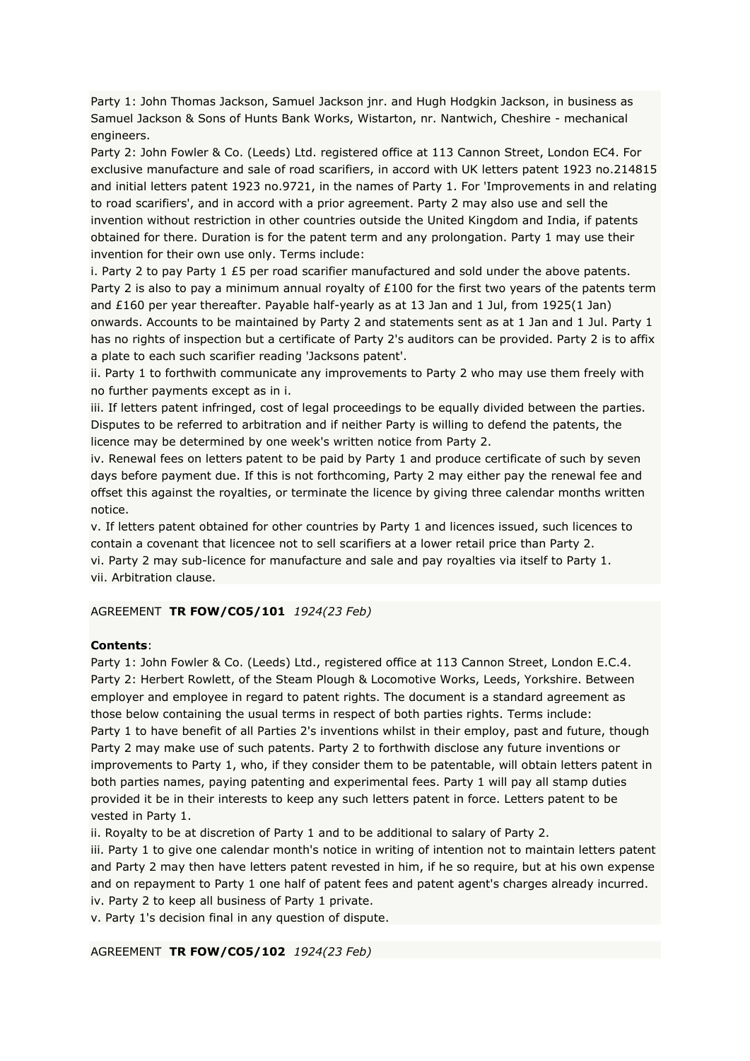Party 1: John Thomas Jackson, Samuel Jackson jnr. and Hugh Hodgkin Jackson, in business as Samuel Jackson & Sons of Hunts Bank Works, Wistarton, nr. Nantwich, Cheshire - mechanical engineers.

Party 2: John Fowler & Co. (Leeds) Ltd. registered office at 113 Cannon Street, London EC4. For exclusive manufacture and sale of road scarifiers, in accord with UK letters patent 1923 no.214815 and initial letters patent 1923 no.9721, in the names of Party 1. For 'Improvements in and relating to road scarifiers', and in accord with a prior agreement. Party 2 may also use and sell the invention without restriction in other countries outside the United Kingdom and India, if patents obtained for there. Duration is for the patent term and any prolongation. Party 1 may use their invention for their own use only. Terms include:

i. Party 2 to pay Party 1 £5 per road scarifier manufactured and sold under the above patents. Party 2 is also to pay a minimum annual royalty of  $£100$  for the first two years of the patents term and £160 per year thereafter. Payable half-yearly as at 13 Jan and 1 Jul, from 1925(1 Jan) onwards. Accounts to be maintained by Party 2 and statements sent as at 1 Jan and 1 Jul. Party 1 has no rights of inspection but a certificate of Party 2's auditors can be provided. Party 2 is to affix a plate to each such scarifier reading 'Jacksons patent'.

ii. Party 1 to forthwith communicate any improvements to Party 2 who may use them freely with no further payments except as in i.

iii. If letters patent infringed, cost of legal proceedings to be equally divided between the parties. Disputes to be referred to arbitration and if neither Party is willing to defend the patents, the licence may be determined by one week's written notice from Party 2.

iv. Renewal fees on letters patent to be paid by Party 1 and produce certificate of such by seven days before payment due. If this is not forthcoming, Party 2 may either pay the renewal fee and offset this against the royalties, or terminate the licence by giving three calendar months written notice.

v. If letters patent obtained for other countries by Party 1 and licences issued, such licences to contain a covenant that licencee not to sell scarifiers at a lower retail price than Party 2. vi. Party 2 may sub-licence for manufacture and sale and pay royalties via itself to Party 1. vii. Arbitration clause.

AGREEMENT **TR FOW/CO5/101** *1924(23 Feb)*

### **Contents**:

Party 1: John Fowler & Co. (Leeds) Ltd., registered office at 113 Cannon Street, London E.C.4. Party 2: Herbert Rowlett, of the Steam Plough & Locomotive Works, Leeds, Yorkshire. Between employer and employee in regard to patent rights. The document is a standard agreement as those below containing the usual terms in respect of both parties rights. Terms include: Party 1 to have benefit of all Parties 2's inventions whilst in their employ, past and future, though Party 2 may make use of such patents. Party 2 to forthwith disclose any future inventions or improvements to Party 1, who, if they consider them to be patentable, will obtain letters patent in both parties names, paying patenting and experimental fees. Party 1 will pay all stamp duties provided it be in their interests to keep any such letters patent in force. Letters patent to be vested in Party 1.

ii. Royalty to be at discretion of Party 1 and to be additional to salary of Party 2.

iii. Party 1 to give one calendar month's notice in writing of intention not to maintain letters patent and Party 2 may then have letters patent revested in him, if he so require, but at his own expense and on repayment to Party 1 one half of patent fees and patent agent's charges already incurred. iv. Party 2 to keep all business of Party 1 private.

v. Party 1's decision final in any question of dispute.

AGREEMENT **TR FOW/CO5/102** *1924(23 Feb)*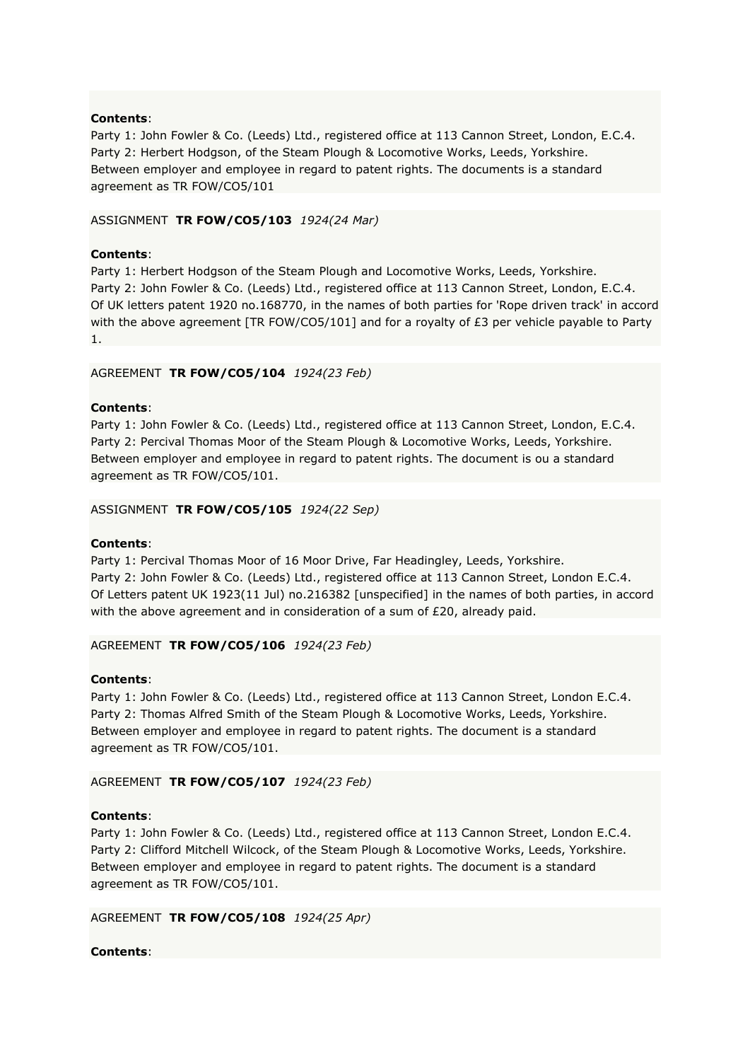Party 1: John Fowler & Co. (Leeds) Ltd., registered office at 113 Cannon Street, London, E.C.4. Party 2: Herbert Hodgson, of the Steam Plough & Locomotive Works, Leeds, Yorkshire. Between employer and employee in regard to patent rights. The documents is a standard agreement as TR FOW/CO5/101

# ASSIGNMENT **TR FOW/CO5/103** *1924(24 Mar)*

# **Contents**:

Party 1: Herbert Hodgson of the Steam Plough and Locomotive Works, Leeds, Yorkshire. Party 2: John Fowler & Co. (Leeds) Ltd., registered office at 113 Cannon Street, London, E.C.4. Of UK letters patent 1920 no.168770, in the names of both parties for 'Rope driven track' in accord with the above agreement [TR FOW/CO5/101] and for a royalty of £3 per vehicle payable to Party 1.

# AGREEMENT **TR FOW/CO5/104** *1924(23 Feb)*

### **Contents**:

Party 1: John Fowler & Co. (Leeds) Ltd., registered office at 113 Cannon Street, London, E.C.4. Party 2: Percival Thomas Moor of the Steam Plough & Locomotive Works, Leeds, Yorkshire. Between employer and employee in regard to patent rights. The document is ou a standard agreement as TR FOW/CO5/101.

### ASSIGNMENT **TR FOW/CO5/105** *1924(22 Sep)*

### **Contents**:

Party 1: Percival Thomas Moor of 16 Moor Drive, Far Headingley, Leeds, Yorkshire. Party 2: John Fowler & Co. (Leeds) Ltd., registered office at 113 Cannon Street, London E.C.4. Of Letters patent UK 1923(11 Jul) no.216382 [unspecified] in the names of both parties, in accord with the above agreement and in consideration of a sum of £20, already paid.

### AGREEMENT **TR FOW/CO5/106** *1924(23 Feb)*

### **Contents**:

Party 1: John Fowler & Co. (Leeds) Ltd., registered office at 113 Cannon Street, London E.C.4. Party 2: Thomas Alfred Smith of the Steam Plough & Locomotive Works, Leeds, Yorkshire. Between employer and employee in regard to patent rights. The document is a standard agreement as TR FOW/CO5/101.

## AGREEMENT **TR FOW/CO5/107** *1924(23 Feb)*

### **Contents**:

Party 1: John Fowler & Co. (Leeds) Ltd., registered office at 113 Cannon Street, London E.C.4. Party 2: Clifford Mitchell Wilcock, of the Steam Plough & Locomotive Works, Leeds, Yorkshire. Between employer and employee in regard to patent rights. The document is a standard agreement as TR FOW/CO5/101.

### AGREEMENT **TR FOW/CO5/108** *1924(25 Apr)*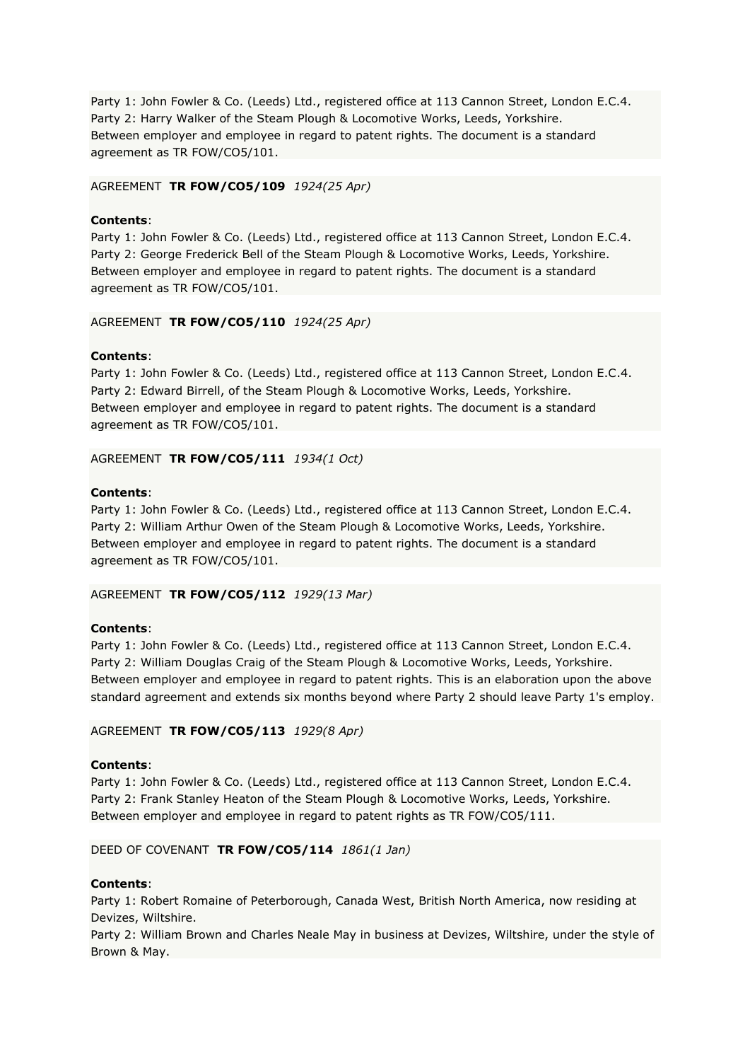Party 1: John Fowler & Co. (Leeds) Ltd., registered office at 113 Cannon Street, London E.C.4. Party 2: Harry Walker of the Steam Plough & Locomotive Works, Leeds, Yorkshire. Between employer and employee in regard to patent rights. The document is a standard agreement as TR FOW/CO5/101.

# AGREEMENT **TR FOW/CO5/109** *1924(25 Apr)*

# **Contents**:

Party 1: John Fowler & Co. (Leeds) Ltd., registered office at 113 Cannon Street, London E.C.4. Party 2: George Frederick Bell of the Steam Plough & Locomotive Works, Leeds, Yorkshire. Between employer and employee in regard to patent rights. The document is a standard agreement as TR FOW/CO5/101.

# AGREEMENT **TR FOW/CO5/110** *1924(25 Apr)*

# **Contents**:

Party 1: John Fowler & Co. (Leeds) Ltd., registered office at 113 Cannon Street, London E.C.4. Party 2: Edward Birrell, of the Steam Plough & Locomotive Works, Leeds, Yorkshire. Between employer and employee in regard to patent rights. The document is a standard agreement as TR FOW/CO5/101.

AGREEMENT **TR FOW/CO5/111** *1934(1 Oct)*

# **Contents**:

Party 1: John Fowler & Co. (Leeds) Ltd., registered office at 113 Cannon Street, London E.C.4. Party 2: William Arthur Owen of the Steam Plough & Locomotive Works, Leeds, Yorkshire. Between employer and employee in regard to patent rights. The document is a standard agreement as TR FOW/CO5/101.

# AGREEMENT **TR FOW/CO5/112** *1929(13 Mar)*

# **Contents**:

Party 1: John Fowler & Co. (Leeds) Ltd., registered office at 113 Cannon Street, London E.C.4. Party 2: William Douglas Craig of the Steam Plough & Locomotive Works, Leeds, Yorkshire. Between employer and employee in regard to patent rights. This is an elaboration upon the above standard agreement and extends six months beyond where Party 2 should leave Party 1's employ.

### AGREEMENT **TR FOW/CO5/113** *1929(8 Apr)*

### **Contents**:

Party 1: John Fowler & Co. (Leeds) Ltd., registered office at 113 Cannon Street, London E.C.4. Party 2: Frank Stanley Heaton of the Steam Plough & Locomotive Works, Leeds, Yorkshire. Between employer and employee in regard to patent rights as TR FOW/CO5/111.

### DEED OF COVENANT **TR FOW/CO5/114** *1861(1 Jan)*

# **Contents**:

Party 1: Robert Romaine of Peterborough, Canada West, British North America, now residing at Devizes, Wiltshire.

Party 2: William Brown and Charles Neale May in business at Devizes, Wiltshire, under the style of Brown & May.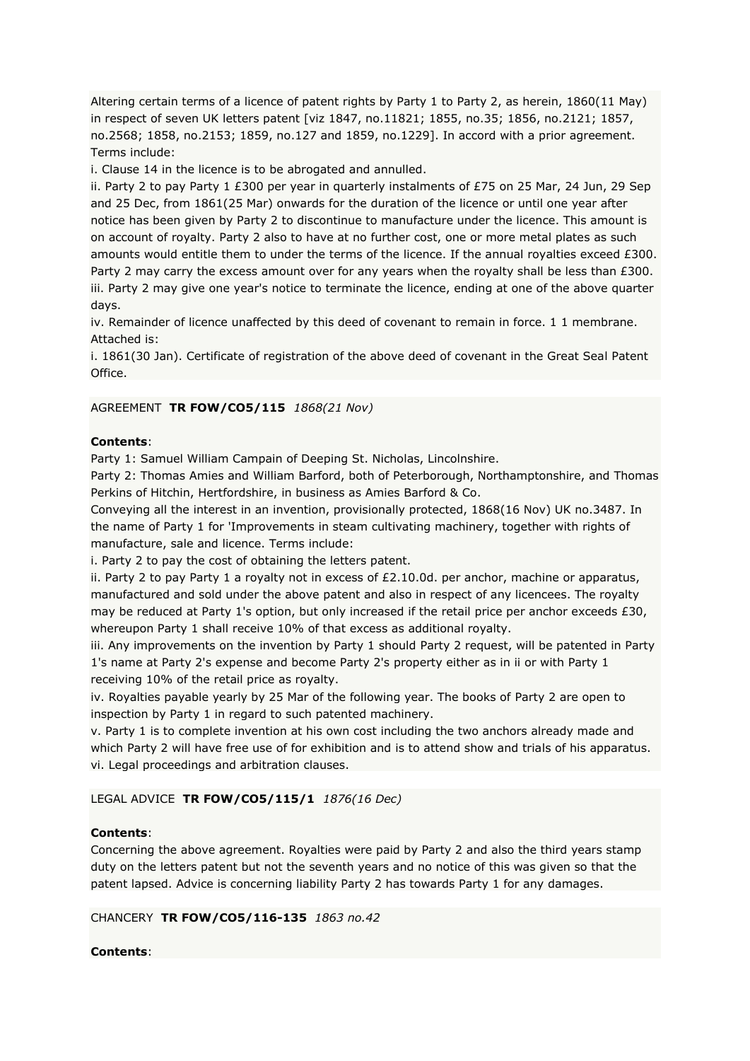Altering certain terms of a licence of patent rights by Party 1 to Party 2, as herein, 1860(11 May) in respect of seven UK letters patent [viz 1847, no.11821; 1855, no.35; 1856, no.2121; 1857, no.2568; 1858, no.2153; 1859, no.127 and 1859, no.1229]. In accord with a prior agreement. Terms include:

i. Clause 14 in the licence is to be abrogated and annulled.

ii. Party 2 to pay Party 1 £300 per year in quarterly instalments of £75 on 25 Mar, 24 Jun, 29 Sep and 25 Dec, from 1861(25 Mar) onwards for the duration of the licence or until one year after notice has been given by Party 2 to discontinue to manufacture under the licence. This amount is on account of royalty. Party 2 also to have at no further cost, one or more metal plates as such amounts would entitle them to under the terms of the licence. If the annual royalties exceed £300. Party 2 may carry the excess amount over for any years when the royalty shall be less than £300. iii. Party 2 may give one year's notice to terminate the licence, ending at one of the above quarter days.

iv. Remainder of licence unaffected by this deed of covenant to remain in force. 1 1 membrane. Attached is:

i. 1861(30 Jan). Certificate of registration of the above deed of covenant in the Great Seal Patent Office.

# AGREEMENT **TR FOW/CO5/115** *1868(21 Nov)*

# **Contents**:

Party 1: Samuel William Campain of Deeping St. Nicholas, Lincolnshire.

Party 2: Thomas Amies and William Barford, both of Peterborough, Northamptonshire, and Thomas Perkins of Hitchin, Hertfordshire, in business as Amies Barford & Co.

Conveying all the interest in an invention, provisionally protected, 1868(16 Nov) UK no.3487. In the name of Party 1 for 'Improvements in steam cultivating machinery, together with rights of manufacture, sale and licence. Terms include:

i. Party 2 to pay the cost of obtaining the letters patent.

ii. Party 2 to pay Party 1 a royalty not in excess of  $£2.10.0d$ . per anchor, machine or apparatus, manufactured and sold under the above patent and also in respect of any licencees. The royalty may be reduced at Party 1's option, but only increased if the retail price per anchor exceeds £30, whereupon Party 1 shall receive 10% of that excess as additional royalty.

iii. Any improvements on the invention by Party 1 should Party 2 request, will be patented in Party 1's name at Party 2's expense and become Party 2's property either as in ii or with Party 1 receiving 10% of the retail price as royalty.

iv. Royalties payable yearly by 25 Mar of the following year. The books of Party 2 are open to inspection by Party 1 in regard to such patented machinery.

v. Party 1 is to complete invention at his own cost including the two anchors already made and which Party 2 will have free use of for exhibition and is to attend show and trials of his apparatus. vi. Legal proceedings and arbitration clauses.

LEGAL ADVICE **TR FOW/CO5/115/1** *1876(16 Dec)*

# **Contents**:

Concerning the above agreement. Royalties were paid by Party 2 and also the third years stamp duty on the letters patent but not the seventh years and no notice of this was given so that the patent lapsed. Advice is concerning liability Party 2 has towards Party 1 for any damages.

### CHANCERY **TR FOW/CO5/116-135** *1863 no.42*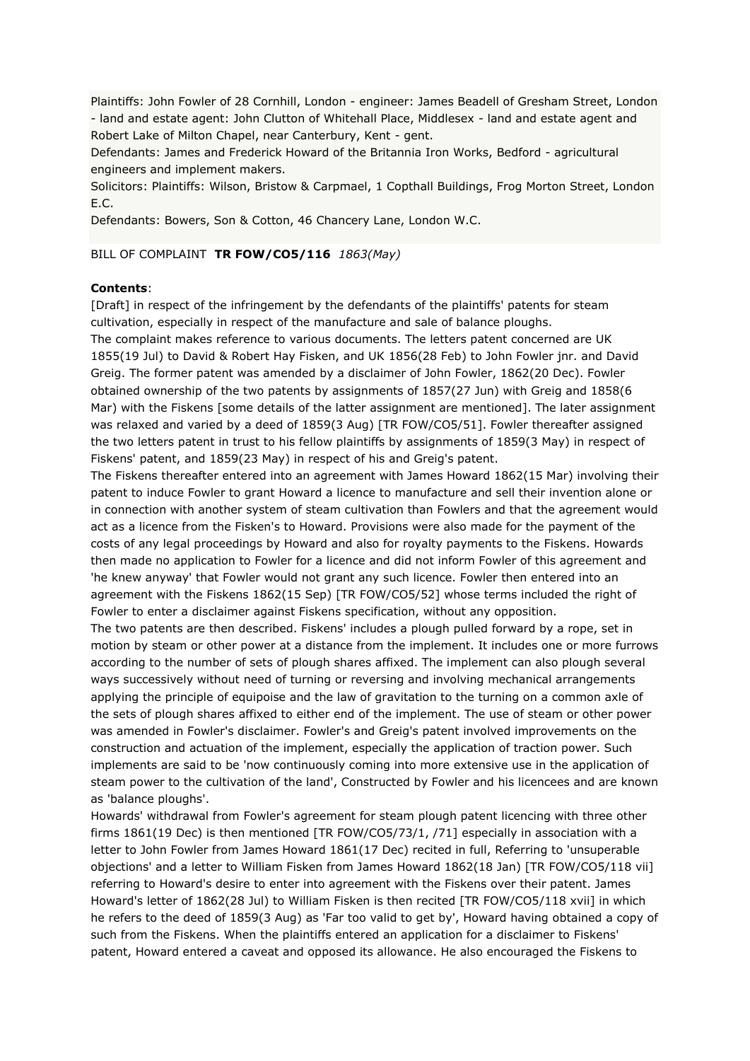Plaintiffs: John Fowler of 28 Cornhill, London - engineer: James Beadell of Gresham Street, London - land and estate agent: John Clutton of Whitehall Place, Middlesex - land and estate agent and Robert Lake of Milton Chapel, near Canterbury, Kent - gent.

Defendants: James and Frederick Howard of the Britannia Iron Works, Bedford - agricultural engineers and implement makers.

Solicitors: Plaintiffs: Wilson, Bristow & Carpmael, 1 Copthall Buildings, Frog Morton Street, London E.C.

Defendants: Bowers, Son & Cotton, 46 Chancery Lane, London W.C.

### BILL OF COMPLAINT **TR FOW/CO5/116** *1863(May)*

#### **Contents**:

[Draft] in respect of the infringement by the defendants of the plaintiffs' patents for steam cultivation, especially in respect of the manufacture and sale of balance ploughs.

The complaint makes reference to various documents. The letters patent concerned are UK 1855(19 Jul) to David & Robert Hay Fisken, and UK 1856(28 Feb) to John Fowler jnr. and David Greig. The former patent was amended by a disclaimer of John Fowler, 1862(20 Dec). Fowler obtained ownership of the two patents by assignments of 1857(27 Jun) with Greig and 1858(6 Mar) with the Fiskens [some details of the latter assignment are mentioned]. The later assignment was relaxed and varied by a deed of 1859(3 Aug) [TR FOW/CO5/51]. Fowler thereafter assigned the two letters patent in trust to his fellow plaintiffs by assignments of 1859(3 May) in respect of Fiskens' patent, and 1859(23 May) in respect of his and Greig's patent.

The Fiskens thereafter entered into an agreement with James Howard 1862(15 Mar) involving their patent to induce Fowler to grant Howard a licence to manufacture and sell their invention alone or in connection with another system of steam cultivation than Fowlers and that the agreement would act as a licence from the Fisken's to Howard. Provisions were also made for the payment of the costs of any legal proceedings by Howard and also for royalty payments to the Fiskens. Howards then made no application to Fowler for a licence and did not inform Fowler of this agreement and 'he knew anyway' that Fowler would not grant any such licence. Fowler then entered into an agreement with the Fiskens 1862(15 Sep) [TR FOW/CO5/52] whose terms included the right of Fowler to enter a disclaimer against Fiskens specification, without any opposition.

The two patents are then described. Fiskens' includes a plough pulled forward by a rope, set in motion by steam or other power at a distance from the implement. It includes one or more furrows according to the number of sets of plough shares affixed. The implement can also plough several ways successively without need of turning or reversing and involving mechanical arrangements applying the principle of equipoise and the law of gravitation to the turning on a common axle of the sets of plough shares affixed to either end of the implement. The use of steam or other power was amended in Fowler's disclaimer. Fowler's and Greig's patent involved improvements on the construction and actuation of the implement, especially the application of traction power. Such implements are said to be 'now continuously coming into more extensive use in the application of steam power to the cultivation of the land', Constructed by Fowler and his licencees and are known as 'balance ploughs'.

Howards' withdrawal from Fowler's agreement for steam plough patent licencing with three other firms 1861(19 Dec) is then mentioned [TR FOW/CO5/73/1, /71] especially in association with a letter to John Fowler from James Howard 1861(17 Dec) recited in full, Referring to 'unsuperable objections' and a letter to William Fisken from James Howard 1862(18 Jan) [TR FOW/CO5/118 vii] referring to Howard's desire to enter into agreement with the Fiskens over their patent. James Howard's letter of 1862(28 Jul) to William Fisken is then recited [TR FOW/CO5/118 xvii] in which he refers to the deed of 1859(3 Aug) as 'Far too valid to get by', Howard having obtained a copy of such from the Fiskens. When the plaintiffs entered an application for a disclaimer to Fiskens' patent, Howard entered a caveat and opposed its allowance. He also encouraged the Fiskens to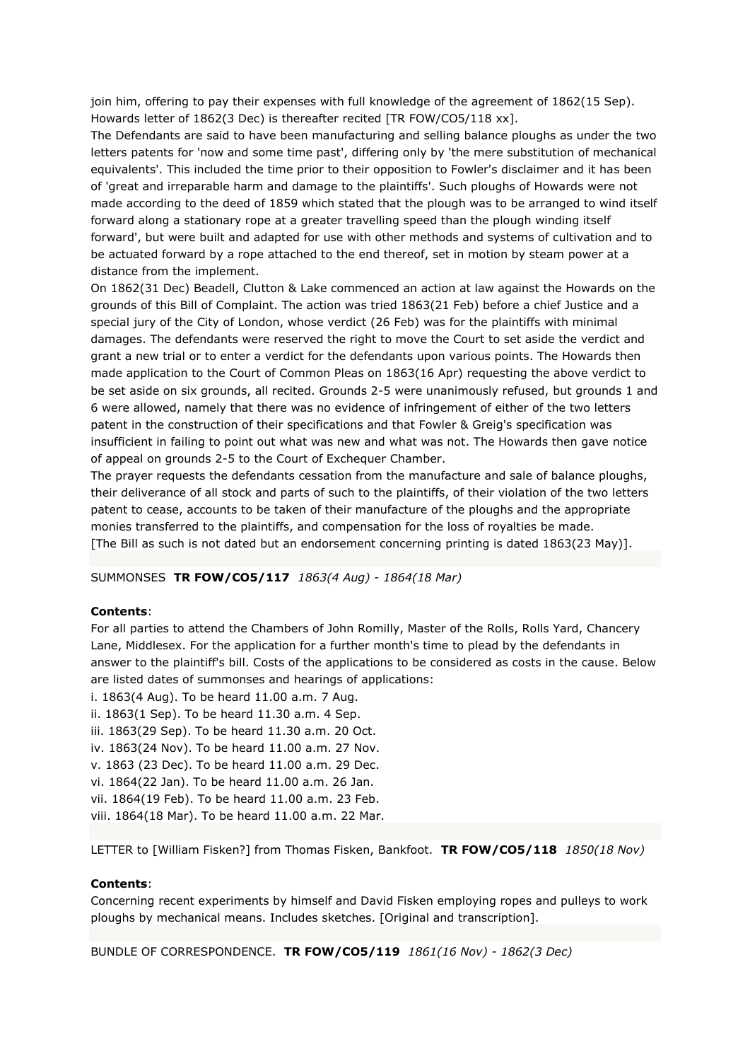join him, offering to pay their expenses with full knowledge of the agreement of 1862(15 Sep). Howards letter of 1862(3 Dec) is thereafter recited [TR FOW/CO5/118 xx].

The Defendants are said to have been manufacturing and selling balance ploughs as under the two letters patents for 'now and some time past', differing only by 'the mere substitution of mechanical equivalents'. This included the time prior to their opposition to Fowler's disclaimer and it has been of 'great and irreparable harm and damage to the plaintiffs'. Such ploughs of Howards were not made according to the deed of 1859 which stated that the plough was to be arranged to wind itself forward along a stationary rope at a greater travelling speed than the plough winding itself forward', but were built and adapted for use with other methods and systems of cultivation and to be actuated forward by a rope attached to the end thereof, set in motion by steam power at a distance from the implement.

On 1862(31 Dec) Beadell, Clutton & Lake commenced an action at law against the Howards on the grounds of this Bill of Complaint. The action was tried 1863(21 Feb) before a chief Justice and a special jury of the City of London, whose verdict (26 Feb) was for the plaintiffs with minimal damages. The defendants were reserved the right to move the Court to set aside the verdict and grant a new trial or to enter a verdict for the defendants upon various points. The Howards then made application to the Court of Common Pleas on 1863(16 Apr) requesting the above verdict to be set aside on six grounds, all recited. Grounds 2-5 were unanimously refused, but grounds 1 and 6 were allowed, namely that there was no evidence of infringement of either of the two letters patent in the construction of their specifications and that Fowler & Greig's specification was insufficient in failing to point out what was new and what was not. The Howards then gave notice of appeal on grounds 2-5 to the Court of Exchequer Chamber.

The prayer requests the defendants cessation from the manufacture and sale of balance ploughs, their deliverance of all stock and parts of such to the plaintiffs, of their violation of the two letters patent to cease, accounts to be taken of their manufacture of the ploughs and the appropriate monies transferred to the plaintiffs, and compensation for the loss of royalties be made. [The Bill as such is not dated but an endorsement concerning printing is dated 1863(23 May)].

SUMMONSES **TR FOW/CO5/117** *1863(4 Aug) - 1864(18 Mar)*

### **Contents**:

For all parties to attend the Chambers of John Romilly, Master of the Rolls, Rolls Yard, Chancery Lane, Middlesex. For the application for a further month's time to plead by the defendants in answer to the plaintiff's bill. Costs of the applications to be considered as costs in the cause. Below are listed dates of summonses and hearings of applications:

- i. 1863(4 Aug). To be heard 11.00 a.m. 7 Aug.
- ii. 1863(1 Sep). To be heard 11.30 a.m. 4 Sep.
- iii. 1863(29 Sep). To be heard 11.30 a.m. 20 Oct.
- iv. 1863(24 Nov). To be heard 11.00 a.m. 27 Nov.
- v. 1863 (23 Dec). To be heard 11.00 a.m. 29 Dec.
- vi. 1864(22 Jan). To be heard 11.00 a.m. 26 Jan.
- vii. 1864(19 Feb). To be heard 11.00 a.m. 23 Feb.
- viii. 1864(18 Mar). To be heard 11.00 a.m. 22 Mar.

LETTER to [William Fisken?] from Thomas Fisken, Bankfoot. **TR FOW/CO5/118** *1850(18 Nov)*

#### **Contents**:

Concerning recent experiments by himself and David Fisken employing ropes and pulleys to work ploughs by mechanical means. Includes sketches. [Original and transcription].

BUNDLE OF CORRESPONDENCE. **TR FOW/CO5/119** *1861(16 Nov) - 1862(3 Dec)*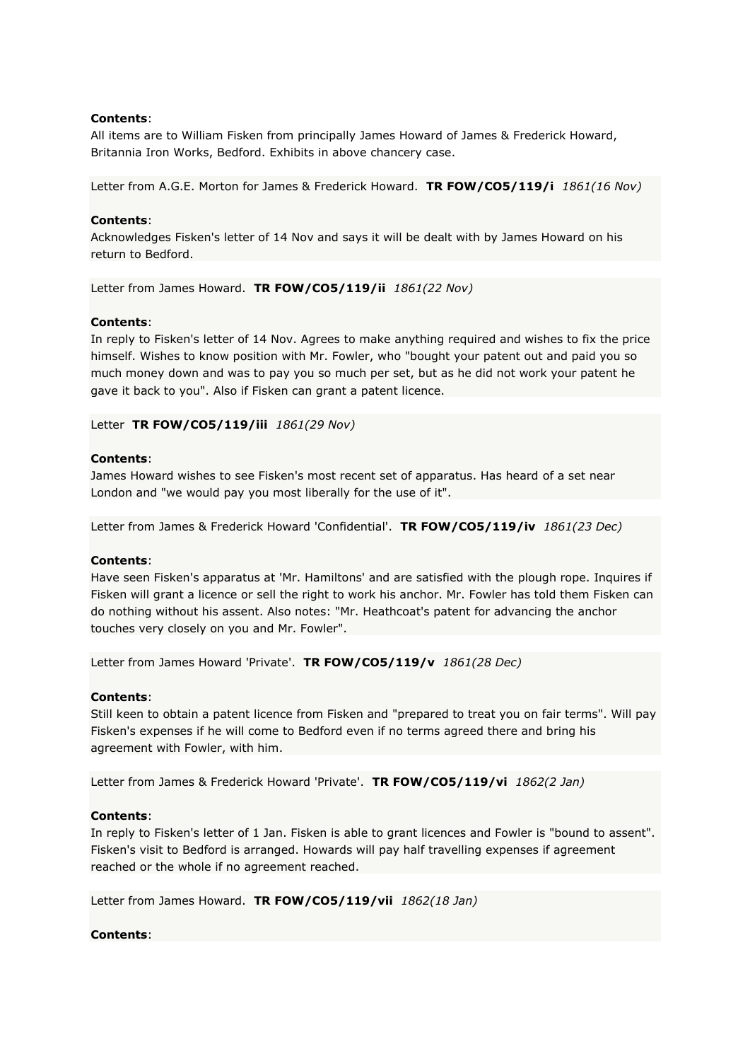All items are to William Fisken from principally James Howard of James & Frederick Howard, Britannia Iron Works, Bedford. Exhibits in above chancery case.

Letter from A.G.E. Morton for James & Frederick Howard. **TR FOW/CO5/119/i** *1861(16 Nov)*

# **Contents**:

Acknowledges Fisken's letter of 14 Nov and says it will be dealt with by James Howard on his return to Bedford.

Letter from James Howard. **TR FOW/CO5/119/ii** *1861(22 Nov)*

### **Contents**:

In reply to Fisken's letter of 14 Nov. Agrees to make anything required and wishes to fix the price himself. Wishes to know position with Mr. Fowler, who "bought your patent out and paid you so much money down and was to pay you so much per set, but as he did not work your patent he gave it back to you". Also if Fisken can grant a patent licence.

Letter **TR FOW/CO5/119/iii** *1861(29 Nov)*

### **Contents**:

James Howard wishes to see Fisken's most recent set of apparatus. Has heard of a set near London and "we would pay you most liberally for the use of it".

Letter from James & Frederick Howard 'Confidential'. **TR FOW/CO5/119/iv** *1861(23 Dec)*

### **Contents**:

Have seen Fisken's apparatus at 'Mr. Hamiltons' and are satisfied with the plough rope. Inquires if Fisken will grant a licence or sell the right to work his anchor. Mr. Fowler has told them Fisken can do nothing without his assent. Also notes: "Mr. Heathcoat's patent for advancing the anchor touches very closely on you and Mr. Fowler".

Letter from James Howard 'Private'. **TR FOW/CO5/119/v** *1861(28 Dec)*

### **Contents**:

Still keen to obtain a patent licence from Fisken and "prepared to treat you on fair terms". Will pay Fisken's expenses if he will come to Bedford even if no terms agreed there and bring his agreement with Fowler, with him.

Letter from James & Frederick Howard 'Private'. **TR FOW/CO5/119/vi** *1862(2 Jan)*

# **Contents**:

In reply to Fisken's letter of 1 Jan. Fisken is able to grant licences and Fowler is "bound to assent". Fisken's visit to Bedford is arranged. Howards will pay half travelling expenses if agreement reached or the whole if no agreement reached.

Letter from James Howard. **TR FOW/CO5/119/vii** *1862(18 Jan)*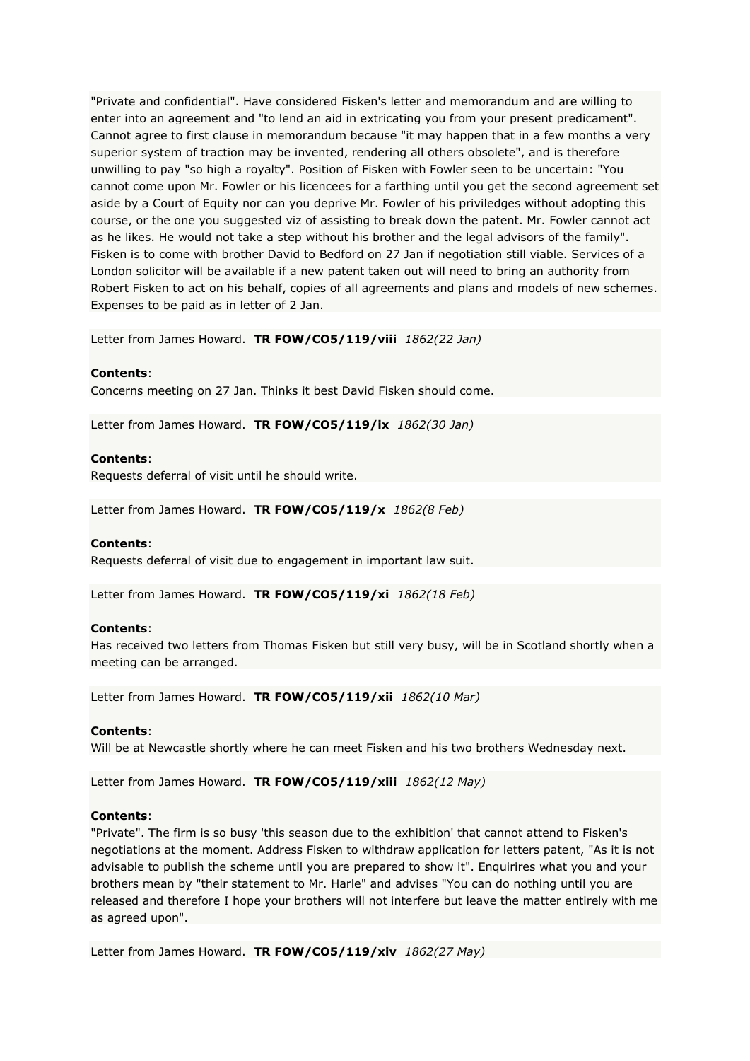"Private and confidential". Have considered Fisken's letter and memorandum and are willing to enter into an agreement and "to lend an aid in extricating you from your present predicament". Cannot agree to first clause in memorandum because "it may happen that in a few months a very superior system of traction may be invented, rendering all others obsolete", and is therefore unwilling to pay "so high a royalty". Position of Fisken with Fowler seen to be uncertain: "You cannot come upon Mr. Fowler or his licencees for a farthing until you get the second agreement set aside by a Court of Equity nor can you deprive Mr. Fowler of his priviledges without adopting this course, or the one you suggested viz of assisting to break down the patent. Mr. Fowler cannot act as he likes. He would not take a step without his brother and the legal advisors of the family". Fisken is to come with brother David to Bedford on 27 Jan if negotiation still viable. Services of a London solicitor will be available if a new patent taken out will need to bring an authority from Robert Fisken to act on his behalf, copies of all agreements and plans and models of new schemes. Expenses to be paid as in letter of 2 Jan.

Letter from James Howard. **TR FOW/CO5/119/viii** *1862(22 Jan)*

# **Contents**:

Concerns meeting on 27 Jan. Thinks it best David Fisken should come.

Letter from James Howard. **TR FOW/CO5/119/ix** *1862(30 Jan)*

#### **Contents**:

Requests deferral of visit until he should write.

Letter from James Howard. **TR FOW/CO5/119/x** *1862(8 Feb)*

#### **Contents**:

Requests deferral of visit due to engagement in important law suit.

Letter from James Howard. **TR FOW/CO5/119/xi** *1862(18 Feb)*

#### **Contents**:

Has received two letters from Thomas Fisken but still very busy, will be in Scotland shortly when a meeting can be arranged.

Letter from James Howard. **TR FOW/CO5/119/xii** *1862(10 Mar)*

#### **Contents**:

Will be at Newcastle shortly where he can meet Fisken and his two brothers Wednesday next.

Letter from James Howard. **TR FOW/CO5/119/xiii** *1862(12 May)*

### **Contents**:

"Private". The firm is so busy 'this season due to the exhibition' that cannot attend to Fisken's negotiations at the moment. Address Fisken to withdraw application for letters patent, "As it is not advisable to publish the scheme until you are prepared to show it". Enquirires what you and your brothers mean by "their statement to Mr. Harle" and advises "You can do nothing until you are released and therefore I hope your brothers will not interfere but leave the matter entirely with me as agreed upon".

Letter from James Howard. **TR FOW/CO5/119/xiv** *1862(27 May)*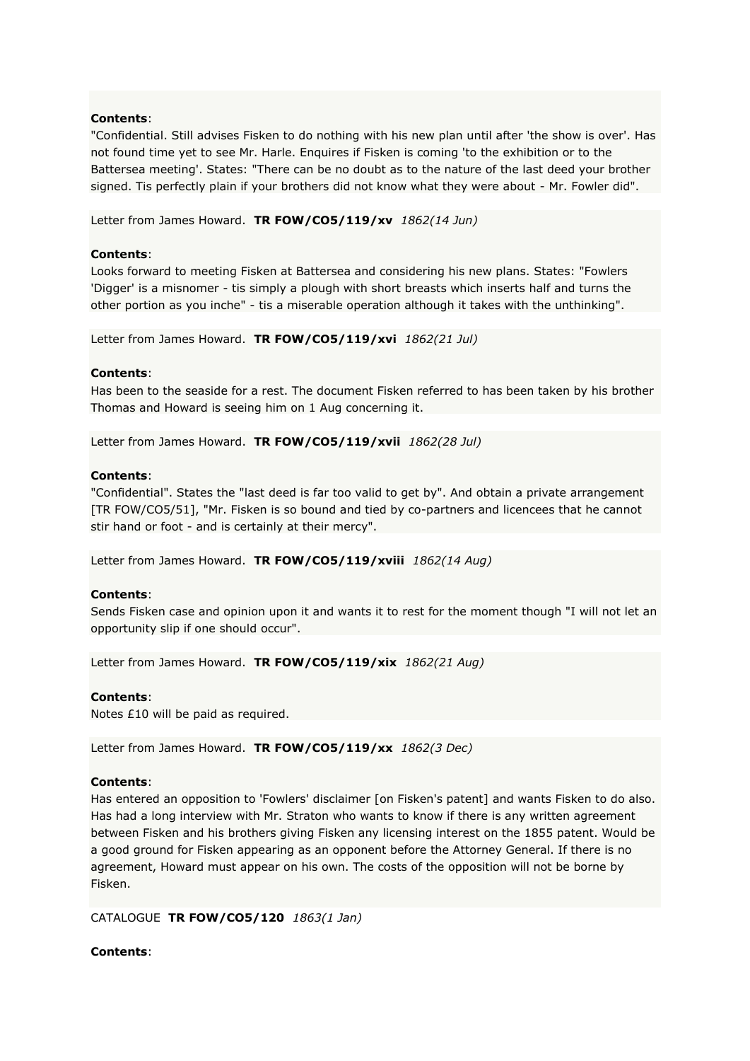"Confidential. Still advises Fisken to do nothing with his new plan until after 'the show is over'. Has not found time yet to see Mr. Harle. Enquires if Fisken is coming 'to the exhibition or to the Battersea meeting'. States: "There can be no doubt as to the nature of the last deed your brother signed. Tis perfectly plain if your brothers did not know what they were about - Mr. Fowler did".

Letter from James Howard. **TR FOW/CO5/119/xv** *1862(14 Jun)*

## **Contents**:

Looks forward to meeting Fisken at Battersea and considering his new plans. States: "Fowlers 'Digger' is a misnomer - tis simply a plough with short breasts which inserts half and turns the other portion as you inche" - tis a miserable operation although it takes with the unthinking".

Letter from James Howard. **TR FOW/CO5/119/xvi** *1862(21 Jul)*

### **Contents**:

Has been to the seaside for a rest. The document Fisken referred to has been taken by his brother Thomas and Howard is seeing him on 1 Aug concerning it.

Letter from James Howard. **TR FOW/CO5/119/xvii** *1862(28 Jul)*

### **Contents**:

"Confidential". States the "last deed is far too valid to get by". And obtain a private arrangement [TR FOW/CO5/51], "Mr. Fisken is so bound and tied by co-partners and licencees that he cannot stir hand or foot - and is certainly at their mercy".

Letter from James Howard. **TR FOW/CO5/119/xviii** *1862(14 Aug)*

### **Contents**:

Sends Fisken case and opinion upon it and wants it to rest for the moment though "I will not let an opportunity slip if one should occur".

Letter from James Howard. **TR FOW/CO5/119/xix** *1862(21 Aug)*

### **Contents**:

Notes £10 will be paid as required.

Letter from James Howard. **TR FOW/CO5/119/xx** *1862(3 Dec)*

### **Contents**:

Has entered an opposition to 'Fowlers' disclaimer [on Fisken's patent] and wants Fisken to do also. Has had a long interview with Mr. Straton who wants to know if there is any written agreement between Fisken and his brothers giving Fisken any licensing interest on the 1855 patent. Would be a good ground for Fisken appearing as an opponent before the Attorney General. If there is no agreement, Howard must appear on his own. The costs of the opposition will not be borne by Fisken.

CATALOGUE **TR FOW/CO5/120** *1863(1 Jan)*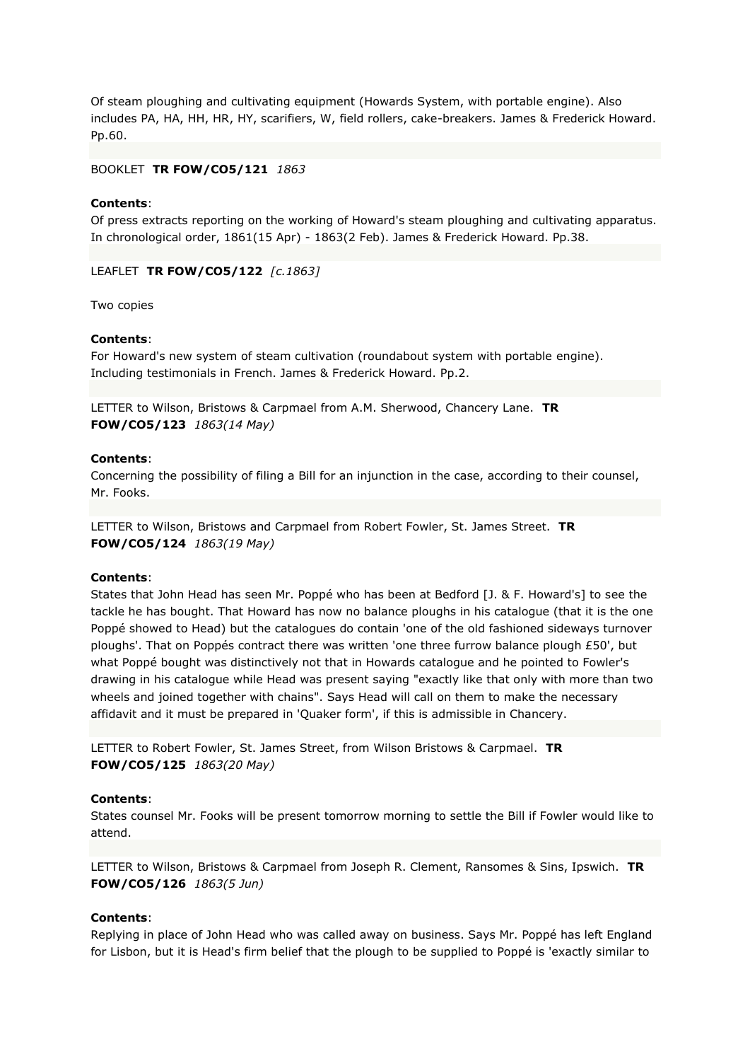Of steam ploughing and cultivating equipment (Howards System, with portable engine). Also includes PA, HA, HH, HR, HY, scarifiers, W, field rollers, cake-breakers. James & Frederick Howard. Pp.60.

## BOOKLET **TR FOW/CO5/121** *1863*

### **Contents**:

Of press extracts reporting on the working of Howard's steam ploughing and cultivating apparatus. In chronological order, 1861(15 Apr) - 1863(2 Feb). James & Frederick Howard. Pp.38.

LEAFLET **TR FOW/CO5/122** *[c.1863]*

Two copies

#### **Contents**:

For Howard's new system of steam cultivation (roundabout system with portable engine). Including testimonials in French. James & Frederick Howard. Pp.2.

LETTER to Wilson, Bristows & Carpmael from A.M. Sherwood, Chancery Lane. **TR FOW/CO5/123** *1863(14 May)*

#### **Contents**:

Concerning the possibility of filing a Bill for an injunction in the case, according to their counsel, Mr. Fooks.

LETTER to Wilson, Bristows and Carpmael from Robert Fowler, St. James Street. **TR FOW/CO5/124** *1863(19 May)*

### **Contents**:

States that John Head has seen Mr. Poppé who has been at Bedford [J. & F. Howard's] to see the tackle he has bought. That Howard has now no balance ploughs in his catalogue (that it is the one Poppé showed to Head) but the catalogues do contain 'one of the old fashioned sideways turnover ploughs'. That on Poppés contract there was written 'one three furrow balance plough £50', but what Poppé bought was distinctively not that in Howards catalogue and he pointed to Fowler's drawing in his catalogue while Head was present saying "exactly like that only with more than two wheels and joined together with chains". Says Head will call on them to make the necessary affidavit and it must be prepared in 'Quaker form', if this is admissible in Chancery.

LETTER to Robert Fowler, St. James Street, from Wilson Bristows & Carpmael. **TR FOW/CO5/125** *1863(20 May)*

### **Contents**:

States counsel Mr. Fooks will be present tomorrow morning to settle the Bill if Fowler would like to attend.

LETTER to Wilson, Bristows & Carpmael from Joseph R. Clement, Ransomes & Sins, Ipswich. **TR FOW/CO5/126** *1863(5 Jun)*

# **Contents**:

Replying in place of John Head who was called away on business. Says Mr. Poppé has left England for Lisbon, but it is Head's firm belief that the plough to be supplied to Poppé is 'exactly similar to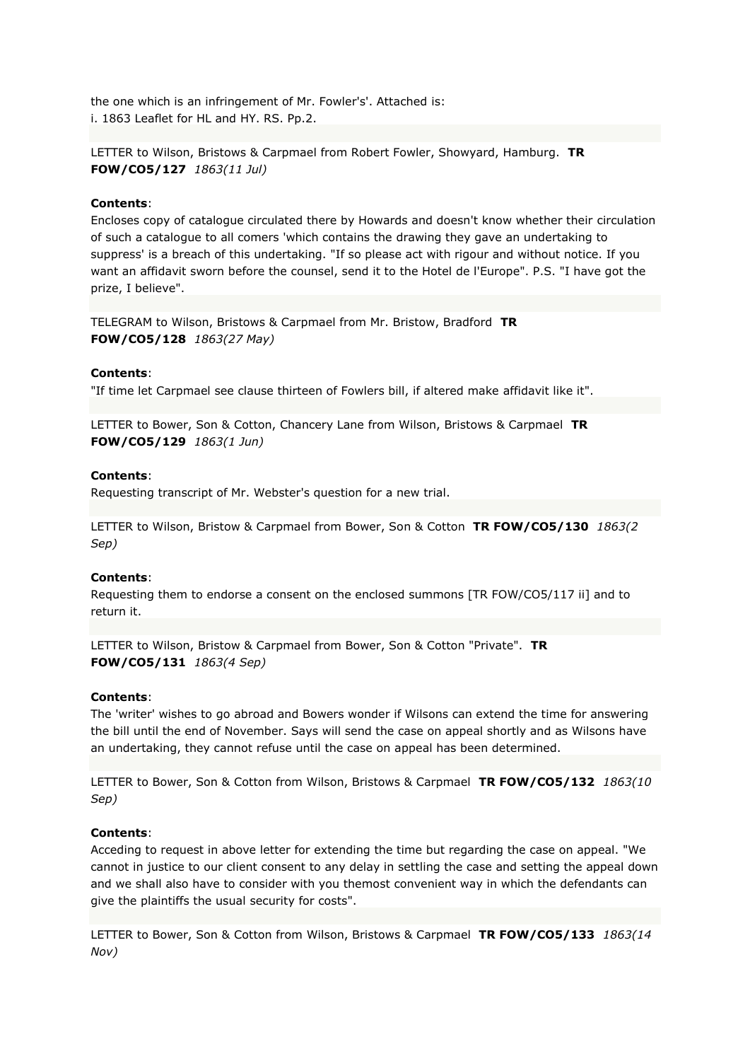the one which is an infringement of Mr. Fowler's'. Attached is: i. 1863 Leaflet for HL and HY. RS. Pp.2.

LETTER to Wilson, Bristows & Carpmael from Robert Fowler, Showyard, Hamburg. **TR FOW/CO5/127** *1863(11 Jul)*

### **Contents**:

Encloses copy of catalogue circulated there by Howards and doesn't know whether their circulation of such a catalogue to all comers 'which contains the drawing they gave an undertaking to suppress' is a breach of this undertaking. "If so please act with rigour and without notice. If you want an affidavit sworn before the counsel, send it to the Hotel de l'Europe". P.S. "I have got the prize, I believe".

TELEGRAM to Wilson, Bristows & Carpmael from Mr. Bristow, Bradford **TR FOW/CO5/128** *1863(27 May)*

# **Contents**:

"If time let Carpmael see clause thirteen of Fowlers bill, if altered make affidavit like it".

LETTER to Bower, Son & Cotton, Chancery Lane from Wilson, Bristows & Carpmael **TR FOW/CO5/129** *1863(1 Jun)*

# **Contents**:

Requesting transcript of Mr. Webster's question for a new trial.

LETTER to Wilson, Bristow & Carpmael from Bower, Son & Cotton **TR FOW/CO5/130** *1863(2 Sep)*

### **Contents**:

Requesting them to endorse a consent on the enclosed summons [TR FOW/CO5/117 ii] and to return it.

LETTER to Wilson, Bristow & Carpmael from Bower, Son & Cotton "Private". **TR FOW/CO5/131** *1863(4 Sep)*

### **Contents**:

The 'writer' wishes to go abroad and Bowers wonder if Wilsons can extend the time for answering the bill until the end of November. Says will send the case on appeal shortly and as Wilsons have an undertaking, they cannot refuse until the case on appeal has been determined.

LETTER to Bower, Son & Cotton from Wilson, Bristows & Carpmael **TR FOW/CO5/132** *1863(10 Sep)*

### **Contents**:

Acceding to request in above letter for extending the time but regarding the case on appeal. "We cannot in justice to our client consent to any delay in settling the case and setting the appeal down and we shall also have to consider with you themost convenient way in which the defendants can give the plaintiffs the usual security for costs".

LETTER to Bower, Son & Cotton from Wilson, Bristows & Carpmael **TR FOW/CO5/133** *1863(14 Nov)*